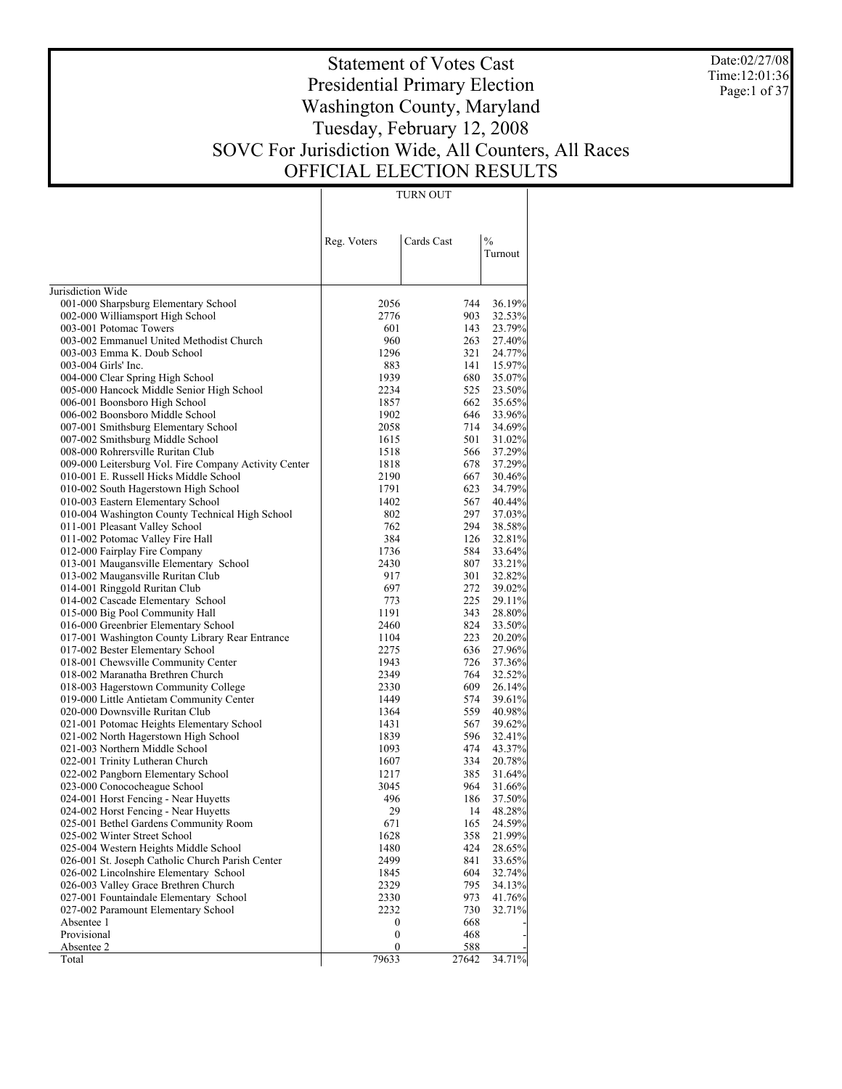Date:02/27/08 Time:12:01:36 Page:1 of 37

# Statement of Votes Cast Presidential Primary Election Washington County, Maryland Tuesday, February 12, 2008 SOVC For Jurisdiction Wide, All Counters, All Races OFFICIAL ELECTION RESULTS

TURN OUT

|                                                                               | Reg. Voters  | Cards Cast | $\frac{0}{0}$<br>Turnout |
|-------------------------------------------------------------------------------|--------------|------------|--------------------------|
| Jurisdiction Wide                                                             |              |            |                          |
| 001-000 Sharpsburg Elementary School                                          | 2056         | 744        | 36.19%                   |
| 002-000 Williamsport High School                                              | 2776         | 903        | 32.53%                   |
| 003-001 Potomac Towers                                                        | 601          | 143        | 23.79%                   |
| 003-002 Emmanuel United Methodist Church                                      | 960          | 263        | 27.40%                   |
| 003-003 Emma K. Doub School<br>003-004 Girls' Inc.                            | 1296         | 321        | 24.77%                   |
|                                                                               | 883<br>1939  | 141<br>680 | 15.97%                   |
| 004-000 Clear Spring High School<br>005-000 Hancock Middle Senior High School | 2234         | 525        | 35.07%<br>23.50%         |
| 006-001 Boonsboro High School                                                 | 1857         | 662        | 35.65%                   |
| 006-002 Boonsboro Middle School                                               | 1902         | 646        | 33.96%                   |
| 007-001 Smithsburg Elementary School                                          | 2058         | 714        | 34.69%                   |
| 007-002 Smithsburg Middle School                                              | 1615         | 501        | 31.02%                   |
| 008-000 Rohrersville Ruritan Club                                             | 1518         | 566        | 37.29%                   |
| 009-000 Leitersburg Vol. Fire Company Activity Center                         | 1818         | 678        | 37.29%                   |
| 010-001 E. Russell Hicks Middle School                                        | 2190         | 667        | 30.46%                   |
| 010-002 South Hagerstown High School                                          | 1791         | 623        | 34.79%                   |
| 010-003 Eastern Elementary School                                             | 1402         | 567        | 40.44%                   |
| 010-004 Washington County Technical High School                               | 802          | 297        | 37.03%                   |
| 011-001 Pleasant Valley School                                                | 762          | 294        | 38.58%                   |
| 011-002 Potomac Valley Fire Hall                                              | 384          | 126        | 32.81%                   |
| 012-000 Fairplay Fire Company                                                 | 1736         | 584        | 33.64%                   |
| 013-001 Maugansville Elementary School                                        | 2430         | 807        | 33.21%                   |
| 013-002 Maugansville Ruritan Club                                             | 917          | 301        | 32.82%                   |
| 014-001 Ringgold Ruritan Club                                                 | 697          | 272        | 39.02%                   |
| 014-002 Cascade Elementary School                                             | 773          | 225        | 29.11%                   |
| 015-000 Big Pool Community Hall                                               | 1191         | 343        | 28.80%                   |
| 016-000 Greenbrier Elementary School                                          | 2460         | 824        | 33.50%                   |
| 017-001 Washington County Library Rear Entrance                               | 1104         | 223        | 20.20%                   |
| 017-002 Bester Elementary School                                              | 2275         | 636        | 27.96%                   |
| 018-001 Chewsville Community Center                                           | 1943         | 726        | 37.36%                   |
| 018-002 Maranatha Brethren Church                                             | 2349         | 764        | 32.52%                   |
| 018-003 Hagerstown Community College                                          | 2330         | 609        | 26.14%                   |
| 019-000 Little Antietam Community Center                                      | 1449         | 574        | 39.61%                   |
| 020-000 Downsville Ruritan Club                                               | 1364         | 559        | 40.98%                   |
| 021-001 Potomac Heights Elementary School                                     | 1431         | 567        | 39.62%                   |
| 021-002 North Hagerstown High School                                          | 1839         | 596        | 32.41%                   |
| 021-003 Northern Middle School                                                | 1093         | 474        | 43.37%                   |
| 022-001 Trinity Lutheran Church                                               | 1607         | 334        | 20.78%                   |
| 022-002 Pangborn Elementary School<br>023-000 Conococheague School            | 1217<br>3045 | 385<br>964 | 31.64%<br>31.66%         |
| 024-001 Horst Fencing - Near Huyetts                                          | 496          | 186        | 37.50%                   |
| 024-002 Horst Fencing - Near Huyetts                                          | 29           | 14         | 48.28%                   |
| 025-001 Bethel Gardens Community Room                                         | 671          | 165        | 24.59%                   |
| 025-002 Winter Street School                                                  | 1628         | 358        | 21.99%                   |
| 025-004 Western Heights Middle School                                         | 1480         | 424        | 28.65%                   |
| 026-001 St. Joseph Catholic Church Parish Center                              | 2499         | 841        | 33.65%                   |
| 026-002 Lincolnshire Elementary School                                        | 1845         | 604        | 32.74%                   |
| 026-003 Valley Grace Brethren Church                                          | 2329         | 795        | 34.13%                   |
| 027-001 Fountaindale Elementary School                                        | 2330         | 973        | 41.76%                   |
| 027-002 Paramount Elementary School                                           | 2232         | 730        | 32.71%                   |
| Absentee 1                                                                    | 0            | 668        |                          |
| Provisional                                                                   | 0            | 468        |                          |
| Absentee 2                                                                    | 0            | 588        |                          |
| Total                                                                         | 79633        | 27642      | 34.71%                   |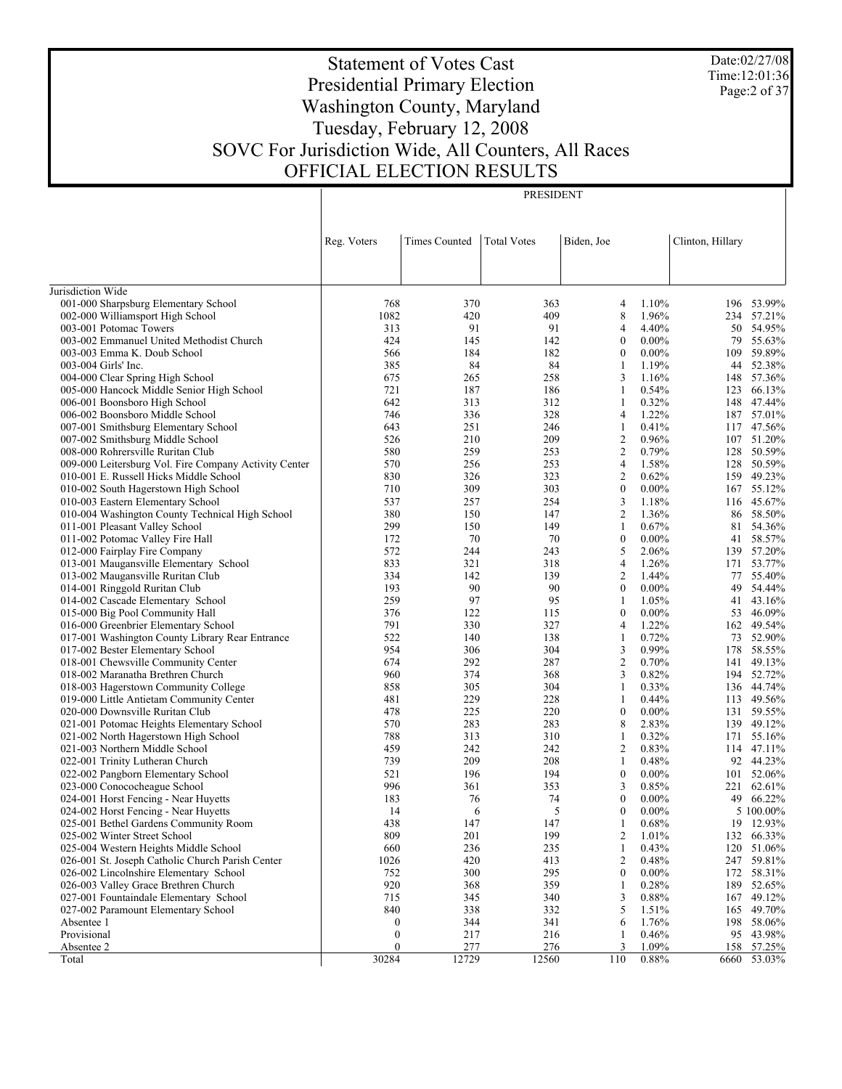Date:02/27/08 Time:12:01:36 Page:2 of 37

# Statement of Votes Cast Presidential Primary Election Washington County, Maryland Tuesday, February 12, 2008 SOVC For Jurisdiction Wide, All Counters, All Races OFFICIAL ELECTION RESULTS

PRESIDENT

|                                                                       | Reg. Voters  | <b>Times Counted</b> | <b>Total Votes</b> | Biden, Joe          |                | Clinton, Hillary |                  |
|-----------------------------------------------------------------------|--------------|----------------------|--------------------|---------------------|----------------|------------------|------------------|
|                                                                       |              |                      |                    |                     |                |                  |                  |
| Jurisdiction Wide                                                     |              |                      |                    |                     |                |                  |                  |
| 001-000 Sharpsburg Elementary School                                  | 768          | 370                  | 363                | 4                   | 1.10%          |                  | 196 53.99%       |
| 002-000 Williamsport High School                                      | 1082         | 420                  | 409                | 8                   | 1.96%          |                  | 234 57.21%       |
| 003-001 Potomac Towers                                                | 313          | 91                   | 91                 | 4                   | 4.40%          | 50               | 54.95%           |
| 003-002 Emmanuel United Methodist Church                              | 424          | 145                  | 142                | $\boldsymbol{0}$    | $0.00\%$       |                  | 79 55.63%        |
| 003-003 Emma K. Doub School                                           | 566          | 184                  | 182                | $\boldsymbol{0}$    | $0.00\%$       | 109              | 59.89%           |
| 003-004 Girls' Inc.                                                   | 385          | 84                   | 84                 | 1                   | 1.19%          | 44               | 52.38%           |
| 004-000 Clear Spring High School                                      | 675          | 265                  | 258                | 3                   | 1.16%          |                  | 148 57.36%       |
| 005-000 Hancock Middle Senior High School                             | 721          | 187                  | 186                | 1                   | 0.54%          | 123              | 66.13%           |
| 006-001 Boonsboro High School                                         | 642          | 313                  | 312                | 1                   | 0.32%          |                  | 148 47.44%       |
| 006-002 Boonsboro Middle School                                       | 746          | 336                  | 328                | 4                   | 1.22%          |                  | 187 57.01%       |
| 007-001 Smithsburg Elementary School                                  | 643          | 251                  | 246                | 1                   | 0.41%          |                  | 117 47.56%       |
| 007-002 Smithsburg Middle School                                      | 526          | 210                  | 209                | $\overline{2}$      | 0.96%          |                  | 107 51.20%       |
| 008-000 Rohrersville Ruritan Club                                     | 580          | 259                  | 253                | $\overline{2}$      | 0.79%          | 128              | 50.59%           |
| 009-000 Leitersburg Vol. Fire Company Activity Center                 | 570          | 256                  | 253                | $\overline{4}$      | 1.58%          |                  | 128 50.59%       |
| 010-001 E. Russell Hicks Middle School                                | 830          | 326                  | 323                | $\overline{2}$      | 0.62%          |                  | 159 49.23%       |
| 010-002 South Hagerstown High School                                  | 710          | 309                  | 303                | $\boldsymbol{0}$    | $0.00\%$       |                  | 167 55.12%       |
| 010-003 Eastern Elementary School                                     | 537          | 257                  | 254                | 3                   | 1.18%          |                  | 116 45.67%       |
| 010-004 Washington County Technical High School                       | 380          | 150                  | 147                | $\overline{2}$      | 1.36%          |                  | 86 58.50%        |
| 011-001 Pleasant Valley School                                        | 299          | 150                  | 149                | 1                   | 0.67%          | 81               | 54.36%           |
| 011-002 Potomac Valley Fire Hall                                      | 172          | 70                   | 70                 | $\boldsymbol{0}$    | $0.00\%$       | 41               | 58.57%           |
| 012-000 Fairplay Fire Company                                         | 572          | 244                  | 243                | 5                   | 2.06%          | 139              | 57.20%           |
| 013-001 Maugansville Elementary School                                | 833          | 321                  | 318                | 4                   | 1.26%          | 171              | 53.77%           |
| 013-002 Maugansville Ruritan Club                                     | 334          | 142                  | 139                | $\overline{2}$      | 1.44%          | 77               | 55.40%           |
| 014-001 Ringgold Ruritan Club                                         | 193          | 90                   | 90                 | $\mathbf{0}$        | $0.00\%$       | 49               | 54.44%           |
| 014-002 Cascade Elementary School                                     | 259          | 97                   | 95                 | 1                   | 1.05%          | 41               | 43.16%           |
| 015-000 Big Pool Community Hall                                       | 376          | 122                  | 115                | $\mathbf{0}$        | $0.00\%$       | 53               | 46.09%           |
| 016-000 Greenbrier Elementary School                                  | 791          | 330                  | 327                | 4                   | 1.22%          |                  | 162 49.54%       |
| 017-001 Washington County Library Rear Entrance                       | 522          | 140                  | 138                | 1                   | 0.72%          |                  | 73 52.90%        |
| 017-002 Bester Elementary School                                      | 954          | 306                  | 304                | 3                   | 0.99%          | 178              | 58.55%           |
| 018-001 Chewsville Community Center                                   | 674          | 292                  | 287                | $\overline{2}$      | 0.70%          | 141              | 49.13%           |
| 018-002 Maranatha Brethren Church                                     | 960          | 374                  | 368                | 3                   | 0.82%          |                  | 194 52.72%       |
| 018-003 Hagerstown Community College                                  | 858          | 305                  | 304                | 1                   | 0.33%          |                  | 136 44.74%       |
| 019-000 Little Antietam Community Center                              | 481          | 229                  | 228                | 1                   | 0.44%          | 113              | 49.56%           |
| 020-000 Downsville Ruritan Club                                       | 478          | 225                  | 220                | $\mathbf{0}$        | $0.00\%$       |                  | 131 59.55%       |
| 021-001 Potomac Heights Elementary School                             | 570          | 283                  | 283                | 8                   | 2.83%          |                  | 139 49.12%       |
| 021-002 North Hagerstown High School                                  | 788<br>459   | 313                  | 310                | 1<br>$\overline{2}$ | 0.32%          | 171              | 55.16%<br>47.11% |
| 021-003 Northern Middle School                                        | 739          | 242<br>209           | 242<br>208         | 1                   | 0.83%<br>0.48% | 114              | 92 44.23%        |
| 022-001 Trinity Lutheran Church<br>022-002 Pangborn Elementary School | 521          | 196                  | 194                | $\boldsymbol{0}$    | $0.00\%$       |                  | 101 52.06%       |
| 023-000 Conococheague School                                          | 996          | 361                  | 353                | 3                   | 0.85%          |                  | 221 62.61%       |
| 024-001 Horst Fencing - Near Huyetts                                  | 183          | 76                   | 74                 | $\boldsymbol{0}$    | $0.00\%$       |                  | 49 66.22%        |
| 024-002 Horst Fencing - Near Huyetts                                  | 14           | 6                    | 5                  | $\mathbf{0}$        | $0.00\%$       |                  | 5 100.00%        |
| 025-001 Bethel Gardens Community Room                                 | 438          | 147                  | 147                | 1                   | 0.68%          |                  | 19 12.93%        |
| 025-002 Winter Street School                                          | 809          | 201                  | 199                | 2                   | 1.01%          |                  | 132 66.33%       |
| 025-004 Western Heights Middle School                                 | 660          | 236                  | 235                | 1                   | 0.43%          | 120              | 51.06%           |
| 026-001 St. Joseph Catholic Church Parish Center                      | 1026         | 420                  | 413                | 2                   | 0.48%          | 247              | 59.81%           |
| 026-002 Lincolnshire Elementary School                                | 752          | 300                  | 295                | $\boldsymbol{0}$    | $0.00\%$       | 172              | 58.31%           |
| 026-003 Valley Grace Brethren Church                                  | 920          | 368                  | 359                |                     | 0.28%          | 189              | 52.65%           |
| 027-001 Fountaindale Elementary School                                | 715          | 345                  | 340                | 3                   | 0.88%          | 167              | 49.12%           |
| 027-002 Paramount Elementary School                                   | 840          | 338                  | 332                | 5                   | 1.51%          |                  | 165 49.70%       |
| Absentee 1                                                            | 0            | 344                  | 341                | 6                   | 1.76%          |                  | 198 58.06%       |
| Provisional                                                           | 0            | 217                  | 216                |                     | 0.46%          |                  | 95 43.98%        |
| Absentee 2                                                            | $\mathbf{0}$ | 277                  | 276                | 3                   | 1.09%          |                  | 158 57.25%       |
| Total                                                                 | 30284        | 12729                | 12560              | 110                 | 0.88%          | 6660             | 53.03%           |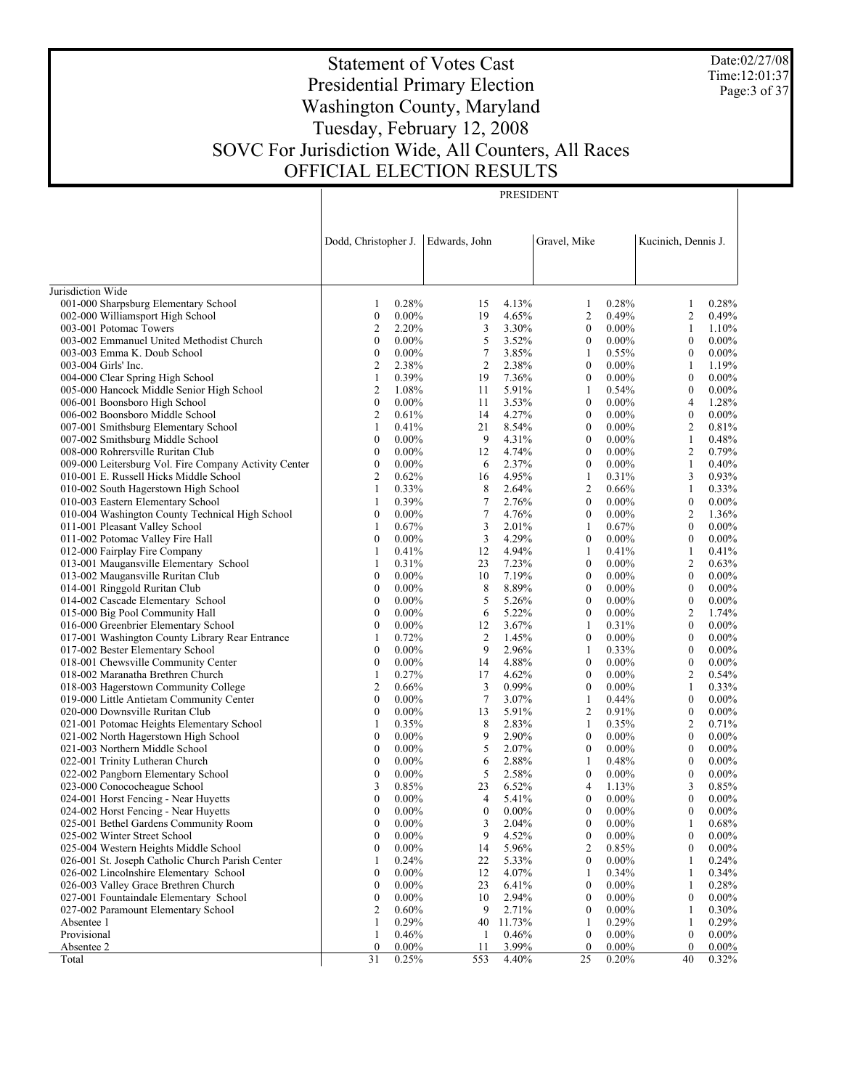Date:02/27/08 Time:12:01:37 Page:3 of 37

# Statement of Votes Cast Presidential Primary Election Washington County, Maryland Tuesday, February 12, 2008 SOVC For Jurisdiction Wide, All Counters, All Races OFFICIAL ELECTION RESULTS

PRESIDENT

|                                                                                           | Dodd, Christopher J.                 |                   | Edwards, John    |                | Gravel, Mike                 |                      | Kucinich, Dennis J.   |                   |
|-------------------------------------------------------------------------------------------|--------------------------------------|-------------------|------------------|----------------|------------------------------|----------------------|-----------------------|-------------------|
|                                                                                           |                                      |                   |                  |                |                              |                      |                       |                   |
| Jurisdiction Wide                                                                         |                                      |                   |                  |                |                              |                      |                       |                   |
| 001-000 Sharpsburg Elementary School                                                      | 1                                    | 0.28%             | 15               | 4.13%          | $\mathbf{1}$                 | 0.28%                | 1                     | 0.28%             |
| 002-000 Williamsport High School                                                          | $\boldsymbol{0}$                     | $0.00\%$          | 19               | 4.65%          | $\overline{2}$               | 0.49%                | $\overline{c}$        | 0.49%             |
| 003-001 Potomac Towers                                                                    | $\mathbf{2}$                         | 2.20%             | 3                | 3.30%          | $\mathbf{0}$                 | $0.00\%$             | 1                     | 1.10%             |
| 003-002 Emmanuel United Methodist Church                                                  | $\boldsymbol{0}$                     | $0.00\%$          | 5                | 3.52%          | $\boldsymbol{0}$             | $0.00\%$             | $\boldsymbol{0}$      | $0.00\%$          |
| 003-003 Emma K. Doub School                                                               | $\boldsymbol{0}$                     | $0.00\%$          | $\tau$           | 3.85%          | -1                           | 0.55%                | $\mathbf{0}$          | $0.00\%$          |
| 003-004 Girls' Inc.                                                                       | $\mathbf{2}$                         | 2.38%             | $\overline{c}$   | 2.38%          | $\boldsymbol{0}$             | $0.00\%$             | $\mathbf{1}$          | 1.19%             |
| 004-000 Clear Spring High School                                                          | 1                                    | 0.39%             | 19               | 7.36%          | $\mathbf{0}$                 | $0.00\%$             | $\mathbf{0}$          | $0.00\%$          |
| 005-000 Hancock Middle Senior High School                                                 | $\overline{c}$                       | 1.08%             | 11               | 5.91%          | $\mathbf{1}$                 | 0.54%                | $\boldsymbol{0}$      | $0.00\%$          |
| 006-001 Boonsboro High School                                                             | $\boldsymbol{0}$                     | $0.00\%$          | 11               | 3.53%          | $\mathbf{0}$                 | $0.00\%$             | 4                     | 1.28%             |
| 006-002 Boonsboro Middle School                                                           | $\mathbf{2}$                         | 0.61%             | 14               | 4.27%          | $\bf{0}$                     | $0.00\%$             | $\boldsymbol{0}$      | $0.00\%$          |
| 007-001 Smithsburg Elementary School                                                      | 1                                    | 0.41%             | 21               | 8.54%          | $\boldsymbol{0}$             | $0.00\%$             | $\boldsymbol{2}$      | 0.81%             |
| 007-002 Smithsburg Middle School                                                          | $\boldsymbol{0}$                     | $0.00\%$          | 9                | 4.31%          | $\bf{0}$                     | $0.00\%$             | $\mathbf{1}$          | 0.48%             |
| 008-000 Rohrersville Ruritan Club                                                         | $\boldsymbol{0}$                     | $0.00\%$          | 12               | 4.74%          | $\mathbf{0}$                 | $0.00\%$             | $\boldsymbol{2}$      | 0.79%             |
| 009-000 Leitersburg Vol. Fire Company Activity Center                                     | $\boldsymbol{0}$                     | $0.00\%$          | 6                | 2.37%          | $\boldsymbol{0}$             | $0.00\%$             | $\mathbf{1}$          | 0.40%             |
| 010-001 E. Russell Hicks Middle School                                                    | $\mathbf{2}$                         | 0.62%             | 16               | 4.95%          | $\mathbf{1}$                 | 0.31%                | 3                     | 0.93%             |
| 010-002 South Hagerstown High School                                                      | 1                                    | 0.33%             | 8                | 2.64%          | $\overline{2}$               | 0.66%                | $\mathbf{1}$          | 0.33%             |
| 010-003 Eastern Elementary School                                                         | 1                                    | 0.39%             | $\tau$           | 2.76%          | $\mathbf{0}$                 | $0.00\%$             | $\boldsymbol{0}$      | $0.00\%$          |
| 010-004 Washington County Technical High School                                           | $\boldsymbol{0}$                     | $0.00\%$          | $\tau$           | 4.76%          | $\boldsymbol{0}$             | $0.00\%$             | $\boldsymbol{2}$      | 1.36%             |
| 011-001 Pleasant Valley School                                                            | 1                                    | 0.67%             | 3                | 2.01%          | 1                            | 0.67%                | $\mathbf{0}$          | $0.00\%$          |
| 011-002 Potomac Valley Fire Hall                                                          | $\boldsymbol{0}$                     | $0.00\%$          | $\mathfrak{Z}$   | 4.29%          | $\boldsymbol{0}$             | $0.00\%$             | $\boldsymbol{0}$      | $0.00\%$          |
| 012-000 Fairplay Fire Company                                                             | 1                                    | 0.41%             | 12               | 4.94%          | 1                            | 0.41%                | 1                     | 0.41%             |
| 013-001 Maugansville Elementary School                                                    | 1                                    | 0.31%             | 23               | 7.23%          | $\boldsymbol{0}$             | $0.00\%$             | $\boldsymbol{2}$      | 0.63%             |
| 013-002 Maugansville Ruritan Club                                                         | $\boldsymbol{0}$                     | $0.00\%$          | 10               | 7.19%          | $\mathbf{0}$                 | $0.00\%$             | $\mathbf{0}$          | $0.00\%$          |
| 014-001 Ringgold Ruritan Club                                                             | $\boldsymbol{0}$                     | $0.00\%$          | 8                | 8.89%          | $\bf{0}$                     | $0.00\%$             | $\boldsymbol{0}$      | $0.00\%$          |
| 014-002 Cascade Elementary School                                                         | $\boldsymbol{0}$                     | $0.00\%$          | 5                | 5.26%          | $\mathbf{0}$                 | $0.00\%$             | $\boldsymbol{0}$      | $0.00\%$          |
| 015-000 Big Pool Community Hall                                                           | $\boldsymbol{0}$                     | $0.00\%$          | 6                | 5.22%          | $\boldsymbol{0}$             | $0.00\%$             | $\boldsymbol{2}$      | 1.74%             |
| 016-000 Greenbrier Elementary School                                                      | $\boldsymbol{0}$                     | $0.00\%$          | 12               | 3.67%          | 1                            | 0.31%                | $\mathbf{0}$          | $0.00\%$          |
| 017-001 Washington County Library Rear Entrance                                           | 1                                    | 0.72%             | $\overline{c}$   | 1.45%          | $\boldsymbol{0}$             | $0.00\%$             | $\boldsymbol{0}$      | $0.00\%$          |
| 017-002 Bester Elementary School                                                          | $\mathbf{0}$                         | $0.00\%$          | 9                | 2.96%          | 1                            | 0.33%                | $\mathbf{0}$          | $0.00\%$          |
| 018-001 Chewsville Community Center                                                       | $\boldsymbol{0}$                     | $0.00\%$          | 14               | 4.88%          | $\boldsymbol{0}$             | $0.00\%$             | $\boldsymbol{0}$      | $0.00\%$          |
| 018-002 Maranatha Brethren Church                                                         | 1                                    | 0.27%             | 17               | 4.62%          | $\mathbf{0}$                 | $0.00\%$             | $\overline{2}$        | 0.54%             |
| 018-003 Hagerstown Community College                                                      | $\overline{2}$                       | 0.66%             | $\mathfrak{Z}$   | 0.99%          | $\boldsymbol{0}$             | $0.00\%$             | $\mathbf{1}$          | 0.33%             |
| 019-000 Little Antietam Community Center                                                  | $\boldsymbol{0}$                     | $0.00\%$          | $\boldsymbol{7}$ | 3.07%          | 1                            | 0.44%                | $\mathbf{0}$          | $0.00\%$          |
| 020-000 Downsville Ruritan Club                                                           | $\boldsymbol{0}$                     | $0.00\%$          | 13               | 5.91%          | $\overline{c}$               | 0.91%                | $\boldsymbol{0}$      | $0.00\%$          |
| 021-001 Potomac Heights Elementary School                                                 | 1                                    | 0.35%             | 8                | 2.83%          | 1                            | 0.35%                | $\overline{2}$        | 0.71%             |
| 021-002 North Hagerstown High School                                                      | $\boldsymbol{0}$                     | $0.00\%$          | 9                | 2.90%          | $\boldsymbol{0}$             | $0.00\%$             | $\boldsymbol{0}$      | $0.00\%$          |
| 021-003 Northern Middle School                                                            | $\boldsymbol{0}$                     | $0.00\%$          | 5                | 2.07%          | $\mathbf{0}$                 | $0.00\%$             | $\mathbf{0}$          | $0.00\%$          |
| 022-001 Trinity Lutheran Church                                                           | $\boldsymbol{0}$                     | $0.00\%$          | 6                | 2.88%          | $\mathbf{1}$                 | 0.48%                | $\boldsymbol{0}$      | $0.00\%$          |
| 022-002 Pangborn Elementary School                                                        | $\boldsymbol{0}$                     | $0.00\%$          | 5                | 2.58%          | $\boldsymbol{0}$             | $0.00\%$             | $\boldsymbol{0}$      | $0.00\%$          |
| 023-000 Conococheague School                                                              | 3                                    | 0.85%<br>$0.00\%$ | 23               | 6.52%<br>5.41% | 4                            | 1.13%                | 3<br>$\theta$         | 0.85%             |
| 024-001 Horst Fencing - Near Huyetts                                                      | $\boldsymbol{0}$<br>$\boldsymbol{0}$ |                   | 4                |                | $\mathbf{0}$                 | $0.00\%$             | $\mathbf{0}$          | $0.00\%$          |
| 024-002 Horst Fencing - Near Huyetts<br>025-001 Bethel Gardens Community Room             | 0                                    | $0.00\%$          | $\boldsymbol{0}$ | $0.00\%$       | $\boldsymbol{0}$<br>$\theta$ | $0.00\%$             |                       | $0.00\%$          |
| 025-002 Winter Street School                                                              |                                      | $0.00\%$          | 3                | 2.04%          |                              | $0.00\%$             | 1                     | 0.68%             |
|                                                                                           | $\boldsymbol{0}$                     | $0.00\%$          | 9                | 4.52%          | $\boldsymbol{0}$             | $0.00\%$             | $\boldsymbol{0}$      | $0.00\%$          |
| 025-004 Western Heights Middle School<br>026-001 St. Joseph Catholic Church Parish Center | $\boldsymbol{0}$                     | $0.00\%$          | 14               | 5.96%<br>5.33% | $\boldsymbol{2}$             | 0.85%<br>$0.00\%$    | $\boldsymbol{0}$      | $0.00\%$<br>0.24% |
| 026-002 Lincolnshire Elementary School                                                    | 1<br>$\boldsymbol{0}$                | 0.24%<br>$0.00\%$ | 22               | 4.07%          | $\boldsymbol{0}$             |                      | 1                     |                   |
|                                                                                           | $\boldsymbol{0}$                     | $0.00\%$          | 12               |                | 1                            | 0.34%<br>$0.00\%$    | 1                     | 0.34%             |
| 026-003 Valley Grace Brethren Church                                                      |                                      |                   | 23               | 6.41%          | $\boldsymbol{0}$             |                      | $\mathbf{1}$          | 0.28%             |
| 027-001 Fountaindale Elementary School<br>027-002 Paramount Elementary School             | $\boldsymbol{0}$                     | $0.00\%$<br>0.60% | 10               | 2.94%<br>2.71% | $\mathbf{0}$                 | $0.00\%$<br>$0.00\%$ | $\boldsymbol{0}$      | $0.00\%$<br>0.30% |
| Absentee 1                                                                                | $\overline{c}$                       |                   | 9                | 11.73%         | $\boldsymbol{0}$             |                      | 1                     | 0.29%             |
| Provisional                                                                               | 1                                    | 0.29%             | 40               |                | 1<br>$\boldsymbol{0}$        | 0.29%<br>$0.00\%$    | 1<br>$\boldsymbol{0}$ | $0.00\%$          |
| Absentee 2                                                                                | 1<br>$\mathbf{0}$                    | 0.46%<br>$0.00\%$ | 1<br>11          | 0.46%<br>3.99% | $\mathbf{0}$                 | $0.00\%$             | $\overline{0}$        | $0.00\%$          |
| Total                                                                                     | 31                                   | 0.25%             | 553              | 4.40%          | 25                           | 0.20%                | 40                    | 0.32%             |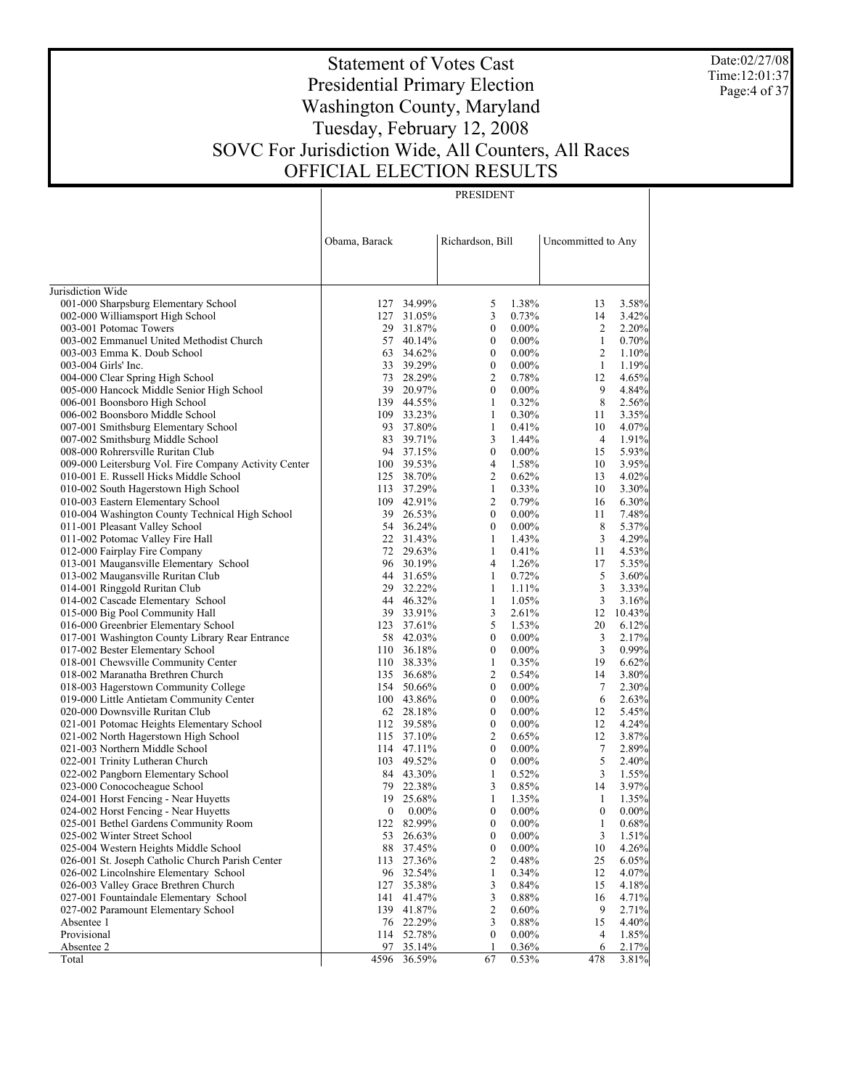Date:02/27/08 Time:12:01:37 Page:4 of 37

# Statement of Votes Cast Presidential Primary Election Washington County, Maryland Tuesday, February 12, 2008 SOVC For Jurisdiction Wide, All Counters, All Races OFFICIAL ELECTION RESULTS

|                                                                    | Obama, Barack |                        | Richardson, Bill |                | Uncommitted to Any |                |
|--------------------------------------------------------------------|---------------|------------------------|------------------|----------------|--------------------|----------------|
| Jurisdiction Wide                                                  |               |                        |                  |                |                    |                |
| 001-000 Sharpsburg Elementary School                               | 127           | 34.99%                 | 5                | 1.38%          | 13                 | 3.58%          |
| 002-000 Williamsport High School                                   |               | 127 31.05%             | 3                | 0.73%          | 14                 | 3.42%          |
| 003-001 Potomac Towers                                             | 29            | 31.87%                 | 0                | $0.00\%$       | 2                  | 2.20%          |
| 003-002 Emmanuel United Methodist Church                           |               | 57 40.14%              | $\mathbf{0}$     | $0.00\%$       | $\mathbf{1}$       | 0.70%          |
| 003-003 Emma K. Doub School                                        | 63            | 34.62%                 | $\boldsymbol{0}$ | $0.00\%$       | 2                  | 1.10%          |
| 003-004 Girls' Inc.                                                |               | 33 39.29%              | $\boldsymbol{0}$ | $0.00\%$       | 1                  | 1.19%          |
| 004-000 Clear Spring High School                                   | 73            | 28.29%                 | 2                | 0.78%          | 12                 | 4.65%          |
| 005-000 Hancock Middle Senior High School                          |               | 39 20.97%              | 0                | $0.00\%$       | 9                  | 4.84%          |
| 006-001 Boonsboro High School                                      |               | 139 44.55%             | 1                | 0.32%          | 8                  | 2.56%          |
| 006-002 Boonsboro Middle School                                    |               | 109 33.23%             | 1                | 0.30%          | 11                 | 3.35%          |
| 007-001 Smithsburg Elementary School                               | 93            | 37.80%                 | 1                | 0.41%          | 10                 | 4.07%          |
| 007-002 Smithsburg Middle School                                   | 83            | 39.71%                 | 3                | 1.44%          | 4                  | 1.91%          |
| 008-000 Rohrersville Ruritan Club                                  |               | 94 37.15%              | $\boldsymbol{0}$ | $0.00\%$       | 15                 | 5.93%          |
| 009-000 Leitersburg Vol. Fire Company Activity Center              |               | 100 39.53%             | 4                | 1.58%          | 10                 | 3.95%          |
| 010-001 E. Russell Hicks Middle School                             |               | 125 38.70%             | 2                | 0.62%          | 13                 | 4.02%          |
| 010-002 South Hagerstown High School                               | 113           | 37.29%                 | 1                | 0.33%          | 10                 | 3.30%          |
| 010-003 Eastern Elementary School                                  |               | 109 42.91%             | 2                | 0.79%          | 16                 | 6.30%          |
| 010-004 Washington County Technical High School                    | 39            | 26.53%                 | 0                | $0.00\%$       | 11                 | 7.48%          |
| 011-001 Pleasant Valley School                                     |               | 54 36.24%              | $\boldsymbol{0}$ | $0.00\%$       | 8                  | 5.37%          |
| 011-002 Potomac Valley Fire Hall                                   |               | 22 31.43%              | 1                | 1.43%          | 3                  | 4.29%          |
| 012-000 Fairplay Fire Company                                      |               | 72 29.63%<br>96 30.19% | 1                | 0.41%          | 11                 | 4.53%          |
| 013-001 Maugansville Elementary School                             |               |                        | 4                | 1.26%          | 17                 | 5.35%          |
| 013-002 Maugansville Ruritan Club<br>014-001 Ringgold Ruritan Club | 29            | 44 31.65%<br>32.22%    | 1<br>1           | 0.72%<br>1.11% | 5<br>3             | 3.60%<br>3.33% |
| 014-002 Cascade Elementary School                                  |               | 44 46.32%              | 1                | 1.05%          | 3                  | 3.16%          |
| 015-000 Big Pool Community Hall                                    |               | 39 33.91%              | 3                | 2.61%          | 12                 | 10.43%         |
| 016-000 Greenbrier Elementary School                               |               | 123 37.61%             | 5                | 1.53%          | 20                 | 6.12%          |
| 017-001 Washington County Library Rear Entrance                    | 58            | 42.03%                 | $\boldsymbol{0}$ | $0.00\%$       | 3                  | 2.17%          |
| 017-002 Bester Elementary School                                   |               | 110 36.18%             | $\boldsymbol{0}$ | $0.00\%$       | 3                  | 0.99%          |
| 018-001 Chewsville Community Center                                |               | 110 38.33%             | 1                | 0.35%          | 19                 | 6.62%          |
| 018-002 Maranatha Brethren Church                                  |               | 135 36.68%             | 2                | 0.54%          | 14                 | 3.80%          |
| 018-003 Hagerstown Community College                               |               | 154 50.66%             | $\boldsymbol{0}$ | $0.00\%$       | $\tau$             | 2.30%          |
| 019-000 Little Antietam Community Center                           |               | 100 43.86%             | $\boldsymbol{0}$ | $0.00\%$       | 6                  | 2.63%          |
| 020-000 Downsville Ruritan Club                                    |               | 62 28.18%              | 0                | $0.00\%$       | 12                 | 5.45%          |
| 021-001 Potomac Heights Elementary School                          |               | 112 39.58%             | $\boldsymbol{0}$ | $0.00\%$       | 12                 | 4.24%          |
| 021-002 North Hagerstown High School                               |               | 115 37.10%             | 2                | 0.65%          | 12                 | 3.87%          |
| 021-003 Northern Middle School                                     |               | 114 47.11%             | $\boldsymbol{0}$ | $0.00\%$       | 7                  | 2.89%          |
| 022-001 Trinity Lutheran Church                                    |               | 103 49.52%             | $\boldsymbol{0}$ | $0.00\%$       | 5                  | 2.40%          |
| 022-002 Pangborn Elementary School                                 |               | 84 43.30%              | 1                | 0.52%          | 3                  | 1.55%          |
| 023-000 Conococheague School                                       | 79            | 22.38%                 | 3                | 0.85%          | 14                 | 3.97%          |
| 024-001 Horst Fencing - Near Huyetts                               | 19            | 25.68%                 | 1                | 1.35%          | 1                  | 1.35%          |
| 024-002 Horst Fencing - Near Huyetts                               | 0             | $0.00\%$               | 0                | $0.00\%$       | $\boldsymbol{0}$   | $0.00\%$       |
| 025-001 Bethel Gardens Community Room                              |               | 122 82.99%             | 0                | $0.00\%$       | 1                  | 0.68%          |
| 025-002 Winter Street School                                       | 53            | 26.63%                 | 0                | $0.00\%$       | 3                  | 1.51%          |
| 025-004 Western Heights Middle School                              | 88            | 37.45%                 | 0                | $0.00\%$       | $10\,$             | 4.26%          |
| 026-001 St. Joseph Catholic Church Parish Center                   | 113           | 27.36%                 | 2                | 0.48%          | 25                 | 6.05%          |
| 026-002 Lincolnshire Elementary School                             | 96            | 32.54%                 | 1                | 0.34%          | 12                 | 4.07%          |
| 026-003 Valley Grace Brethren Church                               | 127           | 35.38%                 | 3                | 0.84%          | 15                 | 4.18%          |
| 027-001 Fountaindale Elementary School                             | 141           | 41.47%                 | 3                | 0.88%          | 16                 | 4.71%          |
| 027-002 Paramount Elementary School                                | 139           | 41.87%                 | 2                | 0.60%          | 9                  | 2.71%          |
| Absentee 1                                                         |               | 76 22.29%              | 3                | 0.88%          | 15                 | 4.40%          |
| Provisional                                                        | 114           | 52.78%                 | 0                | $0.00\%$       | 4                  | 1.85%          |
| Absentee 2                                                         | 97            | 35.14%                 | 1                | 0.36%          | 6                  | 2.17%          |
| Total                                                              | 4596          | 36.59%                 | 67               | 0.53%          | 478                | 3.81%          |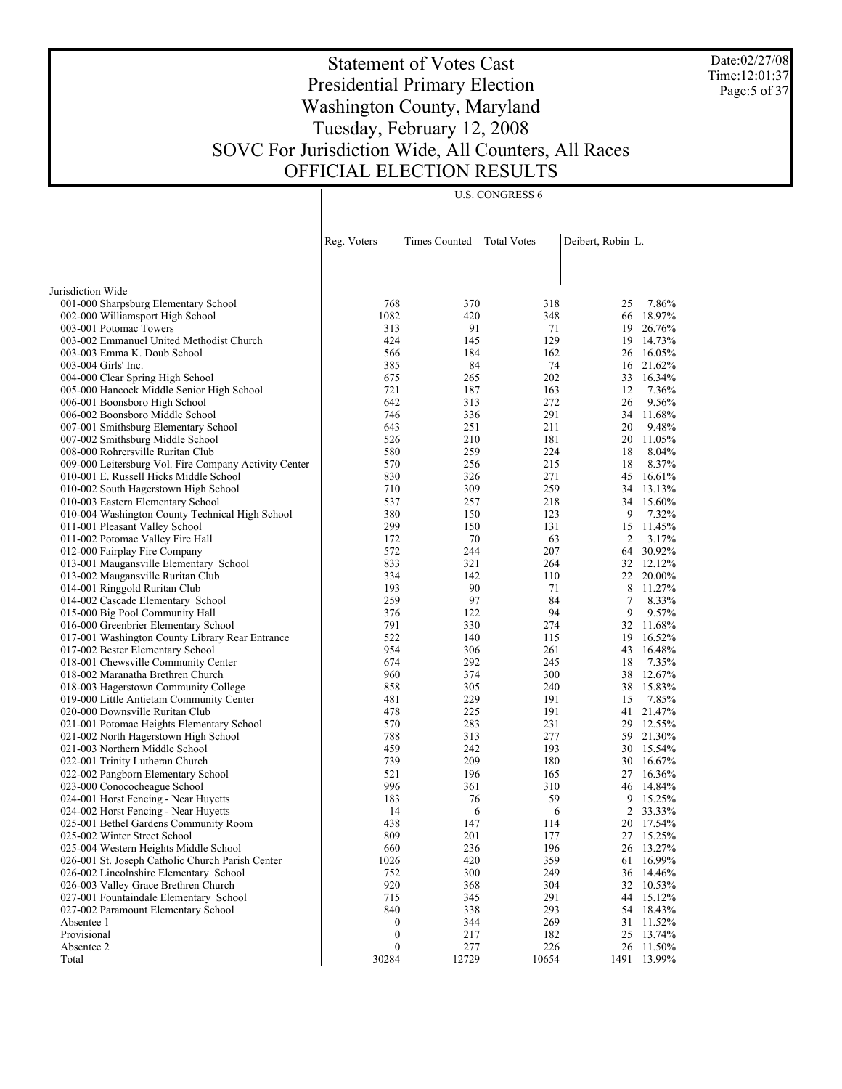Date:02/27/08 Time:12:01:37 Page:5 of 37

 $\overline{\phantom{a}}$ 

# Statement of Votes Cast Presidential Primary Election Washington County, Maryland Tuesday, February 12, 2008 SOVC For Jurisdiction Wide, All Counters, All Races OFFICIAL ELECTION RESULTS

U.S. CONGRESS 6

| <b>Times Counted</b><br><b>Total Votes</b><br>Deibert, Robin L.<br>Reg. Voters<br>001-000 Sharpsburg Elementary School<br>768<br>318<br>25<br>370<br>1082<br>420<br>348<br>002-000 Williamsport High School<br>66<br>313<br>91<br>71<br>003-001 Potomac Towers<br>19<br>003-002 Emmanuel United Methodist Church<br>424<br>145<br>129<br>19<br>184<br>162<br>16.05%<br>003-003 Emma K. Doub School<br>566<br>26<br>385<br>84<br>74<br>21.62%<br>003-004 Girls' Inc.<br>16<br>675<br>265<br>202<br>33<br>16.34%<br>004-000 Clear Spring High School<br>005-000 Hancock Middle Senior High School<br>721<br>187<br>12<br>7.36%<br>163<br>642<br>313<br>272<br>9.56%<br>006-001 Boonsboro High School<br>26<br>746<br>336<br>291<br>11.68%<br>006-002 Boonsboro Middle School<br>34<br>643<br>251<br>211<br>9.48%<br>007-001 Smithsburg Elementary School<br>20<br>526<br>210<br>11.05%<br>007-002 Smithsburg Middle School<br>181<br>20<br>580<br>259<br>224<br>8.04%<br>008-000 Rohrersville Ruritan Club<br>18<br>570<br>256<br>215<br>8.37%<br>009-000 Leitersburg Vol. Fire Company Activity Center<br>18<br>830<br>326<br>271<br>010-001 E. Russell Hicks Middle School<br>45<br>309<br>259<br>010-002 South Hagerstown High School<br>710<br>34<br>537<br>257<br>218<br>010-003 Eastern Elementary School<br>34<br>380<br>123<br>9<br>010-004 Washington County Technical High School<br>150<br>299<br>150<br>011-001 Pleasant Valley School<br>131<br>15<br>70<br>63<br>2<br>011-002 Potomac Valley Fire Hall<br>172<br>572<br>244<br>207<br>012-000 Fairplay Fire Company<br>64<br>833<br>321<br>264<br>32 12.12%<br>013-001 Maugansville Elementary School<br>334<br>142<br>110<br>22 20.00%<br>013-002 Maugansville Ruritan Club<br>90<br>71<br>8 11.27%<br>014-001 Ringgold Ruritan Club<br>193<br>97<br>259<br>84<br>7<br>8.33%<br>014-002 Cascade Elementary School<br>9<br>376<br>122<br>94<br>9.57%<br>015-000 Big Pool Community Hall<br>791<br>330<br>32 11.68%<br>016-000 Greenbrier Elementary School<br>274<br>522<br>16.52%<br>017-001 Washington County Library Rear Entrance<br>140<br>115<br>19<br>954<br>306<br>43<br>16.48%<br>017-002 Bester Elementary School<br>261<br>292<br>7.35%<br>018-001 Chewsville Community Center<br>674<br>245<br>18<br>300<br>38<br>12.67%<br>018-002 Maranatha Brethren Church<br>960<br>374<br>858<br>240<br>38 15.83%<br>018-003 Hagerstown Community College<br>305<br>229<br>7.85%<br>019-000 Little Antietam Community Center<br>481<br>191<br>15<br>225<br>21.47%<br>020-000 Downsville Ruritan Club<br>478<br>191<br>41<br>570<br>283<br>231<br>021-001 Potomac Heights Elementary School<br>29<br>788<br>313<br>277<br>59<br>021-002 North Hagerstown High School<br>242<br>021-003 Northern Middle School<br>459<br>193<br>30<br>739<br>209<br>180<br>022-001 Trinity Lutheran Church<br>30<br>521<br>196<br>022-002 Pangborn Elementary School<br>165<br>27<br>996<br>361<br>310<br>14.84%<br>023-000 Conococheague School<br>46<br>76<br>59<br>9<br>024-001 Horst Fencing - Near Huyetts<br>183<br>2 33.33%<br>024-002 Horst Fencing - Near Huyetts<br>14<br>6<br>6<br>438<br>025-001 Bethel Gardens Community Room<br>147<br>114<br>20 17.54%<br>025-002 Winter Street School<br>809<br>201<br>177<br>27 15.25%<br>236<br>196<br>025-004 Western Heights Middle School<br>660<br>26<br>420<br>359<br>026-001 St. Joseph Catholic Church Parish Center<br>1026<br>16.99%<br>61<br>026-002 Lincolnshire Elementary School<br>752<br>300<br>249<br>36<br>14.46%<br>026-003 Valley Grace Brethren Church<br>920<br>368<br>304<br>32<br>10.53%<br>027-001 Fountaindale Elementary School<br>345<br>291<br>715<br>44<br>15.12%<br>840<br>293<br>027-002 Paramount Elementary School<br>338<br>54<br>18.43%<br>Absentee 1<br>$\boldsymbol{0}$<br>344<br>269<br>31<br>11.52%<br>Provisional<br>$\boldsymbol{0}$<br>217<br>182<br>25<br>13.74%<br>277<br>226<br>Absentee 2<br>$\bf{0}$<br>26<br>11.50% |                   |       |       |       |      |        |
|------------------------------------------------------------------------------------------------------------------------------------------------------------------------------------------------------------------------------------------------------------------------------------------------------------------------------------------------------------------------------------------------------------------------------------------------------------------------------------------------------------------------------------------------------------------------------------------------------------------------------------------------------------------------------------------------------------------------------------------------------------------------------------------------------------------------------------------------------------------------------------------------------------------------------------------------------------------------------------------------------------------------------------------------------------------------------------------------------------------------------------------------------------------------------------------------------------------------------------------------------------------------------------------------------------------------------------------------------------------------------------------------------------------------------------------------------------------------------------------------------------------------------------------------------------------------------------------------------------------------------------------------------------------------------------------------------------------------------------------------------------------------------------------------------------------------------------------------------------------------------------------------------------------------------------------------------------------------------------------------------------------------------------------------------------------------------------------------------------------------------------------------------------------------------------------------------------------------------------------------------------------------------------------------------------------------------------------------------------------------------------------------------------------------------------------------------------------------------------------------------------------------------------------------------------------------------------------------------------------------------------------------------------------------------------------------------------------------------------------------------------------------------------------------------------------------------------------------------------------------------------------------------------------------------------------------------------------------------------------------------------------------------------------------------------------------------------------------------------------------------------------------------------------------------------------------------------------------------------------------------------------------------------------------------------------------------------------------------------------------------------------------------------------------------------------------------------------------------------------------------------------------------------------------------------------------------------------------------------------------------------------------------------------------------------------------------------------------------------------------------------------------------------------------------------------------------------------------------------------------------------------------------------------------------------------------------------------|-------------------|-------|-------|-------|------|--------|
|                                                                                                                                                                                                                                                                                                                                                                                                                                                                                                                                                                                                                                                                                                                                                                                                                                                                                                                                                                                                                                                                                                                                                                                                                                                                                                                                                                                                                                                                                                                                                                                                                                                                                                                                                                                                                                                                                                                                                                                                                                                                                                                                                                                                                                                                                                                                                                                                                                                                                                                                                                                                                                                                                                                                                                                                                                                                                                                                                                                                                                                                                                                                                                                                                                                                                                                                                                                                                                                                                                                                                                                                                                                                                                                                                                                                                                                                                                                                                                  |                   |       |       |       |      |        |
|                                                                                                                                                                                                                                                                                                                                                                                                                                                                                                                                                                                                                                                                                                                                                                                                                                                                                                                                                                                                                                                                                                                                                                                                                                                                                                                                                                                                                                                                                                                                                                                                                                                                                                                                                                                                                                                                                                                                                                                                                                                                                                                                                                                                                                                                                                                                                                                                                                                                                                                                                                                                                                                                                                                                                                                                                                                                                                                                                                                                                                                                                                                                                                                                                                                                                                                                                                                                                                                                                                                                                                                                                                                                                                                                                                                                                                                                                                                                                                  |                   |       |       |       |      |        |
|                                                                                                                                                                                                                                                                                                                                                                                                                                                                                                                                                                                                                                                                                                                                                                                                                                                                                                                                                                                                                                                                                                                                                                                                                                                                                                                                                                                                                                                                                                                                                                                                                                                                                                                                                                                                                                                                                                                                                                                                                                                                                                                                                                                                                                                                                                                                                                                                                                                                                                                                                                                                                                                                                                                                                                                                                                                                                                                                                                                                                                                                                                                                                                                                                                                                                                                                                                                                                                                                                                                                                                                                                                                                                                                                                                                                                                                                                                                                                                  |                   |       |       |       |      |        |
|                                                                                                                                                                                                                                                                                                                                                                                                                                                                                                                                                                                                                                                                                                                                                                                                                                                                                                                                                                                                                                                                                                                                                                                                                                                                                                                                                                                                                                                                                                                                                                                                                                                                                                                                                                                                                                                                                                                                                                                                                                                                                                                                                                                                                                                                                                                                                                                                                                                                                                                                                                                                                                                                                                                                                                                                                                                                                                                                                                                                                                                                                                                                                                                                                                                                                                                                                                                                                                                                                                                                                                                                                                                                                                                                                                                                                                                                                                                                                                  | Jurisdiction Wide |       |       |       |      |        |
|                                                                                                                                                                                                                                                                                                                                                                                                                                                                                                                                                                                                                                                                                                                                                                                                                                                                                                                                                                                                                                                                                                                                                                                                                                                                                                                                                                                                                                                                                                                                                                                                                                                                                                                                                                                                                                                                                                                                                                                                                                                                                                                                                                                                                                                                                                                                                                                                                                                                                                                                                                                                                                                                                                                                                                                                                                                                                                                                                                                                                                                                                                                                                                                                                                                                                                                                                                                                                                                                                                                                                                                                                                                                                                                                                                                                                                                                                                                                                                  |                   |       |       |       |      | 7.86%  |
|                                                                                                                                                                                                                                                                                                                                                                                                                                                                                                                                                                                                                                                                                                                                                                                                                                                                                                                                                                                                                                                                                                                                                                                                                                                                                                                                                                                                                                                                                                                                                                                                                                                                                                                                                                                                                                                                                                                                                                                                                                                                                                                                                                                                                                                                                                                                                                                                                                                                                                                                                                                                                                                                                                                                                                                                                                                                                                                                                                                                                                                                                                                                                                                                                                                                                                                                                                                                                                                                                                                                                                                                                                                                                                                                                                                                                                                                                                                                                                  |                   |       |       |       |      | 18.97% |
|                                                                                                                                                                                                                                                                                                                                                                                                                                                                                                                                                                                                                                                                                                                                                                                                                                                                                                                                                                                                                                                                                                                                                                                                                                                                                                                                                                                                                                                                                                                                                                                                                                                                                                                                                                                                                                                                                                                                                                                                                                                                                                                                                                                                                                                                                                                                                                                                                                                                                                                                                                                                                                                                                                                                                                                                                                                                                                                                                                                                                                                                                                                                                                                                                                                                                                                                                                                                                                                                                                                                                                                                                                                                                                                                                                                                                                                                                                                                                                  |                   |       |       |       |      | 26.76% |
|                                                                                                                                                                                                                                                                                                                                                                                                                                                                                                                                                                                                                                                                                                                                                                                                                                                                                                                                                                                                                                                                                                                                                                                                                                                                                                                                                                                                                                                                                                                                                                                                                                                                                                                                                                                                                                                                                                                                                                                                                                                                                                                                                                                                                                                                                                                                                                                                                                                                                                                                                                                                                                                                                                                                                                                                                                                                                                                                                                                                                                                                                                                                                                                                                                                                                                                                                                                                                                                                                                                                                                                                                                                                                                                                                                                                                                                                                                                                                                  |                   |       |       |       |      | 14.73% |
|                                                                                                                                                                                                                                                                                                                                                                                                                                                                                                                                                                                                                                                                                                                                                                                                                                                                                                                                                                                                                                                                                                                                                                                                                                                                                                                                                                                                                                                                                                                                                                                                                                                                                                                                                                                                                                                                                                                                                                                                                                                                                                                                                                                                                                                                                                                                                                                                                                                                                                                                                                                                                                                                                                                                                                                                                                                                                                                                                                                                                                                                                                                                                                                                                                                                                                                                                                                                                                                                                                                                                                                                                                                                                                                                                                                                                                                                                                                                                                  |                   |       |       |       |      |        |
|                                                                                                                                                                                                                                                                                                                                                                                                                                                                                                                                                                                                                                                                                                                                                                                                                                                                                                                                                                                                                                                                                                                                                                                                                                                                                                                                                                                                                                                                                                                                                                                                                                                                                                                                                                                                                                                                                                                                                                                                                                                                                                                                                                                                                                                                                                                                                                                                                                                                                                                                                                                                                                                                                                                                                                                                                                                                                                                                                                                                                                                                                                                                                                                                                                                                                                                                                                                                                                                                                                                                                                                                                                                                                                                                                                                                                                                                                                                                                                  |                   |       |       |       |      |        |
|                                                                                                                                                                                                                                                                                                                                                                                                                                                                                                                                                                                                                                                                                                                                                                                                                                                                                                                                                                                                                                                                                                                                                                                                                                                                                                                                                                                                                                                                                                                                                                                                                                                                                                                                                                                                                                                                                                                                                                                                                                                                                                                                                                                                                                                                                                                                                                                                                                                                                                                                                                                                                                                                                                                                                                                                                                                                                                                                                                                                                                                                                                                                                                                                                                                                                                                                                                                                                                                                                                                                                                                                                                                                                                                                                                                                                                                                                                                                                                  |                   |       |       |       |      |        |
|                                                                                                                                                                                                                                                                                                                                                                                                                                                                                                                                                                                                                                                                                                                                                                                                                                                                                                                                                                                                                                                                                                                                                                                                                                                                                                                                                                                                                                                                                                                                                                                                                                                                                                                                                                                                                                                                                                                                                                                                                                                                                                                                                                                                                                                                                                                                                                                                                                                                                                                                                                                                                                                                                                                                                                                                                                                                                                                                                                                                                                                                                                                                                                                                                                                                                                                                                                                                                                                                                                                                                                                                                                                                                                                                                                                                                                                                                                                                                                  |                   |       |       |       |      |        |
|                                                                                                                                                                                                                                                                                                                                                                                                                                                                                                                                                                                                                                                                                                                                                                                                                                                                                                                                                                                                                                                                                                                                                                                                                                                                                                                                                                                                                                                                                                                                                                                                                                                                                                                                                                                                                                                                                                                                                                                                                                                                                                                                                                                                                                                                                                                                                                                                                                                                                                                                                                                                                                                                                                                                                                                                                                                                                                                                                                                                                                                                                                                                                                                                                                                                                                                                                                                                                                                                                                                                                                                                                                                                                                                                                                                                                                                                                                                                                                  |                   |       |       |       |      |        |
|                                                                                                                                                                                                                                                                                                                                                                                                                                                                                                                                                                                                                                                                                                                                                                                                                                                                                                                                                                                                                                                                                                                                                                                                                                                                                                                                                                                                                                                                                                                                                                                                                                                                                                                                                                                                                                                                                                                                                                                                                                                                                                                                                                                                                                                                                                                                                                                                                                                                                                                                                                                                                                                                                                                                                                                                                                                                                                                                                                                                                                                                                                                                                                                                                                                                                                                                                                                                                                                                                                                                                                                                                                                                                                                                                                                                                                                                                                                                                                  |                   |       |       |       |      |        |
|                                                                                                                                                                                                                                                                                                                                                                                                                                                                                                                                                                                                                                                                                                                                                                                                                                                                                                                                                                                                                                                                                                                                                                                                                                                                                                                                                                                                                                                                                                                                                                                                                                                                                                                                                                                                                                                                                                                                                                                                                                                                                                                                                                                                                                                                                                                                                                                                                                                                                                                                                                                                                                                                                                                                                                                                                                                                                                                                                                                                                                                                                                                                                                                                                                                                                                                                                                                                                                                                                                                                                                                                                                                                                                                                                                                                                                                                                                                                                                  |                   |       |       |       |      |        |
|                                                                                                                                                                                                                                                                                                                                                                                                                                                                                                                                                                                                                                                                                                                                                                                                                                                                                                                                                                                                                                                                                                                                                                                                                                                                                                                                                                                                                                                                                                                                                                                                                                                                                                                                                                                                                                                                                                                                                                                                                                                                                                                                                                                                                                                                                                                                                                                                                                                                                                                                                                                                                                                                                                                                                                                                                                                                                                                                                                                                                                                                                                                                                                                                                                                                                                                                                                                                                                                                                                                                                                                                                                                                                                                                                                                                                                                                                                                                                                  |                   |       |       |       |      |        |
|                                                                                                                                                                                                                                                                                                                                                                                                                                                                                                                                                                                                                                                                                                                                                                                                                                                                                                                                                                                                                                                                                                                                                                                                                                                                                                                                                                                                                                                                                                                                                                                                                                                                                                                                                                                                                                                                                                                                                                                                                                                                                                                                                                                                                                                                                                                                                                                                                                                                                                                                                                                                                                                                                                                                                                                                                                                                                                                                                                                                                                                                                                                                                                                                                                                                                                                                                                                                                                                                                                                                                                                                                                                                                                                                                                                                                                                                                                                                                                  |                   |       |       |       |      |        |
|                                                                                                                                                                                                                                                                                                                                                                                                                                                                                                                                                                                                                                                                                                                                                                                                                                                                                                                                                                                                                                                                                                                                                                                                                                                                                                                                                                                                                                                                                                                                                                                                                                                                                                                                                                                                                                                                                                                                                                                                                                                                                                                                                                                                                                                                                                                                                                                                                                                                                                                                                                                                                                                                                                                                                                                                                                                                                                                                                                                                                                                                                                                                                                                                                                                                                                                                                                                                                                                                                                                                                                                                                                                                                                                                                                                                                                                                                                                                                                  |                   |       |       |       |      | 16.61% |
|                                                                                                                                                                                                                                                                                                                                                                                                                                                                                                                                                                                                                                                                                                                                                                                                                                                                                                                                                                                                                                                                                                                                                                                                                                                                                                                                                                                                                                                                                                                                                                                                                                                                                                                                                                                                                                                                                                                                                                                                                                                                                                                                                                                                                                                                                                                                                                                                                                                                                                                                                                                                                                                                                                                                                                                                                                                                                                                                                                                                                                                                                                                                                                                                                                                                                                                                                                                                                                                                                                                                                                                                                                                                                                                                                                                                                                                                                                                                                                  |                   |       |       |       |      | 13.13% |
|                                                                                                                                                                                                                                                                                                                                                                                                                                                                                                                                                                                                                                                                                                                                                                                                                                                                                                                                                                                                                                                                                                                                                                                                                                                                                                                                                                                                                                                                                                                                                                                                                                                                                                                                                                                                                                                                                                                                                                                                                                                                                                                                                                                                                                                                                                                                                                                                                                                                                                                                                                                                                                                                                                                                                                                                                                                                                                                                                                                                                                                                                                                                                                                                                                                                                                                                                                                                                                                                                                                                                                                                                                                                                                                                                                                                                                                                                                                                                                  |                   |       |       |       |      | 15.60% |
|                                                                                                                                                                                                                                                                                                                                                                                                                                                                                                                                                                                                                                                                                                                                                                                                                                                                                                                                                                                                                                                                                                                                                                                                                                                                                                                                                                                                                                                                                                                                                                                                                                                                                                                                                                                                                                                                                                                                                                                                                                                                                                                                                                                                                                                                                                                                                                                                                                                                                                                                                                                                                                                                                                                                                                                                                                                                                                                                                                                                                                                                                                                                                                                                                                                                                                                                                                                                                                                                                                                                                                                                                                                                                                                                                                                                                                                                                                                                                                  |                   |       |       |       |      | 7.32%  |
|                                                                                                                                                                                                                                                                                                                                                                                                                                                                                                                                                                                                                                                                                                                                                                                                                                                                                                                                                                                                                                                                                                                                                                                                                                                                                                                                                                                                                                                                                                                                                                                                                                                                                                                                                                                                                                                                                                                                                                                                                                                                                                                                                                                                                                                                                                                                                                                                                                                                                                                                                                                                                                                                                                                                                                                                                                                                                                                                                                                                                                                                                                                                                                                                                                                                                                                                                                                                                                                                                                                                                                                                                                                                                                                                                                                                                                                                                                                                                                  |                   |       |       |       |      | 11.45% |
|                                                                                                                                                                                                                                                                                                                                                                                                                                                                                                                                                                                                                                                                                                                                                                                                                                                                                                                                                                                                                                                                                                                                                                                                                                                                                                                                                                                                                                                                                                                                                                                                                                                                                                                                                                                                                                                                                                                                                                                                                                                                                                                                                                                                                                                                                                                                                                                                                                                                                                                                                                                                                                                                                                                                                                                                                                                                                                                                                                                                                                                                                                                                                                                                                                                                                                                                                                                                                                                                                                                                                                                                                                                                                                                                                                                                                                                                                                                                                                  |                   |       |       |       |      | 3.17%  |
|                                                                                                                                                                                                                                                                                                                                                                                                                                                                                                                                                                                                                                                                                                                                                                                                                                                                                                                                                                                                                                                                                                                                                                                                                                                                                                                                                                                                                                                                                                                                                                                                                                                                                                                                                                                                                                                                                                                                                                                                                                                                                                                                                                                                                                                                                                                                                                                                                                                                                                                                                                                                                                                                                                                                                                                                                                                                                                                                                                                                                                                                                                                                                                                                                                                                                                                                                                                                                                                                                                                                                                                                                                                                                                                                                                                                                                                                                                                                                                  |                   |       |       |       |      | 30.92% |
|                                                                                                                                                                                                                                                                                                                                                                                                                                                                                                                                                                                                                                                                                                                                                                                                                                                                                                                                                                                                                                                                                                                                                                                                                                                                                                                                                                                                                                                                                                                                                                                                                                                                                                                                                                                                                                                                                                                                                                                                                                                                                                                                                                                                                                                                                                                                                                                                                                                                                                                                                                                                                                                                                                                                                                                                                                                                                                                                                                                                                                                                                                                                                                                                                                                                                                                                                                                                                                                                                                                                                                                                                                                                                                                                                                                                                                                                                                                                                                  |                   |       |       |       |      |        |
|                                                                                                                                                                                                                                                                                                                                                                                                                                                                                                                                                                                                                                                                                                                                                                                                                                                                                                                                                                                                                                                                                                                                                                                                                                                                                                                                                                                                                                                                                                                                                                                                                                                                                                                                                                                                                                                                                                                                                                                                                                                                                                                                                                                                                                                                                                                                                                                                                                                                                                                                                                                                                                                                                                                                                                                                                                                                                                                                                                                                                                                                                                                                                                                                                                                                                                                                                                                                                                                                                                                                                                                                                                                                                                                                                                                                                                                                                                                                                                  |                   |       |       |       |      |        |
|                                                                                                                                                                                                                                                                                                                                                                                                                                                                                                                                                                                                                                                                                                                                                                                                                                                                                                                                                                                                                                                                                                                                                                                                                                                                                                                                                                                                                                                                                                                                                                                                                                                                                                                                                                                                                                                                                                                                                                                                                                                                                                                                                                                                                                                                                                                                                                                                                                                                                                                                                                                                                                                                                                                                                                                                                                                                                                                                                                                                                                                                                                                                                                                                                                                                                                                                                                                                                                                                                                                                                                                                                                                                                                                                                                                                                                                                                                                                                                  |                   |       |       |       |      |        |
|                                                                                                                                                                                                                                                                                                                                                                                                                                                                                                                                                                                                                                                                                                                                                                                                                                                                                                                                                                                                                                                                                                                                                                                                                                                                                                                                                                                                                                                                                                                                                                                                                                                                                                                                                                                                                                                                                                                                                                                                                                                                                                                                                                                                                                                                                                                                                                                                                                                                                                                                                                                                                                                                                                                                                                                                                                                                                                                                                                                                                                                                                                                                                                                                                                                                                                                                                                                                                                                                                                                                                                                                                                                                                                                                                                                                                                                                                                                                                                  |                   |       |       |       |      |        |
|                                                                                                                                                                                                                                                                                                                                                                                                                                                                                                                                                                                                                                                                                                                                                                                                                                                                                                                                                                                                                                                                                                                                                                                                                                                                                                                                                                                                                                                                                                                                                                                                                                                                                                                                                                                                                                                                                                                                                                                                                                                                                                                                                                                                                                                                                                                                                                                                                                                                                                                                                                                                                                                                                                                                                                                                                                                                                                                                                                                                                                                                                                                                                                                                                                                                                                                                                                                                                                                                                                                                                                                                                                                                                                                                                                                                                                                                                                                                                                  |                   |       |       |       |      |        |
|                                                                                                                                                                                                                                                                                                                                                                                                                                                                                                                                                                                                                                                                                                                                                                                                                                                                                                                                                                                                                                                                                                                                                                                                                                                                                                                                                                                                                                                                                                                                                                                                                                                                                                                                                                                                                                                                                                                                                                                                                                                                                                                                                                                                                                                                                                                                                                                                                                                                                                                                                                                                                                                                                                                                                                                                                                                                                                                                                                                                                                                                                                                                                                                                                                                                                                                                                                                                                                                                                                                                                                                                                                                                                                                                                                                                                                                                                                                                                                  |                   |       |       |       |      |        |
|                                                                                                                                                                                                                                                                                                                                                                                                                                                                                                                                                                                                                                                                                                                                                                                                                                                                                                                                                                                                                                                                                                                                                                                                                                                                                                                                                                                                                                                                                                                                                                                                                                                                                                                                                                                                                                                                                                                                                                                                                                                                                                                                                                                                                                                                                                                                                                                                                                                                                                                                                                                                                                                                                                                                                                                                                                                                                                                                                                                                                                                                                                                                                                                                                                                                                                                                                                                                                                                                                                                                                                                                                                                                                                                                                                                                                                                                                                                                                                  |                   |       |       |       |      |        |
|                                                                                                                                                                                                                                                                                                                                                                                                                                                                                                                                                                                                                                                                                                                                                                                                                                                                                                                                                                                                                                                                                                                                                                                                                                                                                                                                                                                                                                                                                                                                                                                                                                                                                                                                                                                                                                                                                                                                                                                                                                                                                                                                                                                                                                                                                                                                                                                                                                                                                                                                                                                                                                                                                                                                                                                                                                                                                                                                                                                                                                                                                                                                                                                                                                                                                                                                                                                                                                                                                                                                                                                                                                                                                                                                                                                                                                                                                                                                                                  |                   |       |       |       |      |        |
|                                                                                                                                                                                                                                                                                                                                                                                                                                                                                                                                                                                                                                                                                                                                                                                                                                                                                                                                                                                                                                                                                                                                                                                                                                                                                                                                                                                                                                                                                                                                                                                                                                                                                                                                                                                                                                                                                                                                                                                                                                                                                                                                                                                                                                                                                                                                                                                                                                                                                                                                                                                                                                                                                                                                                                                                                                                                                                                                                                                                                                                                                                                                                                                                                                                                                                                                                                                                                                                                                                                                                                                                                                                                                                                                                                                                                                                                                                                                                                  |                   |       |       |       |      |        |
|                                                                                                                                                                                                                                                                                                                                                                                                                                                                                                                                                                                                                                                                                                                                                                                                                                                                                                                                                                                                                                                                                                                                                                                                                                                                                                                                                                                                                                                                                                                                                                                                                                                                                                                                                                                                                                                                                                                                                                                                                                                                                                                                                                                                                                                                                                                                                                                                                                                                                                                                                                                                                                                                                                                                                                                                                                                                                                                                                                                                                                                                                                                                                                                                                                                                                                                                                                                                                                                                                                                                                                                                                                                                                                                                                                                                                                                                                                                                                                  |                   |       |       |       |      |        |
|                                                                                                                                                                                                                                                                                                                                                                                                                                                                                                                                                                                                                                                                                                                                                                                                                                                                                                                                                                                                                                                                                                                                                                                                                                                                                                                                                                                                                                                                                                                                                                                                                                                                                                                                                                                                                                                                                                                                                                                                                                                                                                                                                                                                                                                                                                                                                                                                                                                                                                                                                                                                                                                                                                                                                                                                                                                                                                                                                                                                                                                                                                                                                                                                                                                                                                                                                                                                                                                                                                                                                                                                                                                                                                                                                                                                                                                                                                                                                                  |                   |       |       |       |      |        |
|                                                                                                                                                                                                                                                                                                                                                                                                                                                                                                                                                                                                                                                                                                                                                                                                                                                                                                                                                                                                                                                                                                                                                                                                                                                                                                                                                                                                                                                                                                                                                                                                                                                                                                                                                                                                                                                                                                                                                                                                                                                                                                                                                                                                                                                                                                                                                                                                                                                                                                                                                                                                                                                                                                                                                                                                                                                                                                                                                                                                                                                                                                                                                                                                                                                                                                                                                                                                                                                                                                                                                                                                                                                                                                                                                                                                                                                                                                                                                                  |                   |       |       |       |      |        |
|                                                                                                                                                                                                                                                                                                                                                                                                                                                                                                                                                                                                                                                                                                                                                                                                                                                                                                                                                                                                                                                                                                                                                                                                                                                                                                                                                                                                                                                                                                                                                                                                                                                                                                                                                                                                                                                                                                                                                                                                                                                                                                                                                                                                                                                                                                                                                                                                                                                                                                                                                                                                                                                                                                                                                                                                                                                                                                                                                                                                                                                                                                                                                                                                                                                                                                                                                                                                                                                                                                                                                                                                                                                                                                                                                                                                                                                                                                                                                                  |                   |       |       |       |      | 12.55% |
|                                                                                                                                                                                                                                                                                                                                                                                                                                                                                                                                                                                                                                                                                                                                                                                                                                                                                                                                                                                                                                                                                                                                                                                                                                                                                                                                                                                                                                                                                                                                                                                                                                                                                                                                                                                                                                                                                                                                                                                                                                                                                                                                                                                                                                                                                                                                                                                                                                                                                                                                                                                                                                                                                                                                                                                                                                                                                                                                                                                                                                                                                                                                                                                                                                                                                                                                                                                                                                                                                                                                                                                                                                                                                                                                                                                                                                                                                                                                                                  |                   |       |       |       |      | 21.30% |
|                                                                                                                                                                                                                                                                                                                                                                                                                                                                                                                                                                                                                                                                                                                                                                                                                                                                                                                                                                                                                                                                                                                                                                                                                                                                                                                                                                                                                                                                                                                                                                                                                                                                                                                                                                                                                                                                                                                                                                                                                                                                                                                                                                                                                                                                                                                                                                                                                                                                                                                                                                                                                                                                                                                                                                                                                                                                                                                                                                                                                                                                                                                                                                                                                                                                                                                                                                                                                                                                                                                                                                                                                                                                                                                                                                                                                                                                                                                                                                  |                   |       |       |       |      | 15.54% |
|                                                                                                                                                                                                                                                                                                                                                                                                                                                                                                                                                                                                                                                                                                                                                                                                                                                                                                                                                                                                                                                                                                                                                                                                                                                                                                                                                                                                                                                                                                                                                                                                                                                                                                                                                                                                                                                                                                                                                                                                                                                                                                                                                                                                                                                                                                                                                                                                                                                                                                                                                                                                                                                                                                                                                                                                                                                                                                                                                                                                                                                                                                                                                                                                                                                                                                                                                                                                                                                                                                                                                                                                                                                                                                                                                                                                                                                                                                                                                                  |                   |       |       |       |      | 16.67% |
|                                                                                                                                                                                                                                                                                                                                                                                                                                                                                                                                                                                                                                                                                                                                                                                                                                                                                                                                                                                                                                                                                                                                                                                                                                                                                                                                                                                                                                                                                                                                                                                                                                                                                                                                                                                                                                                                                                                                                                                                                                                                                                                                                                                                                                                                                                                                                                                                                                                                                                                                                                                                                                                                                                                                                                                                                                                                                                                                                                                                                                                                                                                                                                                                                                                                                                                                                                                                                                                                                                                                                                                                                                                                                                                                                                                                                                                                                                                                                                  |                   |       |       |       |      | 16.36% |
|                                                                                                                                                                                                                                                                                                                                                                                                                                                                                                                                                                                                                                                                                                                                                                                                                                                                                                                                                                                                                                                                                                                                                                                                                                                                                                                                                                                                                                                                                                                                                                                                                                                                                                                                                                                                                                                                                                                                                                                                                                                                                                                                                                                                                                                                                                                                                                                                                                                                                                                                                                                                                                                                                                                                                                                                                                                                                                                                                                                                                                                                                                                                                                                                                                                                                                                                                                                                                                                                                                                                                                                                                                                                                                                                                                                                                                                                                                                                                                  |                   |       |       |       |      |        |
|                                                                                                                                                                                                                                                                                                                                                                                                                                                                                                                                                                                                                                                                                                                                                                                                                                                                                                                                                                                                                                                                                                                                                                                                                                                                                                                                                                                                                                                                                                                                                                                                                                                                                                                                                                                                                                                                                                                                                                                                                                                                                                                                                                                                                                                                                                                                                                                                                                                                                                                                                                                                                                                                                                                                                                                                                                                                                                                                                                                                                                                                                                                                                                                                                                                                                                                                                                                                                                                                                                                                                                                                                                                                                                                                                                                                                                                                                                                                                                  |                   |       |       |       |      | 15.25% |
|                                                                                                                                                                                                                                                                                                                                                                                                                                                                                                                                                                                                                                                                                                                                                                                                                                                                                                                                                                                                                                                                                                                                                                                                                                                                                                                                                                                                                                                                                                                                                                                                                                                                                                                                                                                                                                                                                                                                                                                                                                                                                                                                                                                                                                                                                                                                                                                                                                                                                                                                                                                                                                                                                                                                                                                                                                                                                                                                                                                                                                                                                                                                                                                                                                                                                                                                                                                                                                                                                                                                                                                                                                                                                                                                                                                                                                                                                                                                                                  |                   |       |       |       |      |        |
|                                                                                                                                                                                                                                                                                                                                                                                                                                                                                                                                                                                                                                                                                                                                                                                                                                                                                                                                                                                                                                                                                                                                                                                                                                                                                                                                                                                                                                                                                                                                                                                                                                                                                                                                                                                                                                                                                                                                                                                                                                                                                                                                                                                                                                                                                                                                                                                                                                                                                                                                                                                                                                                                                                                                                                                                                                                                                                                                                                                                                                                                                                                                                                                                                                                                                                                                                                                                                                                                                                                                                                                                                                                                                                                                                                                                                                                                                                                                                                  |                   |       |       |       |      |        |
|                                                                                                                                                                                                                                                                                                                                                                                                                                                                                                                                                                                                                                                                                                                                                                                                                                                                                                                                                                                                                                                                                                                                                                                                                                                                                                                                                                                                                                                                                                                                                                                                                                                                                                                                                                                                                                                                                                                                                                                                                                                                                                                                                                                                                                                                                                                                                                                                                                                                                                                                                                                                                                                                                                                                                                                                                                                                                                                                                                                                                                                                                                                                                                                                                                                                                                                                                                                                                                                                                                                                                                                                                                                                                                                                                                                                                                                                                                                                                                  |                   |       |       |       |      |        |
|                                                                                                                                                                                                                                                                                                                                                                                                                                                                                                                                                                                                                                                                                                                                                                                                                                                                                                                                                                                                                                                                                                                                                                                                                                                                                                                                                                                                                                                                                                                                                                                                                                                                                                                                                                                                                                                                                                                                                                                                                                                                                                                                                                                                                                                                                                                                                                                                                                                                                                                                                                                                                                                                                                                                                                                                                                                                                                                                                                                                                                                                                                                                                                                                                                                                                                                                                                                                                                                                                                                                                                                                                                                                                                                                                                                                                                                                                                                                                                  |                   |       |       |       |      | 13.27% |
|                                                                                                                                                                                                                                                                                                                                                                                                                                                                                                                                                                                                                                                                                                                                                                                                                                                                                                                                                                                                                                                                                                                                                                                                                                                                                                                                                                                                                                                                                                                                                                                                                                                                                                                                                                                                                                                                                                                                                                                                                                                                                                                                                                                                                                                                                                                                                                                                                                                                                                                                                                                                                                                                                                                                                                                                                                                                                                                                                                                                                                                                                                                                                                                                                                                                                                                                                                                                                                                                                                                                                                                                                                                                                                                                                                                                                                                                                                                                                                  |                   |       |       |       |      |        |
|                                                                                                                                                                                                                                                                                                                                                                                                                                                                                                                                                                                                                                                                                                                                                                                                                                                                                                                                                                                                                                                                                                                                                                                                                                                                                                                                                                                                                                                                                                                                                                                                                                                                                                                                                                                                                                                                                                                                                                                                                                                                                                                                                                                                                                                                                                                                                                                                                                                                                                                                                                                                                                                                                                                                                                                                                                                                                                                                                                                                                                                                                                                                                                                                                                                                                                                                                                                                                                                                                                                                                                                                                                                                                                                                                                                                                                                                                                                                                                  |                   |       |       |       |      |        |
|                                                                                                                                                                                                                                                                                                                                                                                                                                                                                                                                                                                                                                                                                                                                                                                                                                                                                                                                                                                                                                                                                                                                                                                                                                                                                                                                                                                                                                                                                                                                                                                                                                                                                                                                                                                                                                                                                                                                                                                                                                                                                                                                                                                                                                                                                                                                                                                                                                                                                                                                                                                                                                                                                                                                                                                                                                                                                                                                                                                                                                                                                                                                                                                                                                                                                                                                                                                                                                                                                                                                                                                                                                                                                                                                                                                                                                                                                                                                                                  |                   |       |       |       |      |        |
|                                                                                                                                                                                                                                                                                                                                                                                                                                                                                                                                                                                                                                                                                                                                                                                                                                                                                                                                                                                                                                                                                                                                                                                                                                                                                                                                                                                                                                                                                                                                                                                                                                                                                                                                                                                                                                                                                                                                                                                                                                                                                                                                                                                                                                                                                                                                                                                                                                                                                                                                                                                                                                                                                                                                                                                                                                                                                                                                                                                                                                                                                                                                                                                                                                                                                                                                                                                                                                                                                                                                                                                                                                                                                                                                                                                                                                                                                                                                                                  |                   |       |       |       |      |        |
|                                                                                                                                                                                                                                                                                                                                                                                                                                                                                                                                                                                                                                                                                                                                                                                                                                                                                                                                                                                                                                                                                                                                                                                                                                                                                                                                                                                                                                                                                                                                                                                                                                                                                                                                                                                                                                                                                                                                                                                                                                                                                                                                                                                                                                                                                                                                                                                                                                                                                                                                                                                                                                                                                                                                                                                                                                                                                                                                                                                                                                                                                                                                                                                                                                                                                                                                                                                                                                                                                                                                                                                                                                                                                                                                                                                                                                                                                                                                                                  |                   |       |       |       |      |        |
|                                                                                                                                                                                                                                                                                                                                                                                                                                                                                                                                                                                                                                                                                                                                                                                                                                                                                                                                                                                                                                                                                                                                                                                                                                                                                                                                                                                                                                                                                                                                                                                                                                                                                                                                                                                                                                                                                                                                                                                                                                                                                                                                                                                                                                                                                                                                                                                                                                                                                                                                                                                                                                                                                                                                                                                                                                                                                                                                                                                                                                                                                                                                                                                                                                                                                                                                                                                                                                                                                                                                                                                                                                                                                                                                                                                                                                                                                                                                                                  |                   |       |       |       |      |        |
|                                                                                                                                                                                                                                                                                                                                                                                                                                                                                                                                                                                                                                                                                                                                                                                                                                                                                                                                                                                                                                                                                                                                                                                                                                                                                                                                                                                                                                                                                                                                                                                                                                                                                                                                                                                                                                                                                                                                                                                                                                                                                                                                                                                                                                                                                                                                                                                                                                                                                                                                                                                                                                                                                                                                                                                                                                                                                                                                                                                                                                                                                                                                                                                                                                                                                                                                                                                                                                                                                                                                                                                                                                                                                                                                                                                                                                                                                                                                                                  |                   |       |       |       |      |        |
|                                                                                                                                                                                                                                                                                                                                                                                                                                                                                                                                                                                                                                                                                                                                                                                                                                                                                                                                                                                                                                                                                                                                                                                                                                                                                                                                                                                                                                                                                                                                                                                                                                                                                                                                                                                                                                                                                                                                                                                                                                                                                                                                                                                                                                                                                                                                                                                                                                                                                                                                                                                                                                                                                                                                                                                                                                                                                                                                                                                                                                                                                                                                                                                                                                                                                                                                                                                                                                                                                                                                                                                                                                                                                                                                                                                                                                                                                                                                                                  | Total             | 30284 | 12729 | 10654 | 1491 | 13.99% |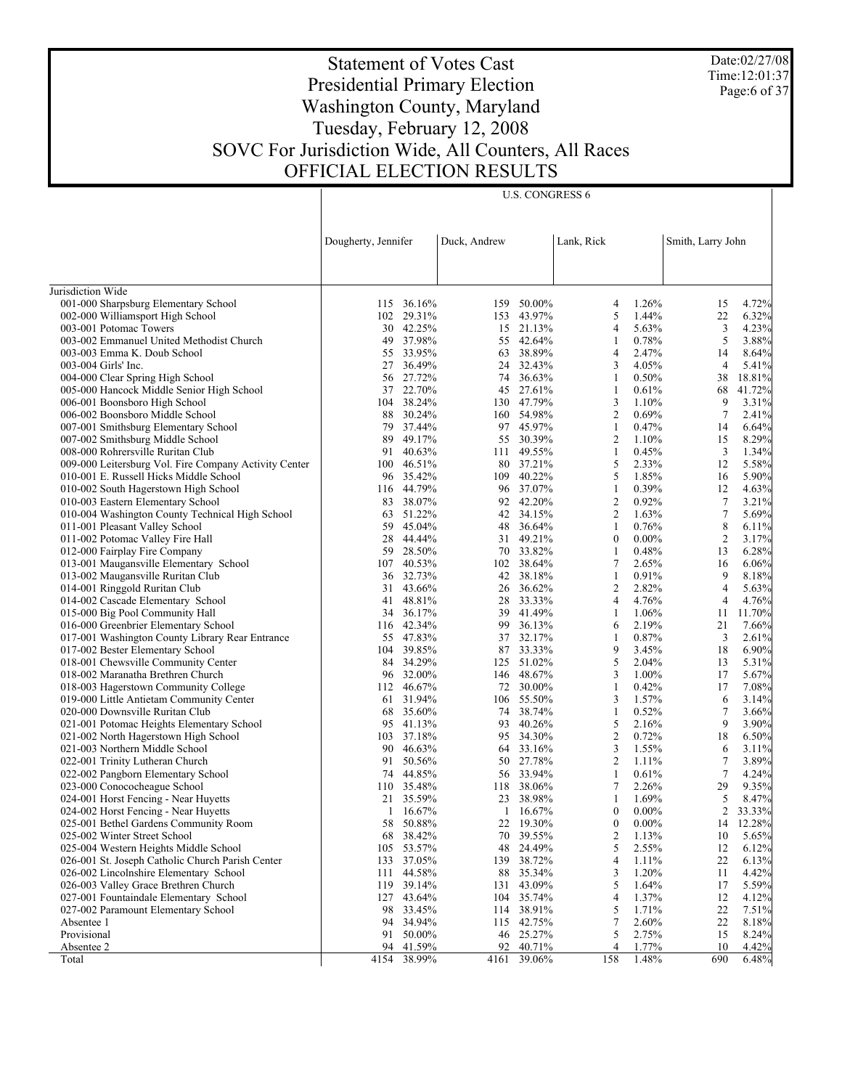Date:02/27/08 Time:12:01:37 Page:6 of 37

# Statement of Votes Cast Presidential Primary Election Washington County, Maryland Tuesday, February 12, 2008 SOVC For Jurisdiction Wide, All Counters, All Races OFFICIAL ELECTION RESULTS

U.S. CONGRESS 6

|                                                                         | Dougherty, Jennifer |                         | Duck, Andrew |                         | Lank, Rick     |                | Smith, Larry John |                |
|-------------------------------------------------------------------------|---------------------|-------------------------|--------------|-------------------------|----------------|----------------|-------------------|----------------|
|                                                                         |                     |                         |              |                         |                |                |                   |                |
| Jurisdiction Wide                                                       |                     |                         |              |                         |                |                |                   |                |
| 001-000 Sharpsburg Elementary School                                    |                     | 115 36.16%              |              | 159 50.00%              | 4              | 1.26%          | 15                | 4.72%          |
| 002-000 Williamsport High School                                        |                     | 102 29.31%              |              | 153 43.97%              | 5              | 1.44%          | 22                | 6.32%          |
| 003-001 Potomac Towers                                                  |                     | 30 42.25%               |              | 15 21.13%               | 4              | 5.63%          | 3                 | 4.23%          |
| 003-002 Emmanuel United Methodist Church                                |                     | 49 37.98%               |              | 55 42.64%               | 1              | 0.78%          | 5                 | 3.88%          |
| 003-003 Emma K. Doub School                                             |                     | 55 33.95%               |              | 63 38.89%               | 4              | 2.47%          | 14                | 8.64%          |
| 003-004 Girls' Inc.                                                     |                     | 27 36.49%               |              | 24 32.43%               | 3              | 4.05%          | 4                 | 5.41%          |
| 004-000 Clear Spring High School                                        | 56                  | 27.72%                  |              | 74 36.63%               | 1              | 0.50%          | 38                | 18.81%         |
| 005-000 Hancock Middle Senior High School                               |                     | 37 22.70%               |              | 45 27.61%               | 1              | 0.61%          | 68                | 41.72%         |
| 006-001 Boonsboro High School                                           | 104                 | 38.24%                  |              | 130 47.79%              | 3              | 1.10%          | 9                 | 3.31%          |
| 006-002 Boonsboro Middle School                                         |                     | 88 30.24%               |              | 160 54.98%              | $\overline{2}$ | 0.69%          | $\overline{7}$    | 2.41%          |
| 007-001 Smithsburg Elementary School                                    | 79                  | 37.44%                  |              | 97 45.97%               | $\mathbf{1}$   | 0.47%          | 14                | 6.64%          |
| 007-002 Smithsburg Middle School                                        | 89                  | 49.17%                  |              | 55 30.39%               | $\overline{2}$ | 1.10%          | 15                | 8.29%          |
| 008-000 Rohrersville Ruritan Club                                       | 91                  | 40.63%                  |              | 111 49.55%              | $\mathbf{1}$   | 0.45%          | 3                 | 1.34%          |
| 009-000 Leitersburg Vol. Fire Company Activity Center                   |                     | 100 46.51%              |              | 80 37.21%               | 5              | 2.33%          | 12                | 5.58%          |
| 010-001 E. Russell Hicks Middle School                                  |                     | 96 35.42%               |              | 109 40.22%              | 5              | 1.85%          | 16                | 5.90%          |
| 010-002 South Hagerstown High School                                    |                     | 116 44.79%              |              | 96 37.07%               | 1              | 0.39%          | 12                | 4.63%          |
| 010-003 Eastern Elementary School                                       |                     | 83 38.07%               |              | 92 42.20%               | $\overline{c}$ | 0.92%          | 7                 | 3.21%          |
| 010-004 Washington County Technical High School                         |                     | 63 51.22%               |              | 42 34.15%               | 2              | 1.63%          | $\boldsymbol{7}$  | 5.69%          |
| 011-001 Pleasant Valley School                                          | 59                  | 45.04%                  |              | 48 36.64%               | $\mathbf{1}$   | 0.76%          | $\,$ 8 $\,$       | 6.11%          |
| 011-002 Potomac Valley Fire Hall                                        | 28                  | 44.44%                  |              | 31 49.21%               | $\bf{0}$       | $0.00\%$       | $\overline{2}$    | 3.17%          |
| 012-000 Fairplay Fire Company                                           | 59                  | 28.50%                  |              | 70 33.82%               | $\mathbf{1}$   | 0.48%          | 13                | 6.28%          |
| 013-001 Maugansville Elementary School                                  |                     | 107 40.53%              |              | 102 38.64%              | $\tau$         | 2.65%          | 16                | 6.06%          |
| 013-002 Maugansville Ruritan Club                                       |                     | 36 32.73%               |              | 42 38.18%               | $\mathbf{1}$   | 0.91%          | 9                 | 8.18%          |
| 014-001 Ringgold Ruritan Club                                           |                     | 31 43.66%               |              | 26 36.62%               | $\overline{2}$ | 2.82%          | $\overline{4}$    | 5.63%          |
| 014-002 Cascade Elementary School                                       | 41                  | 48.81%                  |              | 28 33.33%               | 4              | 4.76%          | $\overline{4}$    | 4.76%          |
| 015-000 Big Pool Community Hall                                         |                     | 34 36.17%               |              | 39 41.49%               | 1              | 1.06%          | 11                | 11.70%         |
| 016-000 Greenbrier Elementary School                                    |                     | 116 42.34%<br>55 47.83% |              | 99 36.13%<br>37 32.17%  | 6              | 2.19%<br>0.87% | 21                | 7.66%          |
| 017-001 Washington County Library Rear Entrance                         |                     | 104 39.85%              |              |                         | 1<br>9         | 3.45%          | 3<br>18           | 2.61%          |
| 017-002 Bester Elementary School<br>018-001 Chewsville Community Center |                     | 84 34.29%               |              | 87 33.33%<br>125 51.02% | 5              | 2.04%          |                   | 6.90%<br>5.31% |
| 018-002 Maranatha Brethren Church                                       |                     | 96 32.00%               |              | 146 48.67%              | 3              | 1.00%          | 13<br>17          | 5.67%          |
| 018-003 Hagerstown Community College                                    |                     | 112 46.67%              |              | 72 30.00%               | 1              | 0.42%          | 17                | 7.08%          |
| 019-000 Little Antietam Community Center                                |                     | 61 31.94%               |              | 106 55.50%              | 3              | 1.57%          | 6                 | 3.14%          |
| 020-000 Downsville Ruritan Club                                         |                     | 68 35.60%               |              | 74 38.74%               | 1              | 0.52%          | 7                 | 3.66%          |
| 021-001 Potomac Heights Elementary School                               |                     | 95 41.13%               |              | 93 40.26%               | 5              | 2.16%          | 9                 | 3.90%          |
| 021-002 North Hagerstown High School                                    |                     | 103 37.18%              |              | 95 34.30%               | $\overline{2}$ | 0.72%          | 18                | 6.50%          |
| 021-003 Northern Middle School                                          |                     | 90 46.63%               |              | 64 33.16%               | 3              | 1.55%          | 6                 | 3.11%          |
| 022-001 Trinity Lutheran Church                                         |                     | 91 50.56%               |              | 50 27.78%               | 2              | 1.11%          | 7                 | 3.89%          |
| 022-002 Pangborn Elementary School                                      | 74                  | 44.85%                  |              | 56 33.94%               | $\mathbf{1}$   | 0.61%          | $\tau$            | 4.24%          |
| 023-000 Conococheague School                                            |                     | 110 35.48%              |              | 118 38.06%              | $\tau$         | 2.26%          | 29                | 9.35%          |
| 024-001 Horst Fencing - Near Huyetts                                    | 21                  | 35.59%                  |              | 23 38.98%               | $\mathbf{1}$   | 1.69%          | 5                 | 8.47%          |
| 024-002 Horst Fencing - Near Huyetts                                    |                     | $1\quad16.67\%$         |              | $1\quad16.67\%$         | $\bf{0}$       | $0.00\%$       | $\overline{2}$    | 33.33%         |
| 025-001 Bethel Gardens Community Room                                   |                     | 58 50.88%               |              | 22 19.30%               |                | $0 0.00\%$     |                   | 14 12.28%      |
| 025-002 Winter Street School                                            |                     | 68 38.42%               |              | 70 39.55%               | 2              | 1.13%          | 10                | 5.65%          |
| 025-004 Western Heights Middle School                                   |                     | 105 53.57%              |              | 48 24.49%               | 5              | 2.55%          | 12                | 6.12%          |
| 026-001 St. Joseph Catholic Church Parish Center                        |                     | 133 37.05%              |              | 139 38.72%              | 4              | 1.11%          | 22                | 6.13%          |
| 026-002 Lincolnshire Elementary School                                  | 111                 | 44.58%                  | 88           | 35.34%                  | 3              | 1.20%          | 11                | 4.42%          |
| 026-003 Valley Grace Brethren Church                                    |                     | 119 39.14%              |              | 131 43.09%              | 5              | 1.64%          | 17                | 5.59%          |
| 027-001 Fountaindale Elementary School                                  |                     | 127 43.64%              |              | 104 35.74%              | 4              | 1.37%          | 12                | 4.12%          |
| 027-002 Paramount Elementary School                                     |                     | 98 33.45%               |              | 114 38.91%              | 5              | 1.71%          | 22                | 7.51%          |
| Absentee 1                                                              | 94                  | 34.94%                  |              | 115 42.75%              | 7              | 2.60%          | 22                | 8.18%          |
| Provisional                                                             |                     | 91 50.00%               |              | 46 25.27%               | 5              | 2.75%          | 15                | 8.24%          |
| Absentee 2                                                              | 94                  | 41.59%                  | 92           | 40.71%                  | 4              | 1.77%          | 10                | 4.42%          |
| Total                                                                   | 4154                | 38.99%                  | 4161         | 39.06%                  | 158            | 1.48%          | 690               | 6.48%          |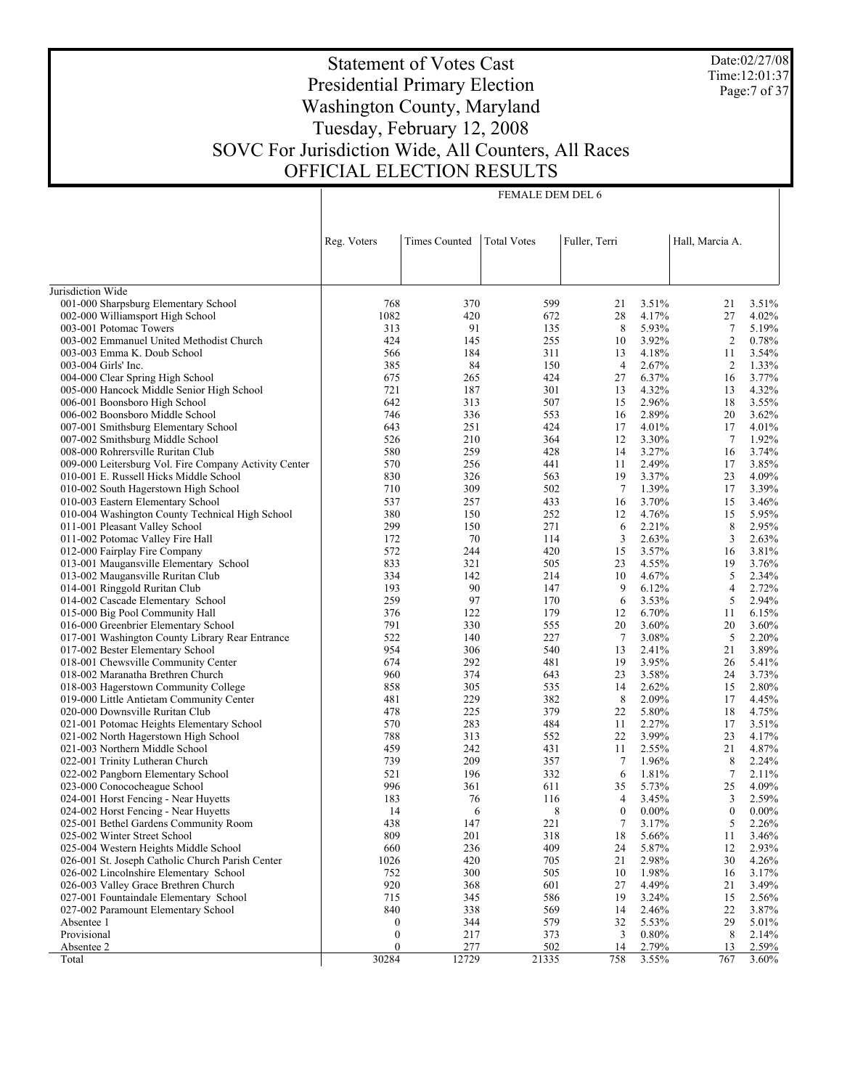Date:02/27/08 Time:12:01:37 Page:7 of 37

# Statement of Votes Cast Presidential Primary Election Washington County, Maryland Tuesday, February 12, 2008 SOVC For Jurisdiction Wide, All Counters, All Races OFFICIAL ELECTION RESULTS

FEMALE DEM DEL 6

| Reg. Voters<br>Times Counted<br><b>Total Votes</b><br>Fuller, Terri<br>Hall, Marcia A.<br>Jurisdiction Wide<br>001-000 Sharpsburg Elementary School<br>768<br>370<br>599<br>3.51%<br>3.51%<br>21<br>21<br>002-000 Williamsport High School<br>1082<br>420<br>672<br>28<br>4.17%<br>27<br>4.02%<br>8<br>5.93%<br>$\tau$<br>003-001 Potomac Towers<br>313<br>91<br>135<br>5.19%<br>3.92%<br>2<br>003-002 Emmanuel United Methodist Church<br>424<br>145<br>255<br>10<br>0.78%<br>4.18%<br>003-003 Emma K. Doub School<br>566<br>184<br>311<br>13<br>11<br>3.54%<br>84<br>2.67%<br>1.33%<br>003-004 Girls' Inc.<br>385<br>150<br>$\overline{4}$<br>2<br>004-000 Clear Spring High School<br>675<br>265<br>424<br>27<br>6.37%<br>16<br>3.77%<br>301<br>4.32%<br>4.32%<br>005-000 Hancock Middle Senior High School<br>721<br>187<br>13<br>13<br>2.96%<br>006-001 Boonsboro High School<br>642<br>313<br>507<br>15<br>18<br>3.55%<br>2.89%<br>006-002 Boonsboro Middle School<br>746<br>336<br>553<br>16<br>20<br>3.62%<br>4.01%<br>4.01%<br>007-001 Smithsburg Elementary School<br>643<br>251<br>424<br>17<br>17<br>210<br>3.30%<br>1.92%<br>007-002 Smithsburg Middle School<br>526<br>364<br>12<br>7<br>259<br>3.27%<br>008-000 Rohrersville Ruritan Club<br>580<br>428<br>14<br>16<br>3.74%<br>2.49%<br>3.85%<br>009-000 Leitersburg Vol. Fire Company Activity Center<br>570<br>256<br>441<br>11<br>17<br>830<br>3.37%<br>4.09%<br>010-001 E. Russell Hicks Middle School<br>326<br>563<br>19<br>23<br>309<br>7<br>1.39%<br>3.39%<br>010-002 South Hagerstown High School<br>710<br>502<br>17<br>3.70%<br>010-003 Eastern Elementary School<br>537<br>257<br>433<br>16<br>15<br>3.46%<br>380<br>4.76%<br>010-004 Washington County Technical High School<br>150<br>252<br>12<br>15<br>5.95%<br>299<br>2.21%<br>8<br>011-001 Pleasant Valley School<br>150<br>271<br>6<br>2.95%<br>3<br>2.63%<br>3<br>2.63%<br>011-002 Potomac Valley Fire Hall<br>172<br>70<br>114<br>012-000 Fairplay Fire Company<br>572<br>244<br>420<br>15<br>3.57%<br>16<br>3.81%<br>833<br>013-001 Maugansville Elementary School<br>321<br>505<br>23<br>4.55%<br>19<br>3.76%<br>334<br>5<br>2.34%<br>013-002 Maugansville Ruritan Club<br>142<br>214<br>10<br>4.67%<br>9<br>2.72%<br>014-001 Ringgold Ruritan Club<br>193<br>90<br>147<br>6.12%<br>4<br>259<br>97<br>5<br>014-002 Cascade Elementary School<br>170<br>6<br>3.53%<br>2.94%<br>376<br>015-000 Big Pool Community Hall<br>122<br>179<br>12<br>6.70%<br>11<br>6.15%<br>791<br>016-000 Greenbrier Elementary School<br>330<br>555<br>20<br>3.60%<br>20<br>3.60%<br>522<br>7<br>5<br>017-001 Washington County Library Rear Entrance<br>140<br>227<br>3.08%<br>2.20%<br>954<br>3.89%<br>017-002 Bester Elementary School<br>306<br>540<br>13<br>2.41%<br>21<br>292<br>3.95%<br>018-001 Chewsville Community Center<br>674<br>481<br>19<br>5.41%<br>26<br>960<br>018-002 Maranatha Brethren Church<br>374<br>643<br>23<br>3.58%<br>24<br>3.73%<br>858<br>2.80%<br>018-003 Hagerstown Community College<br>305<br>535<br>14<br>2.62%<br>15<br>481<br>8<br>2.09%<br>019-000 Little Antietam Community Center<br>229<br>382<br>17<br>4.45%<br>225<br>379<br>5.80%<br>020-000 Downsville Ruritan Club<br>478<br>22<br>18<br>4.75%<br>570<br>484<br>2.27%<br>021-001 Potomac Heights Elementary School<br>283<br>11<br>17<br>3.51%<br>313<br>552<br>3.99%<br>021-002 North Hagerstown High School<br>788<br>22<br>23<br>4.17%<br>459<br>4.87%<br>021-003 Northern Middle School<br>242<br>431<br>11<br>2.55%<br>21<br>739<br>209<br>022-001 Trinity Lutheran Church<br>357<br>7<br>1.96%<br>8<br>2.24%<br>$\tau$<br>022-002 Pangborn Elementary School<br>521<br>196<br>332<br>6<br>1.81%<br>2.11%<br>996<br>4.09%<br>023-000 Conococheague School<br>361<br>611<br>35<br>5.73%<br>25<br>3<br>024-001 Horst Fencing - Near Huyetts<br>183<br>76<br>116<br>4<br>3.45%<br>2.59%<br>8<br>$\mathbf{0}$<br>024-002 Horst Fencing - Near Huyetts<br>14<br>6<br>$\overline{0}$<br>$0.00\%$<br>$0.00\%$<br>025-001 Bethel Gardens Community Room<br>438<br>147<br>221<br>$7 - 3.17\%$<br>5<br>2.26%<br>809<br>201<br>318<br>18<br>3.46%<br>025-002 Winter Street School<br>5.66%<br>11<br>025-004 Western Heights Middle School<br>660<br>236<br>409<br>24<br>5.87%<br>12<br>2.93%<br>026-001 St. Joseph Catholic Church Parish Center<br>1026<br>420<br>705<br>21<br>2.98%<br>30<br>4.26%<br>026-002 Lincolnshire Elementary School<br>752<br>300<br>505<br>10<br>1.98%<br>3.17%<br>16<br>026-003 Valley Grace Brethren Church<br>920<br>368<br>601<br>27<br>4.49%<br>3.49%<br>21<br>027-001 Fountaindale Elementary School<br>715<br>345<br>586<br>19<br>3.24%<br>2.56%<br>15<br>027-002 Paramount Elementary School<br>840<br>338<br>569<br>2.46%<br>22<br>3.87%<br>14<br>$\boldsymbol{0}$<br>344<br>579<br>32<br>5.53%<br>29<br>5.01%<br>Absentee 1<br>Provisional<br>$\boldsymbol{0}$<br>217<br>373<br>3<br>0.80%<br>8<br>2.14%<br>Absentee 2<br>$\boldsymbol{0}$<br>277<br>502<br>14<br>2.79%<br>2.59%<br>13<br>30284<br>12729<br>3.55% |       |  |       |     |     |       |
|-------------------------------------------------------------------------------------------------------------------------------------------------------------------------------------------------------------------------------------------------------------------------------------------------------------------------------------------------------------------------------------------------------------------------------------------------------------------------------------------------------------------------------------------------------------------------------------------------------------------------------------------------------------------------------------------------------------------------------------------------------------------------------------------------------------------------------------------------------------------------------------------------------------------------------------------------------------------------------------------------------------------------------------------------------------------------------------------------------------------------------------------------------------------------------------------------------------------------------------------------------------------------------------------------------------------------------------------------------------------------------------------------------------------------------------------------------------------------------------------------------------------------------------------------------------------------------------------------------------------------------------------------------------------------------------------------------------------------------------------------------------------------------------------------------------------------------------------------------------------------------------------------------------------------------------------------------------------------------------------------------------------------------------------------------------------------------------------------------------------------------------------------------------------------------------------------------------------------------------------------------------------------------------------------------------------------------------------------------------------------------------------------------------------------------------------------------------------------------------------------------------------------------------------------------------------------------------------------------------------------------------------------------------------------------------------------------------------------------------------------------------------------------------------------------------------------------------------------------------------------------------------------------------------------------------------------------------------------------------------------------------------------------------------------------------------------------------------------------------------------------------------------------------------------------------------------------------------------------------------------------------------------------------------------------------------------------------------------------------------------------------------------------------------------------------------------------------------------------------------------------------------------------------------------------------------------------------------------------------------------------------------------------------------------------------------------------------------------------------------------------------------------------------------------------------------------------------------------------------------------------------------------------------------------------------------------------------------------------------------------------------------------------------------------------------------------------------------------------------------------------------------------------------------------------------------------------------------------------------------------------------------------------------------------------------------------------------------------------------------------------------------------------------------------------------------------------------------------------------------------------------------------------------------------------------------------------------------------------------------------------------------------------------------------------------------------------------------------------------------------------------------------------------------------------------------------------------------------------------------------------------------------------------------------------------------------------------------------------------------------------------------------------------------------------------------|-------|--|-------|-----|-----|-------|
|                                                                                                                                                                                                                                                                                                                                                                                                                                                                                                                                                                                                                                                                                                                                                                                                                                                                                                                                                                                                                                                                                                                                                                                                                                                                                                                                                                                                                                                                                                                                                                                                                                                                                                                                                                                                                                                                                                                                                                                                                                                                                                                                                                                                                                                                                                                                                                                                                                                                                                                                                                                                                                                                                                                                                                                                                                                                                                                                                                                                                                                                                                                                                                                                                                                                                                                                                                                                                                                                                                                                                                                                                                                                                                                                                                                                                                                                                                                                                                                                                                                                                                                                                                                                                                                                                                                                                                                                                                                                                                                                                                                                                                                                                                                                                                                                                                                                                                                                                                                                                                                                   |       |  |       |     |     |       |
|                                                                                                                                                                                                                                                                                                                                                                                                                                                                                                                                                                                                                                                                                                                                                                                                                                                                                                                                                                                                                                                                                                                                                                                                                                                                                                                                                                                                                                                                                                                                                                                                                                                                                                                                                                                                                                                                                                                                                                                                                                                                                                                                                                                                                                                                                                                                                                                                                                                                                                                                                                                                                                                                                                                                                                                                                                                                                                                                                                                                                                                                                                                                                                                                                                                                                                                                                                                                                                                                                                                                                                                                                                                                                                                                                                                                                                                                                                                                                                                                                                                                                                                                                                                                                                                                                                                                                                                                                                                                                                                                                                                                                                                                                                                                                                                                                                                                                                                                                                                                                                                                   |       |  |       |     |     |       |
|                                                                                                                                                                                                                                                                                                                                                                                                                                                                                                                                                                                                                                                                                                                                                                                                                                                                                                                                                                                                                                                                                                                                                                                                                                                                                                                                                                                                                                                                                                                                                                                                                                                                                                                                                                                                                                                                                                                                                                                                                                                                                                                                                                                                                                                                                                                                                                                                                                                                                                                                                                                                                                                                                                                                                                                                                                                                                                                                                                                                                                                                                                                                                                                                                                                                                                                                                                                                                                                                                                                                                                                                                                                                                                                                                                                                                                                                                                                                                                                                                                                                                                                                                                                                                                                                                                                                                                                                                                                                                                                                                                                                                                                                                                                                                                                                                                                                                                                                                                                                                                                                   |       |  |       |     |     |       |
|                                                                                                                                                                                                                                                                                                                                                                                                                                                                                                                                                                                                                                                                                                                                                                                                                                                                                                                                                                                                                                                                                                                                                                                                                                                                                                                                                                                                                                                                                                                                                                                                                                                                                                                                                                                                                                                                                                                                                                                                                                                                                                                                                                                                                                                                                                                                                                                                                                                                                                                                                                                                                                                                                                                                                                                                                                                                                                                                                                                                                                                                                                                                                                                                                                                                                                                                                                                                                                                                                                                                                                                                                                                                                                                                                                                                                                                                                                                                                                                                                                                                                                                                                                                                                                                                                                                                                                                                                                                                                                                                                                                                                                                                                                                                                                                                                                                                                                                                                                                                                                                                   |       |  |       |     |     |       |
|                                                                                                                                                                                                                                                                                                                                                                                                                                                                                                                                                                                                                                                                                                                                                                                                                                                                                                                                                                                                                                                                                                                                                                                                                                                                                                                                                                                                                                                                                                                                                                                                                                                                                                                                                                                                                                                                                                                                                                                                                                                                                                                                                                                                                                                                                                                                                                                                                                                                                                                                                                                                                                                                                                                                                                                                                                                                                                                                                                                                                                                                                                                                                                                                                                                                                                                                                                                                                                                                                                                                                                                                                                                                                                                                                                                                                                                                                                                                                                                                                                                                                                                                                                                                                                                                                                                                                                                                                                                                                                                                                                                                                                                                                                                                                                                                                                                                                                                                                                                                                                                                   |       |  |       |     |     |       |
|                                                                                                                                                                                                                                                                                                                                                                                                                                                                                                                                                                                                                                                                                                                                                                                                                                                                                                                                                                                                                                                                                                                                                                                                                                                                                                                                                                                                                                                                                                                                                                                                                                                                                                                                                                                                                                                                                                                                                                                                                                                                                                                                                                                                                                                                                                                                                                                                                                                                                                                                                                                                                                                                                                                                                                                                                                                                                                                                                                                                                                                                                                                                                                                                                                                                                                                                                                                                                                                                                                                                                                                                                                                                                                                                                                                                                                                                                                                                                                                                                                                                                                                                                                                                                                                                                                                                                                                                                                                                                                                                                                                                                                                                                                                                                                                                                                                                                                                                                                                                                                                                   |       |  |       |     |     |       |
|                                                                                                                                                                                                                                                                                                                                                                                                                                                                                                                                                                                                                                                                                                                                                                                                                                                                                                                                                                                                                                                                                                                                                                                                                                                                                                                                                                                                                                                                                                                                                                                                                                                                                                                                                                                                                                                                                                                                                                                                                                                                                                                                                                                                                                                                                                                                                                                                                                                                                                                                                                                                                                                                                                                                                                                                                                                                                                                                                                                                                                                                                                                                                                                                                                                                                                                                                                                                                                                                                                                                                                                                                                                                                                                                                                                                                                                                                                                                                                                                                                                                                                                                                                                                                                                                                                                                                                                                                                                                                                                                                                                                                                                                                                                                                                                                                                                                                                                                                                                                                                                                   |       |  |       |     |     |       |
|                                                                                                                                                                                                                                                                                                                                                                                                                                                                                                                                                                                                                                                                                                                                                                                                                                                                                                                                                                                                                                                                                                                                                                                                                                                                                                                                                                                                                                                                                                                                                                                                                                                                                                                                                                                                                                                                                                                                                                                                                                                                                                                                                                                                                                                                                                                                                                                                                                                                                                                                                                                                                                                                                                                                                                                                                                                                                                                                                                                                                                                                                                                                                                                                                                                                                                                                                                                                                                                                                                                                                                                                                                                                                                                                                                                                                                                                                                                                                                                                                                                                                                                                                                                                                                                                                                                                                                                                                                                                                                                                                                                                                                                                                                                                                                                                                                                                                                                                                                                                                                                                   |       |  |       |     |     |       |
|                                                                                                                                                                                                                                                                                                                                                                                                                                                                                                                                                                                                                                                                                                                                                                                                                                                                                                                                                                                                                                                                                                                                                                                                                                                                                                                                                                                                                                                                                                                                                                                                                                                                                                                                                                                                                                                                                                                                                                                                                                                                                                                                                                                                                                                                                                                                                                                                                                                                                                                                                                                                                                                                                                                                                                                                                                                                                                                                                                                                                                                                                                                                                                                                                                                                                                                                                                                                                                                                                                                                                                                                                                                                                                                                                                                                                                                                                                                                                                                                                                                                                                                                                                                                                                                                                                                                                                                                                                                                                                                                                                                                                                                                                                                                                                                                                                                                                                                                                                                                                                                                   |       |  |       |     |     |       |
|                                                                                                                                                                                                                                                                                                                                                                                                                                                                                                                                                                                                                                                                                                                                                                                                                                                                                                                                                                                                                                                                                                                                                                                                                                                                                                                                                                                                                                                                                                                                                                                                                                                                                                                                                                                                                                                                                                                                                                                                                                                                                                                                                                                                                                                                                                                                                                                                                                                                                                                                                                                                                                                                                                                                                                                                                                                                                                                                                                                                                                                                                                                                                                                                                                                                                                                                                                                                                                                                                                                                                                                                                                                                                                                                                                                                                                                                                                                                                                                                                                                                                                                                                                                                                                                                                                                                                                                                                                                                                                                                                                                                                                                                                                                                                                                                                                                                                                                                                                                                                                                                   |       |  |       |     |     |       |
|                                                                                                                                                                                                                                                                                                                                                                                                                                                                                                                                                                                                                                                                                                                                                                                                                                                                                                                                                                                                                                                                                                                                                                                                                                                                                                                                                                                                                                                                                                                                                                                                                                                                                                                                                                                                                                                                                                                                                                                                                                                                                                                                                                                                                                                                                                                                                                                                                                                                                                                                                                                                                                                                                                                                                                                                                                                                                                                                                                                                                                                                                                                                                                                                                                                                                                                                                                                                                                                                                                                                                                                                                                                                                                                                                                                                                                                                                                                                                                                                                                                                                                                                                                                                                                                                                                                                                                                                                                                                                                                                                                                                                                                                                                                                                                                                                                                                                                                                                                                                                                                                   |       |  |       |     |     |       |
|                                                                                                                                                                                                                                                                                                                                                                                                                                                                                                                                                                                                                                                                                                                                                                                                                                                                                                                                                                                                                                                                                                                                                                                                                                                                                                                                                                                                                                                                                                                                                                                                                                                                                                                                                                                                                                                                                                                                                                                                                                                                                                                                                                                                                                                                                                                                                                                                                                                                                                                                                                                                                                                                                                                                                                                                                                                                                                                                                                                                                                                                                                                                                                                                                                                                                                                                                                                                                                                                                                                                                                                                                                                                                                                                                                                                                                                                                                                                                                                                                                                                                                                                                                                                                                                                                                                                                                                                                                                                                                                                                                                                                                                                                                                                                                                                                                                                                                                                                                                                                                                                   |       |  |       |     |     |       |
|                                                                                                                                                                                                                                                                                                                                                                                                                                                                                                                                                                                                                                                                                                                                                                                                                                                                                                                                                                                                                                                                                                                                                                                                                                                                                                                                                                                                                                                                                                                                                                                                                                                                                                                                                                                                                                                                                                                                                                                                                                                                                                                                                                                                                                                                                                                                                                                                                                                                                                                                                                                                                                                                                                                                                                                                                                                                                                                                                                                                                                                                                                                                                                                                                                                                                                                                                                                                                                                                                                                                                                                                                                                                                                                                                                                                                                                                                                                                                                                                                                                                                                                                                                                                                                                                                                                                                                                                                                                                                                                                                                                                                                                                                                                                                                                                                                                                                                                                                                                                                                                                   |       |  |       |     |     |       |
|                                                                                                                                                                                                                                                                                                                                                                                                                                                                                                                                                                                                                                                                                                                                                                                                                                                                                                                                                                                                                                                                                                                                                                                                                                                                                                                                                                                                                                                                                                                                                                                                                                                                                                                                                                                                                                                                                                                                                                                                                                                                                                                                                                                                                                                                                                                                                                                                                                                                                                                                                                                                                                                                                                                                                                                                                                                                                                                                                                                                                                                                                                                                                                                                                                                                                                                                                                                                                                                                                                                                                                                                                                                                                                                                                                                                                                                                                                                                                                                                                                                                                                                                                                                                                                                                                                                                                                                                                                                                                                                                                                                                                                                                                                                                                                                                                                                                                                                                                                                                                                                                   |       |  |       |     |     |       |
|                                                                                                                                                                                                                                                                                                                                                                                                                                                                                                                                                                                                                                                                                                                                                                                                                                                                                                                                                                                                                                                                                                                                                                                                                                                                                                                                                                                                                                                                                                                                                                                                                                                                                                                                                                                                                                                                                                                                                                                                                                                                                                                                                                                                                                                                                                                                                                                                                                                                                                                                                                                                                                                                                                                                                                                                                                                                                                                                                                                                                                                                                                                                                                                                                                                                                                                                                                                                                                                                                                                                                                                                                                                                                                                                                                                                                                                                                                                                                                                                                                                                                                                                                                                                                                                                                                                                                                                                                                                                                                                                                                                                                                                                                                                                                                                                                                                                                                                                                                                                                                                                   |       |  |       |     |     |       |
|                                                                                                                                                                                                                                                                                                                                                                                                                                                                                                                                                                                                                                                                                                                                                                                                                                                                                                                                                                                                                                                                                                                                                                                                                                                                                                                                                                                                                                                                                                                                                                                                                                                                                                                                                                                                                                                                                                                                                                                                                                                                                                                                                                                                                                                                                                                                                                                                                                                                                                                                                                                                                                                                                                                                                                                                                                                                                                                                                                                                                                                                                                                                                                                                                                                                                                                                                                                                                                                                                                                                                                                                                                                                                                                                                                                                                                                                                                                                                                                                                                                                                                                                                                                                                                                                                                                                                                                                                                                                                                                                                                                                                                                                                                                                                                                                                                                                                                                                                                                                                                                                   |       |  |       |     |     |       |
|                                                                                                                                                                                                                                                                                                                                                                                                                                                                                                                                                                                                                                                                                                                                                                                                                                                                                                                                                                                                                                                                                                                                                                                                                                                                                                                                                                                                                                                                                                                                                                                                                                                                                                                                                                                                                                                                                                                                                                                                                                                                                                                                                                                                                                                                                                                                                                                                                                                                                                                                                                                                                                                                                                                                                                                                                                                                                                                                                                                                                                                                                                                                                                                                                                                                                                                                                                                                                                                                                                                                                                                                                                                                                                                                                                                                                                                                                                                                                                                                                                                                                                                                                                                                                                                                                                                                                                                                                                                                                                                                                                                                                                                                                                                                                                                                                                                                                                                                                                                                                                                                   |       |  |       |     |     |       |
|                                                                                                                                                                                                                                                                                                                                                                                                                                                                                                                                                                                                                                                                                                                                                                                                                                                                                                                                                                                                                                                                                                                                                                                                                                                                                                                                                                                                                                                                                                                                                                                                                                                                                                                                                                                                                                                                                                                                                                                                                                                                                                                                                                                                                                                                                                                                                                                                                                                                                                                                                                                                                                                                                                                                                                                                                                                                                                                                                                                                                                                                                                                                                                                                                                                                                                                                                                                                                                                                                                                                                                                                                                                                                                                                                                                                                                                                                                                                                                                                                                                                                                                                                                                                                                                                                                                                                                                                                                                                                                                                                                                                                                                                                                                                                                                                                                                                                                                                                                                                                                                                   |       |  |       |     |     |       |
|                                                                                                                                                                                                                                                                                                                                                                                                                                                                                                                                                                                                                                                                                                                                                                                                                                                                                                                                                                                                                                                                                                                                                                                                                                                                                                                                                                                                                                                                                                                                                                                                                                                                                                                                                                                                                                                                                                                                                                                                                                                                                                                                                                                                                                                                                                                                                                                                                                                                                                                                                                                                                                                                                                                                                                                                                                                                                                                                                                                                                                                                                                                                                                                                                                                                                                                                                                                                                                                                                                                                                                                                                                                                                                                                                                                                                                                                                                                                                                                                                                                                                                                                                                                                                                                                                                                                                                                                                                                                                                                                                                                                                                                                                                                                                                                                                                                                                                                                                                                                                                                                   |       |  |       |     |     |       |
|                                                                                                                                                                                                                                                                                                                                                                                                                                                                                                                                                                                                                                                                                                                                                                                                                                                                                                                                                                                                                                                                                                                                                                                                                                                                                                                                                                                                                                                                                                                                                                                                                                                                                                                                                                                                                                                                                                                                                                                                                                                                                                                                                                                                                                                                                                                                                                                                                                                                                                                                                                                                                                                                                                                                                                                                                                                                                                                                                                                                                                                                                                                                                                                                                                                                                                                                                                                                                                                                                                                                                                                                                                                                                                                                                                                                                                                                                                                                                                                                                                                                                                                                                                                                                                                                                                                                                                                                                                                                                                                                                                                                                                                                                                                                                                                                                                                                                                                                                                                                                                                                   |       |  |       |     |     |       |
|                                                                                                                                                                                                                                                                                                                                                                                                                                                                                                                                                                                                                                                                                                                                                                                                                                                                                                                                                                                                                                                                                                                                                                                                                                                                                                                                                                                                                                                                                                                                                                                                                                                                                                                                                                                                                                                                                                                                                                                                                                                                                                                                                                                                                                                                                                                                                                                                                                                                                                                                                                                                                                                                                                                                                                                                                                                                                                                                                                                                                                                                                                                                                                                                                                                                                                                                                                                                                                                                                                                                                                                                                                                                                                                                                                                                                                                                                                                                                                                                                                                                                                                                                                                                                                                                                                                                                                                                                                                                                                                                                                                                                                                                                                                                                                                                                                                                                                                                                                                                                                                                   |       |  |       |     |     |       |
|                                                                                                                                                                                                                                                                                                                                                                                                                                                                                                                                                                                                                                                                                                                                                                                                                                                                                                                                                                                                                                                                                                                                                                                                                                                                                                                                                                                                                                                                                                                                                                                                                                                                                                                                                                                                                                                                                                                                                                                                                                                                                                                                                                                                                                                                                                                                                                                                                                                                                                                                                                                                                                                                                                                                                                                                                                                                                                                                                                                                                                                                                                                                                                                                                                                                                                                                                                                                                                                                                                                                                                                                                                                                                                                                                                                                                                                                                                                                                                                                                                                                                                                                                                                                                                                                                                                                                                                                                                                                                                                                                                                                                                                                                                                                                                                                                                                                                                                                                                                                                                                                   |       |  |       |     |     |       |
|                                                                                                                                                                                                                                                                                                                                                                                                                                                                                                                                                                                                                                                                                                                                                                                                                                                                                                                                                                                                                                                                                                                                                                                                                                                                                                                                                                                                                                                                                                                                                                                                                                                                                                                                                                                                                                                                                                                                                                                                                                                                                                                                                                                                                                                                                                                                                                                                                                                                                                                                                                                                                                                                                                                                                                                                                                                                                                                                                                                                                                                                                                                                                                                                                                                                                                                                                                                                                                                                                                                                                                                                                                                                                                                                                                                                                                                                                                                                                                                                                                                                                                                                                                                                                                                                                                                                                                                                                                                                                                                                                                                                                                                                                                                                                                                                                                                                                                                                                                                                                                                                   |       |  |       |     |     |       |
|                                                                                                                                                                                                                                                                                                                                                                                                                                                                                                                                                                                                                                                                                                                                                                                                                                                                                                                                                                                                                                                                                                                                                                                                                                                                                                                                                                                                                                                                                                                                                                                                                                                                                                                                                                                                                                                                                                                                                                                                                                                                                                                                                                                                                                                                                                                                                                                                                                                                                                                                                                                                                                                                                                                                                                                                                                                                                                                                                                                                                                                                                                                                                                                                                                                                                                                                                                                                                                                                                                                                                                                                                                                                                                                                                                                                                                                                                                                                                                                                                                                                                                                                                                                                                                                                                                                                                                                                                                                                                                                                                                                                                                                                                                                                                                                                                                                                                                                                                                                                                                                                   |       |  |       |     |     |       |
|                                                                                                                                                                                                                                                                                                                                                                                                                                                                                                                                                                                                                                                                                                                                                                                                                                                                                                                                                                                                                                                                                                                                                                                                                                                                                                                                                                                                                                                                                                                                                                                                                                                                                                                                                                                                                                                                                                                                                                                                                                                                                                                                                                                                                                                                                                                                                                                                                                                                                                                                                                                                                                                                                                                                                                                                                                                                                                                                                                                                                                                                                                                                                                                                                                                                                                                                                                                                                                                                                                                                                                                                                                                                                                                                                                                                                                                                                                                                                                                                                                                                                                                                                                                                                                                                                                                                                                                                                                                                                                                                                                                                                                                                                                                                                                                                                                                                                                                                                                                                                                                                   |       |  |       |     |     |       |
|                                                                                                                                                                                                                                                                                                                                                                                                                                                                                                                                                                                                                                                                                                                                                                                                                                                                                                                                                                                                                                                                                                                                                                                                                                                                                                                                                                                                                                                                                                                                                                                                                                                                                                                                                                                                                                                                                                                                                                                                                                                                                                                                                                                                                                                                                                                                                                                                                                                                                                                                                                                                                                                                                                                                                                                                                                                                                                                                                                                                                                                                                                                                                                                                                                                                                                                                                                                                                                                                                                                                                                                                                                                                                                                                                                                                                                                                                                                                                                                                                                                                                                                                                                                                                                                                                                                                                                                                                                                                                                                                                                                                                                                                                                                                                                                                                                                                                                                                                                                                                                                                   |       |  |       |     |     |       |
|                                                                                                                                                                                                                                                                                                                                                                                                                                                                                                                                                                                                                                                                                                                                                                                                                                                                                                                                                                                                                                                                                                                                                                                                                                                                                                                                                                                                                                                                                                                                                                                                                                                                                                                                                                                                                                                                                                                                                                                                                                                                                                                                                                                                                                                                                                                                                                                                                                                                                                                                                                                                                                                                                                                                                                                                                                                                                                                                                                                                                                                                                                                                                                                                                                                                                                                                                                                                                                                                                                                                                                                                                                                                                                                                                                                                                                                                                                                                                                                                                                                                                                                                                                                                                                                                                                                                                                                                                                                                                                                                                                                                                                                                                                                                                                                                                                                                                                                                                                                                                                                                   |       |  |       |     |     |       |
|                                                                                                                                                                                                                                                                                                                                                                                                                                                                                                                                                                                                                                                                                                                                                                                                                                                                                                                                                                                                                                                                                                                                                                                                                                                                                                                                                                                                                                                                                                                                                                                                                                                                                                                                                                                                                                                                                                                                                                                                                                                                                                                                                                                                                                                                                                                                                                                                                                                                                                                                                                                                                                                                                                                                                                                                                                                                                                                                                                                                                                                                                                                                                                                                                                                                                                                                                                                                                                                                                                                                                                                                                                                                                                                                                                                                                                                                                                                                                                                                                                                                                                                                                                                                                                                                                                                                                                                                                                                                                                                                                                                                                                                                                                                                                                                                                                                                                                                                                                                                                                                                   |       |  |       |     |     |       |
|                                                                                                                                                                                                                                                                                                                                                                                                                                                                                                                                                                                                                                                                                                                                                                                                                                                                                                                                                                                                                                                                                                                                                                                                                                                                                                                                                                                                                                                                                                                                                                                                                                                                                                                                                                                                                                                                                                                                                                                                                                                                                                                                                                                                                                                                                                                                                                                                                                                                                                                                                                                                                                                                                                                                                                                                                                                                                                                                                                                                                                                                                                                                                                                                                                                                                                                                                                                                                                                                                                                                                                                                                                                                                                                                                                                                                                                                                                                                                                                                                                                                                                                                                                                                                                                                                                                                                                                                                                                                                                                                                                                                                                                                                                                                                                                                                                                                                                                                                                                                                                                                   |       |  |       |     |     |       |
|                                                                                                                                                                                                                                                                                                                                                                                                                                                                                                                                                                                                                                                                                                                                                                                                                                                                                                                                                                                                                                                                                                                                                                                                                                                                                                                                                                                                                                                                                                                                                                                                                                                                                                                                                                                                                                                                                                                                                                                                                                                                                                                                                                                                                                                                                                                                                                                                                                                                                                                                                                                                                                                                                                                                                                                                                                                                                                                                                                                                                                                                                                                                                                                                                                                                                                                                                                                                                                                                                                                                                                                                                                                                                                                                                                                                                                                                                                                                                                                                                                                                                                                                                                                                                                                                                                                                                                                                                                                                                                                                                                                                                                                                                                                                                                                                                                                                                                                                                                                                                                                                   |       |  |       |     |     |       |
|                                                                                                                                                                                                                                                                                                                                                                                                                                                                                                                                                                                                                                                                                                                                                                                                                                                                                                                                                                                                                                                                                                                                                                                                                                                                                                                                                                                                                                                                                                                                                                                                                                                                                                                                                                                                                                                                                                                                                                                                                                                                                                                                                                                                                                                                                                                                                                                                                                                                                                                                                                                                                                                                                                                                                                                                                                                                                                                                                                                                                                                                                                                                                                                                                                                                                                                                                                                                                                                                                                                                                                                                                                                                                                                                                                                                                                                                                                                                                                                                                                                                                                                                                                                                                                                                                                                                                                                                                                                                                                                                                                                                                                                                                                                                                                                                                                                                                                                                                                                                                                                                   |       |  |       |     |     |       |
|                                                                                                                                                                                                                                                                                                                                                                                                                                                                                                                                                                                                                                                                                                                                                                                                                                                                                                                                                                                                                                                                                                                                                                                                                                                                                                                                                                                                                                                                                                                                                                                                                                                                                                                                                                                                                                                                                                                                                                                                                                                                                                                                                                                                                                                                                                                                                                                                                                                                                                                                                                                                                                                                                                                                                                                                                                                                                                                                                                                                                                                                                                                                                                                                                                                                                                                                                                                                                                                                                                                                                                                                                                                                                                                                                                                                                                                                                                                                                                                                                                                                                                                                                                                                                                                                                                                                                                                                                                                                                                                                                                                                                                                                                                                                                                                                                                                                                                                                                                                                                                                                   |       |  |       |     |     |       |
|                                                                                                                                                                                                                                                                                                                                                                                                                                                                                                                                                                                                                                                                                                                                                                                                                                                                                                                                                                                                                                                                                                                                                                                                                                                                                                                                                                                                                                                                                                                                                                                                                                                                                                                                                                                                                                                                                                                                                                                                                                                                                                                                                                                                                                                                                                                                                                                                                                                                                                                                                                                                                                                                                                                                                                                                                                                                                                                                                                                                                                                                                                                                                                                                                                                                                                                                                                                                                                                                                                                                                                                                                                                                                                                                                                                                                                                                                                                                                                                                                                                                                                                                                                                                                                                                                                                                                                                                                                                                                                                                                                                                                                                                                                                                                                                                                                                                                                                                                                                                                                                                   |       |  |       |     |     |       |
|                                                                                                                                                                                                                                                                                                                                                                                                                                                                                                                                                                                                                                                                                                                                                                                                                                                                                                                                                                                                                                                                                                                                                                                                                                                                                                                                                                                                                                                                                                                                                                                                                                                                                                                                                                                                                                                                                                                                                                                                                                                                                                                                                                                                                                                                                                                                                                                                                                                                                                                                                                                                                                                                                                                                                                                                                                                                                                                                                                                                                                                                                                                                                                                                                                                                                                                                                                                                                                                                                                                                                                                                                                                                                                                                                                                                                                                                                                                                                                                                                                                                                                                                                                                                                                                                                                                                                                                                                                                                                                                                                                                                                                                                                                                                                                                                                                                                                                                                                                                                                                                                   |       |  |       |     |     |       |
|                                                                                                                                                                                                                                                                                                                                                                                                                                                                                                                                                                                                                                                                                                                                                                                                                                                                                                                                                                                                                                                                                                                                                                                                                                                                                                                                                                                                                                                                                                                                                                                                                                                                                                                                                                                                                                                                                                                                                                                                                                                                                                                                                                                                                                                                                                                                                                                                                                                                                                                                                                                                                                                                                                                                                                                                                                                                                                                                                                                                                                                                                                                                                                                                                                                                                                                                                                                                                                                                                                                                                                                                                                                                                                                                                                                                                                                                                                                                                                                                                                                                                                                                                                                                                                                                                                                                                                                                                                                                                                                                                                                                                                                                                                                                                                                                                                                                                                                                                                                                                                                                   |       |  |       |     |     |       |
|                                                                                                                                                                                                                                                                                                                                                                                                                                                                                                                                                                                                                                                                                                                                                                                                                                                                                                                                                                                                                                                                                                                                                                                                                                                                                                                                                                                                                                                                                                                                                                                                                                                                                                                                                                                                                                                                                                                                                                                                                                                                                                                                                                                                                                                                                                                                                                                                                                                                                                                                                                                                                                                                                                                                                                                                                                                                                                                                                                                                                                                                                                                                                                                                                                                                                                                                                                                                                                                                                                                                                                                                                                                                                                                                                                                                                                                                                                                                                                                                                                                                                                                                                                                                                                                                                                                                                                                                                                                                                                                                                                                                                                                                                                                                                                                                                                                                                                                                                                                                                                                                   |       |  |       |     |     |       |
|                                                                                                                                                                                                                                                                                                                                                                                                                                                                                                                                                                                                                                                                                                                                                                                                                                                                                                                                                                                                                                                                                                                                                                                                                                                                                                                                                                                                                                                                                                                                                                                                                                                                                                                                                                                                                                                                                                                                                                                                                                                                                                                                                                                                                                                                                                                                                                                                                                                                                                                                                                                                                                                                                                                                                                                                                                                                                                                                                                                                                                                                                                                                                                                                                                                                                                                                                                                                                                                                                                                                                                                                                                                                                                                                                                                                                                                                                                                                                                                                                                                                                                                                                                                                                                                                                                                                                                                                                                                                                                                                                                                                                                                                                                                                                                                                                                                                                                                                                                                                                                                                   |       |  |       |     |     |       |
|                                                                                                                                                                                                                                                                                                                                                                                                                                                                                                                                                                                                                                                                                                                                                                                                                                                                                                                                                                                                                                                                                                                                                                                                                                                                                                                                                                                                                                                                                                                                                                                                                                                                                                                                                                                                                                                                                                                                                                                                                                                                                                                                                                                                                                                                                                                                                                                                                                                                                                                                                                                                                                                                                                                                                                                                                                                                                                                                                                                                                                                                                                                                                                                                                                                                                                                                                                                                                                                                                                                                                                                                                                                                                                                                                                                                                                                                                                                                                                                                                                                                                                                                                                                                                                                                                                                                                                                                                                                                                                                                                                                                                                                                                                                                                                                                                                                                                                                                                                                                                                                                   |       |  |       |     |     |       |
|                                                                                                                                                                                                                                                                                                                                                                                                                                                                                                                                                                                                                                                                                                                                                                                                                                                                                                                                                                                                                                                                                                                                                                                                                                                                                                                                                                                                                                                                                                                                                                                                                                                                                                                                                                                                                                                                                                                                                                                                                                                                                                                                                                                                                                                                                                                                                                                                                                                                                                                                                                                                                                                                                                                                                                                                                                                                                                                                                                                                                                                                                                                                                                                                                                                                                                                                                                                                                                                                                                                                                                                                                                                                                                                                                                                                                                                                                                                                                                                                                                                                                                                                                                                                                                                                                                                                                                                                                                                                                                                                                                                                                                                                                                                                                                                                                                                                                                                                                                                                                                                                   |       |  |       |     |     |       |
|                                                                                                                                                                                                                                                                                                                                                                                                                                                                                                                                                                                                                                                                                                                                                                                                                                                                                                                                                                                                                                                                                                                                                                                                                                                                                                                                                                                                                                                                                                                                                                                                                                                                                                                                                                                                                                                                                                                                                                                                                                                                                                                                                                                                                                                                                                                                                                                                                                                                                                                                                                                                                                                                                                                                                                                                                                                                                                                                                                                                                                                                                                                                                                                                                                                                                                                                                                                                                                                                                                                                                                                                                                                                                                                                                                                                                                                                                                                                                                                                                                                                                                                                                                                                                                                                                                                                                                                                                                                                                                                                                                                                                                                                                                                                                                                                                                                                                                                                                                                                                                                                   |       |  |       |     |     |       |
|                                                                                                                                                                                                                                                                                                                                                                                                                                                                                                                                                                                                                                                                                                                                                                                                                                                                                                                                                                                                                                                                                                                                                                                                                                                                                                                                                                                                                                                                                                                                                                                                                                                                                                                                                                                                                                                                                                                                                                                                                                                                                                                                                                                                                                                                                                                                                                                                                                                                                                                                                                                                                                                                                                                                                                                                                                                                                                                                                                                                                                                                                                                                                                                                                                                                                                                                                                                                                                                                                                                                                                                                                                                                                                                                                                                                                                                                                                                                                                                                                                                                                                                                                                                                                                                                                                                                                                                                                                                                                                                                                                                                                                                                                                                                                                                                                                                                                                                                                                                                                                                                   |       |  |       |     |     |       |
|                                                                                                                                                                                                                                                                                                                                                                                                                                                                                                                                                                                                                                                                                                                                                                                                                                                                                                                                                                                                                                                                                                                                                                                                                                                                                                                                                                                                                                                                                                                                                                                                                                                                                                                                                                                                                                                                                                                                                                                                                                                                                                                                                                                                                                                                                                                                                                                                                                                                                                                                                                                                                                                                                                                                                                                                                                                                                                                                                                                                                                                                                                                                                                                                                                                                                                                                                                                                                                                                                                                                                                                                                                                                                                                                                                                                                                                                                                                                                                                                                                                                                                                                                                                                                                                                                                                                                                                                                                                                                                                                                                                                                                                                                                                                                                                                                                                                                                                                                                                                                                                                   |       |  |       |     |     |       |
|                                                                                                                                                                                                                                                                                                                                                                                                                                                                                                                                                                                                                                                                                                                                                                                                                                                                                                                                                                                                                                                                                                                                                                                                                                                                                                                                                                                                                                                                                                                                                                                                                                                                                                                                                                                                                                                                                                                                                                                                                                                                                                                                                                                                                                                                                                                                                                                                                                                                                                                                                                                                                                                                                                                                                                                                                                                                                                                                                                                                                                                                                                                                                                                                                                                                                                                                                                                                                                                                                                                                                                                                                                                                                                                                                                                                                                                                                                                                                                                                                                                                                                                                                                                                                                                                                                                                                                                                                                                                                                                                                                                                                                                                                                                                                                                                                                                                                                                                                                                                                                                                   |       |  |       |     |     |       |
|                                                                                                                                                                                                                                                                                                                                                                                                                                                                                                                                                                                                                                                                                                                                                                                                                                                                                                                                                                                                                                                                                                                                                                                                                                                                                                                                                                                                                                                                                                                                                                                                                                                                                                                                                                                                                                                                                                                                                                                                                                                                                                                                                                                                                                                                                                                                                                                                                                                                                                                                                                                                                                                                                                                                                                                                                                                                                                                                                                                                                                                                                                                                                                                                                                                                                                                                                                                                                                                                                                                                                                                                                                                                                                                                                                                                                                                                                                                                                                                                                                                                                                                                                                                                                                                                                                                                                                                                                                                                                                                                                                                                                                                                                                                                                                                                                                                                                                                                                                                                                                                                   |       |  |       |     |     |       |
|                                                                                                                                                                                                                                                                                                                                                                                                                                                                                                                                                                                                                                                                                                                                                                                                                                                                                                                                                                                                                                                                                                                                                                                                                                                                                                                                                                                                                                                                                                                                                                                                                                                                                                                                                                                                                                                                                                                                                                                                                                                                                                                                                                                                                                                                                                                                                                                                                                                                                                                                                                                                                                                                                                                                                                                                                                                                                                                                                                                                                                                                                                                                                                                                                                                                                                                                                                                                                                                                                                                                                                                                                                                                                                                                                                                                                                                                                                                                                                                                                                                                                                                                                                                                                                                                                                                                                                                                                                                                                                                                                                                                                                                                                                                                                                                                                                                                                                                                                                                                                                                                   |       |  |       |     |     |       |
|                                                                                                                                                                                                                                                                                                                                                                                                                                                                                                                                                                                                                                                                                                                                                                                                                                                                                                                                                                                                                                                                                                                                                                                                                                                                                                                                                                                                                                                                                                                                                                                                                                                                                                                                                                                                                                                                                                                                                                                                                                                                                                                                                                                                                                                                                                                                                                                                                                                                                                                                                                                                                                                                                                                                                                                                                                                                                                                                                                                                                                                                                                                                                                                                                                                                                                                                                                                                                                                                                                                                                                                                                                                                                                                                                                                                                                                                                                                                                                                                                                                                                                                                                                                                                                                                                                                                                                                                                                                                                                                                                                                                                                                                                                                                                                                                                                                                                                                                                                                                                                                                   |       |  |       |     |     |       |
|                                                                                                                                                                                                                                                                                                                                                                                                                                                                                                                                                                                                                                                                                                                                                                                                                                                                                                                                                                                                                                                                                                                                                                                                                                                                                                                                                                                                                                                                                                                                                                                                                                                                                                                                                                                                                                                                                                                                                                                                                                                                                                                                                                                                                                                                                                                                                                                                                                                                                                                                                                                                                                                                                                                                                                                                                                                                                                                                                                                                                                                                                                                                                                                                                                                                                                                                                                                                                                                                                                                                                                                                                                                                                                                                                                                                                                                                                                                                                                                                                                                                                                                                                                                                                                                                                                                                                                                                                                                                                                                                                                                                                                                                                                                                                                                                                                                                                                                                                                                                                                                                   |       |  |       |     |     |       |
|                                                                                                                                                                                                                                                                                                                                                                                                                                                                                                                                                                                                                                                                                                                                                                                                                                                                                                                                                                                                                                                                                                                                                                                                                                                                                                                                                                                                                                                                                                                                                                                                                                                                                                                                                                                                                                                                                                                                                                                                                                                                                                                                                                                                                                                                                                                                                                                                                                                                                                                                                                                                                                                                                                                                                                                                                                                                                                                                                                                                                                                                                                                                                                                                                                                                                                                                                                                                                                                                                                                                                                                                                                                                                                                                                                                                                                                                                                                                                                                                                                                                                                                                                                                                                                                                                                                                                                                                                                                                                                                                                                                                                                                                                                                                                                                                                                                                                                                                                                                                                                                                   |       |  |       |     |     |       |
|                                                                                                                                                                                                                                                                                                                                                                                                                                                                                                                                                                                                                                                                                                                                                                                                                                                                                                                                                                                                                                                                                                                                                                                                                                                                                                                                                                                                                                                                                                                                                                                                                                                                                                                                                                                                                                                                                                                                                                                                                                                                                                                                                                                                                                                                                                                                                                                                                                                                                                                                                                                                                                                                                                                                                                                                                                                                                                                                                                                                                                                                                                                                                                                                                                                                                                                                                                                                                                                                                                                                                                                                                                                                                                                                                                                                                                                                                                                                                                                                                                                                                                                                                                                                                                                                                                                                                                                                                                                                                                                                                                                                                                                                                                                                                                                                                                                                                                                                                                                                                                                                   |       |  |       |     |     |       |
|                                                                                                                                                                                                                                                                                                                                                                                                                                                                                                                                                                                                                                                                                                                                                                                                                                                                                                                                                                                                                                                                                                                                                                                                                                                                                                                                                                                                                                                                                                                                                                                                                                                                                                                                                                                                                                                                                                                                                                                                                                                                                                                                                                                                                                                                                                                                                                                                                                                                                                                                                                                                                                                                                                                                                                                                                                                                                                                                                                                                                                                                                                                                                                                                                                                                                                                                                                                                                                                                                                                                                                                                                                                                                                                                                                                                                                                                                                                                                                                                                                                                                                                                                                                                                                                                                                                                                                                                                                                                                                                                                                                                                                                                                                                                                                                                                                                                                                                                                                                                                                                                   |       |  |       |     |     |       |
|                                                                                                                                                                                                                                                                                                                                                                                                                                                                                                                                                                                                                                                                                                                                                                                                                                                                                                                                                                                                                                                                                                                                                                                                                                                                                                                                                                                                                                                                                                                                                                                                                                                                                                                                                                                                                                                                                                                                                                                                                                                                                                                                                                                                                                                                                                                                                                                                                                                                                                                                                                                                                                                                                                                                                                                                                                                                                                                                                                                                                                                                                                                                                                                                                                                                                                                                                                                                                                                                                                                                                                                                                                                                                                                                                                                                                                                                                                                                                                                                                                                                                                                                                                                                                                                                                                                                                                                                                                                                                                                                                                                                                                                                                                                                                                                                                                                                                                                                                                                                                                                                   |       |  |       |     |     |       |
|                                                                                                                                                                                                                                                                                                                                                                                                                                                                                                                                                                                                                                                                                                                                                                                                                                                                                                                                                                                                                                                                                                                                                                                                                                                                                                                                                                                                                                                                                                                                                                                                                                                                                                                                                                                                                                                                                                                                                                                                                                                                                                                                                                                                                                                                                                                                                                                                                                                                                                                                                                                                                                                                                                                                                                                                                                                                                                                                                                                                                                                                                                                                                                                                                                                                                                                                                                                                                                                                                                                                                                                                                                                                                                                                                                                                                                                                                                                                                                                                                                                                                                                                                                                                                                                                                                                                                                                                                                                                                                                                                                                                                                                                                                                                                                                                                                                                                                                                                                                                                                                                   |       |  |       |     |     |       |
|                                                                                                                                                                                                                                                                                                                                                                                                                                                                                                                                                                                                                                                                                                                                                                                                                                                                                                                                                                                                                                                                                                                                                                                                                                                                                                                                                                                                                                                                                                                                                                                                                                                                                                                                                                                                                                                                                                                                                                                                                                                                                                                                                                                                                                                                                                                                                                                                                                                                                                                                                                                                                                                                                                                                                                                                                                                                                                                                                                                                                                                                                                                                                                                                                                                                                                                                                                                                                                                                                                                                                                                                                                                                                                                                                                                                                                                                                                                                                                                                                                                                                                                                                                                                                                                                                                                                                                                                                                                                                                                                                                                                                                                                                                                                                                                                                                                                                                                                                                                                                                                                   |       |  |       |     |     |       |
|                                                                                                                                                                                                                                                                                                                                                                                                                                                                                                                                                                                                                                                                                                                                                                                                                                                                                                                                                                                                                                                                                                                                                                                                                                                                                                                                                                                                                                                                                                                                                                                                                                                                                                                                                                                                                                                                                                                                                                                                                                                                                                                                                                                                                                                                                                                                                                                                                                                                                                                                                                                                                                                                                                                                                                                                                                                                                                                                                                                                                                                                                                                                                                                                                                                                                                                                                                                                                                                                                                                                                                                                                                                                                                                                                                                                                                                                                                                                                                                                                                                                                                                                                                                                                                                                                                                                                                                                                                                                                                                                                                                                                                                                                                                                                                                                                                                                                                                                                                                                                                                                   |       |  |       |     |     |       |
|                                                                                                                                                                                                                                                                                                                                                                                                                                                                                                                                                                                                                                                                                                                                                                                                                                                                                                                                                                                                                                                                                                                                                                                                                                                                                                                                                                                                                                                                                                                                                                                                                                                                                                                                                                                                                                                                                                                                                                                                                                                                                                                                                                                                                                                                                                                                                                                                                                                                                                                                                                                                                                                                                                                                                                                                                                                                                                                                                                                                                                                                                                                                                                                                                                                                                                                                                                                                                                                                                                                                                                                                                                                                                                                                                                                                                                                                                                                                                                                                                                                                                                                                                                                                                                                                                                                                                                                                                                                                                                                                                                                                                                                                                                                                                                                                                                                                                                                                                                                                                                                                   |       |  |       |     |     |       |
|                                                                                                                                                                                                                                                                                                                                                                                                                                                                                                                                                                                                                                                                                                                                                                                                                                                                                                                                                                                                                                                                                                                                                                                                                                                                                                                                                                                                                                                                                                                                                                                                                                                                                                                                                                                                                                                                                                                                                                                                                                                                                                                                                                                                                                                                                                                                                                                                                                                                                                                                                                                                                                                                                                                                                                                                                                                                                                                                                                                                                                                                                                                                                                                                                                                                                                                                                                                                                                                                                                                                                                                                                                                                                                                                                                                                                                                                                                                                                                                                                                                                                                                                                                                                                                                                                                                                                                                                                                                                                                                                                                                                                                                                                                                                                                                                                                                                                                                                                                                                                                                                   | Total |  | 21335 | 758 | 767 | 3.60% |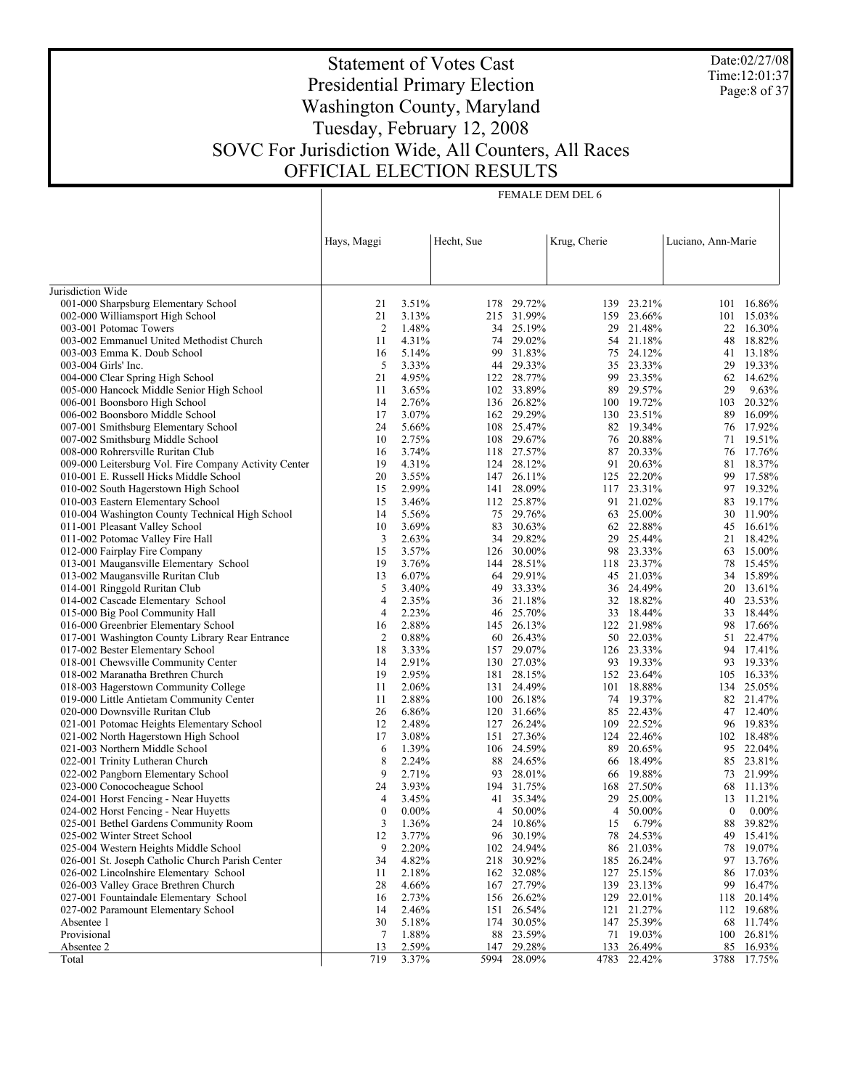Date:02/27/08 Time:12:01:37 Page:8 of 37

# Statement of Votes Cast Presidential Primary Election Washington County, Maryland Tuesday, February 12, 2008 SOVC For Jurisdiction Wide, All Counters, All Races OFFICIAL ELECTION RESULTS

FEMALE DEM DEL 6

|                                                                                                 | Hays, Maggi    |                | Hecht, Sue |                         | Krug, Cherie |                  | Luciano, Ann-Marie |                     |
|-------------------------------------------------------------------------------------------------|----------------|----------------|------------|-------------------------|--------------|------------------|--------------------|---------------------|
|                                                                                                 |                |                |            |                         |              |                  |                    |                     |
| Jurisdiction Wide                                                                               |                |                |            |                         |              |                  |                    |                     |
| 001-000 Sharpsburg Elementary School                                                            | 21             | 3.51%          | 178        | 29.72%                  | 139          | 23.21%           | 101                | 16.86%              |
| 002-000 Williamsport High School                                                                | 21             | 3.13%          | 215        | 31.99%                  | 159          | 23.66%           | 101                | 15.03%              |
| 003-001 Potomac Towers                                                                          | $\overline{2}$ | 1.48%          |            | 34 25.19%               | 29           | 21.48%           | 22                 | 16.30%              |
| 003-002 Emmanuel United Methodist Church                                                        | 11             | 4.31%          | 74         | 29.02%                  | 54           | 21.18%           | 48                 | 18.82%              |
| 003-003 Emma K. Doub School                                                                     | 16             | 5.14%          | 99         | 31.83%                  | 75           | 24.12%           | 41                 | 13.18%              |
| 003-004 Girls' Inc.                                                                             | 5              | 3.33%          | 44         | 29.33%                  | 35           | 23.33%           | 29                 | 19.33%              |
| 004-000 Clear Spring High School                                                                | 21             | 4.95%          |            | 122 28.77%              | 99           | 23.35%           | 62                 | 14.62%              |
| 005-000 Hancock Middle Senior High School                                                       | 11             | 3.65%          |            | 102 33.89%              | 89           | 29.57%           | 29                 | 9.63%               |
| 006-001 Boonsboro High School                                                                   | 14             | 2.76%          |            | 136 26.82%              |              | 100 19.72%       | 103                | 20.32%              |
| 006-002 Boonsboro Middle School                                                                 | 17             | 3.07%          | 162        | 29.29%                  | 130          | 23.51%           | 89                 | 16.09%              |
| 007-001 Smithsburg Elementary School                                                            | 24             | 5.66%          |            | 108 25.47%              |              | 82 19.34%        | 76                 | 17.92%              |
| 007-002 Smithsburg Middle School                                                                | 10             | 2.75%          | 108        | 29.67%                  | 76           | 20.88%           | 71                 | 19.51%              |
| 008-000 Rohrersville Ruritan Club                                                               | 16<br>19       | 3.74%          |            | 118 27.57%<br>28.12%    | 87<br>91     | 20.33%<br>20.63% | 76<br>81           | 17.76%<br>18.37%    |
| 009-000 Leitersburg Vol. Fire Company Activity Center<br>010-001 E. Russell Hicks Middle School | 20             | 4.31%<br>3.55% | 124        | 147 26.11%              |              | 125 22.20%       | 99                 | 17.58%              |
| 010-002 South Hagerstown High School                                                            | 15             | 2.99%          | 141        | 28.09%                  | 117          | 23.31%           | 97                 | 19.32%              |
| 010-003 Eastern Elementary School                                                               | 15             | 3.46%          |            | 112 25.87%              | 91           | 21.02%           | 83                 | 19.17%              |
| 010-004 Washington County Technical High School                                                 | 14             | 5.56%          | 75         | 29.76%                  | 63           | 25.00%           | 30                 | 11.90%              |
| 011-001 Pleasant Valley School                                                                  | 10             | 3.69%          | 83         | 30.63%                  | 62           | 22.88%           | 45                 | 16.61%              |
| 011-002 Potomac Valley Fire Hall                                                                | 3              | 2.63%          | 34         | 29.82%                  | 29           | 25.44%           | 21                 | 18.42%              |
| 012-000 Fairplay Fire Company                                                                   | 15             | 3.57%          |            | 126 30.00%              | 98           | 23.33%           | 63                 | 15.00%              |
| 013-001 Maugansville Elementary School                                                          | 19             | 3.76%          | 144        | 28.51%                  | 118          | 23.37%           | 78                 | 15.45%              |
| 013-002 Maugansville Ruritan Club                                                               | 13             | 6.07%          |            | 64 29.91%               | 45           | 21.03%           | 34                 | 15.89%              |
| 014-001 Ringgold Ruritan Club                                                                   | 5              | 3.40%          | 49         | 33.33%                  | 36           | 24.49%           | 20                 | 13.61%              |
| 014-002 Cascade Elementary School                                                               | $\overline{4}$ | 2.35%          |            | 36 21.18%               | 32           | 18.82%           | 40                 | 23.53%              |
| 015-000 Big Pool Community Hall                                                                 | $\overline{4}$ | 2.23%          | 46         | 25.70%                  | 33           | 18.44%           | 33                 | 18.44%              |
| 016-000 Greenbrier Elementary School                                                            | 16             | 2.88%          |            | 145 26.13%              | 122          | 21.98%           | 98                 | 17.66%              |
| 017-001 Washington County Library Rear Entrance                                                 | $\overline{2}$ | 0.88%          | 60         | 26.43%                  | 50           | 22.03%           | 51                 | 22.47%              |
| 017-002 Bester Elementary School                                                                | 18             | 3.33%          |            | 157 29.07%              |              | 126 23.33%       |                    | 94 17.41%           |
| 018-001 Chewsville Community Center                                                             | 14             | 2.91%          | 130        | 27.03%                  | 93           | 19.33%           | 93                 | 19.33%              |
| 018-002 Maranatha Brethren Church                                                               | 19             | 2.95%          |            | 181 28.15%              |              | 152 23.64%       | 105                | 16.33%              |
| 018-003 Hagerstown Community College                                                            | 11             | 2.06%          | 131        | 24.49%                  | 101          | 18.88%           | 134                | 25.05%              |
| 019-000 Little Antietam Community Center                                                        | 11             | 2.88%          |            | 100 26.18%              | 74           | 19.37%           |                    | 82 21.47%           |
| 020-000 Downsville Ruritan Club                                                                 | 26             | 6.86%          | 120        | 31.66%                  | 85           | 22.43%           | 47                 | 12.40%              |
| 021-001 Potomac Heights Elementary School                                                       | 12             | 2.48%          |            | 127 26.24%              | 109          | 22.52%           | 96                 | 19.83%              |
| 021-002 North Hagerstown High School                                                            | 17             | 3.08%          |            | 151 27.36%              | 124          | 22.46%           | 102                | 18.48%              |
| 021-003 Northern Middle School                                                                  | 6              | 1.39%          |            | 106 24.59%              | 89           | 20.65%           | 95                 | 22.04%              |
| 022-001 Trinity Lutheran Church                                                                 | 8<br>9         | 2.24%          | 88         | 24.65%                  | 66           | 18.49%           | 85                 | 23.81%              |
| 022-002 Pangborn Elementary School<br>023-000 Conococheague School                              |                | 2.71%<br>3.93% | 93         | 28.01%                  | 66           | 19.88%           |                    | 73 21.99%<br>11.13% |
| 024-001 Horst Fencing - Near Huyetts                                                            | 24<br>4        | 3.45%          |            | 194 31.75%<br>41 35.34% | 168<br>29    | 27.50%<br>25.00% | 68<br>13           | 11.21%              |
| 024-002 Horst Fencing - Near Huyetts                                                            | $\mathbf{0}$   | $0.00\%$       | 4          | 50.00%                  | 4            | 50.00%           | 0                  | $0.00\%$            |
|                                                                                                 |                |                |            |                         |              | 6.79%            |                    |                     |
| 025-001 Bethel Gardens Community Room<br>025-002 Winter Street School                           | 3<br>12        | 1.36%<br>3.77% | 24         | 10.86%<br>96 30.19%     | 15<br>78     | 24.53%           | 88<br>49           | 39.82%<br>15.41%    |
| 025-004 Western Heights Middle School                                                           | 9              | 2.20%          |            | 102 24.94%              | 86           | 21.03%           | 78                 | 19.07%              |
| 026-001 St. Joseph Catholic Church Parish Center                                                | 34             | 4.82%          |            | 218 30.92%              | 185          | 26.24%           | 97                 | 13.76%              |
| 026-002 Lincolnshire Elementary School                                                          | 11             | 2.18%          |            | 162 32.08%              | 127          | 25.15%           | 86                 | 17.03%              |
| 026-003 Valley Grace Brethren Church                                                            | 28             | 4.66%          |            | 167 27.79%              | 139          | 23.13%           | 99                 | 16.47%              |
| 027-001 Fountaindale Elementary School                                                          | 16             | 2.73%          |            | 156 26.62%              |              | 129 22.01%       | 118                | 20.14%              |
| 027-002 Paramount Elementary School                                                             | 14             | 2.46%          | 151        | 26.54%                  | 121          | 21.27%           | 112                | 19.68%              |
| Absentee 1                                                                                      | 30             | 5.18%          |            | 174 30.05%              |              | 147 25.39%       |                    | 68 11.74%           |
| Provisional                                                                                     | 7              | 1.88%          | 88         | 23.59%                  | 71           | 19.03%           |                    | 100 26.81%          |
| Absentee 2                                                                                      | 13             | 2.59%          |            | 147 29.28%              | 133          | 26.49%           | 85                 | 16.93%              |
| Total                                                                                           | 719            | 3.37%          | 5994       | 28.09%                  |              | 4783 22.42%      |                    | 3788 17.75%         |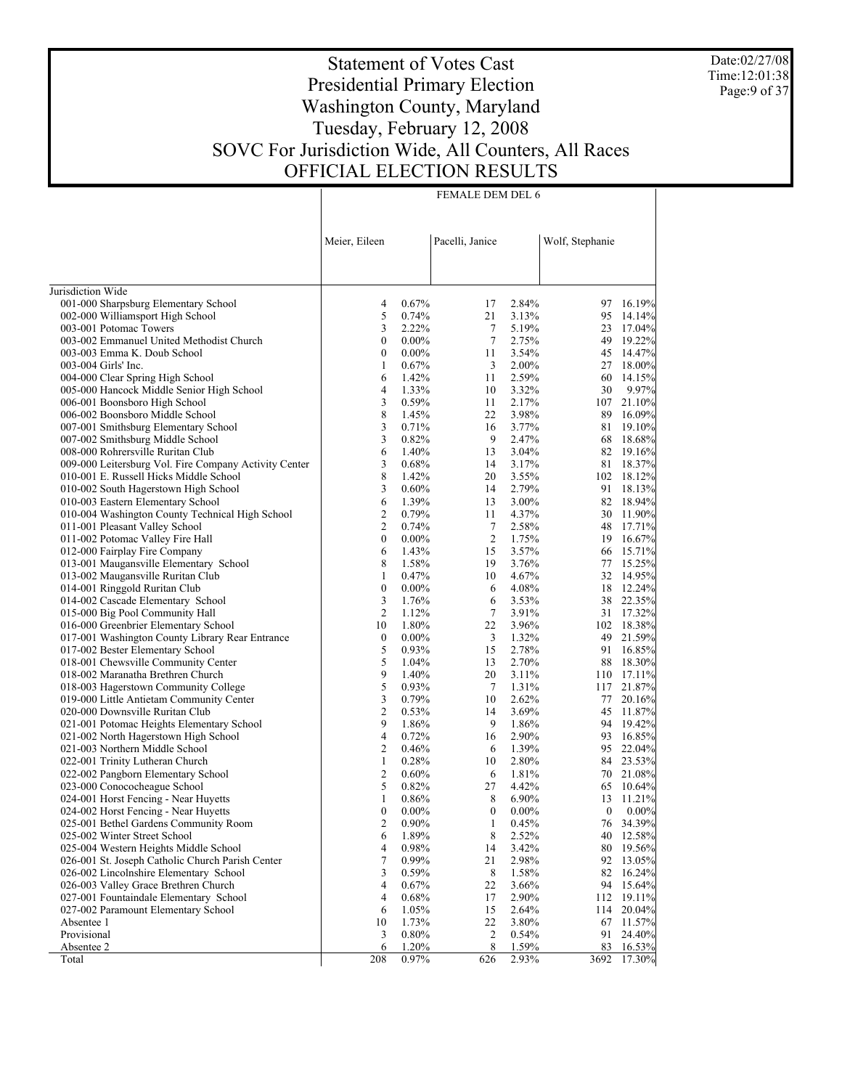Date:02/27/08 Time:12:01:38 Page:9 of 37

# Statement of Votes Cast Presidential Primary Election Washington County, Maryland Tuesday, February 12, 2008 SOVC For Jurisdiction Wide, All Counters, All Races OFFICIAL ELECTION RESULTS

FEMALE DEM DEL 6

|                                                                         | Meier, Eileen       |                | Pacelli, Janice  |                | Wolf, Stephanie  |                      |
|-------------------------------------------------------------------------|---------------------|----------------|------------------|----------------|------------------|----------------------|
| Jurisdiction Wide                                                       |                     |                |                  |                |                  |                      |
| 001-000 Sharpsburg Elementary School                                    | 4                   | 0.67%          | 17               | 2.84%          | 97               | 16.19%               |
| 002-000 Williamsport High School                                        | 5                   | 0.74%          | 21               | 3.13%          | 95               | 14.14%               |
| 003-001 Potomac Towers                                                  | 3                   | 2.22%          | 7                | 5.19%          | 23               | 17.04%               |
| 003-002 Emmanuel United Methodist Church                                | $\boldsymbol{0}$    | $0.00\%$       | $\tau$           | 2.75%          | 49               | 19.22%               |
| 003-003 Emma K. Doub School                                             | $\boldsymbol{0}$    | $0.00\%$       | 11               | 3.54%          | 45               | 14.47%               |
| 003-004 Girls' Inc.                                                     | 1                   | 0.67%          | 3                | 2.00%          | 27               | 18.00%               |
| 004-000 Clear Spring High School                                        | 6                   | 1.42%          | 11               | 2.59%          | 60               | 14.15%               |
| 005-000 Hancock Middle Senior High School                               | 4                   | 1.33%          | 10               | 3.32%          | 30               | 9.97%                |
| 006-001 Boonsboro High School                                           | 3                   | 0.59%          | 11               | 2.17%          | 107              | 21.10%               |
| 006-002 Boonsboro Middle School                                         | 8                   | 1.45%          | 22               | 3.98%          | 89               | 16.09%               |
| 007-001 Smithsburg Elementary School                                    | 3                   | 0.71%          | 16               | 3.77%          | 81               | 19.10%               |
| 007-002 Smithsburg Middle School                                        | 3                   | 0.82%          | 9                | 2.47%          | 68               | 18.68%               |
| 008-000 Rohrersville Ruritan Club                                       | 6                   | 1.40%          | 13               | 3.04%          | 82               | 19.16%               |
| 009-000 Leitersburg Vol. Fire Company Activity Center                   | 3                   | 0.68%          | 14               | 3.17%          | 81               | 18.37%               |
| 010-001 E. Russell Hicks Middle School                                  | 8                   | 1.42%          | 20               | 3.55%          |                  | 102 18.12%           |
| 010-002 South Hagerstown High School                                    | 3                   | 0.60%          | 14               | 2.79%          | 91               | 18.13%               |
| 010-003 Eastern Elementary School                                       | 6                   | 1.39%          | 13               | 3.00%          | 82               | 18.94%               |
| 010-004 Washington County Technical High School                         | 2                   | 0.79%          | 11               | 4.37%          | 30               | 11.90%               |
| 011-001 Pleasant Valley School                                          | $\overline{c}$      | 0.74%          | 7                | 2.58%          | 48               | 17.71%               |
| 011-002 Potomac Valley Fire Hall                                        | $\boldsymbol{0}$    | $0.00\%$       | $\overline{c}$   | 1.75%          | 19               | 16.67%               |
| 012-000 Fairplay Fire Company                                           | 6                   | 1.43%          | 15               | 3.57%          | 66               | 15.71%               |
| 013-001 Maugansville Elementary School                                  | 8                   | 1.58%          | 19               | 3.76%          | 77               | 15.25%               |
| 013-002 Maugansville Ruritan Club                                       | 1                   | 0.47%          | 10               | 4.67%          | 32               | 14.95%               |
| 014-001 Ringgold Ruritan Club                                           | $\boldsymbol{0}$    | $0.00\%$       | 6                | 4.08%          | 18               | 12.24%               |
| 014-002 Cascade Elementary School                                       | 3<br>$\mathfrak{2}$ | 1.76%          | 6                | 3.53%          | 38               | 22.35%               |
| 015-000 Big Pool Community Hall<br>016-000 Greenbrier Elementary School | 10                  | 1.12%<br>1.80% | $\tau$<br>22     | 3.91%<br>3.96% | 31               | 17.32%               |
| 017-001 Washington County Library Rear Entrance                         | $\boldsymbol{0}$    | $0.00\%$       | 3                | 1.32%          | 49               | 102 18.38%<br>21.59% |
| 017-002 Bester Elementary School                                        | 5                   | 0.93%          | 15               | 2.78%          | 91               | 16.85%               |
| 018-001 Chewsville Community Center                                     | 5                   | 1.04%          | 13               | 2.70%          | 88               | 18.30%               |
| 018-002 Maranatha Brethren Church                                       | 9                   | 1.40%          | 20               | 3.11%          | 110              | 17.11%               |
| 018-003 Hagerstown Community College                                    | 5                   | 0.93%          | 7                | 1.31%          | 117              | 21.87%               |
| 019-000 Little Antietam Community Center                                | 3                   | 0.79%          | 10               | 2.62%          | 77               | 20.16%               |
| 020-000 Downsville Ruritan Club                                         | $\overline{c}$      | 0.53%          | 14               | 3.69%          | 45               | 11.87%               |
| 021-001 Potomac Heights Elementary School                               | 9                   | 1.86%          | 9                | 1.86%          | 94               | 19.42%               |
| 021-002 North Hagerstown High School                                    | $\overline{4}$      | 0.72%          | 16               | 2.90%          | 93               | 16.85%               |
| 021-003 Northern Middle School                                          | $\mathfrak{2}$      | 0.46%          | 6                | 1.39%          | 95               | 22.04%               |
| 022-001 Trinity Lutheran Church                                         | $\mathbf{1}$        | 0.28%          | 10               | 2.80%          | 84               | 23.53%               |
| 022-002 Pangborn Elementary School                                      | $\mathfrak{2}$      | 0.60%          | 6                | 1.81%          | 70               | 21.08%               |
| 023-000 Conococheague School                                            | 5                   | 0.82%          | 27               | 4.42%          | 65               | 10.64%               |
| 024-001 Horst Fencing - Near Huyetts                                    | 1                   | 0.86%          | 8                | 6.90%          | 13               | 11.21%               |
| 024-002 Horst Fencing - Near Huyetts                                    | $\boldsymbol{0}$    | $0.00\%$       | $\boldsymbol{0}$ | $0.00\%$       | $\boldsymbol{0}$ | $0.00\%$             |
| 025-001 Bethel Gardens Community Room                                   | $\overline{2}$      | $0.90\%$       | 1                | 0.45%          | 76               | 34.39%               |
| 025-002 Winter Street School                                            | 6                   | 1.89%          | 8                | 2.52%          | 40               | 12.58%               |
| 025-004 Western Heights Middle School                                   | 4                   | 0.98%          | 14               | 3.42%          | 80               | 19.56%               |
| 026-001 St. Joseph Catholic Church Parish Center                        | 7                   | 0.99%          | 21               | 2.98%          | 92               | 13.05%               |
| 026-002 Lincolnshire Elementary School                                  | 3                   | 0.59%          | 8                | 1.58%          | 82               | 16.24%               |
| 026-003 Valley Grace Brethren Church                                    | 4                   | 0.67%          | 22               | 3.66%          | 94               | 15.64%               |
| 027-001 Fountaindale Elementary School                                  | 4                   | 0.68%          | 17               | 2.90%          | 112              | 19.11%               |
| 027-002 Paramount Elementary School                                     | 6                   | 1.05%          | 15               | 2.64%          | 114              | 20.04%               |
| Absentee 1                                                              | 10                  | 1.73%          | 22               | 3.80%          | 67               | 11.57%               |
| Provisional                                                             | 3                   | 0.80%          | 2                | 0.54%          | 91               | 24.40%               |
| Absentee 2                                                              | 6                   | 1.20%          | 8                | 1.59%          | 83               | 16.53%               |
| Total                                                                   | 208                 | 0.97%          | 626              | 2.93%          | 3692             | 17.30%               |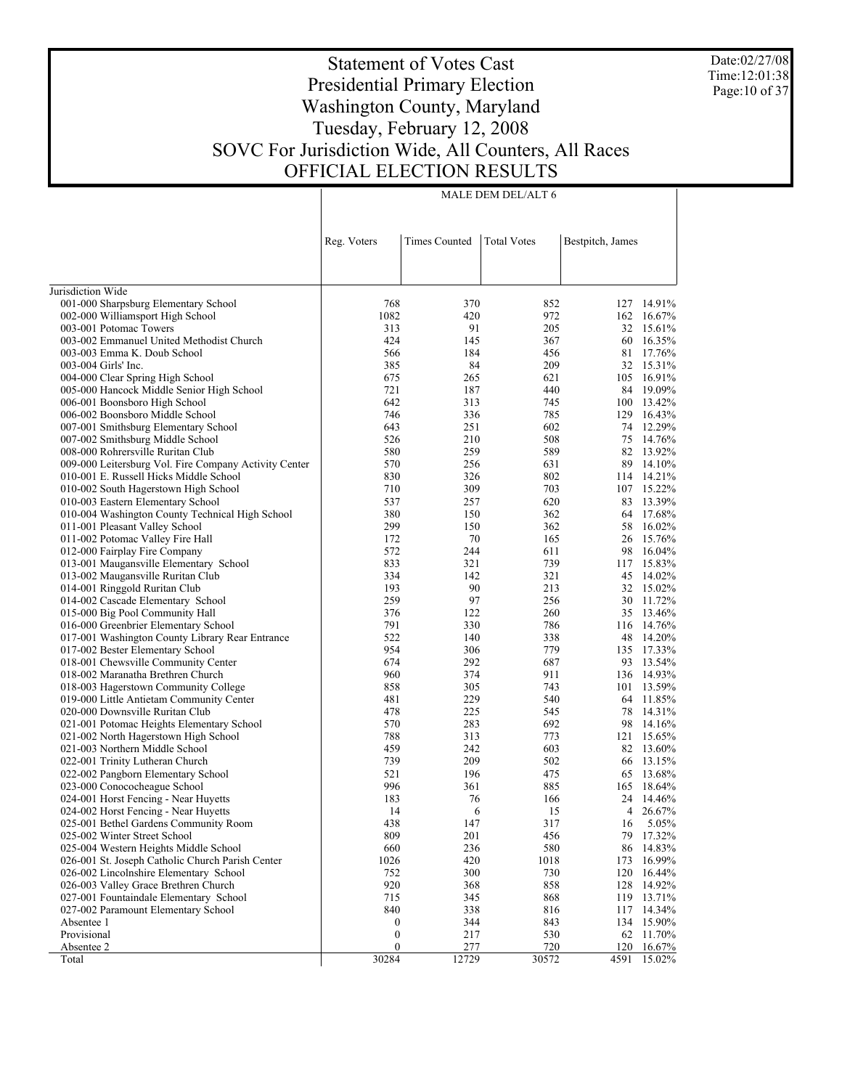Date:02/27/08 Time:12:01:38 Page:10 of 37

# Statement of Votes Cast Presidential Primary Election Washington County, Maryland Tuesday, February 12, 2008 SOVC For Jurisdiction Wide, All Counters, All Races OFFICIAL ELECTION RESULTS

| Reg. Voters<br><b>Times Counted</b><br><b>Total Votes</b><br>Bestpitch, James<br>Jurisdiction Wide<br>001-000 Sharpsburg Elementary School<br>768<br>370<br>852<br>127 14.91%<br>1082<br>420<br>972<br>162 16.67%<br>002-000 Williamsport High School<br>91<br>32 15.61%<br>003-001 Potomac Towers<br>313<br>205<br>424<br>003-002 Emmanuel United Methodist Church<br>145<br>367<br>60<br>16.35%<br>17.76%<br>003-003 Emma K. Doub School<br>566<br>184<br>456<br>81<br>84<br>209<br>32 15.31%<br>003-004 Girls' Inc.<br>385<br>265<br>621<br>105 16.91%<br>004-000 Clear Spring High School<br>675<br>84 19.09%<br>005-000 Hancock Middle Senior High School<br>721<br>187<br>440<br>642<br>313<br>100 13.42%<br>006-001 Boonsboro High School<br>745<br>785<br>129 16.43%<br>006-002 Boonsboro Middle School<br>746<br>336<br>251<br>602<br>12.29%<br>007-001 Smithsburg Elementary School<br>643<br>74<br>508<br>75<br>14.76%<br>007-002 Smithsburg Middle School<br>526<br>210<br>259<br>589<br>82 13.92%<br>008-000 Rohrersville Ruritan Club<br>580<br>256<br>89 14.10%<br>009-000 Leitersburg Vol. Fire Company Activity Center<br>570<br>631<br>326<br>802<br>114 14.21%<br>010-001 E. Russell Hicks Middle School<br>830<br>309<br>703<br>107 15.22%<br>010-002 South Hagerstown High School<br>710<br>13.39%<br>010-003 Eastern Elementary School<br>537<br>257<br>620<br>83<br>362<br>17.68%<br>010-004 Washington County Technical High School<br>380<br>150<br>64<br>299<br>58<br>16.02%<br>011-001 Pleasant Valley School<br>150<br>362<br>70<br>15.76%<br>011-002 Potomac Valley Fire Hall<br>172<br>165<br>26<br>244<br>16.04%<br>012-000 Fairplay Fire Company<br>572<br>611<br>98<br>739<br>117 15.83%<br>013-001 Maugansville Elementary School<br>833<br>321<br>321<br>14.02%<br>013-002 Maugansville Ruritan Club<br>334<br>142<br>45<br>90<br>15.02%<br>014-001 Ringgold Ruritan Club<br>193<br>213<br>32<br>97<br>256<br>30 11.72%<br>014-002 Cascade Elementary School<br>259<br>260<br>35 13.46%<br>015-000 Big Pool Community Hall<br>376<br>122<br>791<br>786<br>116 14.76%<br>016-000 Greenbrier Elementary School<br>330<br>338<br>14.20%<br>017-001 Washington County Library Rear Entrance<br>522<br>140<br>48<br>954<br>779<br>135 17.33%<br>017-002 Bester Elementary School<br>306<br>292<br>93 13.54%<br>018-001 Chewsville Community Center<br>674<br>687<br>374<br>911<br>136 14.93%<br>018-002 Maranatha Brethren Church<br>960<br>13.59%<br>018-003 Hagerstown Community College<br>858<br>305<br>743<br>101<br>229<br>540<br>64 11.85%<br>019-000 Little Antietam Community Center<br>481<br>225<br>78<br>14.31%<br>020-000 Downsville Ruritan Club<br>478<br>545<br>283<br>692<br>14.16%<br>021-001 Potomac Heights Elementary School<br>570<br>98<br>15.65%<br>021-002 North Hagerstown High School<br>788<br>313<br>773<br>121<br>603<br>82 13.60%<br>021-003 Northern Middle School<br>459<br>242<br>209<br>502<br>022-001 Trinity Lutheran Church<br>739<br>66 13.15%<br>13.68%<br>521<br>196<br>475<br>65<br>022-002 Pangborn Elementary School<br>023-000 Conococheague School<br>996<br>361<br>885<br>165<br>18.64%<br>14.46%<br>024-001 Horst Fencing - Near Huyetts<br>183<br>76<br>166<br>24<br>024-002 Horst Fencing - Near Huyetts<br>14<br>6<br>15<br>4<br>26.67%<br>317<br>438<br>147<br>5.05%<br>025-001 Bethel Gardens Community Room<br>16<br>809<br>456<br>025-002 Winter Street School<br>201<br>79<br>17.32%<br>660<br>236<br>580<br>025-004 Western Heights Middle School<br>86<br>14.83%<br>1018<br>026-001 St. Joseph Catholic Church Parish Center<br>1026<br>420<br>173<br>16.99%<br>730<br>026-002 Lincolnshire Elementary School<br>752<br>300<br>120<br>16.44%<br>858<br>14.92%<br>026-003 Valley Grace Brethren Church<br>920<br>368<br>128<br>027-001 Fountaindale Elementary School<br>715<br>345<br>868<br>119 13.71%<br>027-002 Paramount Elementary School<br>840<br>338<br>816<br>117<br>14.34%<br>Absentee 1<br>344<br>843<br>134 15.90%<br>0<br>Provisional<br>$\boldsymbol{0}$<br>530<br>217<br>62<br>11.70%<br>$\boldsymbol{0}$<br>277<br>Absentee 2<br>720<br>120 16.67%<br>30284<br>12729<br>30572<br>4591<br>15.02%<br>Total |  |  |  |
|------------------------------------------------------------------------------------------------------------------------------------------------------------------------------------------------------------------------------------------------------------------------------------------------------------------------------------------------------------------------------------------------------------------------------------------------------------------------------------------------------------------------------------------------------------------------------------------------------------------------------------------------------------------------------------------------------------------------------------------------------------------------------------------------------------------------------------------------------------------------------------------------------------------------------------------------------------------------------------------------------------------------------------------------------------------------------------------------------------------------------------------------------------------------------------------------------------------------------------------------------------------------------------------------------------------------------------------------------------------------------------------------------------------------------------------------------------------------------------------------------------------------------------------------------------------------------------------------------------------------------------------------------------------------------------------------------------------------------------------------------------------------------------------------------------------------------------------------------------------------------------------------------------------------------------------------------------------------------------------------------------------------------------------------------------------------------------------------------------------------------------------------------------------------------------------------------------------------------------------------------------------------------------------------------------------------------------------------------------------------------------------------------------------------------------------------------------------------------------------------------------------------------------------------------------------------------------------------------------------------------------------------------------------------------------------------------------------------------------------------------------------------------------------------------------------------------------------------------------------------------------------------------------------------------------------------------------------------------------------------------------------------------------------------------------------------------------------------------------------------------------------------------------------------------------------------------------------------------------------------------------------------------------------------------------------------------------------------------------------------------------------------------------------------------------------------------------------------------------------------------------------------------------------------------------------------------------------------------------------------------------------------------------------------------------------------------------------------------------------------------------------------------------------------------------------------------------------------------------------------------------------------------------------------------------------------------------------------------------------------------------------------------------------------------------------------------------------------------------------------------------------------------------------------------------------------------------------|--|--|--|
|                                                                                                                                                                                                                                                                                                                                                                                                                                                                                                                                                                                                                                                                                                                                                                                                                                                                                                                                                                                                                                                                                                                                                                                                                                                                                                                                                                                                                                                                                                                                                                                                                                                                                                                                                                                                                                                                                                                                                                                                                                                                                                                                                                                                                                                                                                                                                                                                                                                                                                                                                                                                                                                                                                                                                                                                                                                                                                                                                                                                                                                                                                                                                                                                                                                                                                                                                                                                                                                                                                                                                                                                                                                                                                                                                                                                                                                                                                                                                                                                                                                                                                                                                                                                                  |  |  |  |
|                                                                                                                                                                                                                                                                                                                                                                                                                                                                                                                                                                                                                                                                                                                                                                                                                                                                                                                                                                                                                                                                                                                                                                                                                                                                                                                                                                                                                                                                                                                                                                                                                                                                                                                                                                                                                                                                                                                                                                                                                                                                                                                                                                                                                                                                                                                                                                                                                                                                                                                                                                                                                                                                                                                                                                                                                                                                                                                                                                                                                                                                                                                                                                                                                                                                                                                                                                                                                                                                                                                                                                                                                                                                                                                                                                                                                                                                                                                                                                                                                                                                                                                                                                                                                  |  |  |  |
|                                                                                                                                                                                                                                                                                                                                                                                                                                                                                                                                                                                                                                                                                                                                                                                                                                                                                                                                                                                                                                                                                                                                                                                                                                                                                                                                                                                                                                                                                                                                                                                                                                                                                                                                                                                                                                                                                                                                                                                                                                                                                                                                                                                                                                                                                                                                                                                                                                                                                                                                                                                                                                                                                                                                                                                                                                                                                                                                                                                                                                                                                                                                                                                                                                                                                                                                                                                                                                                                                                                                                                                                                                                                                                                                                                                                                                                                                                                                                                                                                                                                                                                                                                                                                  |  |  |  |
|                                                                                                                                                                                                                                                                                                                                                                                                                                                                                                                                                                                                                                                                                                                                                                                                                                                                                                                                                                                                                                                                                                                                                                                                                                                                                                                                                                                                                                                                                                                                                                                                                                                                                                                                                                                                                                                                                                                                                                                                                                                                                                                                                                                                                                                                                                                                                                                                                                                                                                                                                                                                                                                                                                                                                                                                                                                                                                                                                                                                                                                                                                                                                                                                                                                                                                                                                                                                                                                                                                                                                                                                                                                                                                                                                                                                                                                                                                                                                                                                                                                                                                                                                                                                                  |  |  |  |
|                                                                                                                                                                                                                                                                                                                                                                                                                                                                                                                                                                                                                                                                                                                                                                                                                                                                                                                                                                                                                                                                                                                                                                                                                                                                                                                                                                                                                                                                                                                                                                                                                                                                                                                                                                                                                                                                                                                                                                                                                                                                                                                                                                                                                                                                                                                                                                                                                                                                                                                                                                                                                                                                                                                                                                                                                                                                                                                                                                                                                                                                                                                                                                                                                                                                                                                                                                                                                                                                                                                                                                                                                                                                                                                                                                                                                                                                                                                                                                                                                                                                                                                                                                                                                  |  |  |  |
|                                                                                                                                                                                                                                                                                                                                                                                                                                                                                                                                                                                                                                                                                                                                                                                                                                                                                                                                                                                                                                                                                                                                                                                                                                                                                                                                                                                                                                                                                                                                                                                                                                                                                                                                                                                                                                                                                                                                                                                                                                                                                                                                                                                                                                                                                                                                                                                                                                                                                                                                                                                                                                                                                                                                                                                                                                                                                                                                                                                                                                                                                                                                                                                                                                                                                                                                                                                                                                                                                                                                                                                                                                                                                                                                                                                                                                                                                                                                                                                                                                                                                                                                                                                                                  |  |  |  |
|                                                                                                                                                                                                                                                                                                                                                                                                                                                                                                                                                                                                                                                                                                                                                                                                                                                                                                                                                                                                                                                                                                                                                                                                                                                                                                                                                                                                                                                                                                                                                                                                                                                                                                                                                                                                                                                                                                                                                                                                                                                                                                                                                                                                                                                                                                                                                                                                                                                                                                                                                                                                                                                                                                                                                                                                                                                                                                                                                                                                                                                                                                                                                                                                                                                                                                                                                                                                                                                                                                                                                                                                                                                                                                                                                                                                                                                                                                                                                                                                                                                                                                                                                                                                                  |  |  |  |
|                                                                                                                                                                                                                                                                                                                                                                                                                                                                                                                                                                                                                                                                                                                                                                                                                                                                                                                                                                                                                                                                                                                                                                                                                                                                                                                                                                                                                                                                                                                                                                                                                                                                                                                                                                                                                                                                                                                                                                                                                                                                                                                                                                                                                                                                                                                                                                                                                                                                                                                                                                                                                                                                                                                                                                                                                                                                                                                                                                                                                                                                                                                                                                                                                                                                                                                                                                                                                                                                                                                                                                                                                                                                                                                                                                                                                                                                                                                                                                                                                                                                                                                                                                                                                  |  |  |  |
|                                                                                                                                                                                                                                                                                                                                                                                                                                                                                                                                                                                                                                                                                                                                                                                                                                                                                                                                                                                                                                                                                                                                                                                                                                                                                                                                                                                                                                                                                                                                                                                                                                                                                                                                                                                                                                                                                                                                                                                                                                                                                                                                                                                                                                                                                                                                                                                                                                                                                                                                                                                                                                                                                                                                                                                                                                                                                                                                                                                                                                                                                                                                                                                                                                                                                                                                                                                                                                                                                                                                                                                                                                                                                                                                                                                                                                                                                                                                                                                                                                                                                                                                                                                                                  |  |  |  |
|                                                                                                                                                                                                                                                                                                                                                                                                                                                                                                                                                                                                                                                                                                                                                                                                                                                                                                                                                                                                                                                                                                                                                                                                                                                                                                                                                                                                                                                                                                                                                                                                                                                                                                                                                                                                                                                                                                                                                                                                                                                                                                                                                                                                                                                                                                                                                                                                                                                                                                                                                                                                                                                                                                                                                                                                                                                                                                                                                                                                                                                                                                                                                                                                                                                                                                                                                                                                                                                                                                                                                                                                                                                                                                                                                                                                                                                                                                                                                                                                                                                                                                                                                                                                                  |  |  |  |
|                                                                                                                                                                                                                                                                                                                                                                                                                                                                                                                                                                                                                                                                                                                                                                                                                                                                                                                                                                                                                                                                                                                                                                                                                                                                                                                                                                                                                                                                                                                                                                                                                                                                                                                                                                                                                                                                                                                                                                                                                                                                                                                                                                                                                                                                                                                                                                                                                                                                                                                                                                                                                                                                                                                                                                                                                                                                                                                                                                                                                                                                                                                                                                                                                                                                                                                                                                                                                                                                                                                                                                                                                                                                                                                                                                                                                                                                                                                                                                                                                                                                                                                                                                                                                  |  |  |  |
|                                                                                                                                                                                                                                                                                                                                                                                                                                                                                                                                                                                                                                                                                                                                                                                                                                                                                                                                                                                                                                                                                                                                                                                                                                                                                                                                                                                                                                                                                                                                                                                                                                                                                                                                                                                                                                                                                                                                                                                                                                                                                                                                                                                                                                                                                                                                                                                                                                                                                                                                                                                                                                                                                                                                                                                                                                                                                                                                                                                                                                                                                                                                                                                                                                                                                                                                                                                                                                                                                                                                                                                                                                                                                                                                                                                                                                                                                                                                                                                                                                                                                                                                                                                                                  |  |  |  |
|                                                                                                                                                                                                                                                                                                                                                                                                                                                                                                                                                                                                                                                                                                                                                                                                                                                                                                                                                                                                                                                                                                                                                                                                                                                                                                                                                                                                                                                                                                                                                                                                                                                                                                                                                                                                                                                                                                                                                                                                                                                                                                                                                                                                                                                                                                                                                                                                                                                                                                                                                                                                                                                                                                                                                                                                                                                                                                                                                                                                                                                                                                                                                                                                                                                                                                                                                                                                                                                                                                                                                                                                                                                                                                                                                                                                                                                                                                                                                                                                                                                                                                                                                                                                                  |  |  |  |
|                                                                                                                                                                                                                                                                                                                                                                                                                                                                                                                                                                                                                                                                                                                                                                                                                                                                                                                                                                                                                                                                                                                                                                                                                                                                                                                                                                                                                                                                                                                                                                                                                                                                                                                                                                                                                                                                                                                                                                                                                                                                                                                                                                                                                                                                                                                                                                                                                                                                                                                                                                                                                                                                                                                                                                                                                                                                                                                                                                                                                                                                                                                                                                                                                                                                                                                                                                                                                                                                                                                                                                                                                                                                                                                                                                                                                                                                                                                                                                                                                                                                                                                                                                                                                  |  |  |  |
|                                                                                                                                                                                                                                                                                                                                                                                                                                                                                                                                                                                                                                                                                                                                                                                                                                                                                                                                                                                                                                                                                                                                                                                                                                                                                                                                                                                                                                                                                                                                                                                                                                                                                                                                                                                                                                                                                                                                                                                                                                                                                                                                                                                                                                                                                                                                                                                                                                                                                                                                                                                                                                                                                                                                                                                                                                                                                                                                                                                                                                                                                                                                                                                                                                                                                                                                                                                                                                                                                                                                                                                                                                                                                                                                                                                                                                                                                                                                                                                                                                                                                                                                                                                                                  |  |  |  |
|                                                                                                                                                                                                                                                                                                                                                                                                                                                                                                                                                                                                                                                                                                                                                                                                                                                                                                                                                                                                                                                                                                                                                                                                                                                                                                                                                                                                                                                                                                                                                                                                                                                                                                                                                                                                                                                                                                                                                                                                                                                                                                                                                                                                                                                                                                                                                                                                                                                                                                                                                                                                                                                                                                                                                                                                                                                                                                                                                                                                                                                                                                                                                                                                                                                                                                                                                                                                                                                                                                                                                                                                                                                                                                                                                                                                                                                                                                                                                                                                                                                                                                                                                                                                                  |  |  |  |
|                                                                                                                                                                                                                                                                                                                                                                                                                                                                                                                                                                                                                                                                                                                                                                                                                                                                                                                                                                                                                                                                                                                                                                                                                                                                                                                                                                                                                                                                                                                                                                                                                                                                                                                                                                                                                                                                                                                                                                                                                                                                                                                                                                                                                                                                                                                                                                                                                                                                                                                                                                                                                                                                                                                                                                                                                                                                                                                                                                                                                                                                                                                                                                                                                                                                                                                                                                                                                                                                                                                                                                                                                                                                                                                                                                                                                                                                                                                                                                                                                                                                                                                                                                                                                  |  |  |  |
|                                                                                                                                                                                                                                                                                                                                                                                                                                                                                                                                                                                                                                                                                                                                                                                                                                                                                                                                                                                                                                                                                                                                                                                                                                                                                                                                                                                                                                                                                                                                                                                                                                                                                                                                                                                                                                                                                                                                                                                                                                                                                                                                                                                                                                                                                                                                                                                                                                                                                                                                                                                                                                                                                                                                                                                                                                                                                                                                                                                                                                                                                                                                                                                                                                                                                                                                                                                                                                                                                                                                                                                                                                                                                                                                                                                                                                                                                                                                                                                                                                                                                                                                                                                                                  |  |  |  |
|                                                                                                                                                                                                                                                                                                                                                                                                                                                                                                                                                                                                                                                                                                                                                                                                                                                                                                                                                                                                                                                                                                                                                                                                                                                                                                                                                                                                                                                                                                                                                                                                                                                                                                                                                                                                                                                                                                                                                                                                                                                                                                                                                                                                                                                                                                                                                                                                                                                                                                                                                                                                                                                                                                                                                                                                                                                                                                                                                                                                                                                                                                                                                                                                                                                                                                                                                                                                                                                                                                                                                                                                                                                                                                                                                                                                                                                                                                                                                                                                                                                                                                                                                                                                                  |  |  |  |
|                                                                                                                                                                                                                                                                                                                                                                                                                                                                                                                                                                                                                                                                                                                                                                                                                                                                                                                                                                                                                                                                                                                                                                                                                                                                                                                                                                                                                                                                                                                                                                                                                                                                                                                                                                                                                                                                                                                                                                                                                                                                                                                                                                                                                                                                                                                                                                                                                                                                                                                                                                                                                                                                                                                                                                                                                                                                                                                                                                                                                                                                                                                                                                                                                                                                                                                                                                                                                                                                                                                                                                                                                                                                                                                                                                                                                                                                                                                                                                                                                                                                                                                                                                                                                  |  |  |  |
|                                                                                                                                                                                                                                                                                                                                                                                                                                                                                                                                                                                                                                                                                                                                                                                                                                                                                                                                                                                                                                                                                                                                                                                                                                                                                                                                                                                                                                                                                                                                                                                                                                                                                                                                                                                                                                                                                                                                                                                                                                                                                                                                                                                                                                                                                                                                                                                                                                                                                                                                                                                                                                                                                                                                                                                                                                                                                                                                                                                                                                                                                                                                                                                                                                                                                                                                                                                                                                                                                                                                                                                                                                                                                                                                                                                                                                                                                                                                                                                                                                                                                                                                                                                                                  |  |  |  |
|                                                                                                                                                                                                                                                                                                                                                                                                                                                                                                                                                                                                                                                                                                                                                                                                                                                                                                                                                                                                                                                                                                                                                                                                                                                                                                                                                                                                                                                                                                                                                                                                                                                                                                                                                                                                                                                                                                                                                                                                                                                                                                                                                                                                                                                                                                                                                                                                                                                                                                                                                                                                                                                                                                                                                                                                                                                                                                                                                                                                                                                                                                                                                                                                                                                                                                                                                                                                                                                                                                                                                                                                                                                                                                                                                                                                                                                                                                                                                                                                                                                                                                                                                                                                                  |  |  |  |
|                                                                                                                                                                                                                                                                                                                                                                                                                                                                                                                                                                                                                                                                                                                                                                                                                                                                                                                                                                                                                                                                                                                                                                                                                                                                                                                                                                                                                                                                                                                                                                                                                                                                                                                                                                                                                                                                                                                                                                                                                                                                                                                                                                                                                                                                                                                                                                                                                                                                                                                                                                                                                                                                                                                                                                                                                                                                                                                                                                                                                                                                                                                                                                                                                                                                                                                                                                                                                                                                                                                                                                                                                                                                                                                                                                                                                                                                                                                                                                                                                                                                                                                                                                                                                  |  |  |  |
|                                                                                                                                                                                                                                                                                                                                                                                                                                                                                                                                                                                                                                                                                                                                                                                                                                                                                                                                                                                                                                                                                                                                                                                                                                                                                                                                                                                                                                                                                                                                                                                                                                                                                                                                                                                                                                                                                                                                                                                                                                                                                                                                                                                                                                                                                                                                                                                                                                                                                                                                                                                                                                                                                                                                                                                                                                                                                                                                                                                                                                                                                                                                                                                                                                                                                                                                                                                                                                                                                                                                                                                                                                                                                                                                                                                                                                                                                                                                                                                                                                                                                                                                                                                                                  |  |  |  |
|                                                                                                                                                                                                                                                                                                                                                                                                                                                                                                                                                                                                                                                                                                                                                                                                                                                                                                                                                                                                                                                                                                                                                                                                                                                                                                                                                                                                                                                                                                                                                                                                                                                                                                                                                                                                                                                                                                                                                                                                                                                                                                                                                                                                                                                                                                                                                                                                                                                                                                                                                                                                                                                                                                                                                                                                                                                                                                                                                                                                                                                                                                                                                                                                                                                                                                                                                                                                                                                                                                                                                                                                                                                                                                                                                                                                                                                                                                                                                                                                                                                                                                                                                                                                                  |  |  |  |
|                                                                                                                                                                                                                                                                                                                                                                                                                                                                                                                                                                                                                                                                                                                                                                                                                                                                                                                                                                                                                                                                                                                                                                                                                                                                                                                                                                                                                                                                                                                                                                                                                                                                                                                                                                                                                                                                                                                                                                                                                                                                                                                                                                                                                                                                                                                                                                                                                                                                                                                                                                                                                                                                                                                                                                                                                                                                                                                                                                                                                                                                                                                                                                                                                                                                                                                                                                                                                                                                                                                                                                                                                                                                                                                                                                                                                                                                                                                                                                                                                                                                                                                                                                                                                  |  |  |  |
|                                                                                                                                                                                                                                                                                                                                                                                                                                                                                                                                                                                                                                                                                                                                                                                                                                                                                                                                                                                                                                                                                                                                                                                                                                                                                                                                                                                                                                                                                                                                                                                                                                                                                                                                                                                                                                                                                                                                                                                                                                                                                                                                                                                                                                                                                                                                                                                                                                                                                                                                                                                                                                                                                                                                                                                                                                                                                                                                                                                                                                                                                                                                                                                                                                                                                                                                                                                                                                                                                                                                                                                                                                                                                                                                                                                                                                                                                                                                                                                                                                                                                                                                                                                                                  |  |  |  |
|                                                                                                                                                                                                                                                                                                                                                                                                                                                                                                                                                                                                                                                                                                                                                                                                                                                                                                                                                                                                                                                                                                                                                                                                                                                                                                                                                                                                                                                                                                                                                                                                                                                                                                                                                                                                                                                                                                                                                                                                                                                                                                                                                                                                                                                                                                                                                                                                                                                                                                                                                                                                                                                                                                                                                                                                                                                                                                                                                                                                                                                                                                                                                                                                                                                                                                                                                                                                                                                                                                                                                                                                                                                                                                                                                                                                                                                                                                                                                                                                                                                                                                                                                                                                                  |  |  |  |
|                                                                                                                                                                                                                                                                                                                                                                                                                                                                                                                                                                                                                                                                                                                                                                                                                                                                                                                                                                                                                                                                                                                                                                                                                                                                                                                                                                                                                                                                                                                                                                                                                                                                                                                                                                                                                                                                                                                                                                                                                                                                                                                                                                                                                                                                                                                                                                                                                                                                                                                                                                                                                                                                                                                                                                                                                                                                                                                                                                                                                                                                                                                                                                                                                                                                                                                                                                                                                                                                                                                                                                                                                                                                                                                                                                                                                                                                                                                                                                                                                                                                                                                                                                                                                  |  |  |  |
|                                                                                                                                                                                                                                                                                                                                                                                                                                                                                                                                                                                                                                                                                                                                                                                                                                                                                                                                                                                                                                                                                                                                                                                                                                                                                                                                                                                                                                                                                                                                                                                                                                                                                                                                                                                                                                                                                                                                                                                                                                                                                                                                                                                                                                                                                                                                                                                                                                                                                                                                                                                                                                                                                                                                                                                                                                                                                                                                                                                                                                                                                                                                                                                                                                                                                                                                                                                                                                                                                                                                                                                                                                                                                                                                                                                                                                                                                                                                                                                                                                                                                                                                                                                                                  |  |  |  |
|                                                                                                                                                                                                                                                                                                                                                                                                                                                                                                                                                                                                                                                                                                                                                                                                                                                                                                                                                                                                                                                                                                                                                                                                                                                                                                                                                                                                                                                                                                                                                                                                                                                                                                                                                                                                                                                                                                                                                                                                                                                                                                                                                                                                                                                                                                                                                                                                                                                                                                                                                                                                                                                                                                                                                                                                                                                                                                                                                                                                                                                                                                                                                                                                                                                                                                                                                                                                                                                                                                                                                                                                                                                                                                                                                                                                                                                                                                                                                                                                                                                                                                                                                                                                                  |  |  |  |
|                                                                                                                                                                                                                                                                                                                                                                                                                                                                                                                                                                                                                                                                                                                                                                                                                                                                                                                                                                                                                                                                                                                                                                                                                                                                                                                                                                                                                                                                                                                                                                                                                                                                                                                                                                                                                                                                                                                                                                                                                                                                                                                                                                                                                                                                                                                                                                                                                                                                                                                                                                                                                                                                                                                                                                                                                                                                                                                                                                                                                                                                                                                                                                                                                                                                                                                                                                                                                                                                                                                                                                                                                                                                                                                                                                                                                                                                                                                                                                                                                                                                                                                                                                                                                  |  |  |  |
|                                                                                                                                                                                                                                                                                                                                                                                                                                                                                                                                                                                                                                                                                                                                                                                                                                                                                                                                                                                                                                                                                                                                                                                                                                                                                                                                                                                                                                                                                                                                                                                                                                                                                                                                                                                                                                                                                                                                                                                                                                                                                                                                                                                                                                                                                                                                                                                                                                                                                                                                                                                                                                                                                                                                                                                                                                                                                                                                                                                                                                                                                                                                                                                                                                                                                                                                                                                                                                                                                                                                                                                                                                                                                                                                                                                                                                                                                                                                                                                                                                                                                                                                                                                                                  |  |  |  |
|                                                                                                                                                                                                                                                                                                                                                                                                                                                                                                                                                                                                                                                                                                                                                                                                                                                                                                                                                                                                                                                                                                                                                                                                                                                                                                                                                                                                                                                                                                                                                                                                                                                                                                                                                                                                                                                                                                                                                                                                                                                                                                                                                                                                                                                                                                                                                                                                                                                                                                                                                                                                                                                                                                                                                                                                                                                                                                                                                                                                                                                                                                                                                                                                                                                                                                                                                                                                                                                                                                                                                                                                                                                                                                                                                                                                                                                                                                                                                                                                                                                                                                                                                                                                                  |  |  |  |
|                                                                                                                                                                                                                                                                                                                                                                                                                                                                                                                                                                                                                                                                                                                                                                                                                                                                                                                                                                                                                                                                                                                                                                                                                                                                                                                                                                                                                                                                                                                                                                                                                                                                                                                                                                                                                                                                                                                                                                                                                                                                                                                                                                                                                                                                                                                                                                                                                                                                                                                                                                                                                                                                                                                                                                                                                                                                                                                                                                                                                                                                                                                                                                                                                                                                                                                                                                                                                                                                                                                                                                                                                                                                                                                                                                                                                                                                                                                                                                                                                                                                                                                                                                                                                  |  |  |  |
|                                                                                                                                                                                                                                                                                                                                                                                                                                                                                                                                                                                                                                                                                                                                                                                                                                                                                                                                                                                                                                                                                                                                                                                                                                                                                                                                                                                                                                                                                                                                                                                                                                                                                                                                                                                                                                                                                                                                                                                                                                                                                                                                                                                                                                                                                                                                                                                                                                                                                                                                                                                                                                                                                                                                                                                                                                                                                                                                                                                                                                                                                                                                                                                                                                                                                                                                                                                                                                                                                                                                                                                                                                                                                                                                                                                                                                                                                                                                                                                                                                                                                                                                                                                                                  |  |  |  |
|                                                                                                                                                                                                                                                                                                                                                                                                                                                                                                                                                                                                                                                                                                                                                                                                                                                                                                                                                                                                                                                                                                                                                                                                                                                                                                                                                                                                                                                                                                                                                                                                                                                                                                                                                                                                                                                                                                                                                                                                                                                                                                                                                                                                                                                                                                                                                                                                                                                                                                                                                                                                                                                                                                                                                                                                                                                                                                                                                                                                                                                                                                                                                                                                                                                                                                                                                                                                                                                                                                                                                                                                                                                                                                                                                                                                                                                                                                                                                                                                                                                                                                                                                                                                                  |  |  |  |
|                                                                                                                                                                                                                                                                                                                                                                                                                                                                                                                                                                                                                                                                                                                                                                                                                                                                                                                                                                                                                                                                                                                                                                                                                                                                                                                                                                                                                                                                                                                                                                                                                                                                                                                                                                                                                                                                                                                                                                                                                                                                                                                                                                                                                                                                                                                                                                                                                                                                                                                                                                                                                                                                                                                                                                                                                                                                                                                                                                                                                                                                                                                                                                                                                                                                                                                                                                                                                                                                                                                                                                                                                                                                                                                                                                                                                                                                                                                                                                                                                                                                                                                                                                                                                  |  |  |  |
|                                                                                                                                                                                                                                                                                                                                                                                                                                                                                                                                                                                                                                                                                                                                                                                                                                                                                                                                                                                                                                                                                                                                                                                                                                                                                                                                                                                                                                                                                                                                                                                                                                                                                                                                                                                                                                                                                                                                                                                                                                                                                                                                                                                                                                                                                                                                                                                                                                                                                                                                                                                                                                                                                                                                                                                                                                                                                                                                                                                                                                                                                                                                                                                                                                                                                                                                                                                                                                                                                                                                                                                                                                                                                                                                                                                                                                                                                                                                                                                                                                                                                                                                                                                                                  |  |  |  |
|                                                                                                                                                                                                                                                                                                                                                                                                                                                                                                                                                                                                                                                                                                                                                                                                                                                                                                                                                                                                                                                                                                                                                                                                                                                                                                                                                                                                                                                                                                                                                                                                                                                                                                                                                                                                                                                                                                                                                                                                                                                                                                                                                                                                                                                                                                                                                                                                                                                                                                                                                                                                                                                                                                                                                                                                                                                                                                                                                                                                                                                                                                                                                                                                                                                                                                                                                                                                                                                                                                                                                                                                                                                                                                                                                                                                                                                                                                                                                                                                                                                                                                                                                                                                                  |  |  |  |
|                                                                                                                                                                                                                                                                                                                                                                                                                                                                                                                                                                                                                                                                                                                                                                                                                                                                                                                                                                                                                                                                                                                                                                                                                                                                                                                                                                                                                                                                                                                                                                                                                                                                                                                                                                                                                                                                                                                                                                                                                                                                                                                                                                                                                                                                                                                                                                                                                                                                                                                                                                                                                                                                                                                                                                                                                                                                                                                                                                                                                                                                                                                                                                                                                                                                                                                                                                                                                                                                                                                                                                                                                                                                                                                                                                                                                                                                                                                                                                                                                                                                                                                                                                                                                  |  |  |  |
|                                                                                                                                                                                                                                                                                                                                                                                                                                                                                                                                                                                                                                                                                                                                                                                                                                                                                                                                                                                                                                                                                                                                                                                                                                                                                                                                                                                                                                                                                                                                                                                                                                                                                                                                                                                                                                                                                                                                                                                                                                                                                                                                                                                                                                                                                                                                                                                                                                                                                                                                                                                                                                                                                                                                                                                                                                                                                                                                                                                                                                                                                                                                                                                                                                                                                                                                                                                                                                                                                                                                                                                                                                                                                                                                                                                                                                                                                                                                                                                                                                                                                                                                                                                                                  |  |  |  |
|                                                                                                                                                                                                                                                                                                                                                                                                                                                                                                                                                                                                                                                                                                                                                                                                                                                                                                                                                                                                                                                                                                                                                                                                                                                                                                                                                                                                                                                                                                                                                                                                                                                                                                                                                                                                                                                                                                                                                                                                                                                                                                                                                                                                                                                                                                                                                                                                                                                                                                                                                                                                                                                                                                                                                                                                                                                                                                                                                                                                                                                                                                                                                                                                                                                                                                                                                                                                                                                                                                                                                                                                                                                                                                                                                                                                                                                                                                                                                                                                                                                                                                                                                                                                                  |  |  |  |
|                                                                                                                                                                                                                                                                                                                                                                                                                                                                                                                                                                                                                                                                                                                                                                                                                                                                                                                                                                                                                                                                                                                                                                                                                                                                                                                                                                                                                                                                                                                                                                                                                                                                                                                                                                                                                                                                                                                                                                                                                                                                                                                                                                                                                                                                                                                                                                                                                                                                                                                                                                                                                                                                                                                                                                                                                                                                                                                                                                                                                                                                                                                                                                                                                                                                                                                                                                                                                                                                                                                                                                                                                                                                                                                                                                                                                                                                                                                                                                                                                                                                                                                                                                                                                  |  |  |  |
|                                                                                                                                                                                                                                                                                                                                                                                                                                                                                                                                                                                                                                                                                                                                                                                                                                                                                                                                                                                                                                                                                                                                                                                                                                                                                                                                                                                                                                                                                                                                                                                                                                                                                                                                                                                                                                                                                                                                                                                                                                                                                                                                                                                                                                                                                                                                                                                                                                                                                                                                                                                                                                                                                                                                                                                                                                                                                                                                                                                                                                                                                                                                                                                                                                                                                                                                                                                                                                                                                                                                                                                                                                                                                                                                                                                                                                                                                                                                                                                                                                                                                                                                                                                                                  |  |  |  |
|                                                                                                                                                                                                                                                                                                                                                                                                                                                                                                                                                                                                                                                                                                                                                                                                                                                                                                                                                                                                                                                                                                                                                                                                                                                                                                                                                                                                                                                                                                                                                                                                                                                                                                                                                                                                                                                                                                                                                                                                                                                                                                                                                                                                                                                                                                                                                                                                                                                                                                                                                                                                                                                                                                                                                                                                                                                                                                                                                                                                                                                                                                                                                                                                                                                                                                                                                                                                                                                                                                                                                                                                                                                                                                                                                                                                                                                                                                                                                                                                                                                                                                                                                                                                                  |  |  |  |
|                                                                                                                                                                                                                                                                                                                                                                                                                                                                                                                                                                                                                                                                                                                                                                                                                                                                                                                                                                                                                                                                                                                                                                                                                                                                                                                                                                                                                                                                                                                                                                                                                                                                                                                                                                                                                                                                                                                                                                                                                                                                                                                                                                                                                                                                                                                                                                                                                                                                                                                                                                                                                                                                                                                                                                                                                                                                                                                                                                                                                                                                                                                                                                                                                                                                                                                                                                                                                                                                                                                                                                                                                                                                                                                                                                                                                                                                                                                                                                                                                                                                                                                                                                                                                  |  |  |  |
|                                                                                                                                                                                                                                                                                                                                                                                                                                                                                                                                                                                                                                                                                                                                                                                                                                                                                                                                                                                                                                                                                                                                                                                                                                                                                                                                                                                                                                                                                                                                                                                                                                                                                                                                                                                                                                                                                                                                                                                                                                                                                                                                                                                                                                                                                                                                                                                                                                                                                                                                                                                                                                                                                                                                                                                                                                                                                                                                                                                                                                                                                                                                                                                                                                                                                                                                                                                                                                                                                                                                                                                                                                                                                                                                                                                                                                                                                                                                                                                                                                                                                                                                                                                                                  |  |  |  |
|                                                                                                                                                                                                                                                                                                                                                                                                                                                                                                                                                                                                                                                                                                                                                                                                                                                                                                                                                                                                                                                                                                                                                                                                                                                                                                                                                                                                                                                                                                                                                                                                                                                                                                                                                                                                                                                                                                                                                                                                                                                                                                                                                                                                                                                                                                                                                                                                                                                                                                                                                                                                                                                                                                                                                                                                                                                                                                                                                                                                                                                                                                                                                                                                                                                                                                                                                                                                                                                                                                                                                                                                                                                                                                                                                                                                                                                                                                                                                                                                                                                                                                                                                                                                                  |  |  |  |
|                                                                                                                                                                                                                                                                                                                                                                                                                                                                                                                                                                                                                                                                                                                                                                                                                                                                                                                                                                                                                                                                                                                                                                                                                                                                                                                                                                                                                                                                                                                                                                                                                                                                                                                                                                                                                                                                                                                                                                                                                                                                                                                                                                                                                                                                                                                                                                                                                                                                                                                                                                                                                                                                                                                                                                                                                                                                                                                                                                                                                                                                                                                                                                                                                                                                                                                                                                                                                                                                                                                                                                                                                                                                                                                                                                                                                                                                                                                                                                                                                                                                                                                                                                                                                  |  |  |  |
|                                                                                                                                                                                                                                                                                                                                                                                                                                                                                                                                                                                                                                                                                                                                                                                                                                                                                                                                                                                                                                                                                                                                                                                                                                                                                                                                                                                                                                                                                                                                                                                                                                                                                                                                                                                                                                                                                                                                                                                                                                                                                                                                                                                                                                                                                                                                                                                                                                                                                                                                                                                                                                                                                                                                                                                                                                                                                                                                                                                                                                                                                                                                                                                                                                                                                                                                                                                                                                                                                                                                                                                                                                                                                                                                                                                                                                                                                                                                                                                                                                                                                                                                                                                                                  |  |  |  |
|                                                                                                                                                                                                                                                                                                                                                                                                                                                                                                                                                                                                                                                                                                                                                                                                                                                                                                                                                                                                                                                                                                                                                                                                                                                                                                                                                                                                                                                                                                                                                                                                                                                                                                                                                                                                                                                                                                                                                                                                                                                                                                                                                                                                                                                                                                                                                                                                                                                                                                                                                                                                                                                                                                                                                                                                                                                                                                                                                                                                                                                                                                                                                                                                                                                                                                                                                                                                                                                                                                                                                                                                                                                                                                                                                                                                                                                                                                                                                                                                                                                                                                                                                                                                                  |  |  |  |
|                                                                                                                                                                                                                                                                                                                                                                                                                                                                                                                                                                                                                                                                                                                                                                                                                                                                                                                                                                                                                                                                                                                                                                                                                                                                                                                                                                                                                                                                                                                                                                                                                                                                                                                                                                                                                                                                                                                                                                                                                                                                                                                                                                                                                                                                                                                                                                                                                                                                                                                                                                                                                                                                                                                                                                                                                                                                                                                                                                                                                                                                                                                                                                                                                                                                                                                                                                                                                                                                                                                                                                                                                                                                                                                                                                                                                                                                                                                                                                                                                                                                                                                                                                                                                  |  |  |  |
|                                                                                                                                                                                                                                                                                                                                                                                                                                                                                                                                                                                                                                                                                                                                                                                                                                                                                                                                                                                                                                                                                                                                                                                                                                                                                                                                                                                                                                                                                                                                                                                                                                                                                                                                                                                                                                                                                                                                                                                                                                                                                                                                                                                                                                                                                                                                                                                                                                                                                                                                                                                                                                                                                                                                                                                                                                                                                                                                                                                                                                                                                                                                                                                                                                                                                                                                                                                                                                                                                                                                                                                                                                                                                                                                                                                                                                                                                                                                                                                                                                                                                                                                                                                                                  |  |  |  |
|                                                                                                                                                                                                                                                                                                                                                                                                                                                                                                                                                                                                                                                                                                                                                                                                                                                                                                                                                                                                                                                                                                                                                                                                                                                                                                                                                                                                                                                                                                                                                                                                                                                                                                                                                                                                                                                                                                                                                                                                                                                                                                                                                                                                                                                                                                                                                                                                                                                                                                                                                                                                                                                                                                                                                                                                                                                                                                                                                                                                                                                                                                                                                                                                                                                                                                                                                                                                                                                                                                                                                                                                                                                                                                                                                                                                                                                                                                                                                                                                                                                                                                                                                                                                                  |  |  |  |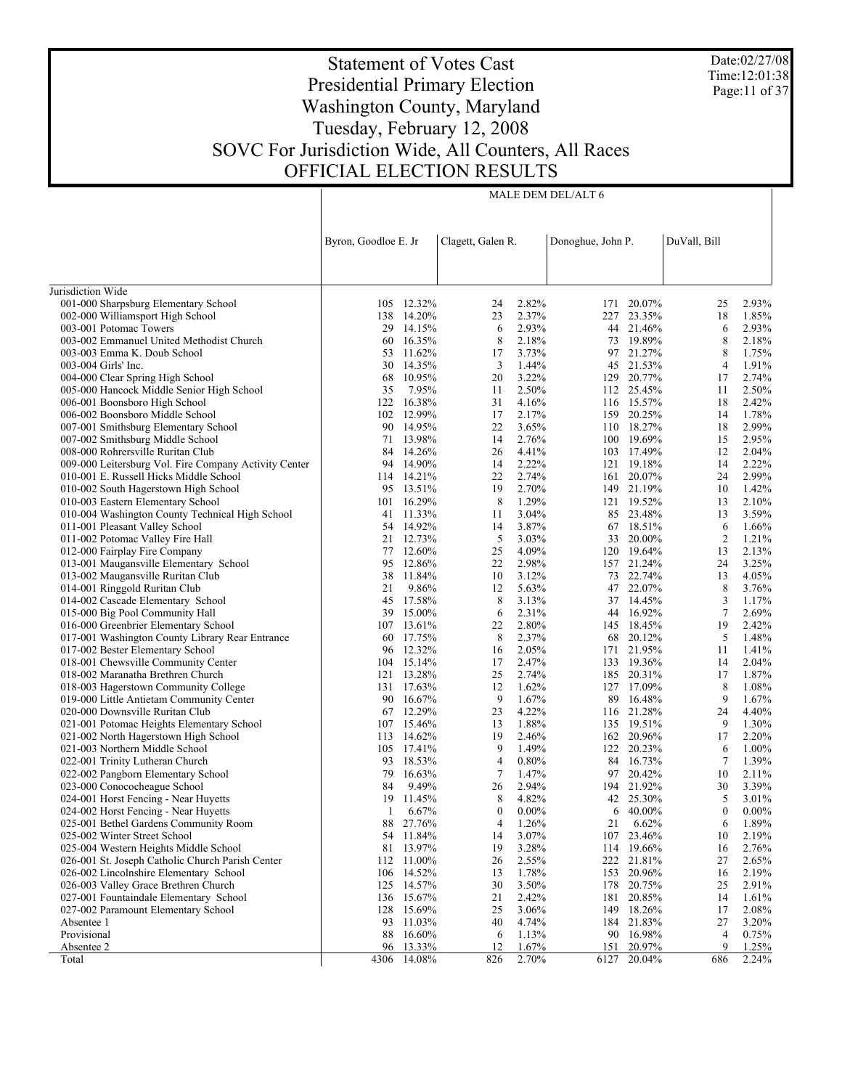Date:02/27/08 Time:12:01:38 Page:11 of 37

# Statement of Votes Cast Presidential Primary Election Washington County, Maryland Tuesday, February 12, 2008 SOVC For Jurisdiction Wide, All Counters, All Races OFFICIAL ELECTION RESULTS

|                                                                         | Byron, Goodloe E. Jr |                        | Clagett, Galen R. |                | Donoghue, John P. |                         | DuVall, Bill   |                |
|-------------------------------------------------------------------------|----------------------|------------------------|-------------------|----------------|-------------------|-------------------------|----------------|----------------|
|                                                                         |                      |                        |                   |                |                   |                         |                |                |
| Jurisdiction Wide                                                       |                      |                        |                   |                |                   |                         |                |                |
| 001-000 Sharpsburg Elementary School                                    |                      | 105 12.32%             | 24                | 2.82%          |                   | 171 20.07%              | 25             | 2.93%          |
| 002-000 Williamsport High School                                        |                      | 138 14.20%             | 23                | 2.37%          |                   | 227 23.35%              | 18             | 1.85%          |
| 003-001 Potomac Towers                                                  |                      | 29 14.15%              | 6                 | 2.93%          |                   | 44 21.46%               | 6              | 2.93%          |
| 003-002 Emmanuel United Methodist Church                                |                      | 60 16.35%              | 8                 | 2.18%          |                   | 73 19.89%               | 8              | 2.18%          |
| 003-003 Emma K. Doub School                                             |                      | 53 11.62%              | 17                | 3.73%          |                   | 97 21.27%               | 8              | 1.75%          |
| 003-004 Girls' Inc.                                                     |                      | 30 14.35%              | 3                 | 1.44%          |                   | 45 21.53%               | $\overline{4}$ | 1.91%          |
| 004-000 Clear Spring High School                                        |                      | 68 10.95%              | 20                | 3.22%          |                   | 129 20.77%              | 17             | 2.74%          |
| 005-000 Hancock Middle Senior High School                               | 35                   | 7.95%                  | 11                | 2.50%          |                   | 112 25.45%              | 11             | 2.50%          |
| 006-001 Boonsboro High School                                           | 122                  | 16.38%                 | 31                | 4.16%          |                   | 116 15.57%              | 18             | 2.42%          |
| 006-002 Boonsboro Middle School                                         |                      | 102 12.99%             | 17                | 2.17%          |                   | 159 20.25%              | 14             | 1.78%          |
| 007-001 Smithsburg Elementary School                                    |                      | 90 14.95%              | 22                | 3.65%          |                   | 110 18.27%              | 18             | 2.99%          |
| 007-002 Smithsburg Middle School                                        |                      | 71 13.98%              | 14                | 2.76%          |                   | 100 19.69%              | 15             | 2.95%          |
| 008-000 Rohrersville Ruritan Club                                       | 84                   | 14.26%                 | 26                | 4.41%          |                   | 103 17.49%              | 12             | 2.04%          |
| 009-000 Leitersburg Vol. Fire Company Activity Center                   | 94                   | 14.90%                 | 14                | 2.22%          |                   | 121 19.18%              | 14             | 2.22%          |
| 010-001 E. Russell Hicks Middle School                                  |                      | 114 14.21%             | 22                | 2.74%          |                   | 161 20.07%              | 24             | 2.99%          |
| 010-002 South Hagerstown High School                                    |                      | 95 13.51%              | 19                | 2.70%          |                   | 149 21.19%              | 10             | 1.42%          |
| 010-003 Eastern Elementary School                                       |                      | 101 16.29%             | 8                 | 1.29%          |                   | 121 19.52%              | 13             | 2.10%          |
| 010-004 Washington County Technical High School                         |                      | 41 11.33%              | 11                | 3.04%          |                   | 85 23.48%               | 13             | 3.59%          |
| 011-001 Pleasant Valley School                                          |                      | 54 14.92%              | 14                | 3.87%          |                   | 67 18.51%               | 6              | 1.66%          |
| 011-002 Potomac Valley Fire Hall                                        |                      | 21 12.73%              | 5                 | 3.03%          |                   | 33 20.00%               | $\overline{c}$ | 1.21%          |
| 012-000 Fairplay Fire Company                                           |                      | 77 12.60%              | 25                | 4.09%          |                   | 120 19.64%              | 13             | 2.13%          |
| 013-001 Maugansville Elementary School                                  |                      | 95 12.86%              | 22                | 2.98%          |                   | 157 21.24%              | 24             | 3.25%          |
| 013-002 Maugansville Ruritan Club                                       |                      | 38 11.84%              | 10                | 3.12%          |                   | 73 22.74%               | 13             | 4.05%          |
| 014-001 Ringgold Ruritan Club                                           | 21                   | 9.86%                  | 12                | 5.63%          |                   | 47 22.07%               | 8              | 3.76%          |
| 014-002 Cascade Elementary School                                       |                      | 45 17.58%              | 8                 | 3.13%          |                   | 37 14.45%               | 3              | 1.17%          |
| 015-000 Big Pool Community Hall                                         | 39                   | 15.00%                 | 6                 | 2.31%          |                   | 44 16.92%               | $\tau$         | 2.69%          |
| 016-000 Greenbrier Elementary School                                    |                      | 107 13.61%             | 22                | 2.80%          |                   | 145 18.45%              | 19             | 2.42%          |
| 017-001 Washington County Library Rear Entrance                         |                      | 60 17.75%<br>96 12.32% | 8<br>16           | 2.37%<br>2.05% |                   | 68 20.12%<br>171 21.95% | 5              | 1.48%<br>1.41% |
| 017-002 Bester Elementary School<br>018-001 Chewsville Community Center | 104                  | 15.14%                 | 17                | 2.47%          |                   | 133 19.36%              | 11<br>14       | 2.04%          |
| 018-002 Maranatha Brethren Church                                       |                      | 121 13.28%             | 25                | 2.74%          |                   | 185 20.31%              | 17             | 1.87%          |
| 018-003 Hagerstown Community College                                    |                      | 131 17.63%             | 12                | 1.62%          |                   | 127 17.09%              | 8              | 1.08%          |
| 019-000 Little Antietam Community Center                                |                      | 90 16.67%              | 9                 | 1.67%          |                   | 89 16.48%               | 9              | 1.67%          |
| 020-000 Downsville Ruritan Club                                         |                      | 67 12.29%              | 23                | 4.22%          |                   | 116 21.28%              | 24             | 4.40%          |
| 021-001 Potomac Heights Elementary School                               |                      | 107 15.46%             | 13                | 1.88%          |                   | 135 19.51%              | 9              | 1.30%          |
| 021-002 North Hagerstown High School                                    |                      | 113 14.62%             | 19                | 2.46%          |                   | 162 20.96%              | 17             | 2.20%          |
| 021-003 Northern Middle School                                          |                      | 105 17.41%             | 9                 | 1.49%          |                   | 122 20.23%              | 6              | 1.00%          |
| 022-001 Trinity Lutheran Church                                         | 93                   | 18.53%                 | $\overline{4}$    | 0.80%          |                   | 84 16.73%               | 7              | 1.39%          |
| 022-002 Pangborn Elementary School                                      | 79                   | 16.63%                 | $\tau$            | 1.47%          |                   | 97 20.42%               | 10             | 2.11%          |
| 023-000 Conococheague School                                            | 84                   | 9.49%                  | 26                | 2.94%          |                   | 194 21.92%              | 30             | 3.39%          |
| 024-001 Horst Fencing - Near Huyetts                                    | 19                   | 11.45%                 | 8                 | 4.82%          |                   | 42 25.30%               | 5              | 3.01%          |
| 024-002 Horst Fencing - Near Huyetts                                    | 1                    | 6.67%                  | $\mathbf{0}$      | $0.00\%$       | 6                 | 40.00%                  | $\mathbf{0}$   | $0.00\%$       |
| 025-001 Bethel Gardens Community Room                                   | 88                   | 27.76%                 | 4                 | 1.26%          | 21                | 6.62%                   | 6              | 1.89%          |
| 025-002 Winter Street School                                            |                      | 54 11.84%              | 14                | 3.07%          |                   | 107 23.46%              | 10             | 2.19%          |
| 025-004 Western Heights Middle School                                   | 81                   | 13.97%                 | 19                | 3.28%          |                   | 114 19.66%              | 16             | 2.76%          |
| 026-001 St. Joseph Catholic Church Parish Center                        | 112                  | 11.00%                 | 26                | 2.55%          | 222               | 21.81%                  | 27             | 2.65%          |
| 026-002 Lincolnshire Elementary School                                  | 106                  | 14.52%                 | 13                | 1.78%          |                   | 153 20.96%              | 16             | 2.19%          |
| 026-003 Valley Grace Brethren Church                                    | 125                  | 14.57%                 | 30                | 3.50%          |                   | 178 20.75%              | 25             | 2.91%          |
| 027-001 Fountaindale Elementary School                                  |                      | 136 15.67%             | 21                | 2.42%          |                   | 181 20.85%              | 14             | 1.61%          |
| 027-002 Paramount Elementary School                                     | 128                  | 15.69%                 | 25                | 3.06%          | 149               | 18.26%                  | 17             | 2.08%          |
| Absentee 1                                                              | 93                   | 11.03%                 | 40                | 4.74%          |                   | 184 21.83%              | 27             | 3.20%          |
| Provisional                                                             | 88                   | 16.60%                 | 6                 | 1.13%          | 90                | 16.98%                  | 4              | 0.75%          |
| Absentee 2                                                              | 96                   | 13.33%                 | 12                | 1.67%          |                   | 151 20.97%              | 9              | 1.25%          |
| Total                                                                   | 4306                 | 14.08%                 | 826               | 2.70%          | 6127              | 20.04%                  | 686            | 2.24%          |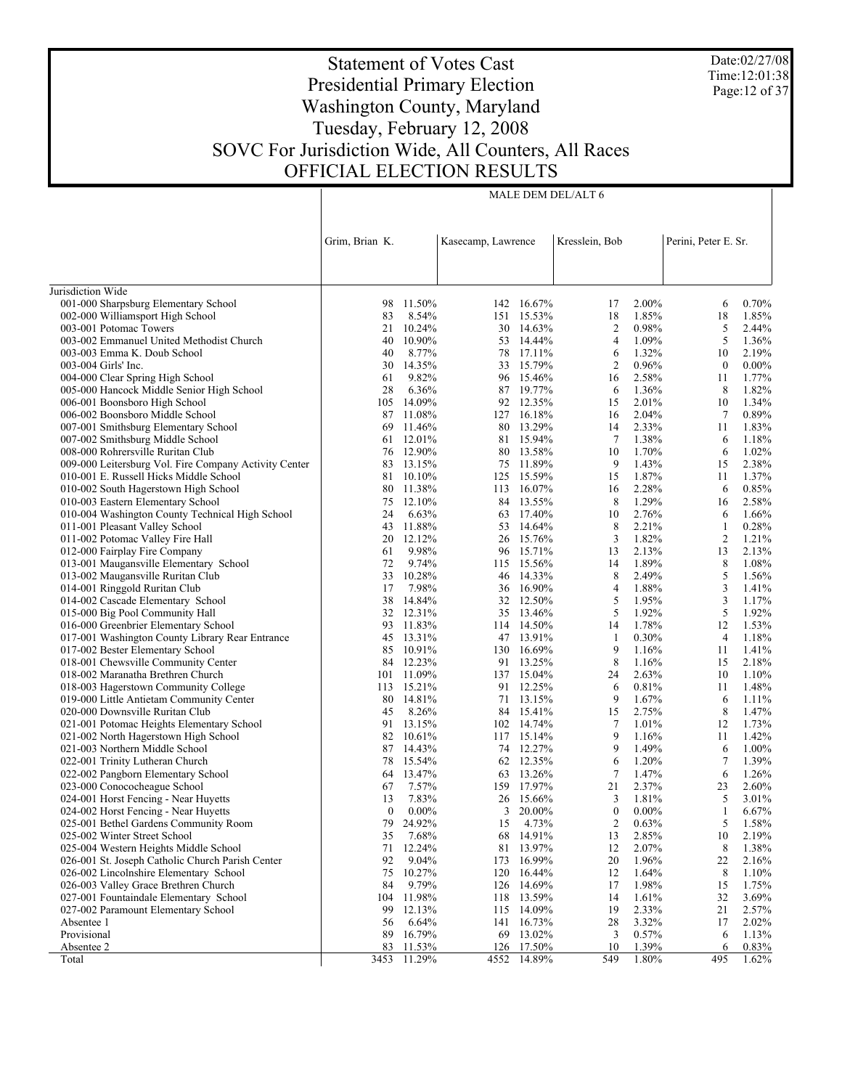Date:02/27/08 Time:12:01:38 Page:12 of 37

# Statement of Votes Cast Presidential Primary Election Washington County, Maryland Tuesday, February 12, 2008 SOVC For Jurisdiction Wide, All Counters, All Races OFFICIAL ELECTION RESULTS

|                                                                               | Grim, Brian K. |                  | Kasecamp, Lawrence |                          | Kresslein, Bob |                | Perini, Peter E. Sr. |                |
|-------------------------------------------------------------------------------|----------------|------------------|--------------------|--------------------------|----------------|----------------|----------------------|----------------|
|                                                                               |                |                  |                    |                          |                |                |                      |                |
|                                                                               |                |                  |                    |                          |                |                |                      |                |
| Jurisdiction Wide                                                             |                |                  |                    |                          |                |                |                      |                |
| 001-000 Sharpsburg Elementary School                                          | 98             | 11.50%           |                    | 142 16.67%               | 17             | 2.00%          | 6                    | 0.70%          |
| 002-000 Williamsport High School                                              | 83             | 8.54%            |                    | 151 15.53%               | 18             | 1.85%          | 18                   | 1.85%          |
| 003-001 Potomac Towers                                                        | 21             | 10.24%           |                    | 30 14.63%                | $\overline{c}$ | 0.98%          | 5                    | 2.44%          |
| 003-002 Emmanuel United Methodist Church                                      | 40             | 10.90%           |                    | 53 14.44%                | $\overline{4}$ | 1.09%          | 5                    | 1.36%          |
| 003-003 Emma K. Doub School                                                   | 40             | 8.77%            |                    | 78 17.11%                | 6              | 1.32%          | 10                   | 2.19%          |
| 003-004 Girls' Inc.                                                           | 30             | 14.35%           |                    | 33 15.79%                | $\overline{2}$ | 0.96%          | $\boldsymbol{0}$     | $0.00\%$       |
| 004-000 Clear Spring High School                                              | 61             | 9.82%            |                    | 96 15.46%                | 16             | 2.58%          | 11                   | 1.77%          |
| 005-000 Hancock Middle Senior High School                                     | 28             | 6.36%            |                    | 87 19.77%                | 6              | 1.36%          | 8                    | 1.82%          |
| 006-001 Boonsboro High School                                                 | 105            | 14.09%           |                    | 92 12.35%                | 15             | 2.01%          | 10                   | 1.34%          |
| 006-002 Boonsboro Middle School                                               |                | 87 11.08%        |                    | 127 16.18%               | 16             | 2.04%          | 7                    | 0.89%          |
| 007-001 Smithsburg Elementary School                                          | 69             | 11.46%           |                    | 80 13.29%                | 14             | 2.33%          | 11                   | 1.83%          |
| 007-002 Smithsburg Middle School                                              |                | 61 12.01%        |                    | 81 15.94%                | 7              | 1.38%          | 6                    | 1.18%          |
| 008-000 Rohrersville Ruritan Club                                             | 76             | 12.90%           |                    | 80 13.58%                | 10             | 1.70%          | 6                    | 1.02%          |
| 009-000 Leitersburg Vol. Fire Company Activity Center                         | 83             | 13.15%           |                    | 75 11.89%                | 9              | 1.43%          | 15                   | 2.38%          |
| 010-001 E. Russell Hicks Middle School                                        | 81             | 10.10%           |                    | 125 15.59%               | 15             | 1.87%          | 11                   | 1.37%          |
| 010-002 South Hagerstown High School                                          |                | 80 11.38%        |                    | 113 16.07%               | 16             | 2.28%          | 6                    | 0.85%          |
| 010-003 Eastern Elementary School                                             | 75             | 12.10%           |                    | 84 13.55%                | 8              | 1.29%          | 16                   | 2.58%          |
| 010-004 Washington County Technical High School                               | 24             | 6.63%            |                    | 63 17.40%                | 10             | 2.76%          | 6                    | 1.66%          |
| 011-001 Pleasant Valley School                                                | 43             | 11.88%           |                    | 53 14.64%                | 8              | 2.21%          | $\mathbf{1}$         | 0.28%          |
| 011-002 Potomac Valley Fire Hall                                              |                | 20 12.12%        |                    | 26 15.76%                | 3              | 1.82%          | $\overline{c}$       | 1.21%          |
| 012-000 Fairplay Fire Company                                                 | 61             | 9.98%            |                    | 96 15.71%                | 13             | 2.13%          | 13                   | 2.13%          |
| 013-001 Maugansville Elementary School                                        | 72<br>33       | 9.74%<br>10.28%  |                    | 115 15.56%<br>46 14.33%  | 14<br>8        | 1.89%<br>2.49% | 8                    | 1.08%<br>1.56% |
| 013-002 Maugansville Ruritan Club<br>014-001 Ringgold Ruritan Club            | 17             | 7.98%            |                    | 36 16.90%                | 4              | 1.88%          | 5<br>3               | 1.41%          |
| 014-002 Cascade Elementary School                                             | 38             | 14.84%           |                    | 32 12.50%                | 5              | 1.95%          | 3                    | 1.17%          |
| 015-000 Big Pool Community Hall                                               |                | 32 12.31%        |                    | 35 13.46%                | 5              | 1.92%          | 5                    | 1.92%          |
| 016-000 Greenbrier Elementary School                                          | 93             | 11.83%           |                    | 114 14.50%               | 14             | 1.78%          | 12                   | 1.53%          |
| 017-001 Washington County Library Rear Entrance                               |                | 45 13.31%        |                    | 47 13.91%                | -1             | 0.30%          | 4                    | 1.18%          |
| 017-002 Bester Elementary School                                              | 85             | 10.91%           |                    | 130 16.69%               | 9              | 1.16%          | 11                   | 1.41%          |
| 018-001 Chewsville Community Center                                           |                | 84 12.23%        |                    | 91 13.25%                | 8              | 1.16%          | 15                   | 2.18%          |
| 018-002 Maranatha Brethren Church                                             |                | 101 11.09%       |                    | 137 15.04%               | 24             | 2.63%          | 10                   | 1.10%          |
| 018-003 Hagerstown Community College                                          |                | 113 15.21%       |                    | 91 12.25%                | 6              | 0.81%          | 11                   | 1.48%          |
| 019-000 Little Antietam Community Center                                      | 80             | 14.81%           |                    | 71 13.15%                | 9              | 1.67%          | 6                    | 1.11%          |
| 020-000 Downsville Ruritan Club                                               | 45             | 8.26%            |                    | 84 15.41%                | 15             | 2.75%          | 8                    | 1.47%          |
| 021-001 Potomac Heights Elementary School                                     | 91             | 13.15%           |                    | 102 14.74%               | 7              | 1.01%          | 12                   | 1.73%          |
| 021-002 North Hagerstown High School                                          |                | 82 10.61%        |                    | 117 15.14%               | 9              | 1.16%          | 11                   | 1.42%          |
| 021-003 Northern Middle School                                                | 87             | 14.43%           |                    | 74 12.27%                | 9              | 1.49%          | 6                    | 1.00%          |
| 022-001 Trinity Lutheran Church                                               |                | 78 15.54%        |                    | 62 12.35%                | 6              | 1.20%          | $\tau$               | 1.39%          |
| 022-002 Pangborn Elementary School                                            | 64             | 13.47%           |                    | 63 13.26%                | $\tau$         | 1.47%          | 6                    | 1.26%          |
| 023-000 Conococheague School                                                  | 67             | 7.57%            |                    | 159 17.97%               | 21             | 2.37%          | 23                   | 2.60%          |
| 024-001 Horst Fencing - Near Huyetts                                          | 13             | 7.83%            |                    | 26 15.66%                | 3              | 1.81%          | 5                    | 3.01%          |
| 024-002 Horst Fencing - Near Huyetts                                          | $\mathbf{0}$   | $0.00\%$         |                    | $3\quad 20.00\%$         | $\mathbf{0}$   | $0.00\%$       | $\mathbf{1}$         | 6.67%          |
| 025-001 Bethel Gardens Community Room                                         |                | 79 24.92%        |                    | 15 4.73%                 | $\overline{c}$ | 0.63%          | 5 <sup>5</sup>       | 1.58%          |
| 025-002 Winter Street School                                                  | 35             | 7.68%            |                    | 68 14.91%                | 13             | 2.85%          | 10                   | 2.19%          |
| 025-004 Western Heights Middle School                                         | 71             | 12.24%           |                    | 81 13.97%                | 12             | 2.07%          | 8                    | 1.38%          |
| 026-001 St. Joseph Catholic Church Parish Center                              | 92             | 9.04%            |                    | 173 16.99%               | 20             | 1.96%          | 22                   | 2.16%          |
| 026-002 Lincolnshire Elementary School                                        | 75             | 10.27%           | 120                | 16.44%                   | 12             | 1.64%          | 8                    | 1.10%          |
| 026-003 Valley Grace Brethren Church                                          | 84             | 9.79%            |                    | 126 14.69%               | 17             | 1.98%          | 15                   | 1.75%          |
| 027-001 Fountaindale Elementary School<br>027-002 Paramount Elementary School | 104            | 11.98%<br>12.13% |                    | 118 13.59%<br>115 14.09% | 14<br>19       | 1.61%<br>2.33% | 32<br>21             | 3.69%<br>2.57% |
| Absentee 1                                                                    | 99<br>56       | 6.64%            | 141                | 16.73%                   | 28             | 3.32%          | 17                   | 2.02%          |
| Provisional                                                                   | 89             | 16.79%           |                    | 69 13.02%                | 3              | 0.57%          | 6                    | 1.13%          |
| Absentee 2                                                                    | 83             | 11.53%           |                    | 126 17.50%               | 10             | 1.39%          | 6                    | 0.83%          |
| Total                                                                         | 3453           | 11.29%           | 4552               | 14.89%                   | 549            | 1.80%          | 495                  | 1.62%          |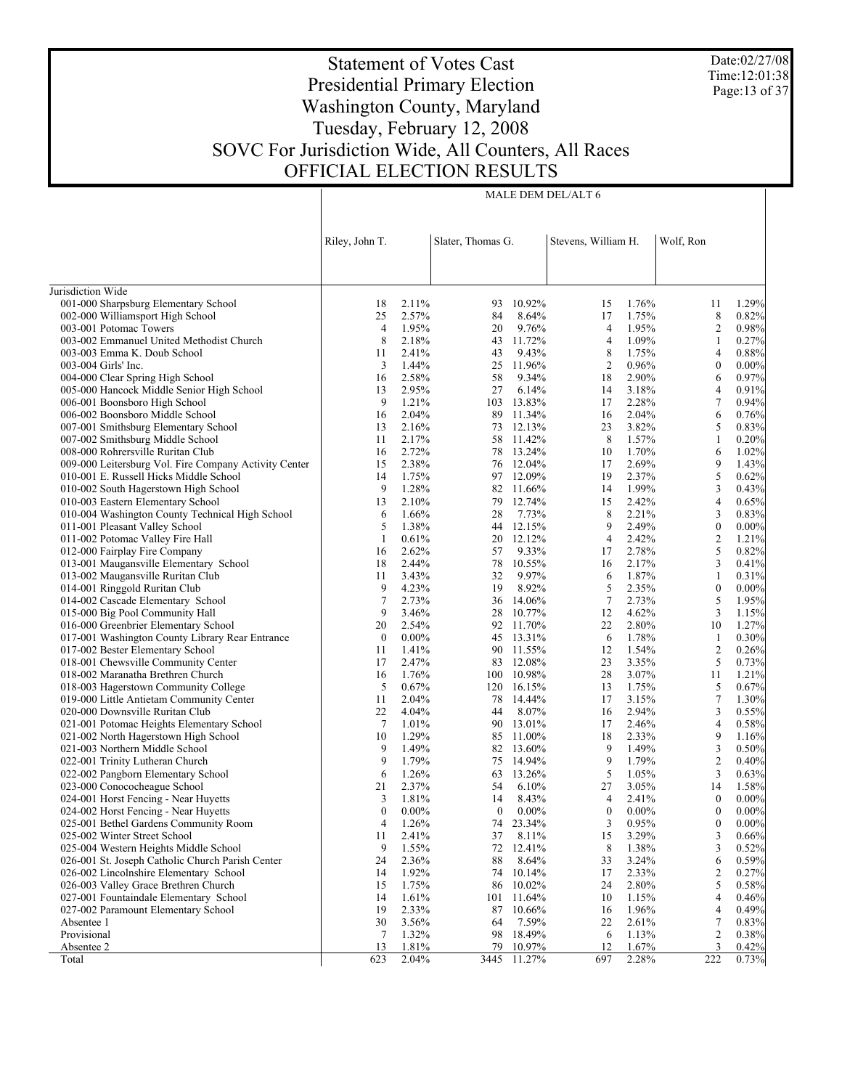Date:02/27/08 Time:12:01:38 Page:13 of 37

# Statement of Votes Cast Presidential Primary Election Washington County, Maryland Tuesday, February 12, 2008 SOVC For Jurisdiction Wide, All Counters, All Races OFFICIAL ELECTION RESULTS

Τ

| Slater, Thomas G.<br>Wolf, Ron<br>Riley, John T.<br>Stevens, William H.<br>Jurisdiction Wide<br>001-000 Sharpsburg Elementary School<br>1.76%<br>18<br>2.11%<br>10.92%<br>1.29%<br>93<br>15<br>11<br>002-000 Williamsport High School<br>25<br>84<br>17<br>1.75%<br>8<br>0.82%<br>2.57%<br>8.64%<br>1.95%<br>9.76%<br>$\overline{4}$<br>1.95%<br>$\overline{c}$<br>0.98%<br>003-001 Potomac Towers<br>4<br>20<br>8<br>2.18%<br>43 11.72%<br>4<br>1.09%<br>0.27%<br>003-002 Emmanuel United Methodist Church<br>1<br>2.41%<br>9.43%<br>8<br>1.75%<br>003-003 Emma K. Doub School<br>43<br>4<br>0.88%<br>11<br>$\overline{c}$<br>3<br>1.44%<br>25 11.96%<br>0.96%<br>$\boldsymbol{0}$<br>003-004 Girls' Inc.<br>0.00%<br>2.58%<br>58<br>9.34%<br>18<br>2.90%<br>0.97%<br>004-000 Clear Spring High School<br>16<br>6<br>005-000 Hancock Middle Senior High School<br>2.95%<br>27<br>6.14%<br>3.18%<br>0.91%<br>13<br>14<br>4<br>9<br>1.21%<br>103 13.83%<br>17<br>2.28%<br>$\tau$<br>0.94%<br>006-001 Boonsboro High School<br>2.04%<br>11.34%<br>2.04%<br>6<br>0.76%<br>006-002 Boonsboro Middle School<br>16<br>89<br>16<br>3.82%<br>5<br>2.16%<br>73 12.13%<br>23<br>0.83%<br>007-001 Smithsburg Elementary School<br>13<br>8<br>2.17%<br>58 11.42%<br>1.57%<br>007-002 Smithsburg Middle School<br>11<br>1<br>0.20%<br>2.72%<br>78 13.24%<br>10<br>1.70%<br>6<br>1.02%<br>008-000 Rohrersville Ruritan Club<br>16<br>9<br>2.38%<br>76 12.04%<br>17<br>2.69%<br>1.43%<br>009-000 Leitersburg Vol. Fire Company Activity Center<br>15<br>$\sqrt{5}$<br>97 12.09%<br>1.75%<br>19<br>2.37%<br>0.62%<br>010-001 E. Russell Hicks Middle School<br>14<br>9<br>1.28%<br>82 11.66%<br>1.99%<br>3<br>0.43%<br>010-002 South Hagerstown High School<br>14<br>2.42%<br>2.10%<br>79 12.74%<br>$\overline{4}$<br>010-003 Eastern Elementary School<br>13<br>15<br>0.65%<br>8<br>3<br>1.66%<br>28<br>7.73%<br>2.21%<br>0.83%<br>010-004 Washington County Technical High School<br>6<br>9<br>5<br>1.38%<br>44 12.15%<br>2.49%<br>$\boldsymbol{0}$<br>0.00%<br>011-001 Pleasant Valley School<br>2.42%<br>$\overline{c}$<br>0.61%<br>20 12.12%<br>$\overline{4}$<br>1.21%<br>011-002 Potomac Valley Fire Hall<br>1<br>$\sqrt{5}$<br>2.78%<br>2.62%<br>9.33%<br>0.82%<br>012-000 Fairplay Fire Company<br>16<br>57<br>17<br>2.44%<br>78<br>2.17%<br>3<br>0.41%<br>013-001 Maugansville Elementary School<br>18<br>10.55%<br>16<br>013-002 Maugansville Ruritan Club<br>3.43%<br>9.97%<br>1.87%<br>32<br>6<br>1<br>0.31%<br>11<br>5<br>9<br>4.23%<br>19<br>8.92%<br>2.35%<br>$\boldsymbol{0}$<br>014-001 Ringgold Ruritan Club<br>$0.00\%$<br>$\overline{7}$<br>$\tau$<br>5<br>014-002 Cascade Elementary School<br>2.73%<br>36 14.06%<br>2.73%<br>1.95%<br>9<br>3<br>015-000 Big Pool Community Hall<br>3.46%<br>10.77%<br>12<br>4.62%<br>1.15%<br>28<br>2.80%<br>016-000 Greenbrier Elementary School<br>2.54%<br>92 11.70%<br>22<br>10<br>1.27%<br>20<br>017-001 Washington County Library Rear Entrance<br>$\boldsymbol{0}$<br>$0.00\%$<br>45 13.31%<br>1.78%<br>6<br>$\mathbf{1}$<br>0.30%<br>$\overline{c}$<br>017-002 Bester Elementary School<br>1.41%<br>90 11.55%<br>12<br>1.54%<br>11<br>0.26%<br>5<br>2.47%<br>12.08%<br>23<br>3.35%<br>0.73%<br>018-001 Chewsville Community Center<br>17<br>83<br>3.07%<br>018-002 Maranatha Brethren Church<br>1.76%<br>100 10.98%<br>28<br>16<br>11<br>1.21%<br>5<br>0.67%<br>120 16.15%<br>1.75%<br>5<br>0.67%<br>018-003 Hagerstown Community College<br>13<br>$\tau$<br>2.04%<br>78 14.44%<br>17<br>3.15%<br>019-000 Little Antietam Community Center<br>11<br>1.30%<br>3<br>22<br>4.04%<br>8.07%<br>2.94%<br>020-000 Downsville Ruritan Club<br>44<br>16<br>0.55%<br>$\tau$<br>1.01%<br>90 13.01%<br>2.46%<br>$\overline{4}$<br>021-001 Potomac Heights Elementary School<br>17<br>0.58%<br>9<br>1.29%<br>85 11.00%<br>18<br>2.33%<br>021-002 North Hagerstown High School<br>10<br>1.16%<br>$\mathfrak z$<br>9<br>1.49%<br>82 13.60%<br>9<br>1.49%<br>021-003 Northern Middle School<br>0.50%<br>9<br>$\overline{c}$<br>9<br>1.79%<br>14.94%<br>1.79%<br>0.40%<br>022-001 Trinity Lutheran Church<br>75<br>5<br>3<br>6<br>1.26%<br>63 13.26%<br>1.05%<br>022-002 Pangborn Elementary School<br>0.63%<br>2.37%<br>27<br>3.05%<br>023-000 Conococheague School<br>21<br>54<br>6.10%<br>14<br>1.58%<br>1.81%<br>$\overline{4}$<br>2.41%<br>$\boldsymbol{0}$<br>$0.00\%$<br>024-001 Horst Fencing - Near Huyetts<br>3<br>14<br>8.43%<br>$\boldsymbol{0}$<br>$\boldsymbol{0}$<br>$0.00\%$<br>024-002 Horst Fencing - Near Huyetts<br>0<br>$0.00\%$<br>$\overline{0}$<br>$0.00\%$<br>$0.00\%$<br>025-001 Bethel Gardens Community Room<br>4<br>1.26%<br>74<br>23.34%<br>3<br>0.95%<br>$\boldsymbol{0}$<br>$0.00\%$<br>15<br>37<br>3<br>025-002 Winter Street School<br>11<br>2.41%<br>8.11%<br>3.29%<br>0.66%<br>8<br>9<br>3<br>0.52%<br>025-004 Western Heights Middle School<br>1.55%<br>72<br>12.41%<br>1.38%<br>0.59%<br>026-001 St. Joseph Catholic Church Parish Center<br>24<br>2.36%<br>88<br>8.64%<br>33<br>3.24%<br>6<br>1.92%<br>2.33%<br>026-002 Lincolnshire Elementary School<br>14<br>74 10.14%<br>17<br>2<br>0.27%<br>5<br>026-003 Valley Grace Brethren Church<br>15<br>1.75%<br>86<br>10.02%<br>24<br>2.80%<br>0.58%<br>027-001 Fountaindale Elementary School<br>14<br>1.61%<br>11.64%<br>10<br>1.15%<br>4<br>0.46%<br>101<br>19<br>0.49%<br>027-002 Paramount Elementary School<br>2.33%<br>87<br>10.66%<br>1.96%<br>4<br>16<br>30<br>2.61%<br>Absentee 1<br>3.56%<br>64<br>7.59%<br>22<br>7<br>0.83%<br>Provisional<br>1.32%<br>$\overline{c}$<br>0.38%<br>7<br>98<br>18.49%<br>6<br>1.13%<br>12<br>1.67%<br>Absentee 2<br>13<br>1.81%<br>79<br>10.97%<br>3<br>0.42%<br>2.28%<br>222<br>623<br>2.04%<br>3445<br>11.27%<br>697<br>0.73%<br>Total |  |  |  |  |  |
|------------------------------------------------------------------------------------------------------------------------------------------------------------------------------------------------------------------------------------------------------------------------------------------------------------------------------------------------------------------------------------------------------------------------------------------------------------------------------------------------------------------------------------------------------------------------------------------------------------------------------------------------------------------------------------------------------------------------------------------------------------------------------------------------------------------------------------------------------------------------------------------------------------------------------------------------------------------------------------------------------------------------------------------------------------------------------------------------------------------------------------------------------------------------------------------------------------------------------------------------------------------------------------------------------------------------------------------------------------------------------------------------------------------------------------------------------------------------------------------------------------------------------------------------------------------------------------------------------------------------------------------------------------------------------------------------------------------------------------------------------------------------------------------------------------------------------------------------------------------------------------------------------------------------------------------------------------------------------------------------------------------------------------------------------------------------------------------------------------------------------------------------------------------------------------------------------------------------------------------------------------------------------------------------------------------------------------------------------------------------------------------------------------------------------------------------------------------------------------------------------------------------------------------------------------------------------------------------------------------------------------------------------------------------------------------------------------------------------------------------------------------------------------------------------------------------------------------------------------------------------------------------------------------------------------------------------------------------------------------------------------------------------------------------------------------------------------------------------------------------------------------------------------------------------------------------------------------------------------------------------------------------------------------------------------------------------------------------------------------------------------------------------------------------------------------------------------------------------------------------------------------------------------------------------------------------------------------------------------------------------------------------------------------------------------------------------------------------------------------------------------------------------------------------------------------------------------------------------------------------------------------------------------------------------------------------------------------------------------------------------------------------------------------------------------------------------------------------------------------------------------------------------------------------------------------------------------------------------------------------------------------------------------------------------------------------------------------------------------------------------------------------------------------------------------------------------------------------------------------------------------------------------------------------------------------------------------------------------------------------------------------------------------------------------------------------------------------------------------------------------------------------------------------------------------------------------------------------------------------------------------------------------------------------------------------------------------------------------------------------------------------------------------------------------------------------------------------------------------------------------------------------------------------------------------------------------------------------------------------------------------------------------------------------------------------------------------------------------------------------------------------------------------------------------------------------------------------------------------------------------------------------------------------------------------------------------------------------------------------------------------------------------------------------------------------------------------------------------------------------------------------------------------------------------|--|--|--|--|--|
|                                                                                                                                                                                                                                                                                                                                                                                                                                                                                                                                                                                                                                                                                                                                                                                                                                                                                                                                                                                                                                                                                                                                                                                                                                                                                                                                                                                                                                                                                                                                                                                                                                                                                                                                                                                                                                                                                                                                                                                                                                                                                                                                                                                                                                                                                                                                                                                                                                                                                                                                                                                                                                                                                                                                                                                                                                                                                                                                                                                                                                                                                                                                                                                                                                                                                                                                                                                                                                                                                                                                                                                                                                                                                                                                                                                                                                                                                                                                                                                                                                                                                                                                                                                                                                                                                                                                                                                                                                                                                                                                                                                                                                                                                                                                                                                                                                                                                                                                                                                                                                                                                                                                                                                                                                                                                                                                                                                                                                                                                                                                                                                                                                                                                                                                                                                                      |  |  |  |  |  |
|                                                                                                                                                                                                                                                                                                                                                                                                                                                                                                                                                                                                                                                                                                                                                                                                                                                                                                                                                                                                                                                                                                                                                                                                                                                                                                                                                                                                                                                                                                                                                                                                                                                                                                                                                                                                                                                                                                                                                                                                                                                                                                                                                                                                                                                                                                                                                                                                                                                                                                                                                                                                                                                                                                                                                                                                                                                                                                                                                                                                                                                                                                                                                                                                                                                                                                                                                                                                                                                                                                                                                                                                                                                                                                                                                                                                                                                                                                                                                                                                                                                                                                                                                                                                                                                                                                                                                                                                                                                                                                                                                                                                                                                                                                                                                                                                                                                                                                                                                                                                                                                                                                                                                                                                                                                                                                                                                                                                                                                                                                                                                                                                                                                                                                                                                                                                      |  |  |  |  |  |
|                                                                                                                                                                                                                                                                                                                                                                                                                                                                                                                                                                                                                                                                                                                                                                                                                                                                                                                                                                                                                                                                                                                                                                                                                                                                                                                                                                                                                                                                                                                                                                                                                                                                                                                                                                                                                                                                                                                                                                                                                                                                                                                                                                                                                                                                                                                                                                                                                                                                                                                                                                                                                                                                                                                                                                                                                                                                                                                                                                                                                                                                                                                                                                                                                                                                                                                                                                                                                                                                                                                                                                                                                                                                                                                                                                                                                                                                                                                                                                                                                                                                                                                                                                                                                                                                                                                                                                                                                                                                                                                                                                                                                                                                                                                                                                                                                                                                                                                                                                                                                                                                                                                                                                                                                                                                                                                                                                                                                                                                                                                                                                                                                                                                                                                                                                                                      |  |  |  |  |  |
|                                                                                                                                                                                                                                                                                                                                                                                                                                                                                                                                                                                                                                                                                                                                                                                                                                                                                                                                                                                                                                                                                                                                                                                                                                                                                                                                                                                                                                                                                                                                                                                                                                                                                                                                                                                                                                                                                                                                                                                                                                                                                                                                                                                                                                                                                                                                                                                                                                                                                                                                                                                                                                                                                                                                                                                                                                                                                                                                                                                                                                                                                                                                                                                                                                                                                                                                                                                                                                                                                                                                                                                                                                                                                                                                                                                                                                                                                                                                                                                                                                                                                                                                                                                                                                                                                                                                                                                                                                                                                                                                                                                                                                                                                                                                                                                                                                                                                                                                                                                                                                                                                                                                                                                                                                                                                                                                                                                                                                                                                                                                                                                                                                                                                                                                                                                                      |  |  |  |  |  |
|                                                                                                                                                                                                                                                                                                                                                                                                                                                                                                                                                                                                                                                                                                                                                                                                                                                                                                                                                                                                                                                                                                                                                                                                                                                                                                                                                                                                                                                                                                                                                                                                                                                                                                                                                                                                                                                                                                                                                                                                                                                                                                                                                                                                                                                                                                                                                                                                                                                                                                                                                                                                                                                                                                                                                                                                                                                                                                                                                                                                                                                                                                                                                                                                                                                                                                                                                                                                                                                                                                                                                                                                                                                                                                                                                                                                                                                                                                                                                                                                                                                                                                                                                                                                                                                                                                                                                                                                                                                                                                                                                                                                                                                                                                                                                                                                                                                                                                                                                                                                                                                                                                                                                                                                                                                                                                                                                                                                                                                                                                                                                                                                                                                                                                                                                                                                      |  |  |  |  |  |
|                                                                                                                                                                                                                                                                                                                                                                                                                                                                                                                                                                                                                                                                                                                                                                                                                                                                                                                                                                                                                                                                                                                                                                                                                                                                                                                                                                                                                                                                                                                                                                                                                                                                                                                                                                                                                                                                                                                                                                                                                                                                                                                                                                                                                                                                                                                                                                                                                                                                                                                                                                                                                                                                                                                                                                                                                                                                                                                                                                                                                                                                                                                                                                                                                                                                                                                                                                                                                                                                                                                                                                                                                                                                                                                                                                                                                                                                                                                                                                                                                                                                                                                                                                                                                                                                                                                                                                                                                                                                                                                                                                                                                                                                                                                                                                                                                                                                                                                                                                                                                                                                                                                                                                                                                                                                                                                                                                                                                                                                                                                                                                                                                                                                                                                                                                                                      |  |  |  |  |  |
|                                                                                                                                                                                                                                                                                                                                                                                                                                                                                                                                                                                                                                                                                                                                                                                                                                                                                                                                                                                                                                                                                                                                                                                                                                                                                                                                                                                                                                                                                                                                                                                                                                                                                                                                                                                                                                                                                                                                                                                                                                                                                                                                                                                                                                                                                                                                                                                                                                                                                                                                                                                                                                                                                                                                                                                                                                                                                                                                                                                                                                                                                                                                                                                                                                                                                                                                                                                                                                                                                                                                                                                                                                                                                                                                                                                                                                                                                                                                                                                                                                                                                                                                                                                                                                                                                                                                                                                                                                                                                                                                                                                                                                                                                                                                                                                                                                                                                                                                                                                                                                                                                                                                                                                                                                                                                                                                                                                                                                                                                                                                                                                                                                                                                                                                                                                                      |  |  |  |  |  |
|                                                                                                                                                                                                                                                                                                                                                                                                                                                                                                                                                                                                                                                                                                                                                                                                                                                                                                                                                                                                                                                                                                                                                                                                                                                                                                                                                                                                                                                                                                                                                                                                                                                                                                                                                                                                                                                                                                                                                                                                                                                                                                                                                                                                                                                                                                                                                                                                                                                                                                                                                                                                                                                                                                                                                                                                                                                                                                                                                                                                                                                                                                                                                                                                                                                                                                                                                                                                                                                                                                                                                                                                                                                                                                                                                                                                                                                                                                                                                                                                                                                                                                                                                                                                                                                                                                                                                                                                                                                                                                                                                                                                                                                                                                                                                                                                                                                                                                                                                                                                                                                                                                                                                                                                                                                                                                                                                                                                                                                                                                                                                                                                                                                                                                                                                                                                      |  |  |  |  |  |
|                                                                                                                                                                                                                                                                                                                                                                                                                                                                                                                                                                                                                                                                                                                                                                                                                                                                                                                                                                                                                                                                                                                                                                                                                                                                                                                                                                                                                                                                                                                                                                                                                                                                                                                                                                                                                                                                                                                                                                                                                                                                                                                                                                                                                                                                                                                                                                                                                                                                                                                                                                                                                                                                                                                                                                                                                                                                                                                                                                                                                                                                                                                                                                                                                                                                                                                                                                                                                                                                                                                                                                                                                                                                                                                                                                                                                                                                                                                                                                                                                                                                                                                                                                                                                                                                                                                                                                                                                                                                                                                                                                                                                                                                                                                                                                                                                                                                                                                                                                                                                                                                                                                                                                                                                                                                                                                                                                                                                                                                                                                                                                                                                                                                                                                                                                                                      |  |  |  |  |  |
|                                                                                                                                                                                                                                                                                                                                                                                                                                                                                                                                                                                                                                                                                                                                                                                                                                                                                                                                                                                                                                                                                                                                                                                                                                                                                                                                                                                                                                                                                                                                                                                                                                                                                                                                                                                                                                                                                                                                                                                                                                                                                                                                                                                                                                                                                                                                                                                                                                                                                                                                                                                                                                                                                                                                                                                                                                                                                                                                                                                                                                                                                                                                                                                                                                                                                                                                                                                                                                                                                                                                                                                                                                                                                                                                                                                                                                                                                                                                                                                                                                                                                                                                                                                                                                                                                                                                                                                                                                                                                                                                                                                                                                                                                                                                                                                                                                                                                                                                                                                                                                                                                                                                                                                                                                                                                                                                                                                                                                                                                                                                                                                                                                                                                                                                                                                                      |  |  |  |  |  |
|                                                                                                                                                                                                                                                                                                                                                                                                                                                                                                                                                                                                                                                                                                                                                                                                                                                                                                                                                                                                                                                                                                                                                                                                                                                                                                                                                                                                                                                                                                                                                                                                                                                                                                                                                                                                                                                                                                                                                                                                                                                                                                                                                                                                                                                                                                                                                                                                                                                                                                                                                                                                                                                                                                                                                                                                                                                                                                                                                                                                                                                                                                                                                                                                                                                                                                                                                                                                                                                                                                                                                                                                                                                                                                                                                                                                                                                                                                                                                                                                                                                                                                                                                                                                                                                                                                                                                                                                                                                                                                                                                                                                                                                                                                                                                                                                                                                                                                                                                                                                                                                                                                                                                                                                                                                                                                                                                                                                                                                                                                                                                                                                                                                                                                                                                                                                      |  |  |  |  |  |
|                                                                                                                                                                                                                                                                                                                                                                                                                                                                                                                                                                                                                                                                                                                                                                                                                                                                                                                                                                                                                                                                                                                                                                                                                                                                                                                                                                                                                                                                                                                                                                                                                                                                                                                                                                                                                                                                                                                                                                                                                                                                                                                                                                                                                                                                                                                                                                                                                                                                                                                                                                                                                                                                                                                                                                                                                                                                                                                                                                                                                                                                                                                                                                                                                                                                                                                                                                                                                                                                                                                                                                                                                                                                                                                                                                                                                                                                                                                                                                                                                                                                                                                                                                                                                                                                                                                                                                                                                                                                                                                                                                                                                                                                                                                                                                                                                                                                                                                                                                                                                                                                                                                                                                                                                                                                                                                                                                                                                                                                                                                                                                                                                                                                                                                                                                                                      |  |  |  |  |  |
|                                                                                                                                                                                                                                                                                                                                                                                                                                                                                                                                                                                                                                                                                                                                                                                                                                                                                                                                                                                                                                                                                                                                                                                                                                                                                                                                                                                                                                                                                                                                                                                                                                                                                                                                                                                                                                                                                                                                                                                                                                                                                                                                                                                                                                                                                                                                                                                                                                                                                                                                                                                                                                                                                                                                                                                                                                                                                                                                                                                                                                                                                                                                                                                                                                                                                                                                                                                                                                                                                                                                                                                                                                                                                                                                                                                                                                                                                                                                                                                                                                                                                                                                                                                                                                                                                                                                                                                                                                                                                                                                                                                                                                                                                                                                                                                                                                                                                                                                                                                                                                                                                                                                                                                                                                                                                                                                                                                                                                                                                                                                                                                                                                                                                                                                                                                                      |  |  |  |  |  |
|                                                                                                                                                                                                                                                                                                                                                                                                                                                                                                                                                                                                                                                                                                                                                                                                                                                                                                                                                                                                                                                                                                                                                                                                                                                                                                                                                                                                                                                                                                                                                                                                                                                                                                                                                                                                                                                                                                                                                                                                                                                                                                                                                                                                                                                                                                                                                                                                                                                                                                                                                                                                                                                                                                                                                                                                                                                                                                                                                                                                                                                                                                                                                                                                                                                                                                                                                                                                                                                                                                                                                                                                                                                                                                                                                                                                                                                                                                                                                                                                                                                                                                                                                                                                                                                                                                                                                                                                                                                                                                                                                                                                                                                                                                                                                                                                                                                                                                                                                                                                                                                                                                                                                                                                                                                                                                                                                                                                                                                                                                                                                                                                                                                                                                                                                                                                      |  |  |  |  |  |
|                                                                                                                                                                                                                                                                                                                                                                                                                                                                                                                                                                                                                                                                                                                                                                                                                                                                                                                                                                                                                                                                                                                                                                                                                                                                                                                                                                                                                                                                                                                                                                                                                                                                                                                                                                                                                                                                                                                                                                                                                                                                                                                                                                                                                                                                                                                                                                                                                                                                                                                                                                                                                                                                                                                                                                                                                                                                                                                                                                                                                                                                                                                                                                                                                                                                                                                                                                                                                                                                                                                                                                                                                                                                                                                                                                                                                                                                                                                                                                                                                                                                                                                                                                                                                                                                                                                                                                                                                                                                                                                                                                                                                                                                                                                                                                                                                                                                                                                                                                                                                                                                                                                                                                                                                                                                                                                                                                                                                                                                                                                                                                                                                                                                                                                                                                                                      |  |  |  |  |  |
|                                                                                                                                                                                                                                                                                                                                                                                                                                                                                                                                                                                                                                                                                                                                                                                                                                                                                                                                                                                                                                                                                                                                                                                                                                                                                                                                                                                                                                                                                                                                                                                                                                                                                                                                                                                                                                                                                                                                                                                                                                                                                                                                                                                                                                                                                                                                                                                                                                                                                                                                                                                                                                                                                                                                                                                                                                                                                                                                                                                                                                                                                                                                                                                                                                                                                                                                                                                                                                                                                                                                                                                                                                                                                                                                                                                                                                                                                                                                                                                                                                                                                                                                                                                                                                                                                                                                                                                                                                                                                                                                                                                                                                                                                                                                                                                                                                                                                                                                                                                                                                                                                                                                                                                                                                                                                                                                                                                                                                                                                                                                                                                                                                                                                                                                                                                                      |  |  |  |  |  |
|                                                                                                                                                                                                                                                                                                                                                                                                                                                                                                                                                                                                                                                                                                                                                                                                                                                                                                                                                                                                                                                                                                                                                                                                                                                                                                                                                                                                                                                                                                                                                                                                                                                                                                                                                                                                                                                                                                                                                                                                                                                                                                                                                                                                                                                                                                                                                                                                                                                                                                                                                                                                                                                                                                                                                                                                                                                                                                                                                                                                                                                                                                                                                                                                                                                                                                                                                                                                                                                                                                                                                                                                                                                                                                                                                                                                                                                                                                                                                                                                                                                                                                                                                                                                                                                                                                                                                                                                                                                                                                                                                                                                                                                                                                                                                                                                                                                                                                                                                                                                                                                                                                                                                                                                                                                                                                                                                                                                                                                                                                                                                                                                                                                                                                                                                                                                      |  |  |  |  |  |
|                                                                                                                                                                                                                                                                                                                                                                                                                                                                                                                                                                                                                                                                                                                                                                                                                                                                                                                                                                                                                                                                                                                                                                                                                                                                                                                                                                                                                                                                                                                                                                                                                                                                                                                                                                                                                                                                                                                                                                                                                                                                                                                                                                                                                                                                                                                                                                                                                                                                                                                                                                                                                                                                                                                                                                                                                                                                                                                                                                                                                                                                                                                                                                                                                                                                                                                                                                                                                                                                                                                                                                                                                                                                                                                                                                                                                                                                                                                                                                                                                                                                                                                                                                                                                                                                                                                                                                                                                                                                                                                                                                                                                                                                                                                                                                                                                                                                                                                                                                                                                                                                                                                                                                                                                                                                                                                                                                                                                                                                                                                                                                                                                                                                                                                                                                                                      |  |  |  |  |  |
|                                                                                                                                                                                                                                                                                                                                                                                                                                                                                                                                                                                                                                                                                                                                                                                                                                                                                                                                                                                                                                                                                                                                                                                                                                                                                                                                                                                                                                                                                                                                                                                                                                                                                                                                                                                                                                                                                                                                                                                                                                                                                                                                                                                                                                                                                                                                                                                                                                                                                                                                                                                                                                                                                                                                                                                                                                                                                                                                                                                                                                                                                                                                                                                                                                                                                                                                                                                                                                                                                                                                                                                                                                                                                                                                                                                                                                                                                                                                                                                                                                                                                                                                                                                                                                                                                                                                                                                                                                                                                                                                                                                                                                                                                                                                                                                                                                                                                                                                                                                                                                                                                                                                                                                                                                                                                                                                                                                                                                                                                                                                                                                                                                                                                                                                                                                                      |  |  |  |  |  |
|                                                                                                                                                                                                                                                                                                                                                                                                                                                                                                                                                                                                                                                                                                                                                                                                                                                                                                                                                                                                                                                                                                                                                                                                                                                                                                                                                                                                                                                                                                                                                                                                                                                                                                                                                                                                                                                                                                                                                                                                                                                                                                                                                                                                                                                                                                                                                                                                                                                                                                                                                                                                                                                                                                                                                                                                                                                                                                                                                                                                                                                                                                                                                                                                                                                                                                                                                                                                                                                                                                                                                                                                                                                                                                                                                                                                                                                                                                                                                                                                                                                                                                                                                                                                                                                                                                                                                                                                                                                                                                                                                                                                                                                                                                                                                                                                                                                                                                                                                                                                                                                                                                                                                                                                                                                                                                                                                                                                                                                                                                                                                                                                                                                                                                                                                                                                      |  |  |  |  |  |
|                                                                                                                                                                                                                                                                                                                                                                                                                                                                                                                                                                                                                                                                                                                                                                                                                                                                                                                                                                                                                                                                                                                                                                                                                                                                                                                                                                                                                                                                                                                                                                                                                                                                                                                                                                                                                                                                                                                                                                                                                                                                                                                                                                                                                                                                                                                                                                                                                                                                                                                                                                                                                                                                                                                                                                                                                                                                                                                                                                                                                                                                                                                                                                                                                                                                                                                                                                                                                                                                                                                                                                                                                                                                                                                                                                                                                                                                                                                                                                                                                                                                                                                                                                                                                                                                                                                                                                                                                                                                                                                                                                                                                                                                                                                                                                                                                                                                                                                                                                                                                                                                                                                                                                                                                                                                                                                                                                                                                                                                                                                                                                                                                                                                                                                                                                                                      |  |  |  |  |  |
|                                                                                                                                                                                                                                                                                                                                                                                                                                                                                                                                                                                                                                                                                                                                                                                                                                                                                                                                                                                                                                                                                                                                                                                                                                                                                                                                                                                                                                                                                                                                                                                                                                                                                                                                                                                                                                                                                                                                                                                                                                                                                                                                                                                                                                                                                                                                                                                                                                                                                                                                                                                                                                                                                                                                                                                                                                                                                                                                                                                                                                                                                                                                                                                                                                                                                                                                                                                                                                                                                                                                                                                                                                                                                                                                                                                                                                                                                                                                                                                                                                                                                                                                                                                                                                                                                                                                                                                                                                                                                                                                                                                                                                                                                                                                                                                                                                                                                                                                                                                                                                                                                                                                                                                                                                                                                                                                                                                                                                                                                                                                                                                                                                                                                                                                                                                                      |  |  |  |  |  |
|                                                                                                                                                                                                                                                                                                                                                                                                                                                                                                                                                                                                                                                                                                                                                                                                                                                                                                                                                                                                                                                                                                                                                                                                                                                                                                                                                                                                                                                                                                                                                                                                                                                                                                                                                                                                                                                                                                                                                                                                                                                                                                                                                                                                                                                                                                                                                                                                                                                                                                                                                                                                                                                                                                                                                                                                                                                                                                                                                                                                                                                                                                                                                                                                                                                                                                                                                                                                                                                                                                                                                                                                                                                                                                                                                                                                                                                                                                                                                                                                                                                                                                                                                                                                                                                                                                                                                                                                                                                                                                                                                                                                                                                                                                                                                                                                                                                                                                                                                                                                                                                                                                                                                                                                                                                                                                                                                                                                                                                                                                                                                                                                                                                                                                                                                                                                      |  |  |  |  |  |
|                                                                                                                                                                                                                                                                                                                                                                                                                                                                                                                                                                                                                                                                                                                                                                                                                                                                                                                                                                                                                                                                                                                                                                                                                                                                                                                                                                                                                                                                                                                                                                                                                                                                                                                                                                                                                                                                                                                                                                                                                                                                                                                                                                                                                                                                                                                                                                                                                                                                                                                                                                                                                                                                                                                                                                                                                                                                                                                                                                                                                                                                                                                                                                                                                                                                                                                                                                                                                                                                                                                                                                                                                                                                                                                                                                                                                                                                                                                                                                                                                                                                                                                                                                                                                                                                                                                                                                                                                                                                                                                                                                                                                                                                                                                                                                                                                                                                                                                                                                                                                                                                                                                                                                                                                                                                                                                                                                                                                                                                                                                                                                                                                                                                                                                                                                                                      |  |  |  |  |  |
|                                                                                                                                                                                                                                                                                                                                                                                                                                                                                                                                                                                                                                                                                                                                                                                                                                                                                                                                                                                                                                                                                                                                                                                                                                                                                                                                                                                                                                                                                                                                                                                                                                                                                                                                                                                                                                                                                                                                                                                                                                                                                                                                                                                                                                                                                                                                                                                                                                                                                                                                                                                                                                                                                                                                                                                                                                                                                                                                                                                                                                                                                                                                                                                                                                                                                                                                                                                                                                                                                                                                                                                                                                                                                                                                                                                                                                                                                                                                                                                                                                                                                                                                                                                                                                                                                                                                                                                                                                                                                                                                                                                                                                                                                                                                                                                                                                                                                                                                                                                                                                                                                                                                                                                                                                                                                                                                                                                                                                                                                                                                                                                                                                                                                                                                                                                                      |  |  |  |  |  |
|                                                                                                                                                                                                                                                                                                                                                                                                                                                                                                                                                                                                                                                                                                                                                                                                                                                                                                                                                                                                                                                                                                                                                                                                                                                                                                                                                                                                                                                                                                                                                                                                                                                                                                                                                                                                                                                                                                                                                                                                                                                                                                                                                                                                                                                                                                                                                                                                                                                                                                                                                                                                                                                                                                                                                                                                                                                                                                                                                                                                                                                                                                                                                                                                                                                                                                                                                                                                                                                                                                                                                                                                                                                                                                                                                                                                                                                                                                                                                                                                                                                                                                                                                                                                                                                                                                                                                                                                                                                                                                                                                                                                                                                                                                                                                                                                                                                                                                                                                                                                                                                                                                                                                                                                                                                                                                                                                                                                                                                                                                                                                                                                                                                                                                                                                                                                      |  |  |  |  |  |
|                                                                                                                                                                                                                                                                                                                                                                                                                                                                                                                                                                                                                                                                                                                                                                                                                                                                                                                                                                                                                                                                                                                                                                                                                                                                                                                                                                                                                                                                                                                                                                                                                                                                                                                                                                                                                                                                                                                                                                                                                                                                                                                                                                                                                                                                                                                                                                                                                                                                                                                                                                                                                                                                                                                                                                                                                                                                                                                                                                                                                                                                                                                                                                                                                                                                                                                                                                                                                                                                                                                                                                                                                                                                                                                                                                                                                                                                                                                                                                                                                                                                                                                                                                                                                                                                                                                                                                                                                                                                                                                                                                                                                                                                                                                                                                                                                                                                                                                                                                                                                                                                                                                                                                                                                                                                                                                                                                                                                                                                                                                                                                                                                                                                                                                                                                                                      |  |  |  |  |  |
|                                                                                                                                                                                                                                                                                                                                                                                                                                                                                                                                                                                                                                                                                                                                                                                                                                                                                                                                                                                                                                                                                                                                                                                                                                                                                                                                                                                                                                                                                                                                                                                                                                                                                                                                                                                                                                                                                                                                                                                                                                                                                                                                                                                                                                                                                                                                                                                                                                                                                                                                                                                                                                                                                                                                                                                                                                                                                                                                                                                                                                                                                                                                                                                                                                                                                                                                                                                                                                                                                                                                                                                                                                                                                                                                                                                                                                                                                                                                                                                                                                                                                                                                                                                                                                                                                                                                                                                                                                                                                                                                                                                                                                                                                                                                                                                                                                                                                                                                                                                                                                                                                                                                                                                                                                                                                                                                                                                                                                                                                                                                                                                                                                                                                                                                                                                                      |  |  |  |  |  |
|                                                                                                                                                                                                                                                                                                                                                                                                                                                                                                                                                                                                                                                                                                                                                                                                                                                                                                                                                                                                                                                                                                                                                                                                                                                                                                                                                                                                                                                                                                                                                                                                                                                                                                                                                                                                                                                                                                                                                                                                                                                                                                                                                                                                                                                                                                                                                                                                                                                                                                                                                                                                                                                                                                                                                                                                                                                                                                                                                                                                                                                                                                                                                                                                                                                                                                                                                                                                                                                                                                                                                                                                                                                                                                                                                                                                                                                                                                                                                                                                                                                                                                                                                                                                                                                                                                                                                                                                                                                                                                                                                                                                                                                                                                                                                                                                                                                                                                                                                                                                                                                                                                                                                                                                                                                                                                                                                                                                                                                                                                                                                                                                                                                                                                                                                                                                      |  |  |  |  |  |
|                                                                                                                                                                                                                                                                                                                                                                                                                                                                                                                                                                                                                                                                                                                                                                                                                                                                                                                                                                                                                                                                                                                                                                                                                                                                                                                                                                                                                                                                                                                                                                                                                                                                                                                                                                                                                                                                                                                                                                                                                                                                                                                                                                                                                                                                                                                                                                                                                                                                                                                                                                                                                                                                                                                                                                                                                                                                                                                                                                                                                                                                                                                                                                                                                                                                                                                                                                                                                                                                                                                                                                                                                                                                                                                                                                                                                                                                                                                                                                                                                                                                                                                                                                                                                                                                                                                                                                                                                                                                                                                                                                                                                                                                                                                                                                                                                                                                                                                                                                                                                                                                                                                                                                                                                                                                                                                                                                                                                                                                                                                                                                                                                                                                                                                                                                                                      |  |  |  |  |  |
|                                                                                                                                                                                                                                                                                                                                                                                                                                                                                                                                                                                                                                                                                                                                                                                                                                                                                                                                                                                                                                                                                                                                                                                                                                                                                                                                                                                                                                                                                                                                                                                                                                                                                                                                                                                                                                                                                                                                                                                                                                                                                                                                                                                                                                                                                                                                                                                                                                                                                                                                                                                                                                                                                                                                                                                                                                                                                                                                                                                                                                                                                                                                                                                                                                                                                                                                                                                                                                                                                                                                                                                                                                                                                                                                                                                                                                                                                                                                                                                                                                                                                                                                                                                                                                                                                                                                                                                                                                                                                                                                                                                                                                                                                                                                                                                                                                                                                                                                                                                                                                                                                                                                                                                                                                                                                                                                                                                                                                                                                                                                                                                                                                                                                                                                                                                                      |  |  |  |  |  |
|                                                                                                                                                                                                                                                                                                                                                                                                                                                                                                                                                                                                                                                                                                                                                                                                                                                                                                                                                                                                                                                                                                                                                                                                                                                                                                                                                                                                                                                                                                                                                                                                                                                                                                                                                                                                                                                                                                                                                                                                                                                                                                                                                                                                                                                                                                                                                                                                                                                                                                                                                                                                                                                                                                                                                                                                                                                                                                                                                                                                                                                                                                                                                                                                                                                                                                                                                                                                                                                                                                                                                                                                                                                                                                                                                                                                                                                                                                                                                                                                                                                                                                                                                                                                                                                                                                                                                                                                                                                                                                                                                                                                                                                                                                                                                                                                                                                                                                                                                                                                                                                                                                                                                                                                                                                                                                                                                                                                                                                                                                                                                                                                                                                                                                                                                                                                      |  |  |  |  |  |
|                                                                                                                                                                                                                                                                                                                                                                                                                                                                                                                                                                                                                                                                                                                                                                                                                                                                                                                                                                                                                                                                                                                                                                                                                                                                                                                                                                                                                                                                                                                                                                                                                                                                                                                                                                                                                                                                                                                                                                                                                                                                                                                                                                                                                                                                                                                                                                                                                                                                                                                                                                                                                                                                                                                                                                                                                                                                                                                                                                                                                                                                                                                                                                                                                                                                                                                                                                                                                                                                                                                                                                                                                                                                                                                                                                                                                                                                                                                                                                                                                                                                                                                                                                                                                                                                                                                                                                                                                                                                                                                                                                                                                                                                                                                                                                                                                                                                                                                                                                                                                                                                                                                                                                                                                                                                                                                                                                                                                                                                                                                                                                                                                                                                                                                                                                                                      |  |  |  |  |  |
|                                                                                                                                                                                                                                                                                                                                                                                                                                                                                                                                                                                                                                                                                                                                                                                                                                                                                                                                                                                                                                                                                                                                                                                                                                                                                                                                                                                                                                                                                                                                                                                                                                                                                                                                                                                                                                                                                                                                                                                                                                                                                                                                                                                                                                                                                                                                                                                                                                                                                                                                                                                                                                                                                                                                                                                                                                                                                                                                                                                                                                                                                                                                                                                                                                                                                                                                                                                                                                                                                                                                                                                                                                                                                                                                                                                                                                                                                                                                                                                                                                                                                                                                                                                                                                                                                                                                                                                                                                                                                                                                                                                                                                                                                                                                                                                                                                                                                                                                                                                                                                                                                                                                                                                                                                                                                                                                                                                                                                                                                                                                                                                                                                                                                                                                                                                                      |  |  |  |  |  |
|                                                                                                                                                                                                                                                                                                                                                                                                                                                                                                                                                                                                                                                                                                                                                                                                                                                                                                                                                                                                                                                                                                                                                                                                                                                                                                                                                                                                                                                                                                                                                                                                                                                                                                                                                                                                                                                                                                                                                                                                                                                                                                                                                                                                                                                                                                                                                                                                                                                                                                                                                                                                                                                                                                                                                                                                                                                                                                                                                                                                                                                                                                                                                                                                                                                                                                                                                                                                                                                                                                                                                                                                                                                                                                                                                                                                                                                                                                                                                                                                                                                                                                                                                                                                                                                                                                                                                                                                                                                                                                                                                                                                                                                                                                                                                                                                                                                                                                                                                                                                                                                                                                                                                                                                                                                                                                                                                                                                                                                                                                                                                                                                                                                                                                                                                                                                      |  |  |  |  |  |
|                                                                                                                                                                                                                                                                                                                                                                                                                                                                                                                                                                                                                                                                                                                                                                                                                                                                                                                                                                                                                                                                                                                                                                                                                                                                                                                                                                                                                                                                                                                                                                                                                                                                                                                                                                                                                                                                                                                                                                                                                                                                                                                                                                                                                                                                                                                                                                                                                                                                                                                                                                                                                                                                                                                                                                                                                                                                                                                                                                                                                                                                                                                                                                                                                                                                                                                                                                                                                                                                                                                                                                                                                                                                                                                                                                                                                                                                                                                                                                                                                                                                                                                                                                                                                                                                                                                                                                                                                                                                                                                                                                                                                                                                                                                                                                                                                                                                                                                                                                                                                                                                                                                                                                                                                                                                                                                                                                                                                                                                                                                                                                                                                                                                                                                                                                                                      |  |  |  |  |  |
|                                                                                                                                                                                                                                                                                                                                                                                                                                                                                                                                                                                                                                                                                                                                                                                                                                                                                                                                                                                                                                                                                                                                                                                                                                                                                                                                                                                                                                                                                                                                                                                                                                                                                                                                                                                                                                                                                                                                                                                                                                                                                                                                                                                                                                                                                                                                                                                                                                                                                                                                                                                                                                                                                                                                                                                                                                                                                                                                                                                                                                                                                                                                                                                                                                                                                                                                                                                                                                                                                                                                                                                                                                                                                                                                                                                                                                                                                                                                                                                                                                                                                                                                                                                                                                                                                                                                                                                                                                                                                                                                                                                                                                                                                                                                                                                                                                                                                                                                                                                                                                                                                                                                                                                                                                                                                                                                                                                                                                                                                                                                                                                                                                                                                                                                                                                                      |  |  |  |  |  |
|                                                                                                                                                                                                                                                                                                                                                                                                                                                                                                                                                                                                                                                                                                                                                                                                                                                                                                                                                                                                                                                                                                                                                                                                                                                                                                                                                                                                                                                                                                                                                                                                                                                                                                                                                                                                                                                                                                                                                                                                                                                                                                                                                                                                                                                                                                                                                                                                                                                                                                                                                                                                                                                                                                                                                                                                                                                                                                                                                                                                                                                                                                                                                                                                                                                                                                                                                                                                                                                                                                                                                                                                                                                                                                                                                                                                                                                                                                                                                                                                                                                                                                                                                                                                                                                                                                                                                                                                                                                                                                                                                                                                                                                                                                                                                                                                                                                                                                                                                                                                                                                                                                                                                                                                                                                                                                                                                                                                                                                                                                                                                                                                                                                                                                                                                                                                      |  |  |  |  |  |
|                                                                                                                                                                                                                                                                                                                                                                                                                                                                                                                                                                                                                                                                                                                                                                                                                                                                                                                                                                                                                                                                                                                                                                                                                                                                                                                                                                                                                                                                                                                                                                                                                                                                                                                                                                                                                                                                                                                                                                                                                                                                                                                                                                                                                                                                                                                                                                                                                                                                                                                                                                                                                                                                                                                                                                                                                                                                                                                                                                                                                                                                                                                                                                                                                                                                                                                                                                                                                                                                                                                                                                                                                                                                                                                                                                                                                                                                                                                                                                                                                                                                                                                                                                                                                                                                                                                                                                                                                                                                                                                                                                                                                                                                                                                                                                                                                                                                                                                                                                                                                                                                                                                                                                                                                                                                                                                                                                                                                                                                                                                                                                                                                                                                                                                                                                                                      |  |  |  |  |  |
|                                                                                                                                                                                                                                                                                                                                                                                                                                                                                                                                                                                                                                                                                                                                                                                                                                                                                                                                                                                                                                                                                                                                                                                                                                                                                                                                                                                                                                                                                                                                                                                                                                                                                                                                                                                                                                                                                                                                                                                                                                                                                                                                                                                                                                                                                                                                                                                                                                                                                                                                                                                                                                                                                                                                                                                                                                                                                                                                                                                                                                                                                                                                                                                                                                                                                                                                                                                                                                                                                                                                                                                                                                                                                                                                                                                                                                                                                                                                                                                                                                                                                                                                                                                                                                                                                                                                                                                                                                                                                                                                                                                                                                                                                                                                                                                                                                                                                                                                                                                                                                                                                                                                                                                                                                                                                                                                                                                                                                                                                                                                                                                                                                                                                                                                                                                                      |  |  |  |  |  |
|                                                                                                                                                                                                                                                                                                                                                                                                                                                                                                                                                                                                                                                                                                                                                                                                                                                                                                                                                                                                                                                                                                                                                                                                                                                                                                                                                                                                                                                                                                                                                                                                                                                                                                                                                                                                                                                                                                                                                                                                                                                                                                                                                                                                                                                                                                                                                                                                                                                                                                                                                                                                                                                                                                                                                                                                                                                                                                                                                                                                                                                                                                                                                                                                                                                                                                                                                                                                                                                                                                                                                                                                                                                                                                                                                                                                                                                                                                                                                                                                                                                                                                                                                                                                                                                                                                                                                                                                                                                                                                                                                                                                                                                                                                                                                                                                                                                                                                                                                                                                                                                                                                                                                                                                                                                                                                                                                                                                                                                                                                                                                                                                                                                                                                                                                                                                      |  |  |  |  |  |
|                                                                                                                                                                                                                                                                                                                                                                                                                                                                                                                                                                                                                                                                                                                                                                                                                                                                                                                                                                                                                                                                                                                                                                                                                                                                                                                                                                                                                                                                                                                                                                                                                                                                                                                                                                                                                                                                                                                                                                                                                                                                                                                                                                                                                                                                                                                                                                                                                                                                                                                                                                                                                                                                                                                                                                                                                                                                                                                                                                                                                                                                                                                                                                                                                                                                                                                                                                                                                                                                                                                                                                                                                                                                                                                                                                                                                                                                                                                                                                                                                                                                                                                                                                                                                                                                                                                                                                                                                                                                                                                                                                                                                                                                                                                                                                                                                                                                                                                                                                                                                                                                                                                                                                                                                                                                                                                                                                                                                                                                                                                                                                                                                                                                                                                                                                                                      |  |  |  |  |  |
|                                                                                                                                                                                                                                                                                                                                                                                                                                                                                                                                                                                                                                                                                                                                                                                                                                                                                                                                                                                                                                                                                                                                                                                                                                                                                                                                                                                                                                                                                                                                                                                                                                                                                                                                                                                                                                                                                                                                                                                                                                                                                                                                                                                                                                                                                                                                                                                                                                                                                                                                                                                                                                                                                                                                                                                                                                                                                                                                                                                                                                                                                                                                                                                                                                                                                                                                                                                                                                                                                                                                                                                                                                                                                                                                                                                                                                                                                                                                                                                                                                                                                                                                                                                                                                                                                                                                                                                                                                                                                                                                                                                                                                                                                                                                                                                                                                                                                                                                                                                                                                                                                                                                                                                                                                                                                                                                                                                                                                                                                                                                                                                                                                                                                                                                                                                                      |  |  |  |  |  |
|                                                                                                                                                                                                                                                                                                                                                                                                                                                                                                                                                                                                                                                                                                                                                                                                                                                                                                                                                                                                                                                                                                                                                                                                                                                                                                                                                                                                                                                                                                                                                                                                                                                                                                                                                                                                                                                                                                                                                                                                                                                                                                                                                                                                                                                                                                                                                                                                                                                                                                                                                                                                                                                                                                                                                                                                                                                                                                                                                                                                                                                                                                                                                                                                                                                                                                                                                                                                                                                                                                                                                                                                                                                                                                                                                                                                                                                                                                                                                                                                                                                                                                                                                                                                                                                                                                                                                                                                                                                                                                                                                                                                                                                                                                                                                                                                                                                                                                                                                                                                                                                                                                                                                                                                                                                                                                                                                                                                                                                                                                                                                                                                                                                                                                                                                                                                      |  |  |  |  |  |
|                                                                                                                                                                                                                                                                                                                                                                                                                                                                                                                                                                                                                                                                                                                                                                                                                                                                                                                                                                                                                                                                                                                                                                                                                                                                                                                                                                                                                                                                                                                                                                                                                                                                                                                                                                                                                                                                                                                                                                                                                                                                                                                                                                                                                                                                                                                                                                                                                                                                                                                                                                                                                                                                                                                                                                                                                                                                                                                                                                                                                                                                                                                                                                                                                                                                                                                                                                                                                                                                                                                                                                                                                                                                                                                                                                                                                                                                                                                                                                                                                                                                                                                                                                                                                                                                                                                                                                                                                                                                                                                                                                                                                                                                                                                                                                                                                                                                                                                                                                                                                                                                                                                                                                                                                                                                                                                                                                                                                                                                                                                                                                                                                                                                                                                                                                                                      |  |  |  |  |  |
|                                                                                                                                                                                                                                                                                                                                                                                                                                                                                                                                                                                                                                                                                                                                                                                                                                                                                                                                                                                                                                                                                                                                                                                                                                                                                                                                                                                                                                                                                                                                                                                                                                                                                                                                                                                                                                                                                                                                                                                                                                                                                                                                                                                                                                                                                                                                                                                                                                                                                                                                                                                                                                                                                                                                                                                                                                                                                                                                                                                                                                                                                                                                                                                                                                                                                                                                                                                                                                                                                                                                                                                                                                                                                                                                                                                                                                                                                                                                                                                                                                                                                                                                                                                                                                                                                                                                                                                                                                                                                                                                                                                                                                                                                                                                                                                                                                                                                                                                                                                                                                                                                                                                                                                                                                                                                                                                                                                                                                                                                                                                                                                                                                                                                                                                                                                                      |  |  |  |  |  |
|                                                                                                                                                                                                                                                                                                                                                                                                                                                                                                                                                                                                                                                                                                                                                                                                                                                                                                                                                                                                                                                                                                                                                                                                                                                                                                                                                                                                                                                                                                                                                                                                                                                                                                                                                                                                                                                                                                                                                                                                                                                                                                                                                                                                                                                                                                                                                                                                                                                                                                                                                                                                                                                                                                                                                                                                                                                                                                                                                                                                                                                                                                                                                                                                                                                                                                                                                                                                                                                                                                                                                                                                                                                                                                                                                                                                                                                                                                                                                                                                                                                                                                                                                                                                                                                                                                                                                                                                                                                                                                                                                                                                                                                                                                                                                                                                                                                                                                                                                                                                                                                                                                                                                                                                                                                                                                                                                                                                                                                                                                                                                                                                                                                                                                                                                                                                      |  |  |  |  |  |
|                                                                                                                                                                                                                                                                                                                                                                                                                                                                                                                                                                                                                                                                                                                                                                                                                                                                                                                                                                                                                                                                                                                                                                                                                                                                                                                                                                                                                                                                                                                                                                                                                                                                                                                                                                                                                                                                                                                                                                                                                                                                                                                                                                                                                                                                                                                                                                                                                                                                                                                                                                                                                                                                                                                                                                                                                                                                                                                                                                                                                                                                                                                                                                                                                                                                                                                                                                                                                                                                                                                                                                                                                                                                                                                                                                                                                                                                                                                                                                                                                                                                                                                                                                                                                                                                                                                                                                                                                                                                                                                                                                                                                                                                                                                                                                                                                                                                                                                                                                                                                                                                                                                                                                                                                                                                                                                                                                                                                                                                                                                                                                                                                                                                                                                                                                                                      |  |  |  |  |  |
|                                                                                                                                                                                                                                                                                                                                                                                                                                                                                                                                                                                                                                                                                                                                                                                                                                                                                                                                                                                                                                                                                                                                                                                                                                                                                                                                                                                                                                                                                                                                                                                                                                                                                                                                                                                                                                                                                                                                                                                                                                                                                                                                                                                                                                                                                                                                                                                                                                                                                                                                                                                                                                                                                                                                                                                                                                                                                                                                                                                                                                                                                                                                                                                                                                                                                                                                                                                                                                                                                                                                                                                                                                                                                                                                                                                                                                                                                                                                                                                                                                                                                                                                                                                                                                                                                                                                                                                                                                                                                                                                                                                                                                                                                                                                                                                                                                                                                                                                                                                                                                                                                                                                                                                                                                                                                                                                                                                                                                                                                                                                                                                                                                                                                                                                                                                                      |  |  |  |  |  |
|                                                                                                                                                                                                                                                                                                                                                                                                                                                                                                                                                                                                                                                                                                                                                                                                                                                                                                                                                                                                                                                                                                                                                                                                                                                                                                                                                                                                                                                                                                                                                                                                                                                                                                                                                                                                                                                                                                                                                                                                                                                                                                                                                                                                                                                                                                                                                                                                                                                                                                                                                                                                                                                                                                                                                                                                                                                                                                                                                                                                                                                                                                                                                                                                                                                                                                                                                                                                                                                                                                                                                                                                                                                                                                                                                                                                                                                                                                                                                                                                                                                                                                                                                                                                                                                                                                                                                                                                                                                                                                                                                                                                                                                                                                                                                                                                                                                                                                                                                                                                                                                                                                                                                                                                                                                                                                                                                                                                                                                                                                                                                                                                                                                                                                                                                                                                      |  |  |  |  |  |
|                                                                                                                                                                                                                                                                                                                                                                                                                                                                                                                                                                                                                                                                                                                                                                                                                                                                                                                                                                                                                                                                                                                                                                                                                                                                                                                                                                                                                                                                                                                                                                                                                                                                                                                                                                                                                                                                                                                                                                                                                                                                                                                                                                                                                                                                                                                                                                                                                                                                                                                                                                                                                                                                                                                                                                                                                                                                                                                                                                                                                                                                                                                                                                                                                                                                                                                                                                                                                                                                                                                                                                                                                                                                                                                                                                                                                                                                                                                                                                                                                                                                                                                                                                                                                                                                                                                                                                                                                                                                                                                                                                                                                                                                                                                                                                                                                                                                                                                                                                                                                                                                                                                                                                                                                                                                                                                                                                                                                                                                                                                                                                                                                                                                                                                                                                                                      |  |  |  |  |  |
|                                                                                                                                                                                                                                                                                                                                                                                                                                                                                                                                                                                                                                                                                                                                                                                                                                                                                                                                                                                                                                                                                                                                                                                                                                                                                                                                                                                                                                                                                                                                                                                                                                                                                                                                                                                                                                                                                                                                                                                                                                                                                                                                                                                                                                                                                                                                                                                                                                                                                                                                                                                                                                                                                                                                                                                                                                                                                                                                                                                                                                                                                                                                                                                                                                                                                                                                                                                                                                                                                                                                                                                                                                                                                                                                                                                                                                                                                                                                                                                                                                                                                                                                                                                                                                                                                                                                                                                                                                                                                                                                                                                                                                                                                                                                                                                                                                                                                                                                                                                                                                                                                                                                                                                                                                                                                                                                                                                                                                                                                                                                                                                                                                                                                                                                                                                                      |  |  |  |  |  |
|                                                                                                                                                                                                                                                                                                                                                                                                                                                                                                                                                                                                                                                                                                                                                                                                                                                                                                                                                                                                                                                                                                                                                                                                                                                                                                                                                                                                                                                                                                                                                                                                                                                                                                                                                                                                                                                                                                                                                                                                                                                                                                                                                                                                                                                                                                                                                                                                                                                                                                                                                                                                                                                                                                                                                                                                                                                                                                                                                                                                                                                                                                                                                                                                                                                                                                                                                                                                                                                                                                                                                                                                                                                                                                                                                                                                                                                                                                                                                                                                                                                                                                                                                                                                                                                                                                                                                                                                                                                                                                                                                                                                                                                                                                                                                                                                                                                                                                                                                                                                                                                                                                                                                                                                                                                                                                                                                                                                                                                                                                                                                                                                                                                                                                                                                                                                      |  |  |  |  |  |
|                                                                                                                                                                                                                                                                                                                                                                                                                                                                                                                                                                                                                                                                                                                                                                                                                                                                                                                                                                                                                                                                                                                                                                                                                                                                                                                                                                                                                                                                                                                                                                                                                                                                                                                                                                                                                                                                                                                                                                                                                                                                                                                                                                                                                                                                                                                                                                                                                                                                                                                                                                                                                                                                                                                                                                                                                                                                                                                                                                                                                                                                                                                                                                                                                                                                                                                                                                                                                                                                                                                                                                                                                                                                                                                                                                                                                                                                                                                                                                                                                                                                                                                                                                                                                                                                                                                                                                                                                                                                                                                                                                                                                                                                                                                                                                                                                                                                                                                                                                                                                                                                                                                                                                                                                                                                                                                                                                                                                                                                                                                                                                                                                                                                                                                                                                                                      |  |  |  |  |  |
|                                                                                                                                                                                                                                                                                                                                                                                                                                                                                                                                                                                                                                                                                                                                                                                                                                                                                                                                                                                                                                                                                                                                                                                                                                                                                                                                                                                                                                                                                                                                                                                                                                                                                                                                                                                                                                                                                                                                                                                                                                                                                                                                                                                                                                                                                                                                                                                                                                                                                                                                                                                                                                                                                                                                                                                                                                                                                                                                                                                                                                                                                                                                                                                                                                                                                                                                                                                                                                                                                                                                                                                                                                                                                                                                                                                                                                                                                                                                                                                                                                                                                                                                                                                                                                                                                                                                                                                                                                                                                                                                                                                                                                                                                                                                                                                                                                                                                                                                                                                                                                                                                                                                                                                                                                                                                                                                                                                                                                                                                                                                                                                                                                                                                                                                                                                                      |  |  |  |  |  |
|                                                                                                                                                                                                                                                                                                                                                                                                                                                                                                                                                                                                                                                                                                                                                                                                                                                                                                                                                                                                                                                                                                                                                                                                                                                                                                                                                                                                                                                                                                                                                                                                                                                                                                                                                                                                                                                                                                                                                                                                                                                                                                                                                                                                                                                                                                                                                                                                                                                                                                                                                                                                                                                                                                                                                                                                                                                                                                                                                                                                                                                                                                                                                                                                                                                                                                                                                                                                                                                                                                                                                                                                                                                                                                                                                                                                                                                                                                                                                                                                                                                                                                                                                                                                                                                                                                                                                                                                                                                                                                                                                                                                                                                                                                                                                                                                                                                                                                                                                                                                                                                                                                                                                                                                                                                                                                                                                                                                                                                                                                                                                                                                                                                                                                                                                                                                      |  |  |  |  |  |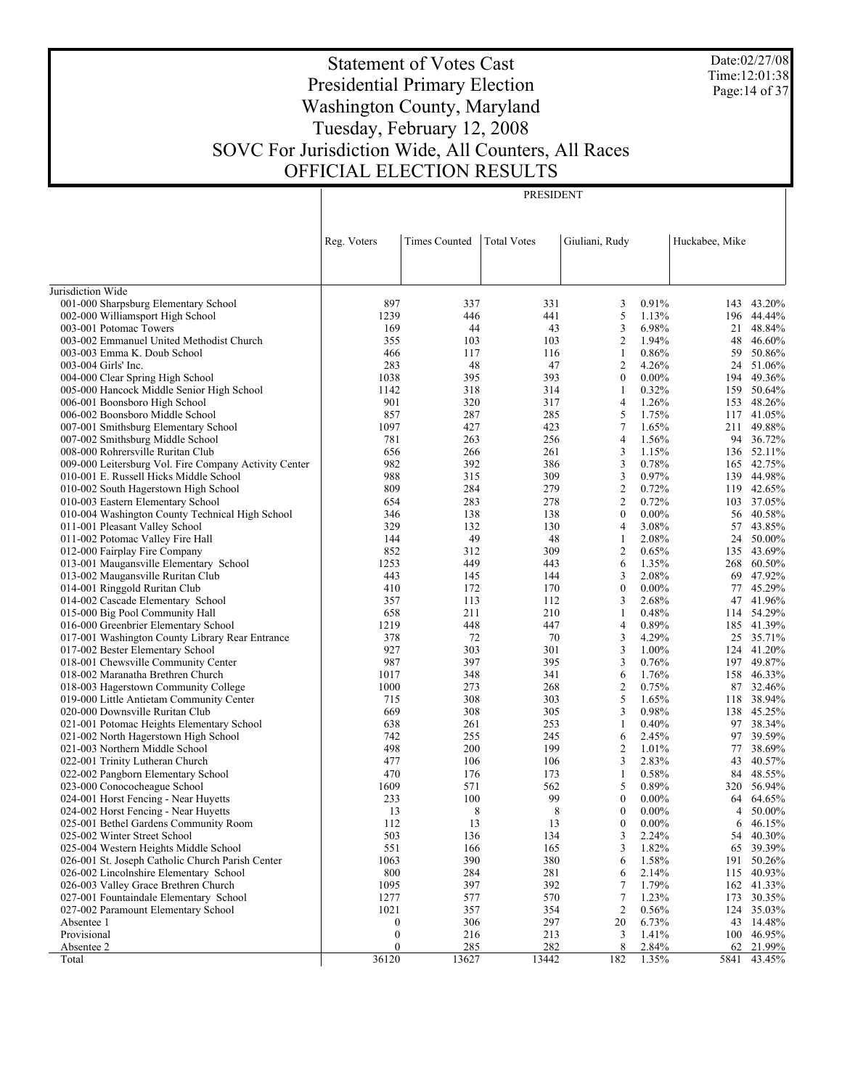Date:02/27/08 Time:12:01:38 Page:14 of 37

# Statement of Votes Cast Presidential Primary Election Washington County, Maryland Tuesday, February 12, 2008 SOVC For Jurisdiction Wide, All Counters, All Races OFFICIAL ELECTION RESULTS

PRESIDENT

|                                                                              | Reg. Voters      | <b>Times Counted</b> | <b>Total Votes</b> | Giuliani, Rudy      |                | Huckabee, Mike |                          |
|------------------------------------------------------------------------------|------------------|----------------------|--------------------|---------------------|----------------|----------------|--------------------------|
|                                                                              |                  |                      |                    |                     |                |                |                          |
| Jurisdiction Wide                                                            |                  |                      |                    |                     |                |                |                          |
| 001-000 Sharpsburg Elementary School                                         | 897              | 337                  | 331                | 3                   | 0.91%          |                | 143 43.20%               |
| 002-000 Williamsport High School                                             | 1239             | 446                  | 441                | 5                   | 1.13%          |                | 196 44.44%               |
| 003-001 Potomac Towers                                                       | 169              | 44                   | 43                 | 3                   | 6.98%          | 21             | 48.84%                   |
| 003-002 Emmanuel United Methodist Church                                     | 355              | 103                  | 103                | $\overline{2}$      | 1.94%          | 48             | 46.60%                   |
| 003-003 Emma K. Doub School                                                  | 466              | 117                  | 116                | $\mathbf{1}$        | 0.86%          | 59             | 50.86%                   |
| 003-004 Girls' Inc.                                                          | 283              | 48                   | 47                 | 2                   | 4.26%          | 24             | 51.06%                   |
| 004-000 Clear Spring High School                                             | 1038             | 395                  | 393                | $\mathbf{0}$        | $0.00\%$       | 194            | 49.36%                   |
| 005-000 Hancock Middle Senior High School                                    | 1142             | 318                  | 314                | 1                   | 0.32%          |                | 159 50.64%               |
| 006-001 Boonsboro High School<br>006-002 Boonsboro Middle School             | 901<br>857       | 320<br>287           | 317<br>285         | $\overline{4}$<br>5 | 1.26%<br>1.75% | 153            | 48.26%<br>117 41.05%     |
| 007-001 Smithsburg Elementary School                                         | 1097             | 427                  | 423                | $\tau$              | 1.65%          |                | 211 49.88%               |
| 007-002 Smithsburg Middle School                                             | 781              | 263                  | 256                | $\overline{4}$      | 1.56%          |                | 94 36.72%                |
| 008-000 Rohrersville Ruritan Club                                            | 656              | 266                  | 261                | 3                   | 1.15%          |                | 136 52.11%               |
| 009-000 Leitersburg Vol. Fire Company Activity Center                        | 982              | 392                  | 386                | 3                   | 0.78%          |                | 165 42.75%               |
| 010-001 E. Russell Hicks Middle School                                       | 988              | 315                  | 309                | 3                   | 0.97%          |                | 139 44.98%               |
| 010-002 South Hagerstown High School                                         | 809              | 284                  | 279                | $\overline{2}$      | 0.72%          |                | 119 42.65%               |
| 010-003 Eastern Elementary School                                            | 654              | 283                  | 278                | $\overline{2}$      | 0.72%          |                | 103 37.05%               |
| 010-004 Washington County Technical High School                              | 346              | 138                  | 138                | $\mathbf{0}$        | $0.00\%$       |                | 56 40.58%                |
| 011-001 Pleasant Valley School                                               | 329              | 132                  | 130                | 4                   | 3.08%          |                | 57 43.85%                |
| 011-002 Potomac Valley Fire Hall                                             | 144              | 49                   | 48                 | 1                   | 2.08%          | 24             | 50.00%                   |
| 012-000 Fairplay Fire Company                                                | 852              | 312                  | 309                | $\overline{2}$      | 0.65%          |                | 135 43.69%               |
| 013-001 Maugansville Elementary School                                       | 1253             | 449                  | 443                | 6                   | 1.35%          |                | 268 60.50%               |
| 013-002 Maugansville Ruritan Club                                            | 443              | 145                  | 144                | 3                   | 2.08%          |                | 69 47.92%                |
| 014-001 Ringgold Ruritan Club                                                | 410              | 172                  | 170                | $\boldsymbol{0}$    | $0.00\%$       |                | 77 45.29%                |
| 014-002 Cascade Elementary School                                            | 357              | 113                  | 112                | 3                   | 2.68%          |                | 47 41.96%                |
| 015-000 Big Pool Community Hall                                              | 658              | 211                  | 210                | 1                   | 0.48%          | 114            | 54.29%                   |
| 016-000 Greenbrier Elementary School                                         | 1219             | 448                  | 447                | 4                   | 0.89%          |                | 185 41.39%               |
| 017-001 Washington County Library Rear Entrance                              | 378              | 72                   | 70                 | 3                   | 4.29%          |                | 25 35.71%                |
| 017-002 Bester Elementary School                                             | 927              | 303                  | 301                | $\mathfrak{Z}$      | 1.00%          | 124            | 41.20%                   |
| 018-001 Chewsville Community Center                                          | 987              | 397                  | 395                | 3                   | 0.76%          |                | 197 49.87%               |
| 018-002 Maranatha Brethren Church                                            | 1017             | 348                  | 341                | 6                   | 1.76%          |                | 158 46.33%               |
| 018-003 Hagerstown Community College                                         | 1000             | 273                  | 268                | $\overline{2}$      | 0.75%          |                | 87 32.46%                |
| 019-000 Little Antietam Community Center                                     | 715<br>669       | 308<br>308           | 303<br>305         | 5<br>3              | 1.65%<br>0.98% |                | 118 38.94%<br>138 45.25% |
| 020-000 Downsville Ruritan Club<br>021-001 Potomac Heights Elementary School | 638              | 261                  | 253                | $\mathbf{1}$        | 0.40%          |                | 97 38.34%                |
| 021-002 North Hagerstown High School                                         | 742              | 255                  | 245                | 6                   | 2.45%          | 97             | 39.59%                   |
| 021-003 Northern Middle School                                               | 498              | 200                  | 199                | $\overline{2}$      | 1.01%          | 77             | 38.69%                   |
| 022-001 Trinity Lutheran Church                                              | 477              | 106                  | 106                | 3                   | 2.83%          | 43             | 40.57%                   |
| 022-002 Pangborn Elementary School                                           | 470              | 176                  | 173                | $\mathbf{1}$        | 0.58%          |                | 84 48.55%                |
| 023-000 Conococheague School                                                 | 1609             | 571                  | 562                | 5                   | 0.89%          |                | 320 56.94%               |
| 024-001 Horst Fencing - Near Huyetts                                         | 233              | 100                  | 99                 | $\mathbf{0}$        | $0.00\%$       |                | 64 64.65%                |
| 024-002 Horst Fencing - Near Huyetts                                         | 13               | 8                    | 8                  | $\mathbf{0}$        | $0.00\%$       | 4              | 50.00%                   |
| 025-001 Bethel Gardens Community Room                                        | 112              | 13                   | 13                 | $\boldsymbol{0}$    | $0.00\%$       |                | 6 46.15%                 |
| 025-002 Winter Street School                                                 | 503              | 136                  | 134                | 3                   | 2.24%          |                | 54 40.30%                |
| 025-004 Western Heights Middle School                                        | 551              | 166                  | 165                | 3                   | 1.82%          |                | 65 39.39%                |
| 026-001 St. Joseph Catholic Church Parish Center                             | 1063             | 390                  | 380                | 6                   | 1.58%          | 191            | 50.26%                   |
| 026-002 Lincolnshire Elementary School                                       | 800              | 284                  | 281                | 6                   | 2.14%          |                | 115 40.93%               |
| 026-003 Valley Grace Brethren Church                                         | 1095             | 397                  | 392                | 7                   | 1.79%          |                | 162 41.33%               |
| 027-001 Fountaindale Elementary School                                       | 1277             | 577                  | 570                | 7                   | 1.23%          | 173            | 30.35%                   |
| 027-002 Paramount Elementary School                                          | 1021             | 357                  | 354                | 2                   | 0.56%          | 124            | 35.03%                   |
| Absentee 1                                                                   | 0                | 306                  | 297                | 20                  | 6.73%          |                | 43 14.48%                |
| Provisional                                                                  | 0                | 216                  | 213                | 3                   | 1.41%          |                | 100 46.95%               |
| Absentee 2                                                                   | $\boldsymbol{0}$ | 285                  | 282                | 8                   | 2.84%          |                | 62 21.99%                |
| Total                                                                        | 36120            | 13627                | 13442              | 182                 | 1.35%          | 5841           | 43.45%                   |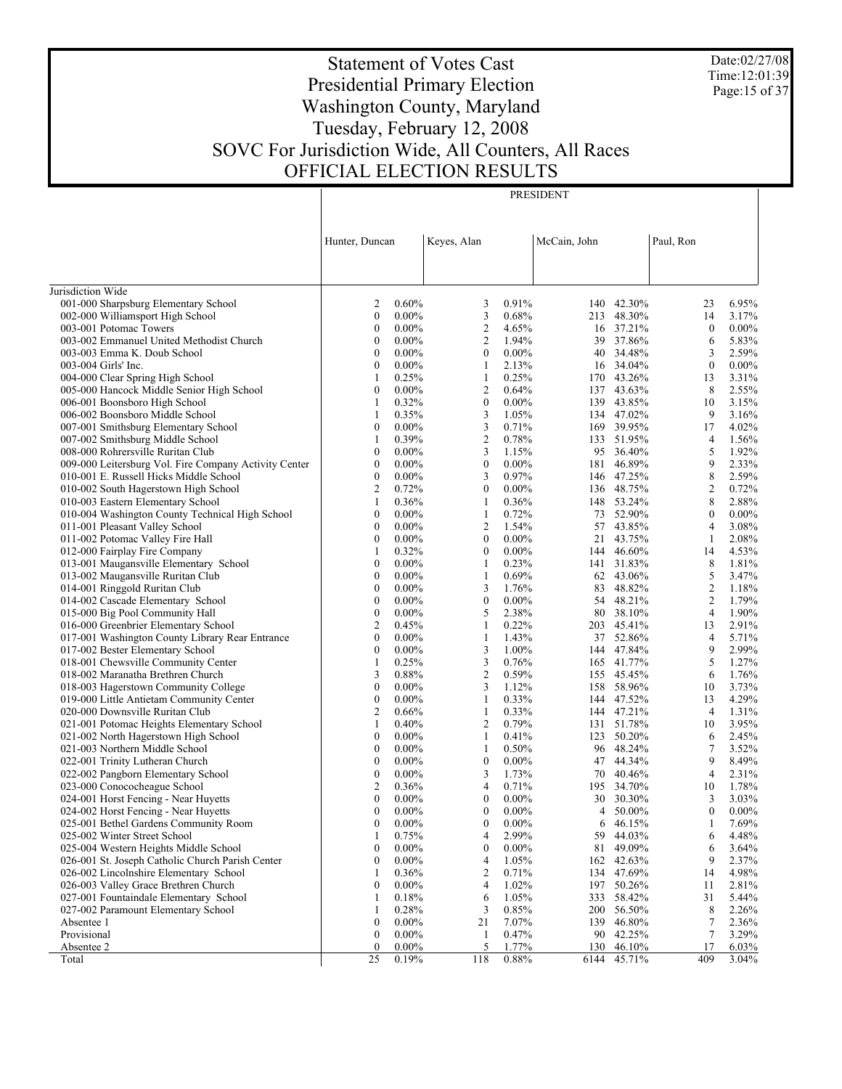Date:02/27/08 Time:12:01:39 Page:15 of 37

# Statement of Votes Cast Presidential Primary Election Washington County, Maryland Tuesday, February 12, 2008 SOVC For Jurisdiction Wide, All Counters, All Races OFFICIAL ELECTION RESULTS

| Keyes, Alan<br>McCain, John<br>Paul, Ron<br>Hunter, Duncan<br>Jurisdiction Wide<br>001-000 Sharpsburg Elementary School<br>0.60%<br>0.91%<br>140 42.30%<br>6.95%<br>2<br>3<br>23<br>002-000 Williamsport High School<br>3<br>0.68%<br>213 48.30%<br>3.17%<br>$\bf{0}$<br>$0.00\%$<br>14<br>$\overline{2}$<br>$0.00\%$<br>003-001 Potomac Towers<br>0<br>$0.00\%$<br>4.65%<br>16 37.21%<br>$\mathbf{0}$<br>$\overline{c}$<br>1.94%<br>39 37.86%<br>6<br>5.83%<br>003-002 Emmanuel United Methodist Church<br>$\boldsymbol{0}$<br>$0.00\%$<br>$0.00\%$<br>$\boldsymbol{0}$<br>$0.00\%$<br>3<br>2.59%<br>003-003 Emma K. Doub School<br>0<br>40 34.48%<br>$\boldsymbol{0}$<br>$0.00\%$<br>2.13%<br>16 34.04%<br>$\boldsymbol{0}$<br>$0.00\%$<br>003-004 Girls' Inc.<br>1<br>0.25%<br>170 43.26%<br>3.31%<br>004-000 Clear Spring High School<br>1<br>0.25%<br>1<br>13<br>005-000 Hancock Middle Senior High School<br>$\boldsymbol{0}$<br>$\overline{c}$<br>0.64%<br>8<br>2.55%<br>$0.00\%$<br>137 43.63%<br>0.32%<br>$\boldsymbol{0}$<br>$0.00\%$<br>139 43.85%<br>3.15%<br>006-001 Boonsboro High School<br>1<br>10<br>3<br>1.05%<br>134 47.02%<br>9<br>3.16%<br>006-002 Boonsboro Middle School<br>1<br>0.35%<br>$\mathfrak{Z}$<br>0.71%<br>169 39.95%<br>17<br>4.02%<br>007-001 Smithsburg Elementary School<br>0<br>$0.00\%$<br>$\overline{c}$<br>0.39%<br>0.78%<br>133 51.95%<br>1.56%<br>007-002 Smithsburg Middle School<br>1<br>4<br>3<br>5<br>1.92%<br>008-000 Rohrersville Ruritan Club<br>0<br>$0.00\%$<br>1.15%<br>95 36.40%<br>$\boldsymbol{0}$<br>$\boldsymbol{0}$<br>$0.00\%$<br>181 46.89%<br>9<br>2.33%<br>009-000 Leitersburg Vol. Fire Company Activity Center<br>$0.00\%$<br>8<br>$\boldsymbol{0}$<br>3<br>0.97%<br>2.59%<br>010-001 E. Russell Hicks Middle School<br>$0.00\%$<br>146 47.25%<br>$\overline{c}$<br>2<br>0.72%<br>$\boldsymbol{0}$<br>$0.00\%$<br>136 48.75%<br>0.72%<br>010-002 South Hagerstown High School<br>8<br>2.88%<br>010-003 Eastern Elementary School<br>1<br>0.36%<br>1<br>0.36%<br>148 53.24%<br>$\boldsymbol{0}$<br>0.72%<br>73 52.90%<br>$\boldsymbol{0}$<br>$0.00\%$<br>010-004 Washington County Technical High School<br>$0.00\%$<br>1<br>$\overline{2}$<br>3.08%<br>011-001 Pleasant Valley School<br>0<br>$0.00\%$<br>1.54%<br>57 43.85%<br>4<br>$\boldsymbol{0}$<br>$0.00\%$<br>2.08%<br>011-002 Potomac Valley Fire Hall<br>$0.00\%$<br>$\boldsymbol{0}$<br>21 43.75%<br>1<br>0.32%<br>$\boldsymbol{0}$<br>$0.00\%$<br>144 46.60%<br>4.53%<br>012-000 Fairplay Fire Company<br>1<br>14<br>$\boldsymbol{0}$<br>0.23%<br>8<br>1.81%<br>013-001 Maugansville Elementary School<br>$0.00\%$<br>1<br>141 31.83%<br>$\bf{0}$<br>0.69%<br>5<br>013-002 Maugansville Ruritan Club<br>$0.00\%$<br>1<br>62 43.06%<br>3.47%<br>$\overline{c}$<br>$\boldsymbol{0}$<br>3<br>83 48.82%<br>1.18%<br>014-001 Ringgold Ruritan Club<br>$0.00\%$<br>1.76%<br>$0.00\%$<br>$\boldsymbol{0}$<br>$0.00\%$<br>54 48.21%<br>2<br>1.79%<br>014-002 Cascade Elementary School<br>0<br>$\boldsymbol{0}$<br>5<br>2.38%<br>$\overline{4}$<br>1.90%<br>015-000 Big Pool Community Hall<br>$0.00\%$<br>80 38.10%<br>$\overline{2}$<br>0.22%<br>203 45.41%<br>2.91%<br>016-000 Greenbrier Elementary School<br>0.45%<br>1<br>13<br>$\boldsymbol{0}$<br>1.43%<br>5.71%<br>017-001 Washington County Library Rear Entrance<br>$0.00\%$<br>1<br>37 52.86%<br>4<br>$\bf{0}$<br>3<br>1.00%<br>144 47.84%<br>9<br>2.99%<br>017-002 Bester Elementary School<br>$0.00\%$<br>$\mathfrak{Z}$<br>5<br>165 41.77%<br>1.27%<br>018-001 Chewsville Community Center<br>1<br>0.25%<br>0.76%<br>$\mathfrak{2}$<br>3<br>0.59%<br>6<br>018-002 Maranatha Brethren Church<br>0.88%<br>155 45.45%<br>1.76%<br>$\boldsymbol{0}$<br>3<br>1.12%<br>3.73%<br>018-003 Hagerstown Community College<br>$0.00\%$<br>158 58.96%<br>10<br>$\bf{0}$<br>0.33%<br>144 47.52%<br>4.29%<br>019-000 Little Antietam Community Center<br>$0.00\%$<br>1<br>13<br>2<br>0.33%<br>144 47.21%<br>1.31%<br>020-000 Downsville Ruritan Club<br>0.66%<br>1<br>4<br>$\overline{c}$<br>0.79%<br>3.95%<br>021-001 Potomac Heights Elementary School<br>1<br>0.40%<br>131 51.78%<br>10<br>$\boldsymbol{0}$<br>0.41%<br>123 50.20%<br>2.45%<br>021-002 North Hagerstown High School<br>$0.00\%$<br>1<br>6<br>0.50%<br>$\tau$<br>3.52%<br>021-003 Northern Middle School<br>0<br>$0.00\%$<br>1<br>96 48.24%<br>$\boldsymbol{0}$<br>$0.00\%$<br>47 44.34%<br>9<br>8.49%<br>022-001 Trinity Lutheran Church<br>$\boldsymbol{0}$<br>$0.00\%$<br>3<br>$\overline{4}$<br>2.31%<br>022-002 Pangborn Elementary School<br>0<br>$0.00\%$<br>1.73%<br>70 40.46%<br>2<br>$\overline{4}$<br>1.78%<br>023-000 Conococheague School<br>0.36%<br>0.71%<br>195 34.70%<br>10<br>$\theta$<br>024-001 Horst Fencing - Near Huyetts<br>$0.00\%$<br>$\theta$<br>$0.00\%$<br>30 30.30%<br>$3 \quad 3.03\%$<br>$\boldsymbol{0}$<br>024-002 Horst Fencing - Near Huyetts<br>0<br>$0.00\%$<br>$0.00\%$<br>50.00%<br>$\boldsymbol{0}$<br>$0.00\%$<br>4<br>025-001 Bethel Gardens Community Room<br>0<br>$0.00\%$<br>$\boldsymbol{0}$<br>$0.00\%$<br>46.15%<br>7.69%<br>1<br>6<br>2.99%<br>025-002 Winter Street School<br>0.75%<br>59<br>44.03%<br>4.48%<br>$\overline{4}$<br>6<br>-1<br>$0.00\%$<br>$0.00\%$<br>81<br>49.09%<br>025-004 Western Heights Middle School<br>0<br>$\boldsymbol{0}$<br>6<br>3.64%<br>9<br>026-001 St. Joseph Catholic Church Parish Center<br>0<br>$0.00\%$<br>1.05%<br>42.63%<br>2.37%<br>4<br>162<br>0.36%<br>$\overline{c}$<br>0.71%<br>134 47.69%<br>4.98%<br>026-002 Lincolnshire Elementary School<br>1<br>14<br>026-003 Valley Grace Brethren Church<br>0<br>$0.00\%$<br>1.02%<br>197<br>50.26%<br>2.81%<br>4<br>11<br>027-001 Fountaindale Elementary School<br>0.18%<br>1.05%<br>333<br>58.42%<br>31<br>5.44%<br>6<br>-1<br>027-002 Paramount Elementary School<br>0.28%<br>3<br>0.85%<br>200<br>56.50%<br>8<br>2.26%<br>-1<br>Absentee 1<br>0<br>$0.00\%$<br>21<br>7.07%<br>139 46.80%<br>7<br>2.36%<br>Provisional<br>$\boldsymbol{0}$<br>$0.00\%$<br>0.47%<br>90 42.25%<br>7<br>3.29%<br>-1 |  |  | PRESIDENT |  |  |
|----------------------------------------------------------------------------------------------------------------------------------------------------------------------------------------------------------------------------------------------------------------------------------------------------------------------------------------------------------------------------------------------------------------------------------------------------------------------------------------------------------------------------------------------------------------------------------------------------------------------------------------------------------------------------------------------------------------------------------------------------------------------------------------------------------------------------------------------------------------------------------------------------------------------------------------------------------------------------------------------------------------------------------------------------------------------------------------------------------------------------------------------------------------------------------------------------------------------------------------------------------------------------------------------------------------------------------------------------------------------------------------------------------------------------------------------------------------------------------------------------------------------------------------------------------------------------------------------------------------------------------------------------------------------------------------------------------------------------------------------------------------------------------------------------------------------------------------------------------------------------------------------------------------------------------------------------------------------------------------------------------------------------------------------------------------------------------------------------------------------------------------------------------------------------------------------------------------------------------------------------------------------------------------------------------------------------------------------------------------------------------------------------------------------------------------------------------------------------------------------------------------------------------------------------------------------------------------------------------------------------------------------------------------------------------------------------------------------------------------------------------------------------------------------------------------------------------------------------------------------------------------------------------------------------------------------------------------------------------------------------------------------------------------------------------------------------------------------------------------------------------------------------------------------------------------------------------------------------------------------------------------------------------------------------------------------------------------------------------------------------------------------------------------------------------------------------------------------------------------------------------------------------------------------------------------------------------------------------------------------------------------------------------------------------------------------------------------------------------------------------------------------------------------------------------------------------------------------------------------------------------------------------------------------------------------------------------------------------------------------------------------------------------------------------------------------------------------------------------------------------------------------------------------------------------------------------------------------------------------------------------------------------------------------------------------------------------------------------------------------------------------------------------------------------------------------------------------------------------------------------------------------------------------------------------------------------------------------------------------------------------------------------------------------------------------------------------------------------------------------------------------------------------------------------------------------------------------------------------------------------------------------------------------------------------------------------------------------------------------------------------------------------------------------------------------------------------------------------------------------------------------------------------------------------------------------------------------------------------------------------------------------------------------------------------------------------------------------------------------------------------------------------------------------------------------------------------------------------------------------------------------------------------------------------------------------------------------------------------------------------------------------------------------------------------------------------------------------------------------------------------------------------------------------------------------------------------------------------------------------------------------------------------------------------------------------------------------------------------------------------------------------------------------------------------------------------------|--|--|-----------|--|--|
|                                                                                                                                                                                                                                                                                                                                                                                                                                                                                                                                                                                                                                                                                                                                                                                                                                                                                                                                                                                                                                                                                                                                                                                                                                                                                                                                                                                                                                                                                                                                                                                                                                                                                                                                                                                                                                                                                                                                                                                                                                                                                                                                                                                                                                                                                                                                                                                                                                                                                                                                                                                                                                                                                                                                                                                                                                                                                                                                                                                                                                                                                                                                                                                                                                                                                                                                                                                                                                                                                                                                                                                                                                                                                                                                                                                                                                                                                                                                                                                                                                                                                                                                                                                                                                                                                                                                                                                                                                                                                                                                                                                                                                                                                                                                                                                                                                                                                                                                                                                                                                                                                                                                                                                                                                                                                                                                                                                                                                                                                                                                                                                                                                                                                                                                                                                                                                                                                                                                                                                                                                                                                  |  |  |           |  |  |
|                                                                                                                                                                                                                                                                                                                                                                                                                                                                                                                                                                                                                                                                                                                                                                                                                                                                                                                                                                                                                                                                                                                                                                                                                                                                                                                                                                                                                                                                                                                                                                                                                                                                                                                                                                                                                                                                                                                                                                                                                                                                                                                                                                                                                                                                                                                                                                                                                                                                                                                                                                                                                                                                                                                                                                                                                                                                                                                                                                                                                                                                                                                                                                                                                                                                                                                                                                                                                                                                                                                                                                                                                                                                                                                                                                                                                                                                                                                                                                                                                                                                                                                                                                                                                                                                                                                                                                                                                                                                                                                                                                                                                                                                                                                                                                                                                                                                                                                                                                                                                                                                                                                                                                                                                                                                                                                                                                                                                                                                                                                                                                                                                                                                                                                                                                                                                                                                                                                                                                                                                                                                                  |  |  |           |  |  |
|                                                                                                                                                                                                                                                                                                                                                                                                                                                                                                                                                                                                                                                                                                                                                                                                                                                                                                                                                                                                                                                                                                                                                                                                                                                                                                                                                                                                                                                                                                                                                                                                                                                                                                                                                                                                                                                                                                                                                                                                                                                                                                                                                                                                                                                                                                                                                                                                                                                                                                                                                                                                                                                                                                                                                                                                                                                                                                                                                                                                                                                                                                                                                                                                                                                                                                                                                                                                                                                                                                                                                                                                                                                                                                                                                                                                                                                                                                                                                                                                                                                                                                                                                                                                                                                                                                                                                                                                                                                                                                                                                                                                                                                                                                                                                                                                                                                                                                                                                                                                                                                                                                                                                                                                                                                                                                                                                                                                                                                                                                                                                                                                                                                                                                                                                                                                                                                                                                                                                                                                                                                                                  |  |  |           |  |  |
|                                                                                                                                                                                                                                                                                                                                                                                                                                                                                                                                                                                                                                                                                                                                                                                                                                                                                                                                                                                                                                                                                                                                                                                                                                                                                                                                                                                                                                                                                                                                                                                                                                                                                                                                                                                                                                                                                                                                                                                                                                                                                                                                                                                                                                                                                                                                                                                                                                                                                                                                                                                                                                                                                                                                                                                                                                                                                                                                                                                                                                                                                                                                                                                                                                                                                                                                                                                                                                                                                                                                                                                                                                                                                                                                                                                                                                                                                                                                                                                                                                                                                                                                                                                                                                                                                                                                                                                                                                                                                                                                                                                                                                                                                                                                                                                                                                                                                                                                                                                                                                                                                                                                                                                                                                                                                                                                                                                                                                                                                                                                                                                                                                                                                                                                                                                                                                                                                                                                                                                                                                                                                  |  |  |           |  |  |
|                                                                                                                                                                                                                                                                                                                                                                                                                                                                                                                                                                                                                                                                                                                                                                                                                                                                                                                                                                                                                                                                                                                                                                                                                                                                                                                                                                                                                                                                                                                                                                                                                                                                                                                                                                                                                                                                                                                                                                                                                                                                                                                                                                                                                                                                                                                                                                                                                                                                                                                                                                                                                                                                                                                                                                                                                                                                                                                                                                                                                                                                                                                                                                                                                                                                                                                                                                                                                                                                                                                                                                                                                                                                                                                                                                                                                                                                                                                                                                                                                                                                                                                                                                                                                                                                                                                                                                                                                                                                                                                                                                                                                                                                                                                                                                                                                                                                                                                                                                                                                                                                                                                                                                                                                                                                                                                                                                                                                                                                                                                                                                                                                                                                                                                                                                                                                                                                                                                                                                                                                                                                                  |  |  |           |  |  |
|                                                                                                                                                                                                                                                                                                                                                                                                                                                                                                                                                                                                                                                                                                                                                                                                                                                                                                                                                                                                                                                                                                                                                                                                                                                                                                                                                                                                                                                                                                                                                                                                                                                                                                                                                                                                                                                                                                                                                                                                                                                                                                                                                                                                                                                                                                                                                                                                                                                                                                                                                                                                                                                                                                                                                                                                                                                                                                                                                                                                                                                                                                                                                                                                                                                                                                                                                                                                                                                                                                                                                                                                                                                                                                                                                                                                                                                                                                                                                                                                                                                                                                                                                                                                                                                                                                                                                                                                                                                                                                                                                                                                                                                                                                                                                                                                                                                                                                                                                                                                                                                                                                                                                                                                                                                                                                                                                                                                                                                                                                                                                                                                                                                                                                                                                                                                                                                                                                                                                                                                                                                                                  |  |  |           |  |  |
|                                                                                                                                                                                                                                                                                                                                                                                                                                                                                                                                                                                                                                                                                                                                                                                                                                                                                                                                                                                                                                                                                                                                                                                                                                                                                                                                                                                                                                                                                                                                                                                                                                                                                                                                                                                                                                                                                                                                                                                                                                                                                                                                                                                                                                                                                                                                                                                                                                                                                                                                                                                                                                                                                                                                                                                                                                                                                                                                                                                                                                                                                                                                                                                                                                                                                                                                                                                                                                                                                                                                                                                                                                                                                                                                                                                                                                                                                                                                                                                                                                                                                                                                                                                                                                                                                                                                                                                                                                                                                                                                                                                                                                                                                                                                                                                                                                                                                                                                                                                                                                                                                                                                                                                                                                                                                                                                                                                                                                                                                                                                                                                                                                                                                                                                                                                                                                                                                                                                                                                                                                                                                  |  |  |           |  |  |
|                                                                                                                                                                                                                                                                                                                                                                                                                                                                                                                                                                                                                                                                                                                                                                                                                                                                                                                                                                                                                                                                                                                                                                                                                                                                                                                                                                                                                                                                                                                                                                                                                                                                                                                                                                                                                                                                                                                                                                                                                                                                                                                                                                                                                                                                                                                                                                                                                                                                                                                                                                                                                                                                                                                                                                                                                                                                                                                                                                                                                                                                                                                                                                                                                                                                                                                                                                                                                                                                                                                                                                                                                                                                                                                                                                                                                                                                                                                                                                                                                                                                                                                                                                                                                                                                                                                                                                                                                                                                                                                                                                                                                                                                                                                                                                                                                                                                                                                                                                                                                                                                                                                                                                                                                                                                                                                                                                                                                                                                                                                                                                                                                                                                                                                                                                                                                                                                                                                                                                                                                                                                                  |  |  |           |  |  |
|                                                                                                                                                                                                                                                                                                                                                                                                                                                                                                                                                                                                                                                                                                                                                                                                                                                                                                                                                                                                                                                                                                                                                                                                                                                                                                                                                                                                                                                                                                                                                                                                                                                                                                                                                                                                                                                                                                                                                                                                                                                                                                                                                                                                                                                                                                                                                                                                                                                                                                                                                                                                                                                                                                                                                                                                                                                                                                                                                                                                                                                                                                                                                                                                                                                                                                                                                                                                                                                                                                                                                                                                                                                                                                                                                                                                                                                                                                                                                                                                                                                                                                                                                                                                                                                                                                                                                                                                                                                                                                                                                                                                                                                                                                                                                                                                                                                                                                                                                                                                                                                                                                                                                                                                                                                                                                                                                                                                                                                                                                                                                                                                                                                                                                                                                                                                                                                                                                                                                                                                                                                                                  |  |  |           |  |  |
|                                                                                                                                                                                                                                                                                                                                                                                                                                                                                                                                                                                                                                                                                                                                                                                                                                                                                                                                                                                                                                                                                                                                                                                                                                                                                                                                                                                                                                                                                                                                                                                                                                                                                                                                                                                                                                                                                                                                                                                                                                                                                                                                                                                                                                                                                                                                                                                                                                                                                                                                                                                                                                                                                                                                                                                                                                                                                                                                                                                                                                                                                                                                                                                                                                                                                                                                                                                                                                                                                                                                                                                                                                                                                                                                                                                                                                                                                                                                                                                                                                                                                                                                                                                                                                                                                                                                                                                                                                                                                                                                                                                                                                                                                                                                                                                                                                                                                                                                                                                                                                                                                                                                                                                                                                                                                                                                                                                                                                                                                                                                                                                                                                                                                                                                                                                                                                                                                                                                                                                                                                                                                  |  |  |           |  |  |
|                                                                                                                                                                                                                                                                                                                                                                                                                                                                                                                                                                                                                                                                                                                                                                                                                                                                                                                                                                                                                                                                                                                                                                                                                                                                                                                                                                                                                                                                                                                                                                                                                                                                                                                                                                                                                                                                                                                                                                                                                                                                                                                                                                                                                                                                                                                                                                                                                                                                                                                                                                                                                                                                                                                                                                                                                                                                                                                                                                                                                                                                                                                                                                                                                                                                                                                                                                                                                                                                                                                                                                                                                                                                                                                                                                                                                                                                                                                                                                                                                                                                                                                                                                                                                                                                                                                                                                                                                                                                                                                                                                                                                                                                                                                                                                                                                                                                                                                                                                                                                                                                                                                                                                                                                                                                                                                                                                                                                                                                                                                                                                                                                                                                                                                                                                                                                                                                                                                                                                                                                                                                                  |  |  |           |  |  |
|                                                                                                                                                                                                                                                                                                                                                                                                                                                                                                                                                                                                                                                                                                                                                                                                                                                                                                                                                                                                                                                                                                                                                                                                                                                                                                                                                                                                                                                                                                                                                                                                                                                                                                                                                                                                                                                                                                                                                                                                                                                                                                                                                                                                                                                                                                                                                                                                                                                                                                                                                                                                                                                                                                                                                                                                                                                                                                                                                                                                                                                                                                                                                                                                                                                                                                                                                                                                                                                                                                                                                                                                                                                                                                                                                                                                                                                                                                                                                                                                                                                                                                                                                                                                                                                                                                                                                                                                                                                                                                                                                                                                                                                                                                                                                                                                                                                                                                                                                                                                                                                                                                                                                                                                                                                                                                                                                                                                                                                                                                                                                                                                                                                                                                                                                                                                                                                                                                                                                                                                                                                                                  |  |  |           |  |  |
|                                                                                                                                                                                                                                                                                                                                                                                                                                                                                                                                                                                                                                                                                                                                                                                                                                                                                                                                                                                                                                                                                                                                                                                                                                                                                                                                                                                                                                                                                                                                                                                                                                                                                                                                                                                                                                                                                                                                                                                                                                                                                                                                                                                                                                                                                                                                                                                                                                                                                                                                                                                                                                                                                                                                                                                                                                                                                                                                                                                                                                                                                                                                                                                                                                                                                                                                                                                                                                                                                                                                                                                                                                                                                                                                                                                                                                                                                                                                                                                                                                                                                                                                                                                                                                                                                                                                                                                                                                                                                                                                                                                                                                                                                                                                                                                                                                                                                                                                                                                                                                                                                                                                                                                                                                                                                                                                                                                                                                                                                                                                                                                                                                                                                                                                                                                                                                                                                                                                                                                                                                                                                  |  |  |           |  |  |
|                                                                                                                                                                                                                                                                                                                                                                                                                                                                                                                                                                                                                                                                                                                                                                                                                                                                                                                                                                                                                                                                                                                                                                                                                                                                                                                                                                                                                                                                                                                                                                                                                                                                                                                                                                                                                                                                                                                                                                                                                                                                                                                                                                                                                                                                                                                                                                                                                                                                                                                                                                                                                                                                                                                                                                                                                                                                                                                                                                                                                                                                                                                                                                                                                                                                                                                                                                                                                                                                                                                                                                                                                                                                                                                                                                                                                                                                                                                                                                                                                                                                                                                                                                                                                                                                                                                                                                                                                                                                                                                                                                                                                                                                                                                                                                                                                                                                                                                                                                                                                                                                                                                                                                                                                                                                                                                                                                                                                                                                                                                                                                                                                                                                                                                                                                                                                                                                                                                                                                                                                                                                                  |  |  |           |  |  |
|                                                                                                                                                                                                                                                                                                                                                                                                                                                                                                                                                                                                                                                                                                                                                                                                                                                                                                                                                                                                                                                                                                                                                                                                                                                                                                                                                                                                                                                                                                                                                                                                                                                                                                                                                                                                                                                                                                                                                                                                                                                                                                                                                                                                                                                                                                                                                                                                                                                                                                                                                                                                                                                                                                                                                                                                                                                                                                                                                                                                                                                                                                                                                                                                                                                                                                                                                                                                                                                                                                                                                                                                                                                                                                                                                                                                                                                                                                                                                                                                                                                                                                                                                                                                                                                                                                                                                                                                                                                                                                                                                                                                                                                                                                                                                                                                                                                                                                                                                                                                                                                                                                                                                                                                                                                                                                                                                                                                                                                                                                                                                                                                                                                                                                                                                                                                                                                                                                                                                                                                                                                                                  |  |  |           |  |  |
|                                                                                                                                                                                                                                                                                                                                                                                                                                                                                                                                                                                                                                                                                                                                                                                                                                                                                                                                                                                                                                                                                                                                                                                                                                                                                                                                                                                                                                                                                                                                                                                                                                                                                                                                                                                                                                                                                                                                                                                                                                                                                                                                                                                                                                                                                                                                                                                                                                                                                                                                                                                                                                                                                                                                                                                                                                                                                                                                                                                                                                                                                                                                                                                                                                                                                                                                                                                                                                                                                                                                                                                                                                                                                                                                                                                                                                                                                                                                                                                                                                                                                                                                                                                                                                                                                                                                                                                                                                                                                                                                                                                                                                                                                                                                                                                                                                                                                                                                                                                                                                                                                                                                                                                                                                                                                                                                                                                                                                                                                                                                                                                                                                                                                                                                                                                                                                                                                                                                                                                                                                                                                  |  |  |           |  |  |
|                                                                                                                                                                                                                                                                                                                                                                                                                                                                                                                                                                                                                                                                                                                                                                                                                                                                                                                                                                                                                                                                                                                                                                                                                                                                                                                                                                                                                                                                                                                                                                                                                                                                                                                                                                                                                                                                                                                                                                                                                                                                                                                                                                                                                                                                                                                                                                                                                                                                                                                                                                                                                                                                                                                                                                                                                                                                                                                                                                                                                                                                                                                                                                                                                                                                                                                                                                                                                                                                                                                                                                                                                                                                                                                                                                                                                                                                                                                                                                                                                                                                                                                                                                                                                                                                                                                                                                                                                                                                                                                                                                                                                                                                                                                                                                                                                                                                                                                                                                                                                                                                                                                                                                                                                                                                                                                                                                                                                                                                                                                                                                                                                                                                                                                                                                                                                                                                                                                                                                                                                                                                                  |  |  |           |  |  |
|                                                                                                                                                                                                                                                                                                                                                                                                                                                                                                                                                                                                                                                                                                                                                                                                                                                                                                                                                                                                                                                                                                                                                                                                                                                                                                                                                                                                                                                                                                                                                                                                                                                                                                                                                                                                                                                                                                                                                                                                                                                                                                                                                                                                                                                                                                                                                                                                                                                                                                                                                                                                                                                                                                                                                                                                                                                                                                                                                                                                                                                                                                                                                                                                                                                                                                                                                                                                                                                                                                                                                                                                                                                                                                                                                                                                                                                                                                                                                                                                                                                                                                                                                                                                                                                                                                                                                                                                                                                                                                                                                                                                                                                                                                                                                                                                                                                                                                                                                                                                                                                                                                                                                                                                                                                                                                                                                                                                                                                                                                                                                                                                                                                                                                                                                                                                                                                                                                                                                                                                                                                                                  |  |  |           |  |  |
|                                                                                                                                                                                                                                                                                                                                                                                                                                                                                                                                                                                                                                                                                                                                                                                                                                                                                                                                                                                                                                                                                                                                                                                                                                                                                                                                                                                                                                                                                                                                                                                                                                                                                                                                                                                                                                                                                                                                                                                                                                                                                                                                                                                                                                                                                                                                                                                                                                                                                                                                                                                                                                                                                                                                                                                                                                                                                                                                                                                                                                                                                                                                                                                                                                                                                                                                                                                                                                                                                                                                                                                                                                                                                                                                                                                                                                                                                                                                                                                                                                                                                                                                                                                                                                                                                                                                                                                                                                                                                                                                                                                                                                                                                                                                                                                                                                                                                                                                                                                                                                                                                                                                                                                                                                                                                                                                                                                                                                                                                                                                                                                                                                                                                                                                                                                                                                                                                                                                                                                                                                                                                  |  |  |           |  |  |
|                                                                                                                                                                                                                                                                                                                                                                                                                                                                                                                                                                                                                                                                                                                                                                                                                                                                                                                                                                                                                                                                                                                                                                                                                                                                                                                                                                                                                                                                                                                                                                                                                                                                                                                                                                                                                                                                                                                                                                                                                                                                                                                                                                                                                                                                                                                                                                                                                                                                                                                                                                                                                                                                                                                                                                                                                                                                                                                                                                                                                                                                                                                                                                                                                                                                                                                                                                                                                                                                                                                                                                                                                                                                                                                                                                                                                                                                                                                                                                                                                                                                                                                                                                                                                                                                                                                                                                                                                                                                                                                                                                                                                                                                                                                                                                                                                                                                                                                                                                                                                                                                                                                                                                                                                                                                                                                                                                                                                                                                                                                                                                                                                                                                                                                                                                                                                                                                                                                                                                                                                                                                                  |  |  |           |  |  |
|                                                                                                                                                                                                                                                                                                                                                                                                                                                                                                                                                                                                                                                                                                                                                                                                                                                                                                                                                                                                                                                                                                                                                                                                                                                                                                                                                                                                                                                                                                                                                                                                                                                                                                                                                                                                                                                                                                                                                                                                                                                                                                                                                                                                                                                                                                                                                                                                                                                                                                                                                                                                                                                                                                                                                                                                                                                                                                                                                                                                                                                                                                                                                                                                                                                                                                                                                                                                                                                                                                                                                                                                                                                                                                                                                                                                                                                                                                                                                                                                                                                                                                                                                                                                                                                                                                                                                                                                                                                                                                                                                                                                                                                                                                                                                                                                                                                                                                                                                                                                                                                                                                                                                                                                                                                                                                                                                                                                                                                                                                                                                                                                                                                                                                                                                                                                                                                                                                                                                                                                                                                                                  |  |  |           |  |  |
|                                                                                                                                                                                                                                                                                                                                                                                                                                                                                                                                                                                                                                                                                                                                                                                                                                                                                                                                                                                                                                                                                                                                                                                                                                                                                                                                                                                                                                                                                                                                                                                                                                                                                                                                                                                                                                                                                                                                                                                                                                                                                                                                                                                                                                                                                                                                                                                                                                                                                                                                                                                                                                                                                                                                                                                                                                                                                                                                                                                                                                                                                                                                                                                                                                                                                                                                                                                                                                                                                                                                                                                                                                                                                                                                                                                                                                                                                                                                                                                                                                                                                                                                                                                                                                                                                                                                                                                                                                                                                                                                                                                                                                                                                                                                                                                                                                                                                                                                                                                                                                                                                                                                                                                                                                                                                                                                                                                                                                                                                                                                                                                                                                                                                                                                                                                                                                                                                                                                                                                                                                                                                  |  |  |           |  |  |
|                                                                                                                                                                                                                                                                                                                                                                                                                                                                                                                                                                                                                                                                                                                                                                                                                                                                                                                                                                                                                                                                                                                                                                                                                                                                                                                                                                                                                                                                                                                                                                                                                                                                                                                                                                                                                                                                                                                                                                                                                                                                                                                                                                                                                                                                                                                                                                                                                                                                                                                                                                                                                                                                                                                                                                                                                                                                                                                                                                                                                                                                                                                                                                                                                                                                                                                                                                                                                                                                                                                                                                                                                                                                                                                                                                                                                                                                                                                                                                                                                                                                                                                                                                                                                                                                                                                                                                                                                                                                                                                                                                                                                                                                                                                                                                                                                                                                                                                                                                                                                                                                                                                                                                                                                                                                                                                                                                                                                                                                                                                                                                                                                                                                                                                                                                                                                                                                                                                                                                                                                                                                                  |  |  |           |  |  |
|                                                                                                                                                                                                                                                                                                                                                                                                                                                                                                                                                                                                                                                                                                                                                                                                                                                                                                                                                                                                                                                                                                                                                                                                                                                                                                                                                                                                                                                                                                                                                                                                                                                                                                                                                                                                                                                                                                                                                                                                                                                                                                                                                                                                                                                                                                                                                                                                                                                                                                                                                                                                                                                                                                                                                                                                                                                                                                                                                                                                                                                                                                                                                                                                                                                                                                                                                                                                                                                                                                                                                                                                                                                                                                                                                                                                                                                                                                                                                                                                                                                                                                                                                                                                                                                                                                                                                                                                                                                                                                                                                                                                                                                                                                                                                                                                                                                                                                                                                                                                                                                                                                                                                                                                                                                                                                                                                                                                                                                                                                                                                                                                                                                                                                                                                                                                                                                                                                                                                                                                                                                                                  |  |  |           |  |  |
|                                                                                                                                                                                                                                                                                                                                                                                                                                                                                                                                                                                                                                                                                                                                                                                                                                                                                                                                                                                                                                                                                                                                                                                                                                                                                                                                                                                                                                                                                                                                                                                                                                                                                                                                                                                                                                                                                                                                                                                                                                                                                                                                                                                                                                                                                                                                                                                                                                                                                                                                                                                                                                                                                                                                                                                                                                                                                                                                                                                                                                                                                                                                                                                                                                                                                                                                                                                                                                                                                                                                                                                                                                                                                                                                                                                                                                                                                                                                                                                                                                                                                                                                                                                                                                                                                                                                                                                                                                                                                                                                                                                                                                                                                                                                                                                                                                                                                                                                                                                                                                                                                                                                                                                                                                                                                                                                                                                                                                                                                                                                                                                                                                                                                                                                                                                                                                                                                                                                                                                                                                                                                  |  |  |           |  |  |
|                                                                                                                                                                                                                                                                                                                                                                                                                                                                                                                                                                                                                                                                                                                                                                                                                                                                                                                                                                                                                                                                                                                                                                                                                                                                                                                                                                                                                                                                                                                                                                                                                                                                                                                                                                                                                                                                                                                                                                                                                                                                                                                                                                                                                                                                                                                                                                                                                                                                                                                                                                                                                                                                                                                                                                                                                                                                                                                                                                                                                                                                                                                                                                                                                                                                                                                                                                                                                                                                                                                                                                                                                                                                                                                                                                                                                                                                                                                                                                                                                                                                                                                                                                                                                                                                                                                                                                                                                                                                                                                                                                                                                                                                                                                                                                                                                                                                                                                                                                                                                                                                                                                                                                                                                                                                                                                                                                                                                                                                                                                                                                                                                                                                                                                                                                                                                                                                                                                                                                                                                                                                                  |  |  |           |  |  |
|                                                                                                                                                                                                                                                                                                                                                                                                                                                                                                                                                                                                                                                                                                                                                                                                                                                                                                                                                                                                                                                                                                                                                                                                                                                                                                                                                                                                                                                                                                                                                                                                                                                                                                                                                                                                                                                                                                                                                                                                                                                                                                                                                                                                                                                                                                                                                                                                                                                                                                                                                                                                                                                                                                                                                                                                                                                                                                                                                                                                                                                                                                                                                                                                                                                                                                                                                                                                                                                                                                                                                                                                                                                                                                                                                                                                                                                                                                                                                                                                                                                                                                                                                                                                                                                                                                                                                                                                                                                                                                                                                                                                                                                                                                                                                                                                                                                                                                                                                                                                                                                                                                                                                                                                                                                                                                                                                                                                                                                                                                                                                                                                                                                                                                                                                                                                                                                                                                                                                                                                                                                                                  |  |  |           |  |  |
|                                                                                                                                                                                                                                                                                                                                                                                                                                                                                                                                                                                                                                                                                                                                                                                                                                                                                                                                                                                                                                                                                                                                                                                                                                                                                                                                                                                                                                                                                                                                                                                                                                                                                                                                                                                                                                                                                                                                                                                                                                                                                                                                                                                                                                                                                                                                                                                                                                                                                                                                                                                                                                                                                                                                                                                                                                                                                                                                                                                                                                                                                                                                                                                                                                                                                                                                                                                                                                                                                                                                                                                                                                                                                                                                                                                                                                                                                                                                                                                                                                                                                                                                                                                                                                                                                                                                                                                                                                                                                                                                                                                                                                                                                                                                                                                                                                                                                                                                                                                                                                                                                                                                                                                                                                                                                                                                                                                                                                                                                                                                                                                                                                                                                                                                                                                                                                                                                                                                                                                                                                                                                  |  |  |           |  |  |
|                                                                                                                                                                                                                                                                                                                                                                                                                                                                                                                                                                                                                                                                                                                                                                                                                                                                                                                                                                                                                                                                                                                                                                                                                                                                                                                                                                                                                                                                                                                                                                                                                                                                                                                                                                                                                                                                                                                                                                                                                                                                                                                                                                                                                                                                                                                                                                                                                                                                                                                                                                                                                                                                                                                                                                                                                                                                                                                                                                                                                                                                                                                                                                                                                                                                                                                                                                                                                                                                                                                                                                                                                                                                                                                                                                                                                                                                                                                                                                                                                                                                                                                                                                                                                                                                                                                                                                                                                                                                                                                                                                                                                                                                                                                                                                                                                                                                                                                                                                                                                                                                                                                                                                                                                                                                                                                                                                                                                                                                                                                                                                                                                                                                                                                                                                                                                                                                                                                                                                                                                                                                                  |  |  |           |  |  |
|                                                                                                                                                                                                                                                                                                                                                                                                                                                                                                                                                                                                                                                                                                                                                                                                                                                                                                                                                                                                                                                                                                                                                                                                                                                                                                                                                                                                                                                                                                                                                                                                                                                                                                                                                                                                                                                                                                                                                                                                                                                                                                                                                                                                                                                                                                                                                                                                                                                                                                                                                                                                                                                                                                                                                                                                                                                                                                                                                                                                                                                                                                                                                                                                                                                                                                                                                                                                                                                                                                                                                                                                                                                                                                                                                                                                                                                                                                                                                                                                                                                                                                                                                                                                                                                                                                                                                                                                                                                                                                                                                                                                                                                                                                                                                                                                                                                                                                                                                                                                                                                                                                                                                                                                                                                                                                                                                                                                                                                                                                                                                                                                                                                                                                                                                                                                                                                                                                                                                                                                                                                                                  |  |  |           |  |  |
|                                                                                                                                                                                                                                                                                                                                                                                                                                                                                                                                                                                                                                                                                                                                                                                                                                                                                                                                                                                                                                                                                                                                                                                                                                                                                                                                                                                                                                                                                                                                                                                                                                                                                                                                                                                                                                                                                                                                                                                                                                                                                                                                                                                                                                                                                                                                                                                                                                                                                                                                                                                                                                                                                                                                                                                                                                                                                                                                                                                                                                                                                                                                                                                                                                                                                                                                                                                                                                                                                                                                                                                                                                                                                                                                                                                                                                                                                                                                                                                                                                                                                                                                                                                                                                                                                                                                                                                                                                                                                                                                                                                                                                                                                                                                                                                                                                                                                                                                                                                                                                                                                                                                                                                                                                                                                                                                                                                                                                                                                                                                                                                                                                                                                                                                                                                                                                                                                                                                                                                                                                                                                  |  |  |           |  |  |
|                                                                                                                                                                                                                                                                                                                                                                                                                                                                                                                                                                                                                                                                                                                                                                                                                                                                                                                                                                                                                                                                                                                                                                                                                                                                                                                                                                                                                                                                                                                                                                                                                                                                                                                                                                                                                                                                                                                                                                                                                                                                                                                                                                                                                                                                                                                                                                                                                                                                                                                                                                                                                                                                                                                                                                                                                                                                                                                                                                                                                                                                                                                                                                                                                                                                                                                                                                                                                                                                                                                                                                                                                                                                                                                                                                                                                                                                                                                                                                                                                                                                                                                                                                                                                                                                                                                                                                                                                                                                                                                                                                                                                                                                                                                                                                                                                                                                                                                                                                                                                                                                                                                                                                                                                                                                                                                                                                                                                                                                                                                                                                                                                                                                                                                                                                                                                                                                                                                                                                                                                                                                                  |  |  |           |  |  |
|                                                                                                                                                                                                                                                                                                                                                                                                                                                                                                                                                                                                                                                                                                                                                                                                                                                                                                                                                                                                                                                                                                                                                                                                                                                                                                                                                                                                                                                                                                                                                                                                                                                                                                                                                                                                                                                                                                                                                                                                                                                                                                                                                                                                                                                                                                                                                                                                                                                                                                                                                                                                                                                                                                                                                                                                                                                                                                                                                                                                                                                                                                                                                                                                                                                                                                                                                                                                                                                                                                                                                                                                                                                                                                                                                                                                                                                                                                                                                                                                                                                                                                                                                                                                                                                                                                                                                                                                                                                                                                                                                                                                                                                                                                                                                                                                                                                                                                                                                                                                                                                                                                                                                                                                                                                                                                                                                                                                                                                                                                                                                                                                                                                                                                                                                                                                                                                                                                                                                                                                                                                                                  |  |  |           |  |  |
|                                                                                                                                                                                                                                                                                                                                                                                                                                                                                                                                                                                                                                                                                                                                                                                                                                                                                                                                                                                                                                                                                                                                                                                                                                                                                                                                                                                                                                                                                                                                                                                                                                                                                                                                                                                                                                                                                                                                                                                                                                                                                                                                                                                                                                                                                                                                                                                                                                                                                                                                                                                                                                                                                                                                                                                                                                                                                                                                                                                                                                                                                                                                                                                                                                                                                                                                                                                                                                                                                                                                                                                                                                                                                                                                                                                                                                                                                                                                                                                                                                                                                                                                                                                                                                                                                                                                                                                                                                                                                                                                                                                                                                                                                                                                                                                                                                                                                                                                                                                                                                                                                                                                                                                                                                                                                                                                                                                                                                                                                                                                                                                                                                                                                                                                                                                                                                                                                                                                                                                                                                                                                  |  |  |           |  |  |
|                                                                                                                                                                                                                                                                                                                                                                                                                                                                                                                                                                                                                                                                                                                                                                                                                                                                                                                                                                                                                                                                                                                                                                                                                                                                                                                                                                                                                                                                                                                                                                                                                                                                                                                                                                                                                                                                                                                                                                                                                                                                                                                                                                                                                                                                                                                                                                                                                                                                                                                                                                                                                                                                                                                                                                                                                                                                                                                                                                                                                                                                                                                                                                                                                                                                                                                                                                                                                                                                                                                                                                                                                                                                                                                                                                                                                                                                                                                                                                                                                                                                                                                                                                                                                                                                                                                                                                                                                                                                                                                                                                                                                                                                                                                                                                                                                                                                                                                                                                                                                                                                                                                                                                                                                                                                                                                                                                                                                                                                                                                                                                                                                                                                                                                                                                                                                                                                                                                                                                                                                                                                                  |  |  |           |  |  |
|                                                                                                                                                                                                                                                                                                                                                                                                                                                                                                                                                                                                                                                                                                                                                                                                                                                                                                                                                                                                                                                                                                                                                                                                                                                                                                                                                                                                                                                                                                                                                                                                                                                                                                                                                                                                                                                                                                                                                                                                                                                                                                                                                                                                                                                                                                                                                                                                                                                                                                                                                                                                                                                                                                                                                                                                                                                                                                                                                                                                                                                                                                                                                                                                                                                                                                                                                                                                                                                                                                                                                                                                                                                                                                                                                                                                                                                                                                                                                                                                                                                                                                                                                                                                                                                                                                                                                                                                                                                                                                                                                                                                                                                                                                                                                                                                                                                                                                                                                                                                                                                                                                                                                                                                                                                                                                                                                                                                                                                                                                                                                                                                                                                                                                                                                                                                                                                                                                                                                                                                                                                                                  |  |  |           |  |  |
|                                                                                                                                                                                                                                                                                                                                                                                                                                                                                                                                                                                                                                                                                                                                                                                                                                                                                                                                                                                                                                                                                                                                                                                                                                                                                                                                                                                                                                                                                                                                                                                                                                                                                                                                                                                                                                                                                                                                                                                                                                                                                                                                                                                                                                                                                                                                                                                                                                                                                                                                                                                                                                                                                                                                                                                                                                                                                                                                                                                                                                                                                                                                                                                                                                                                                                                                                                                                                                                                                                                                                                                                                                                                                                                                                                                                                                                                                                                                                                                                                                                                                                                                                                                                                                                                                                                                                                                                                                                                                                                                                                                                                                                                                                                                                                                                                                                                                                                                                                                                                                                                                                                                                                                                                                                                                                                                                                                                                                                                                                                                                                                                                                                                                                                                                                                                                                                                                                                                                                                                                                                                                  |  |  |           |  |  |
|                                                                                                                                                                                                                                                                                                                                                                                                                                                                                                                                                                                                                                                                                                                                                                                                                                                                                                                                                                                                                                                                                                                                                                                                                                                                                                                                                                                                                                                                                                                                                                                                                                                                                                                                                                                                                                                                                                                                                                                                                                                                                                                                                                                                                                                                                                                                                                                                                                                                                                                                                                                                                                                                                                                                                                                                                                                                                                                                                                                                                                                                                                                                                                                                                                                                                                                                                                                                                                                                                                                                                                                                                                                                                                                                                                                                                                                                                                                                                                                                                                                                                                                                                                                                                                                                                                                                                                                                                                                                                                                                                                                                                                                                                                                                                                                                                                                                                                                                                                                                                                                                                                                                                                                                                                                                                                                                                                                                                                                                                                                                                                                                                                                                                                                                                                                                                                                                                                                                                                                                                                                                                  |  |  |           |  |  |
|                                                                                                                                                                                                                                                                                                                                                                                                                                                                                                                                                                                                                                                                                                                                                                                                                                                                                                                                                                                                                                                                                                                                                                                                                                                                                                                                                                                                                                                                                                                                                                                                                                                                                                                                                                                                                                                                                                                                                                                                                                                                                                                                                                                                                                                                                                                                                                                                                                                                                                                                                                                                                                                                                                                                                                                                                                                                                                                                                                                                                                                                                                                                                                                                                                                                                                                                                                                                                                                                                                                                                                                                                                                                                                                                                                                                                                                                                                                                                                                                                                                                                                                                                                                                                                                                                                                                                                                                                                                                                                                                                                                                                                                                                                                                                                                                                                                                                                                                                                                                                                                                                                                                                                                                                                                                                                                                                                                                                                                                                                                                                                                                                                                                                                                                                                                                                                                                                                                                                                                                                                                                                  |  |  |           |  |  |
|                                                                                                                                                                                                                                                                                                                                                                                                                                                                                                                                                                                                                                                                                                                                                                                                                                                                                                                                                                                                                                                                                                                                                                                                                                                                                                                                                                                                                                                                                                                                                                                                                                                                                                                                                                                                                                                                                                                                                                                                                                                                                                                                                                                                                                                                                                                                                                                                                                                                                                                                                                                                                                                                                                                                                                                                                                                                                                                                                                                                                                                                                                                                                                                                                                                                                                                                                                                                                                                                                                                                                                                                                                                                                                                                                                                                                                                                                                                                                                                                                                                                                                                                                                                                                                                                                                                                                                                                                                                                                                                                                                                                                                                                                                                                                                                                                                                                                                                                                                                                                                                                                                                                                                                                                                                                                                                                                                                                                                                                                                                                                                                                                                                                                                                                                                                                                                                                                                                                                                                                                                                                                  |  |  |           |  |  |
|                                                                                                                                                                                                                                                                                                                                                                                                                                                                                                                                                                                                                                                                                                                                                                                                                                                                                                                                                                                                                                                                                                                                                                                                                                                                                                                                                                                                                                                                                                                                                                                                                                                                                                                                                                                                                                                                                                                                                                                                                                                                                                                                                                                                                                                                                                                                                                                                                                                                                                                                                                                                                                                                                                                                                                                                                                                                                                                                                                                                                                                                                                                                                                                                                                                                                                                                                                                                                                                                                                                                                                                                                                                                                                                                                                                                                                                                                                                                                                                                                                                                                                                                                                                                                                                                                                                                                                                                                                                                                                                                                                                                                                                                                                                                                                                                                                                                                                                                                                                                                                                                                                                                                                                                                                                                                                                                                                                                                                                                                                                                                                                                                                                                                                                                                                                                                                                                                                                                                                                                                                                                                  |  |  |           |  |  |
|                                                                                                                                                                                                                                                                                                                                                                                                                                                                                                                                                                                                                                                                                                                                                                                                                                                                                                                                                                                                                                                                                                                                                                                                                                                                                                                                                                                                                                                                                                                                                                                                                                                                                                                                                                                                                                                                                                                                                                                                                                                                                                                                                                                                                                                                                                                                                                                                                                                                                                                                                                                                                                                                                                                                                                                                                                                                                                                                                                                                                                                                                                                                                                                                                                                                                                                                                                                                                                                                                                                                                                                                                                                                                                                                                                                                                                                                                                                                                                                                                                                                                                                                                                                                                                                                                                                                                                                                                                                                                                                                                                                                                                                                                                                                                                                                                                                                                                                                                                                                                                                                                                                                                                                                                                                                                                                                                                                                                                                                                                                                                                                                                                                                                                                                                                                                                                                                                                                                                                                                                                                                                  |  |  |           |  |  |
|                                                                                                                                                                                                                                                                                                                                                                                                                                                                                                                                                                                                                                                                                                                                                                                                                                                                                                                                                                                                                                                                                                                                                                                                                                                                                                                                                                                                                                                                                                                                                                                                                                                                                                                                                                                                                                                                                                                                                                                                                                                                                                                                                                                                                                                                                                                                                                                                                                                                                                                                                                                                                                                                                                                                                                                                                                                                                                                                                                                                                                                                                                                                                                                                                                                                                                                                                                                                                                                                                                                                                                                                                                                                                                                                                                                                                                                                                                                                                                                                                                                                                                                                                                                                                                                                                                                                                                                                                                                                                                                                                                                                                                                                                                                                                                                                                                                                                                                                                                                                                                                                                                                                                                                                                                                                                                                                                                                                                                                                                                                                                                                                                                                                                                                                                                                                                                                                                                                                                                                                                                                                                  |  |  |           |  |  |
|                                                                                                                                                                                                                                                                                                                                                                                                                                                                                                                                                                                                                                                                                                                                                                                                                                                                                                                                                                                                                                                                                                                                                                                                                                                                                                                                                                                                                                                                                                                                                                                                                                                                                                                                                                                                                                                                                                                                                                                                                                                                                                                                                                                                                                                                                                                                                                                                                                                                                                                                                                                                                                                                                                                                                                                                                                                                                                                                                                                                                                                                                                                                                                                                                                                                                                                                                                                                                                                                                                                                                                                                                                                                                                                                                                                                                                                                                                                                                                                                                                                                                                                                                                                                                                                                                                                                                                                                                                                                                                                                                                                                                                                                                                                                                                                                                                                                                                                                                                                                                                                                                                                                                                                                                                                                                                                                                                                                                                                                                                                                                                                                                                                                                                                                                                                                                                                                                                                                                                                                                                                                                  |  |  |           |  |  |
|                                                                                                                                                                                                                                                                                                                                                                                                                                                                                                                                                                                                                                                                                                                                                                                                                                                                                                                                                                                                                                                                                                                                                                                                                                                                                                                                                                                                                                                                                                                                                                                                                                                                                                                                                                                                                                                                                                                                                                                                                                                                                                                                                                                                                                                                                                                                                                                                                                                                                                                                                                                                                                                                                                                                                                                                                                                                                                                                                                                                                                                                                                                                                                                                                                                                                                                                                                                                                                                                                                                                                                                                                                                                                                                                                                                                                                                                                                                                                                                                                                                                                                                                                                                                                                                                                                                                                                                                                                                                                                                                                                                                                                                                                                                                                                                                                                                                                                                                                                                                                                                                                                                                                                                                                                                                                                                                                                                                                                                                                                                                                                                                                                                                                                                                                                                                                                                                                                                                                                                                                                                                                  |  |  |           |  |  |
|                                                                                                                                                                                                                                                                                                                                                                                                                                                                                                                                                                                                                                                                                                                                                                                                                                                                                                                                                                                                                                                                                                                                                                                                                                                                                                                                                                                                                                                                                                                                                                                                                                                                                                                                                                                                                                                                                                                                                                                                                                                                                                                                                                                                                                                                                                                                                                                                                                                                                                                                                                                                                                                                                                                                                                                                                                                                                                                                                                                                                                                                                                                                                                                                                                                                                                                                                                                                                                                                                                                                                                                                                                                                                                                                                                                                                                                                                                                                                                                                                                                                                                                                                                                                                                                                                                                                                                                                                                                                                                                                                                                                                                                                                                                                                                                                                                                                                                                                                                                                                                                                                                                                                                                                                                                                                                                                                                                                                                                                                                                                                                                                                                                                                                                                                                                                                                                                                                                                                                                                                                                                                  |  |  |           |  |  |
|                                                                                                                                                                                                                                                                                                                                                                                                                                                                                                                                                                                                                                                                                                                                                                                                                                                                                                                                                                                                                                                                                                                                                                                                                                                                                                                                                                                                                                                                                                                                                                                                                                                                                                                                                                                                                                                                                                                                                                                                                                                                                                                                                                                                                                                                                                                                                                                                                                                                                                                                                                                                                                                                                                                                                                                                                                                                                                                                                                                                                                                                                                                                                                                                                                                                                                                                                                                                                                                                                                                                                                                                                                                                                                                                                                                                                                                                                                                                                                                                                                                                                                                                                                                                                                                                                                                                                                                                                                                                                                                                                                                                                                                                                                                                                                                                                                                                                                                                                                                                                                                                                                                                                                                                                                                                                                                                                                                                                                                                                                                                                                                                                                                                                                                                                                                                                                                                                                                                                                                                                                                                                  |  |  |           |  |  |
|                                                                                                                                                                                                                                                                                                                                                                                                                                                                                                                                                                                                                                                                                                                                                                                                                                                                                                                                                                                                                                                                                                                                                                                                                                                                                                                                                                                                                                                                                                                                                                                                                                                                                                                                                                                                                                                                                                                                                                                                                                                                                                                                                                                                                                                                                                                                                                                                                                                                                                                                                                                                                                                                                                                                                                                                                                                                                                                                                                                                                                                                                                                                                                                                                                                                                                                                                                                                                                                                                                                                                                                                                                                                                                                                                                                                                                                                                                                                                                                                                                                                                                                                                                                                                                                                                                                                                                                                                                                                                                                                                                                                                                                                                                                                                                                                                                                                                                                                                                                                                                                                                                                                                                                                                                                                                                                                                                                                                                                                                                                                                                                                                                                                                                                                                                                                                                                                                                                                                                                                                                                                                  |  |  |           |  |  |
|                                                                                                                                                                                                                                                                                                                                                                                                                                                                                                                                                                                                                                                                                                                                                                                                                                                                                                                                                                                                                                                                                                                                                                                                                                                                                                                                                                                                                                                                                                                                                                                                                                                                                                                                                                                                                                                                                                                                                                                                                                                                                                                                                                                                                                                                                                                                                                                                                                                                                                                                                                                                                                                                                                                                                                                                                                                                                                                                                                                                                                                                                                                                                                                                                                                                                                                                                                                                                                                                                                                                                                                                                                                                                                                                                                                                                                                                                                                                                                                                                                                                                                                                                                                                                                                                                                                                                                                                                                                                                                                                                                                                                                                                                                                                                                                                                                                                                                                                                                                                                                                                                                                                                                                                                                                                                                                                                                                                                                                                                                                                                                                                                                                                                                                                                                                                                                                                                                                                                                                                                                                                                  |  |  |           |  |  |
|                                                                                                                                                                                                                                                                                                                                                                                                                                                                                                                                                                                                                                                                                                                                                                                                                                                                                                                                                                                                                                                                                                                                                                                                                                                                                                                                                                                                                                                                                                                                                                                                                                                                                                                                                                                                                                                                                                                                                                                                                                                                                                                                                                                                                                                                                                                                                                                                                                                                                                                                                                                                                                                                                                                                                                                                                                                                                                                                                                                                                                                                                                                                                                                                                                                                                                                                                                                                                                                                                                                                                                                                                                                                                                                                                                                                                                                                                                                                                                                                                                                                                                                                                                                                                                                                                                                                                                                                                                                                                                                                                                                                                                                                                                                                                                                                                                                                                                                                                                                                                                                                                                                                                                                                                                                                                                                                                                                                                                                                                                                                                                                                                                                                                                                                                                                                                                                                                                                                                                                                                                                                                  |  |  |           |  |  |
|                                                                                                                                                                                                                                                                                                                                                                                                                                                                                                                                                                                                                                                                                                                                                                                                                                                                                                                                                                                                                                                                                                                                                                                                                                                                                                                                                                                                                                                                                                                                                                                                                                                                                                                                                                                                                                                                                                                                                                                                                                                                                                                                                                                                                                                                                                                                                                                                                                                                                                                                                                                                                                                                                                                                                                                                                                                                                                                                                                                                                                                                                                                                                                                                                                                                                                                                                                                                                                                                                                                                                                                                                                                                                                                                                                                                                                                                                                                                                                                                                                                                                                                                                                                                                                                                                                                                                                                                                                                                                                                                                                                                                                                                                                                                                                                                                                                                                                                                                                                                                                                                                                                                                                                                                                                                                                                                                                                                                                                                                                                                                                                                                                                                                                                                                                                                                                                                                                                                                                                                                                                                                  |  |  |           |  |  |
|                                                                                                                                                                                                                                                                                                                                                                                                                                                                                                                                                                                                                                                                                                                                                                                                                                                                                                                                                                                                                                                                                                                                                                                                                                                                                                                                                                                                                                                                                                                                                                                                                                                                                                                                                                                                                                                                                                                                                                                                                                                                                                                                                                                                                                                                                                                                                                                                                                                                                                                                                                                                                                                                                                                                                                                                                                                                                                                                                                                                                                                                                                                                                                                                                                                                                                                                                                                                                                                                                                                                                                                                                                                                                                                                                                                                                                                                                                                                                                                                                                                                                                                                                                                                                                                                                                                                                                                                                                                                                                                                                                                                                                                                                                                                                                                                                                                                                                                                                                                                                                                                                                                                                                                                                                                                                                                                                                                                                                                                                                                                                                                                                                                                                                                                                                                                                                                                                                                                                                                                                                                                                  |  |  |           |  |  |
|                                                                                                                                                                                                                                                                                                                                                                                                                                                                                                                                                                                                                                                                                                                                                                                                                                                                                                                                                                                                                                                                                                                                                                                                                                                                                                                                                                                                                                                                                                                                                                                                                                                                                                                                                                                                                                                                                                                                                                                                                                                                                                                                                                                                                                                                                                                                                                                                                                                                                                                                                                                                                                                                                                                                                                                                                                                                                                                                                                                                                                                                                                                                                                                                                                                                                                                                                                                                                                                                                                                                                                                                                                                                                                                                                                                                                                                                                                                                                                                                                                                                                                                                                                                                                                                                                                                                                                                                                                                                                                                                                                                                                                                                                                                                                                                                                                                                                                                                                                                                                                                                                                                                                                                                                                                                                                                                                                                                                                                                                                                                                                                                                                                                                                                                                                                                                                                                                                                                                                                                                                                                                  |  |  |           |  |  |
|                                                                                                                                                                                                                                                                                                                                                                                                                                                                                                                                                                                                                                                                                                                                                                                                                                                                                                                                                                                                                                                                                                                                                                                                                                                                                                                                                                                                                                                                                                                                                                                                                                                                                                                                                                                                                                                                                                                                                                                                                                                                                                                                                                                                                                                                                                                                                                                                                                                                                                                                                                                                                                                                                                                                                                                                                                                                                                                                                                                                                                                                                                                                                                                                                                                                                                                                                                                                                                                                                                                                                                                                                                                                                                                                                                                                                                                                                                                                                                                                                                                                                                                                                                                                                                                                                                                                                                                                                                                                                                                                                                                                                                                                                                                                                                                                                                                                                                                                                                                                                                                                                                                                                                                                                                                                                                                                                                                                                                                                                                                                                                                                                                                                                                                                                                                                                                                                                                                                                                                                                                                                                  |  |  |           |  |  |
| Absentee 2<br>$\mathbf{0}$<br>$0.00\%$<br>5<br>1.77%<br>130 46.10%<br>6.03%<br>17<br>25<br>0.19%<br>118<br>0.88%<br>6144 45.71%<br>409<br>$3.04\%$<br>Total                                                                                                                                                                                                                                                                                                                                                                                                                                                                                                                                                                                                                                                                                                                                                                                                                                                                                                                                                                                                                                                                                                                                                                                                                                                                                                                                                                                                                                                                                                                                                                                                                                                                                                                                                                                                                                                                                                                                                                                                                                                                                                                                                                                                                                                                                                                                                                                                                                                                                                                                                                                                                                                                                                                                                                                                                                                                                                                                                                                                                                                                                                                                                                                                                                                                                                                                                                                                                                                                                                                                                                                                                                                                                                                                                                                                                                                                                                                                                                                                                                                                                                                                                                                                                                                                                                                                                                                                                                                                                                                                                                                                                                                                                                                                                                                                                                                                                                                                                                                                                                                                                                                                                                                                                                                                                                                                                                                                                                                                                                                                                                                                                                                                                                                                                                                                                                                                                                                      |  |  |           |  |  |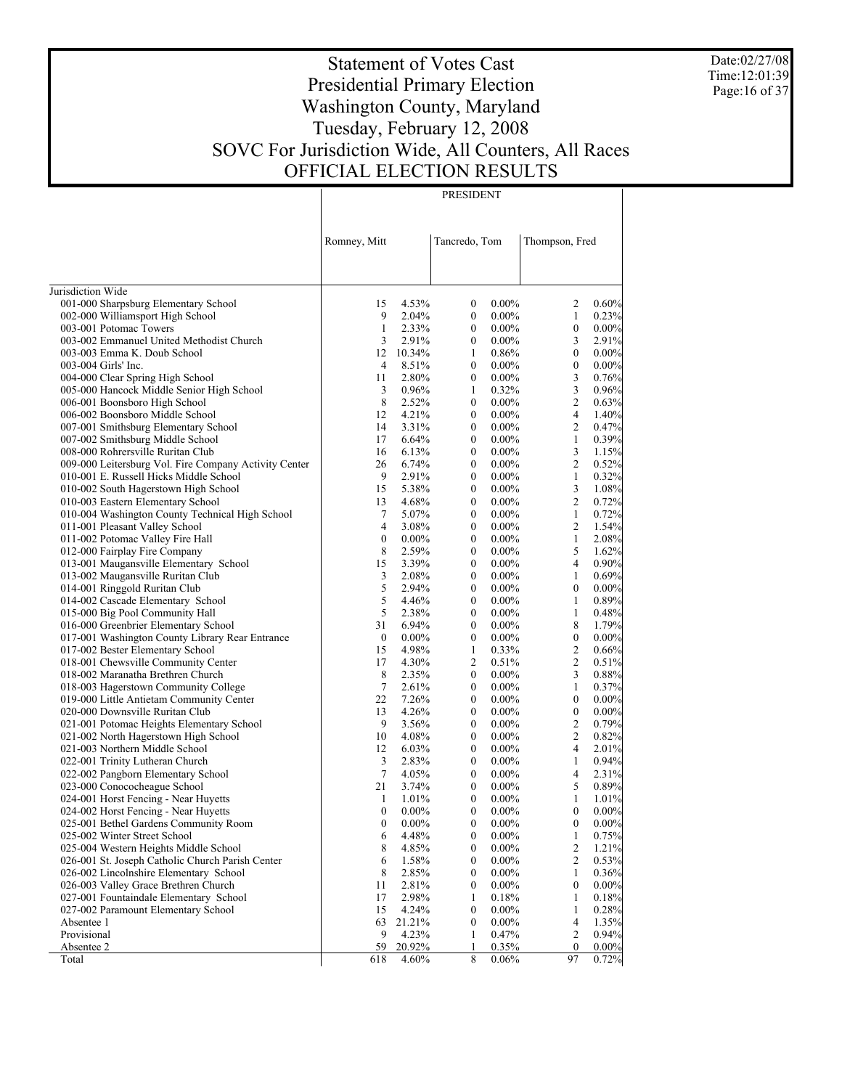Date:02/27/08 Time:12:01:39 Page:16 of 37

# Statement of Votes Cast Presidential Primary Election Washington County, Maryland Tuesday, February 12, 2008 SOVC For Jurisdiction Wide, All Counters, All Races OFFICIAL ELECTION RESULTS

| RESID<br>۱T<br>.<br>n N |
|-------------------------|

|                                                       | Romney, Mitt     |                 | Tancredo, Tom    |                | Thompson, Fred         |                   |
|-------------------------------------------------------|------------------|-----------------|------------------|----------------|------------------------|-------------------|
| Jurisdiction Wide                                     |                  |                 |                  |                |                        |                   |
| 001-000 Sharpsburg Elementary School                  | 15               | 4.53%           | $\boldsymbol{0}$ | $0.00\%$       | 2                      | $0.60\%$          |
| 002-000 Williamsport High School                      | 9                | 2.04%           | $\boldsymbol{0}$ | $0.00\%$       | 1                      | 0.23%             |
| 003-001 Potomac Towers                                | 1                | 2.33%           | $\boldsymbol{0}$ | $0.00\%$       | $\boldsymbol{0}$       | $0.00\%$          |
| 003-002 Emmanuel United Methodist Church              | 3                | 2.91%           | $\boldsymbol{0}$ | $0.00\%$       | 3                      | 2.91%             |
| 003-003 Emma K. Doub School                           |                  | 12 10.34%       | 1                | 0.86%          | $\boldsymbol{0}$       | $0.00\%$          |
| 003-004 Girls' Inc.                                   | 4                | 8.51%           | $\boldsymbol{0}$ | $0.00\%$       | $\boldsymbol{0}$       | 0.00%             |
| 004-000 Clear Spring High School                      | 11               | 2.80%           | $\boldsymbol{0}$ | $0.00\%$       | 3                      | 0.76%             |
| 005-000 Hancock Middle Senior High School             | 3                | 0.96%           | 1                | 0.32%          | 3                      | 0.96%             |
| 006-001 Boonsboro High School                         | 8                | 2.52%           | $\boldsymbol{0}$ | $0.00\%$       | $\overline{c}$         | 0.63%             |
| 006-002 Boonsboro Middle School                       | 12               | 4.21%           | $\boldsymbol{0}$ | $0.00\%$       | $\overline{4}$         | 1.40%             |
| 007-001 Smithsburg Elementary School                  | 14               | 3.31%           | $\boldsymbol{0}$ | $0.00\%$       | $\overline{c}$         | 0.47%             |
| 007-002 Smithsburg Middle School                      | 17               | 6.64%           | $\boldsymbol{0}$ | $0.00\%$       | 1                      | 0.39%             |
| 008-000 Rohrersville Ruritan Club                     | 16               | 6.13%           | $\boldsymbol{0}$ | $0.00\%$       | 3                      | 1.15%             |
| 009-000 Leitersburg Vol. Fire Company Activity Center | 26               | 6.74%           | $\boldsymbol{0}$ | $0.00\%$       | $\mathfrak{2}$         | 0.52%             |
| 010-001 E. Russell Hicks Middle School                | 9                | 2.91%           | $\boldsymbol{0}$ | $0.00\%$       | $\mathbf{1}$           | 0.32%             |
| 010-002 South Hagerstown High School                  | 15               | 5.38%           | $\boldsymbol{0}$ | $0.00\%$       | 3                      | 1.08%             |
| 010-003 Eastern Elementary School                     | 13               | 4.68%           | $\boldsymbol{0}$ | $0.00\%$       | $\mathfrak{2}$         | 0.72%             |
| 010-004 Washington County Technical High School       | 7                | 5.07%           | $\boldsymbol{0}$ | $0.00\%$       | $\mathbf{1}$           | 0.72%             |
| 011-001 Pleasant Valley School                        | 4                | 3.08%           | $\boldsymbol{0}$ | $0.00\%$       | $\mathfrak{2}$         | 1.54%             |
| 011-002 Potomac Valley Fire Hall                      | 0                | $0.00\%$        | $\boldsymbol{0}$ | $0.00\%$       | 1                      | 2.08%             |
| 012-000 Fairplay Fire Company                         | 8                | 2.59%           | $\boldsymbol{0}$ | $0.00\%$       | 5                      | 1.62%             |
| 013-001 Maugansville Elementary School                | 15               | 3.39%           | $\boldsymbol{0}$ | $0.00\%$       | 4                      | 0.90%             |
| 013-002 Maugansville Ruritan Club                     | 3                | 2.08%           | $\boldsymbol{0}$ | $0.00\%$       | 1                      | 0.69%             |
| 014-001 Ringgold Ruritan Club                         | 5                | 2.94%           | $\boldsymbol{0}$ | $0.00\%$       | $\boldsymbol{0}$       | 0.00%             |
| 014-002 Cascade Elementary School                     | 5                | 4.46%           | $\boldsymbol{0}$ | $0.00\%$       | 1                      | 0.89%             |
| 015-000 Big Pool Community Hall                       | 5                | 2.38%           | $\boldsymbol{0}$ | $0.00\%$       | 1                      | 0.48%             |
| 016-000 Greenbrier Elementary School                  | 31               | 6.94%           | $\boldsymbol{0}$ | $0.00\%$       | 8                      | 1.79%             |
| 017-001 Washington County Library Rear Entrance       | $\boldsymbol{0}$ | $0.00\%$        | $\boldsymbol{0}$ | $0.00\%$       | $\boldsymbol{0}$       | 0.00%             |
| 017-002 Bester Elementary School                      | 15               | 4.98%           | $\mathbf{1}$     | 0.33%          | $\overline{c}$         | 0.66%             |
| 018-001 Chewsville Community Center                   | 17               | 4.30%           | 2                | 0.51%          | $\overline{c}$         | 0.51%             |
| 018-002 Maranatha Brethren Church                     | 8                | 2.35%           | $\boldsymbol{0}$ | $0.00\%$       | 3                      | 0.88%             |
| 018-003 Hagerstown Community College                  | 7                | 2.61%           | $\boldsymbol{0}$ | $0.00\%$       | 1                      | 0.37%             |
| 019-000 Little Antietam Community Center              | 22               | 7.26%           | $\boldsymbol{0}$ | $0.00\%$       | $\boldsymbol{0}$       | $0.00\%$          |
| 020-000 Downsville Ruritan Club                       | 13               | 4.26%           | $\boldsymbol{0}$ | $0.00\%$       | $\boldsymbol{0}$       | 0.00%             |
| 021-001 Potomac Heights Elementary School             | 9                | 3.56%           | $\boldsymbol{0}$ | $0.00\%$       | $\overline{c}$         | 0.79%             |
| 021-002 North Hagerstown High School                  | 10               | 4.08%           | $\boldsymbol{0}$ | $0.00\%$       | $\mathfrak{2}$         | 0.82%             |
| 021-003 Northern Middle School                        | 12               | 6.03%           | $\boldsymbol{0}$ | $0.00\%$       | 4                      | 2.01%             |
| 022-001 Trinity Lutheran Church                       | 3                | 2.83%           | $\boldsymbol{0}$ | $0.00\%$       | 1                      | 0.94%             |
| 022-002 Pangborn Elementary School                    | 7                | 4.05%           | $\boldsymbol{0}$ | $0.00\%$       | $\overline{4}$         | 2.31%             |
| 023-000 Conococheague School                          | 21               | 3.74%           | $\boldsymbol{0}$ | $0.00\%$       | 5                      | 0.89%             |
| 024-001 Horst Fencing - Near Huyetts                  | 1                | 1.01%           | $\boldsymbol{0}$ | $0.00\%$       | 1                      | 1.01%             |
| 024-002 Horst Fencing - Near Huyetts                  | $\boldsymbol{0}$ | $0.00\%$        | $\theta$         | $0.00\%$       | $\boldsymbol{0}$       | 0.00%             |
| 025-001 Bethel Gardens Community Room                 | $\boldsymbol{0}$ | $0.00\%$        | $\mathbf{0}$     | $0.00\%$       | $\mathbf{0}$           | $0.00\%$          |
| 025-002 Winter Street School                          | 6                | 4.48%           | $\boldsymbol{0}$ | $0.00\%$       | 1                      | 0.75%             |
| 025-004 Western Heights Middle School                 | 8                | 4.85%           | $\boldsymbol{0}$ | $0.00\%$       | $\mathfrak{2}$         | 1.21%             |
| 026-001 St. Joseph Catholic Church Parish Center      | 6                | 1.58%           | $\boldsymbol{0}$ | $0.00\%$       | $\mathfrak{2}$         | 0.53%             |
| 026-002 Lincolnshire Elementary School                | 8                | 2.85%           | $\boldsymbol{0}$ | $0.00\%$       | 1                      | 0.36%             |
| 026-003 Valley Grace Brethren Church                  | 11               | 2.81%           | $\boldsymbol{0}$ | $0.00\%$       | $\boldsymbol{0}$       | $0.00\%$          |
| 027-001 Fountaindale Elementary School                | 17               | 2.98%           | 1                | 0.18%          | 1                      | 0.18%             |
| 027-002 Paramount Elementary School                   | 15               | 4.24%           | $\boldsymbol{0}$ | $0.00\%$       | 1                      | 0.28%             |
| Absentee 1                                            | 63               | 21.21%          | $\boldsymbol{0}$ | $0.00\%$       | $\overline{4}$         | 1.35%             |
| Provisional                                           | 9                | 4.23%           | 1                | 0.47%          | 2                      | 0.94%             |
| Absentee 2<br>Total                                   | 59<br>618        | 20.92%<br>4.60% | 1<br>8           | 0.35%<br>0.06% | $\boldsymbol{0}$<br>97 | $0.00\%$<br>0.72% |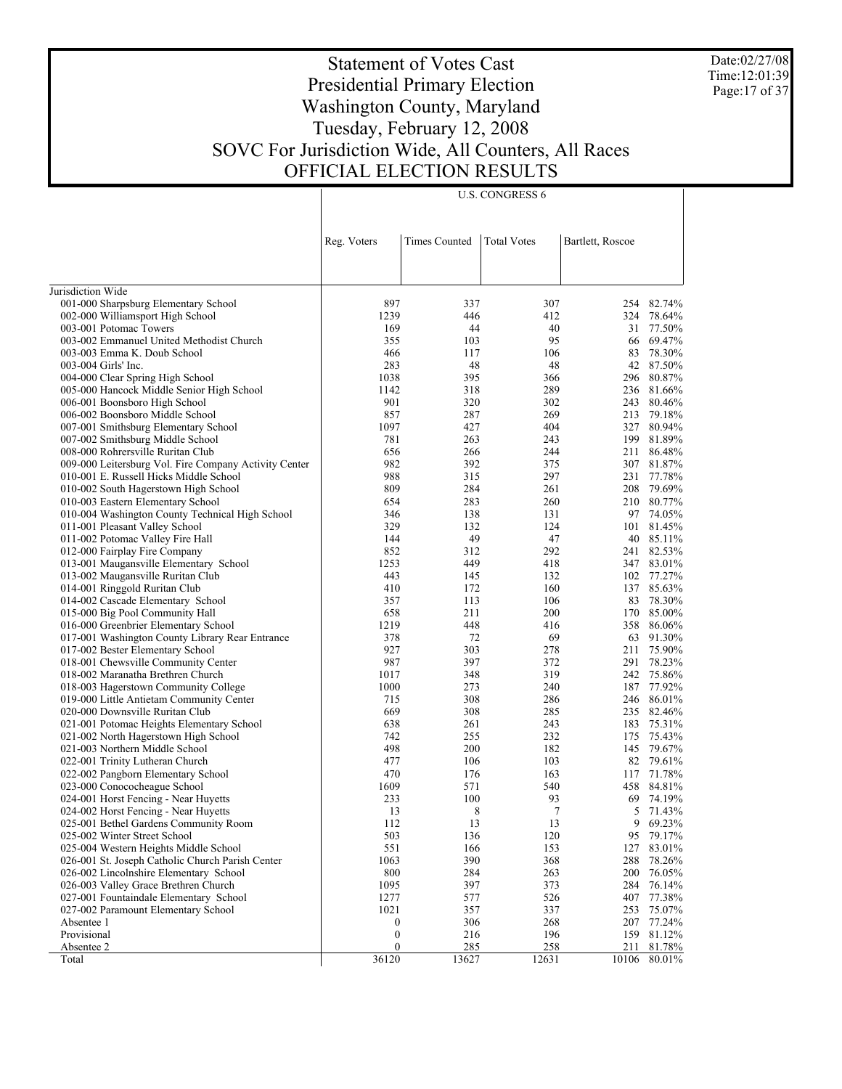Date:02/27/08 Time:12:01:39 Page:17 of 37

# Statement of Votes Cast Presidential Primary Election Washington County, Maryland Tuesday, February 12, 2008 SOVC For Jurisdiction Wide, All Counters, All Races OFFICIAL ELECTION RESULTS

U.S. CONGRESS 6

|                                                                                | Reg. Voters      | <b>Times Counted</b> | <b>Total Votes</b> | Bartlett, Roscoe |                      |
|--------------------------------------------------------------------------------|------------------|----------------------|--------------------|------------------|----------------------|
|                                                                                |                  |                      |                    |                  |                      |
|                                                                                |                  |                      |                    |                  |                      |
| Jurisdiction Wide                                                              |                  |                      |                    |                  |                      |
| 001-000 Sharpsburg Elementary School                                           | 897              | 337                  | 307                |                  | 254 82.74%           |
| 002-000 Williamsport High School                                               | 1239             | 446                  | 412                | 324              | 78.64%               |
| 003-001 Potomac Towers                                                         | 169              | 44                   | 40                 |                  | 31 77.50%            |
| 003-002 Emmanuel United Methodist Church                                       | 355              | 103                  | 95                 | 66               | 69.47%               |
| 003-003 Emma K. Doub School<br>003-004 Girls' Inc.                             | 466<br>283       | 117<br>48            | 106<br>48          | 83               | 78.30%<br>42 87.50%  |
|                                                                                | 1038             | 395                  | 366                |                  | 296 80.87%           |
| 004-000 Clear Spring High School<br>005-000 Hancock Middle Senior High School  | 1142             | 318                  | 289                | 236              | 81.66%               |
| 006-001 Boonsboro High School                                                  | 901              | 320                  | 302                | 243              | 80.46%               |
| 006-002 Boonsboro Middle School                                                | 857              | 287                  | 269                | 213              | 79.18%               |
| 007-001 Smithsburg Elementary School                                           | 1097             | 427                  | 404                |                  | 327 80.94%           |
| 007-002 Smithsburg Middle School                                               | 781              | 263                  | 243                | 199              | 81.89%               |
| 008-000 Rohrersville Ruritan Club                                              | 656              | 266                  | 244                | 211              | 86.48%               |
| 009-000 Leitersburg Vol. Fire Company Activity Center                          | 982              | 392                  | 375                | 307              | 81.87%               |
| 010-001 E. Russell Hicks Middle School                                         | 988              | 315                  | 297                | 231              | 77.78%               |
| 010-002 South Hagerstown High School                                           | 809              | 284                  | 261                | 208              | 79.69%               |
| 010-003 Eastern Elementary School                                              | 654              | 283                  | 260                |                  | 210 80.77%           |
| 010-004 Washington County Technical High School                                | 346              | 138                  | 131                |                  | 97 74.05%            |
| 011-001 Pleasant Valley School                                                 | 329              | 132                  | 124                |                  | 101 81.45%           |
| 011-002 Potomac Valley Fire Hall                                               | 144              | 49                   | 47                 | 40               | 85.11%               |
| 012-000 Fairplay Fire Company                                                  | 852              | 312                  | 292                |                  | 241 82.53%           |
| 013-001 Maugansville Elementary School                                         | 1253             | 449                  | 418                |                  | 347 83.01%           |
| 013-002 Maugansville Ruritan Club                                              | 443              | 145                  | 132                |                  | 102 77.27%           |
| 014-001 Ringgold Ruritan Club                                                  | 410              | 172                  | 160                |                  | 137 85.63%           |
| 014-002 Cascade Elementary School                                              | 357              | 113                  | 106                | 83               | 78.30%               |
| 015-000 Big Pool Community Hall<br>016-000 Greenbrier Elementary School        | 658<br>1219      | 211<br>448           | 200<br>416         | 170              | 85.00%<br>358 86.06% |
| 017-001 Washington County Library Rear Entrance                                | 378              | 72                   | 69                 | 63               | 91.30%               |
| 017-002 Bester Elementary School                                               | 927              | 303                  | 278                | 211              | 75.90%               |
| 018-001 Chewsville Community Center                                            | 987              | 397                  | 372                | 291              | 78.23%               |
| 018-002 Maranatha Brethren Church                                              | 1017             | 348                  | 319                |                  | 242 75.86%           |
| 018-003 Hagerstown Community College                                           | 1000             | 273                  | 240                | 187              | 77.92%               |
| 019-000 Little Antietam Community Center                                       | 715              | 308                  | 286                |                  | 246 86.01%           |
| 020-000 Downsville Ruritan Club                                                | 669              | 308                  | 285                |                  | 235 82.46%           |
| 021-001 Potomac Heights Elementary School                                      | 638              | 261                  | 243                |                  | 183 75.31%           |
| 021-002 North Hagerstown High School                                           | 742              | 255                  | 232                | 175              | 75.43%               |
| 021-003 Northern Middle School                                                 | 498              | 200                  | 182                |                  | 145 79.67%           |
| 022-001 Trinity Lutheran Church                                                | 477              | 106                  | 103                |                  | 82 79.61%            |
| 022-002 Pangborn Elementary School                                             | 470              | 176                  | 163                |                  | 117 71.78%           |
| 023-000 Conococheague School                                                   | 1609             | 571                  | 540                | 458              | 84.81%               |
| 024-001 Horst Fencing - Near Huyetts                                           | 233              | 100                  | 93                 | 69               | 74.19%               |
| 024-002 Horst Fencing - Near Huyetts                                           | 13               | 8                    | 7                  | 5                | 71.43%               |
| 025-001 Bethel Gardens Community Room                                          | 112              | 13                   | 13                 | 9                | 69.23%               |
| 025-002 Winter Street School                                                   | 503              | 136                  | 120                | 95               | 79.17%               |
| 025-004 Western Heights Middle School                                          | 551              | 166                  | 153                | 127              | 83.01%               |
| 026-001 St. Joseph Catholic Church Parish Center                               | 1063<br>800      | 390<br>284           | 368                | 288              | 78.26%<br>76.05%     |
| 026-002 Lincolnshire Elementary School<br>026-003 Valley Grace Brethren Church | 1095             | 397                  | 263<br>373         | 200<br>284       | 76.14%               |
| 027-001 Fountaindale Elementary School                                         | 1277             | 577                  | 526                |                  | 407 77.38%           |
| 027-002 Paramount Elementary School                                            | 1021             | 357                  | 337                | 253              | 75.07%               |
| Absentee 1                                                                     | 0                | 306                  | 268                |                  | 207 77.24%           |
| Provisional                                                                    | $\boldsymbol{0}$ | 216                  | 196                | 159              | 81.12%               |
| Absentee 2                                                                     | 0                | 285                  | 258                | 211              | 81.78%               |
| Total                                                                          | 36120            | 13627                | 12631              | 10106            | 80.01%               |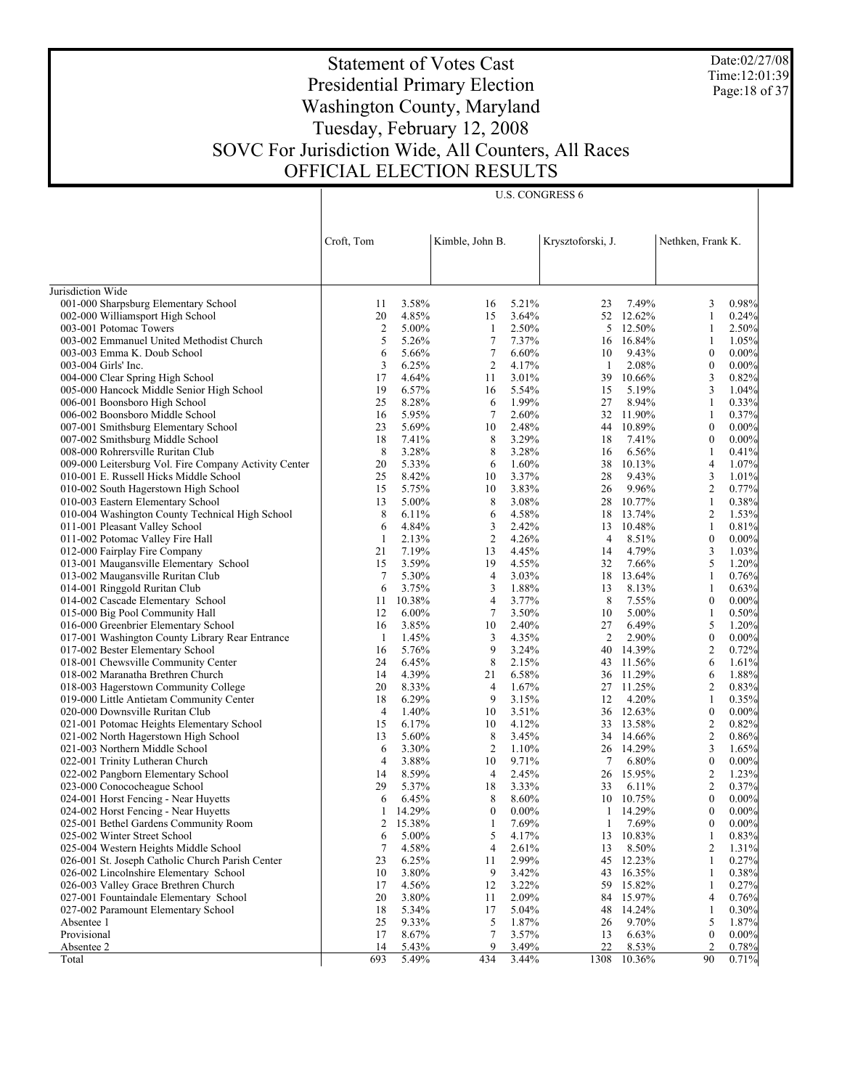Date:02/27/08 Time:12:01:39 Page: 18 of 37

# Statement of Votes Cast Presidential Primary Election Washington County, Maryland Tuesday, February 12, 2008 SOVC For Jurisdiction Wide, All Counters, All Races OFFICIAL ELECTION RESULTS

Τ

U.S. CONGRESS 6

|                                                                                   |                      |                |                     |                | Krysztoforski, J. |                    |                       |                |
|-----------------------------------------------------------------------------------|----------------------|----------------|---------------------|----------------|-------------------|--------------------|-----------------------|----------------|
|                                                                                   | Croft, Tom           |                | Kimble, John B.     |                |                   |                    | Nethken, Frank K.     |                |
|                                                                                   |                      |                |                     |                |                   |                    |                       |                |
|                                                                                   |                      |                |                     |                |                   |                    |                       |                |
| Jurisdiction Wide<br>001-000 Sharpsburg Elementary School                         | 11                   | 3.58%          | 16                  | 5.21%          | 23                | 7.49%              | 3                     | 0.98%          |
| 002-000 Williamsport High School                                                  | 20                   | 4.85%          | 15                  | 3.64%          |                   | 52 12.62%          | $\mathbf{1}$          | 0.24%          |
| 003-001 Potomac Towers                                                            | $\overline{c}$       | 5.00%          | -1                  | 2.50%          | 5                 | 12.50%             | 1                     | 2.50%          |
| 003-002 Emmanuel United Methodist Church                                          | 5                    | 5.26%          | $\tau$              | 7.37%          |                   | 16 16.84%          | $\mathbf{1}$          | 1.05%          |
| 003-003 Emma K. Doub School                                                       | 6                    | 5.66%          | $\tau$              | 6.60%          | 10                | 9.43%              | $\boldsymbol{0}$      | $0.00\%$       |
| 003-004 Girls' Inc.                                                               | 3                    | 6.25%          | $\overline{c}$      | 4.17%          | -1                | 2.08%              | $\boldsymbol{0}$      | $0.00\%$       |
| 004-000 Clear Spring High School                                                  | 17                   | 4.64%          | 11                  | 3.01%          | 39                | 10.66%             | 3                     | 0.82%          |
| 005-000 Hancock Middle Senior High School                                         | 19                   | 6.57%          | 16                  | 5.54%          | 15                | 5.19%              | 3                     | 1.04%          |
| 006-001 Boonsboro High School                                                     | 25                   | 8.28%          | 6                   | 1.99%          | 27                | 8.94%              | 1                     | 0.33%          |
| 006-002 Boonsboro Middle School                                                   | 16                   | 5.95%          | $\tau$              | 2.60%          |                   | 32 11.90%          | $\mathbf{1}$          | 0.37%          |
| 007-001 Smithsburg Elementary School                                              | 23                   | 5.69%          | 10                  | 2.48%          |                   | 44 10.89%          | $\boldsymbol{0}$      | $0.00\%$       |
| 007-002 Smithsburg Middle School                                                  | 18                   | 7.41%          | 8                   | 3.29%          | 18                | 7.41%              | $\boldsymbol{0}$      | $0.00\%$       |
| 008-000 Rohrersville Ruritan Club                                                 | 8                    | 3.28%          | 8                   | 3.28%          | 16                | 6.56%              | 1                     | 0.41%          |
| 009-000 Leitersburg Vol. Fire Company Activity Center                             | 20                   | 5.33%          | 6                   | 1.60%          | 38                | 10.13%             | $\overline{4}$        | 1.07%          |
| 010-001 E. Russell Hicks Middle School                                            | 25                   | 8.42%          | 10                  | 3.37%          | 28                | 9.43%              | 3                     | 1.01%          |
| 010-002 South Hagerstown High School                                              | 15                   | 5.75%          | 10                  | 3.83%          | 26                | 9.96%              | $\overline{2}$        | 0.77%          |
| 010-003 Eastern Elementary School                                                 | 13                   | 5.00%          | 8                   | 3.08%          |                   | 28 10.77%          | $\mathbf{1}$          | 0.38%          |
| 010-004 Washington County Technical High School                                   | 8                    | 6.11%          | 6                   | 4.58%          | 18                | 13.74%             | $\overline{2}$        | 1.53%          |
| 011-001 Pleasant Valley School                                                    | 6                    | 4.84%          | 3                   | 2.42%          |                   | 13 10.48%          | $\mathbf{1}$          | 0.81%          |
| 011-002 Potomac Valley Fire Hall                                                  | 1                    | 2.13%          | $\overline{c}$      | 4.26%          | 4                 | 8.51%              | $\boldsymbol{0}$      | $0.00\%$       |
| 012-000 Fairplay Fire Company                                                     | 21                   | 7.19%          | 13                  | 4.45%          | 14                | 4.79%              | 3                     | 1.03%          |
| 013-001 Maugansville Elementary School                                            | 15                   | 3.59%          | 19                  | 4.55%          | 32                | 7.66%              | 5                     | 1.20%          |
| 013-002 Maugansville Ruritan Club                                                 | $\tau$               | 5.30%          | $\overline{4}$      | 3.03%          |                   | 18 13.64%          | 1                     | 0.76%          |
| 014-001 Ringgold Ruritan Club                                                     | 6                    | 3.75%          | 3                   | 1.88%          | 13                | 8.13%              | $\mathbf{1}$          | 0.63%          |
| 014-002 Cascade Elementary School                                                 | 11                   | 10.38%         | $\overline{4}$      | 3.77%          | 8                 | 7.55%              | $\boldsymbol{0}$      | $0.00\%$       |
| 015-000 Big Pool Community Hall                                                   | 12                   | $6.00\%$       | $\tau$              | 3.50%          | 10                | 5.00%              | $\mathbf{1}$          | 0.50%          |
| 016-000 Greenbrier Elementary School                                              | 16                   | 3.85%          | 10                  | 2.40%          | 27                | 6.49%              | 5                     | 1.20%          |
| 017-001 Washington County Library Rear Entrance                                   | -1                   | 1.45%          | 3                   | 4.35%          | 2                 | 2.90%              | $\boldsymbol{0}$      | $0.00\%$       |
| 017-002 Bester Elementary School                                                  | 16                   | 5.76%          | 9                   | 3.24%          |                   | 40 14.39%          | $\overline{2}$        | 0.72%          |
| 018-001 Chewsville Community Center                                               | 24                   | 6.45%          | 8                   | 2.15%          |                   | 43 11.56%          | 6                     | 1.61%          |
| 018-002 Maranatha Brethren Church                                                 | 14                   | 4.39%          | 21                  | 6.58%          |                   | 36 11.29%          | 6                     | 1.88%          |
| 018-003 Hagerstown Community College                                              | 20                   | 8.33%          | $\overline{4}$<br>9 | 1.67%          |                   | 27 11.25%          | $\overline{2}$        | 0.83%          |
| 019-000 Little Antietam Community Center                                          | 18                   | 6.29%<br>1.40% |                     | 3.15%<br>3.51% | 12                | 4.20%<br>36 12.63% | 1<br>$\boldsymbol{0}$ | 0.35%          |
| 020-000 Downsville Ruritan Club                                                   | $\overline{4}$<br>15 | 6.17%          | 10<br>10            | 4.12%          |                   | 33 13.58%          | $\boldsymbol{2}$      | $0.00\%$       |
| 021-001 Potomac Heights Elementary School<br>021-002 North Hagerstown High School | 13                   | 5.60%          | 8                   | 3.45%          |                   | 34 14.66%          | $\boldsymbol{2}$      | 0.82%<br>0.86% |
| 021-003 Northern Middle School                                                    | 6                    | 3.30%          | 2                   | 1.10%          |                   | 26 14.29%          | 3                     | 1.65%          |
| 022-001 Trinity Lutheran Church                                                   | 4                    | 3.88%          | 10                  | 9.71%          | $\tau$            | 6.80%              | $\boldsymbol{0}$      | $0.00\%$       |
| 022-002 Pangborn Elementary School                                                | 14                   | 8.59%          | $\overline{4}$      | 2.45%          |                   | 26 15.95%          | $\boldsymbol{2}$      | 1.23%          |
| 023-000 Conococheague School                                                      | 29                   | 5.37%          | 18                  | 3.33%          | 33                | 6.11%              | $\overline{2}$        | 0.37%          |
| 024-001 Horst Fencing - Near Huyetts                                              | 6                    | 6.45%          | 8                   | 8.60%          |                   | 10 10.75%          | $\boldsymbol{0}$      | $0.00\%$       |
| 024-002 Horst Fencing - Near Huyetts                                              | 1                    | 14.29%         | $\mathbf{0}$        | $0.00\%$       | $\mathbf{1}$      | 14.29%             | $\mathbf{0}$          | 0.00%          |
| 025-001 Bethel Gardens Community Room                                             | 2                    | 15.38%         | 1                   | 7.69%          | 1                 | 7.69%              | 0                     | 0.00%          |
| 025-002 Winter Street School                                                      | 6                    | 5.00%          | 5                   | 4.17%          | 13                | 10.83%             | 1                     | 0.83%          |
| 025-004 Western Heights Middle School                                             | 7                    | 4.58%          | 4                   | 2.61%          | 13                | 8.50%              | $\overline{c}$        | 1.31%          |
| 026-001 St. Joseph Catholic Church Parish Center                                  | 23                   | 6.25%          | 11                  | 2.99%          | 45                | 12.23%             | 1                     | 0.27%          |
| 026-002 Lincolnshire Elementary School                                            | 10                   | 3.80%          | 9                   | 3.42%          | 43                | 16.35%             | 1                     | 0.38%          |
| 026-003 Valley Grace Brethren Church                                              | 17                   | 4.56%          | 12                  | 3.22%          | 59                | 15.82%             | 1                     | 0.27%          |
| 027-001 Fountaindale Elementary School                                            | 20                   | 3.80%          | 11                  | 2.09%          | 84                | 15.97%             | 4                     | 0.76%          |
| 027-002 Paramount Elementary School                                               | 18                   | 5.34%          | 17                  | 5.04%          | 48                | 14.24%             | 1                     | 0.30%          |
| Absentee 1                                                                        | 25                   | 9.33%          | 5                   | 1.87%          | 26                | 9.70%              | 5                     | 1.87%          |
| Provisional                                                                       | 17                   | 8.67%          | 7                   | 3.57%          | 13                | 6.63%              | $\boldsymbol{0}$      | 0.00%          |
| Absentee 2                                                                        | 14                   | 5.43%          | 9                   | 3.49%          | 22                | 8.53%              | 2                     | 0.78%          |
| Total                                                                             | 693                  | 5.49%          | 434                 | 3.44%          | 1308              | 10.36%             | 90                    | 0.71%          |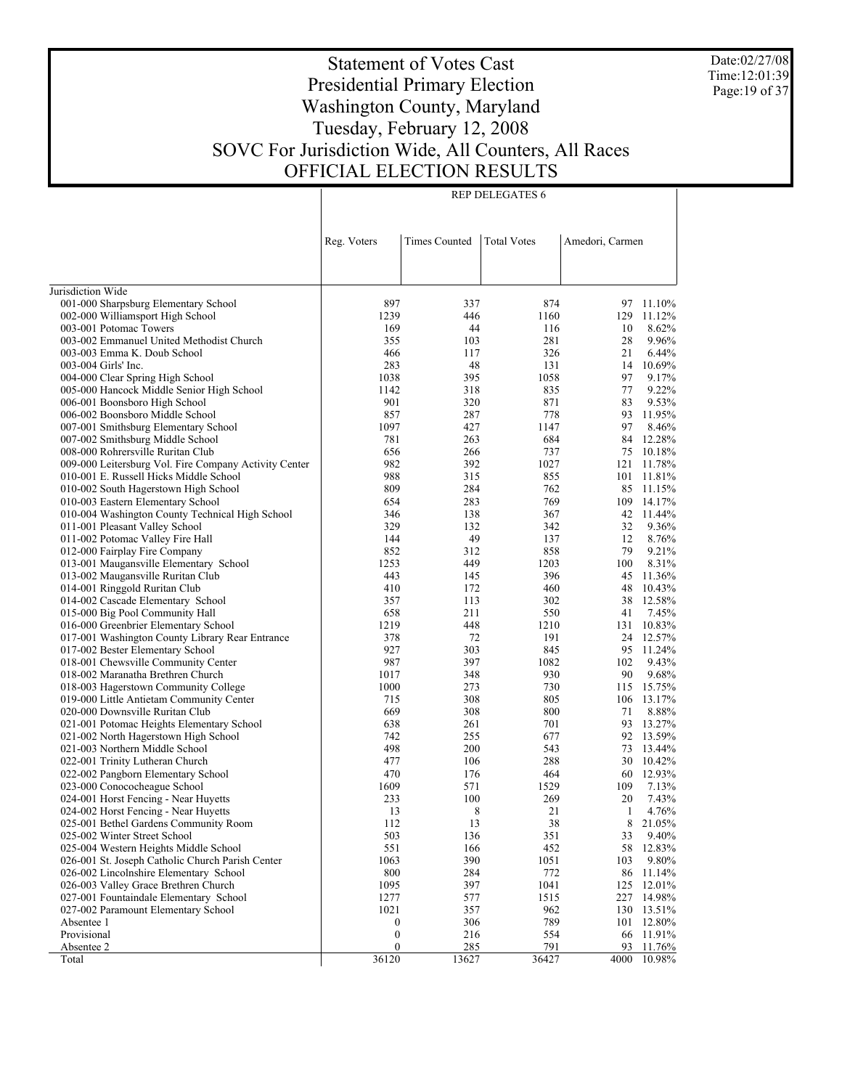Date:02/27/08 Time:12:01:39 Page:19 of 37

# Statement of Votes Cast Presidential Primary Election Washington County, Maryland Tuesday, February 12, 2008 SOVC For Jurisdiction Wide, All Counters, All Races OFFICIAL ELECTION RESULTS

|                                                       | Reg. Voters      | Times Counted | <b>Total Votes</b> | Amedori, Carmen |                  |
|-------------------------------------------------------|------------------|---------------|--------------------|-----------------|------------------|
|                                                       |                  |               |                    |                 |                  |
| Jurisdiction Wide                                     |                  |               |                    |                 |                  |
| 001-000 Sharpsburg Elementary School                  | 897              | 337           | 874                | 97              | 11.10%           |
| 002-000 Williamsport High School                      | 1239             | 446           | 1160               | 129             | 11.12%           |
| 003-001 Potomac Towers                                | 169              | 44            | 116                | 10              | 8.62%            |
| 003-002 Emmanuel United Methodist Church              | 355              | 103           | 281                | 28              | 9.96%            |
| 003-003 Emma K. Doub School                           | 466              | 117           | 326                | 21              | 6.44%            |
| 003-004 Girls' Inc.                                   | 283              | 48            | 131                | 14              | 10.69%           |
| 004-000 Clear Spring High School                      | 1038             | 395           | 1058               | 97              | 9.17%            |
| 005-000 Hancock Middle Senior High School             | 1142             | 318           | 835                | 77              | 9.22%            |
| 006-001 Boonsboro High School                         | 901              | 320           | 871                | 83              | 9.53%            |
| 006-002 Boonsboro Middle School                       | 857              | 287           | 778                | 93              | 11.95%           |
| 007-001 Smithsburg Elementary School                  | 1097             | 427           | 1147               | 97              | 8.46%            |
| 007-002 Smithsburg Middle School                      | 781              | 263           | 684                | 84              | 12.28%           |
| 008-000 Rohrersville Ruritan Club                     | 656              | 266           | 737                | 75              | 10.18%           |
| 009-000 Leitersburg Vol. Fire Company Activity Center | 982              | 392           | 1027               | 121             | 11.78%           |
| 010-001 E. Russell Hicks Middle School                | 988              | 315           | 855                | 101             | 11.81%           |
| 010-002 South Hagerstown High School                  | 809              | 284           | 762                | 85              | 11.15%           |
| 010-003 Eastern Elementary School                     | 654              | 283           | 769                | 109             | 14.17%           |
| 010-004 Washington County Technical High School       | 346              | 138           | 367                | 42              | 11.44%           |
| 011-001 Pleasant Valley School                        | 329              | 132           | 342                | 32              | 9.36%            |
| 011-002 Potomac Valley Fire Hall                      | 144              | 49            | 137                | 12              | 8.76%            |
| 012-000 Fairplay Fire Company                         | 852              | 312           | 858                | 79              | 9.21%            |
| 013-001 Maugansville Elementary School                | 1253             | 449           | 1203               | 100             | 8.31%            |
| 013-002 Maugansville Ruritan Club                     | 443              | 145           | 396                | 45              | 11.36%           |
| 014-001 Ringgold Ruritan Club                         | 410              | 172           | 460                | 48              | 10.43%           |
| 014-002 Cascade Elementary School                     | 357              | 113           | 302                | 38              | 12.58%           |
| 015-000 Big Pool Community Hall                       | 658              | 211           | 550                | 41              | 7.45%            |
| 016-000 Greenbrier Elementary School                  | 1219             | 448           | 1210               | 131             | 10.83%           |
| 017-001 Washington County Library Rear Entrance       | 378              | 72            | 191                | 24              | 12.57%           |
| 017-002 Bester Elementary School                      | 927              | 303           | 845                | 95              | 11.24%           |
| 018-001 Chewsville Community Center                   | 987              | 397           | 1082               | 102             | 9.43%            |
| 018-002 Maranatha Brethren Church                     | 1017             | 348           | 930                | 90              | 9.68%            |
| 018-003 Hagerstown Community College                  | 1000             | 273           | 730                | 115             | 15.75%           |
| 019-000 Little Antietam Community Center              | 715              | 308           | 805                | 106             | 13.17%           |
| 020-000 Downsville Ruritan Club                       | 669              | 308           | 800                | 71              | 8.88%            |
| 021-001 Potomac Heights Elementary School             | 638              | 261           | 701                | 93              | 13.27%           |
| 021-002 North Hagerstown High School                  | 742              | 255           | 677                | 92              | 13.59%           |
| 021-003 Northern Middle School                        | 498              | 200           | 543                | 73              | 13.44%           |
| 022-001 Trinity Lutheran Church                       | 477              | 106           | 288                | 30              | 10.42%           |
| 022-002 Pangborn Elementary School                    | 470              | 176           | 464                | 60              | 12.93%           |
| 023-000 Conococheague School                          | 1609             | 571           | 1529               | 109             | 7.13%            |
| 024-001 Horst Fencing - Near Huyetts                  | 233              | 100           | 269                | 20              | 7.43%            |
| 024-002 Horst Fencing - Near Huyetts                  | 13               | 8             | 21                 | 1               | 4.76%            |
| 025-001 Bethel Gardens Community Room                 | 112              | 13            | 38                 | 8               | 21.05%           |
| 025-002 Winter Street School                          | 503              | 136           | 351                | 33              | 9.40%            |
| 025-004 Western Heights Middle School                 | 551              | 166           | 452                | 58              | 12.83%           |
| 026-001 St. Joseph Catholic Church Parish Center      | 1063             | 390           | 1051               | 103             | 9.80%            |
| 026-002 Lincolnshire Elementary School                | 800              | 284           | 772                | 86              | 11.14%           |
| 026-003 Valley Grace Brethren Church                  | 1095             | 397           | 1041               | 125             | 12.01%           |
| 027-001 Fountaindale Elementary School                | 1277             | 577           | 1515               | 227             | 14.98%           |
| 027-002 Paramount Elementary School                   | 1021             | 357           | 962                | 130             | 13.51%           |
| Absentee 1<br>Provisional                             | 0                | 306           | 789                | 101             | 12.80%           |
|                                                       | $\boldsymbol{0}$ | 216           | 554                | 66              | 11.91%           |
| Absentee 2<br>Total                                   | 0<br>36120       | 285<br>13627  | 791<br>36427       | 93<br>4000      | 11.76%<br>10.98% |
|                                                       |                  |               |                    |                 |                  |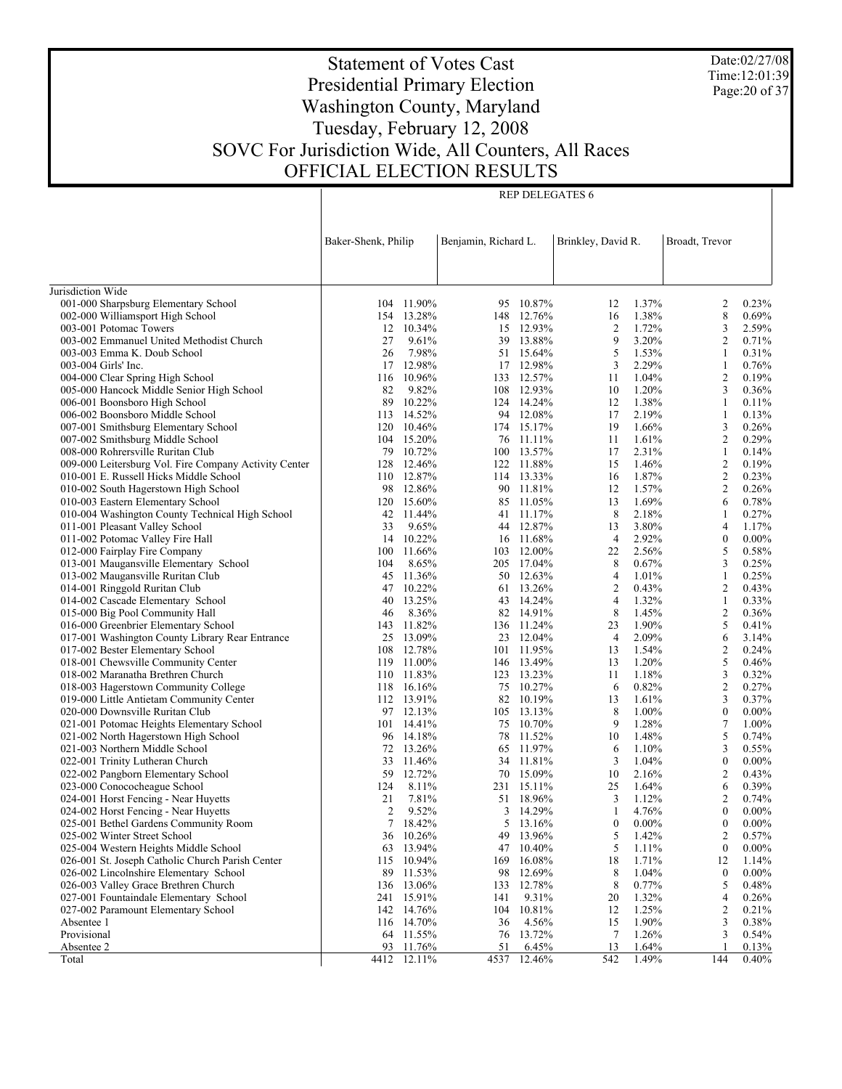Date:02/27/08 Time:12:01:39 Page:20 of 37

# Statement of Votes Cast Presidential Primary Election Washington County, Maryland Tuesday, February 12, 2008 SOVC For Jurisdiction Wide, All Counters, All Races OFFICIAL ELECTION RESULTS

|                                                                         | Baker-Shenk, Philip |                     | Benjamin, Richard L. |                         | Brinkley, David R. |                | Broadt, Trevor      |                |
|-------------------------------------------------------------------------|---------------------|---------------------|----------------------|-------------------------|--------------------|----------------|---------------------|----------------|
|                                                                         |                     |                     |                      |                         |                    |                |                     |                |
|                                                                         |                     |                     |                      |                         |                    |                |                     |                |
| Jurisdiction Wide                                                       |                     |                     |                      |                         |                    |                |                     |                |
| 001-000 Sharpsburg Elementary School                                    |                     | 104 11.90%          |                      | 95 10.87%               | 12                 | 1.37%          | 2                   | 0.23%          |
| 002-000 Williamsport High School                                        |                     | 154 13.28%          |                      | 148 12.76%              | 16                 | 1.38%          | 8                   | 0.69%          |
| 003-001 Potomac Towers                                                  |                     | 12 10.34%           |                      | 15 12.93%               | $\overline{c}$     | 1.72%          | 3                   | 2.59%          |
| 003-002 Emmanuel United Methodist Church                                | 27                  | 9.61%               |                      | 39 13.88%               | 9                  | 3.20%          | $\overline{c}$      | 0.71%          |
| 003-003 Emma K. Doub School                                             | 26                  | 7.98%               |                      | 51 15.64%               | 5                  | 1.53%          | 1                   | 0.31%          |
| 003-004 Girls' Inc.                                                     |                     | 17 12.98%           |                      | 17 12.98%               | 3                  | 2.29%          | 1                   | 0.76%          |
| 004-000 Clear Spring High School                                        |                     | 116 10.96%          |                      | 133 12.57%              | 11                 | 1.04%          | $\sqrt{2}$          | 0.19%          |
| 005-000 Hancock Middle Senior High School                               | 82                  | 9.82%               |                      | 108 12.93%              | 10                 | 1.20%          | 3                   | 0.36%          |
| 006-001 Boonsboro High School                                           | 89                  | 10.22%              |                      | 124 14.24%              | 12                 | 1.38%          | $\mathbf{1}$        | 0.11%          |
| 006-002 Boonsboro Middle School                                         |                     | 113 14.52%          |                      | 94 12.08%               | 17                 | 2.19%          | 1                   | 0.13%          |
| 007-001 Smithsburg Elementary School                                    | 120                 | 10.46%              |                      | 174 15.17%              | 19                 | 1.66%          | 3                   | 0.26%          |
| 007-002 Smithsburg Middle School                                        |                     | 104 15.20%          |                      | 76 11.11%               | 11                 | 1.61%          | $\mathfrak{2}$      | 0.29%          |
| 008-000 Rohrersville Ruritan Club                                       | 79                  | 10.72%              |                      | 100 13.57%              | 17                 | 2.31%          | 1                   | 0.14%          |
| 009-000 Leitersburg Vol. Fire Company Activity Center                   |                     | 128 12.46%          |                      | 122 11.88%              | 15                 | 1.46%          | $\mathfrak{2}$      | 0.19%          |
| 010-001 E. Russell Hicks Middle School                                  |                     | 110 12.87%          |                      | 114 13.33%              | 16                 | 1.87%          | $\mathbf{2}$        | 0.23%          |
| 010-002 South Hagerstown High School                                    |                     | 98 12.86%           |                      | 90 11.81%               | 12                 | 1.57%          | $\mathbf{2}$        | 0.26%          |
| 010-003 Eastern Elementary School                                       |                     | 120 15.60%          |                      | 85 11.05%               | 13                 | 1.69%          | 6                   | 0.78%          |
| 010-004 Washington County Technical High School                         |                     | 42 11.44%           |                      | 41 11.17%               | 8                  | 2.18%          | 1                   | 0.27%          |
| 011-001 Pleasant Valley School                                          | 33                  | 9.65%               |                      | 44 12.87%               | 13                 | 3.80%          | $\overline{4}$      | 1.17%          |
| 011-002 Potomac Valley Fire Hall                                        |                     | 14 10.22%           |                      | 16 11.68%               | $\overline{4}$     | 2.92%          | $\boldsymbol{0}$    | $0.00\%$       |
| 012-000 Fairplay Fire Company                                           | 100                 | 11.66%              |                      | 103 12.00%              | 22                 | 2.56%          | 5                   | 0.58%          |
| 013-001 Maugansville Elementary School                                  | 104                 | 8.65%               |                      | 205 17.04%              | 8                  | 0.67%          | 3                   | 0.25%          |
| 013-002 Maugansville Ruritan Club                                       | 45                  | 11.36%              |                      | 50 12.63%               | $\overline{4}$     | 1.01%          | $\mathbf{1}$        | 0.25%          |
| 014-001 Ringgold Ruritan Club                                           |                     | 47 10.22%           |                      | 61 13.26%               | $\overline{c}$     | 0.43%          | 2                   | 0.43%          |
| 014-002 Cascade Elementary School                                       | 40                  | 13.25%              |                      | 43 14.24%               | $\overline{4}$     | 1.32%          | 1                   | 0.33%          |
| 015-000 Big Pool Community Hall<br>016-000 Greenbrier Elementary School | 46                  | 8.36%<br>11.82%     |                      | 82 14.91%               | 8<br>23            | 1.45%<br>1.90% | $\overline{c}$<br>5 | 0.36%<br>0.41% |
| 017-001 Washington County Library Rear Entrance                         | 143                 | 25 13.09%           |                      | 136 11.24%<br>23 12.04% | $\overline{4}$     | 2.09%          | 6                   | 3.14%          |
| 017-002 Bester Elementary School                                        | 108                 | 12.78%              |                      | 101 11.95%              | 13                 | 1.54%          | $\boldsymbol{2}$    | 0.24%          |
| 018-001 Chewsville Community Center                                     |                     | 119 11.00%          |                      | 146 13.49%              | 13                 | 1.20%          | 5                   | 0.46%          |
| 018-002 Maranatha Brethren Church                                       |                     | 110 11.83%          |                      | 123 13.23%              | 11                 | 1.18%          | 3                   | 0.32%          |
| 018-003 Hagerstown Community College                                    |                     | 118 16.16%          |                      | 75 10.27%               | 6                  | 0.82%          | $\mathbf{2}$        | 0.27%          |
| 019-000 Little Antietam Community Center                                |                     | 112 13.91%          |                      | 82 10.19%               | 13                 | 1.61%          | 3                   | 0.37%          |
| 020-000 Downsville Ruritan Club                                         |                     | 97 12.13%           |                      | 105 13.13%              | 8                  | 1.00%          | $\boldsymbol{0}$    | $0.00\%$       |
| 021-001 Potomac Heights Elementary School                               |                     | $101 \quad 14.41\%$ |                      | 75 10.70%               | 9                  | 1.28%          | $\tau$              | 1.00%          |
| 021-002 North Hagerstown High School                                    |                     | 96 14.18%           |                      | 78 11.52%               | 10                 | 1.48%          | 5                   | 0.74%          |
| 021-003 Northern Middle School                                          |                     | 72 13.26%           |                      | 65 11.97%               | 6                  | 1.10%          | 3                   | 0.55%          |
| 022-001 Trinity Lutheran Church                                         |                     | 33 11.46%           |                      | 34 11.81%               | 3                  | 1.04%          | $\boldsymbol{0}$    | $0.00\%$       |
| 022-002 Pangborn Elementary School                                      | 59                  | 12.72%              |                      | 70 15.09%               | 10                 | 2.16%          | $\overline{c}$      | 0.43%          |
| 023-000 Conococheague School                                            | 124                 | 8.11%               |                      | 231 15.11%              | 25                 | 1.64%          | 6                   | 0.39%          |
| 024-001 Horst Fencing - Near Huyetts                                    | 21                  | 7.81%               |                      | 51 18.96%               | 3                  | 1.12%          | $\mathfrak{2}$      | 0.74%          |
| 024-002 Horst Fencing - Near Huyetts                                    | $\overline{2}$      | 9.52%               |                      | 3 14.29%                | 1                  | 4.76%          | $\mathbf{0}$        | $0.00\%$       |
| 025-001 Bethel Gardens Community Room                                   |                     | 7 18.42%            |                      | 5 13.16%                | $\boldsymbol{0}$   | $0.00\%$       | $\boldsymbol{0}$    | $0.00\%$       |
| 025-002 Winter Street School                                            |                     | 36 10.26%           |                      | 49 13.96%               | 5                  | 1.42%          | 2                   | 0.57%          |
| 025-004 Western Heights Middle School                                   |                     | 63 13.94%           |                      | 47 10.40%               | 5                  | 1.11%          | $\boldsymbol{0}$    | $0.00\%$       |
| 026-001 St. Joseph Catholic Church Parish Center                        |                     | 115 10.94%          | 169                  | 16.08%                  | 18                 | 1.71%          | 12                  | 1.14%          |
| 026-002 Lincolnshire Elementary School                                  | 89                  | 11.53%              | 98                   | 12.69%                  | 8                  | 1.04%          | $\boldsymbol{0}$    | $0.00\%$       |
| 026-003 Valley Grace Brethren Church                                    |                     | 136 13.06%          | 133                  | 12.78%                  | 8                  | 0.77%          | 5                   | 0.48%          |
| 027-001 Fountaindale Elementary School                                  | 241                 | 15.91%              | 141                  | 9.31%                   | 20                 | 1.32%          | 4                   | 0.26%          |
| 027-002 Paramount Elementary School                                     |                     | 142 14.76%          |                      | 104 10.81%              | 12                 | 1.25%          | 2                   | 0.21%          |
| Absentee 1                                                              |                     | 116 14.70%          | 36                   | 4.56%                   | 15                 | 1.90%          | 3                   | 0.38%          |
| Provisional                                                             |                     | 64 11.55%           |                      | 76 13.72%               | 7                  | 1.26%          | 3                   | 0.54%          |
| Absentee 2                                                              | 93                  | 11.76%              | 51                   | 6.45%                   | 13                 | 1.64%          |                     | 0.13%          |
| Total                                                                   |                     | 4412 12.11%         |                      | 4537 12.46%             | 542                | 1.49%          | 144                 | $0.40\%$       |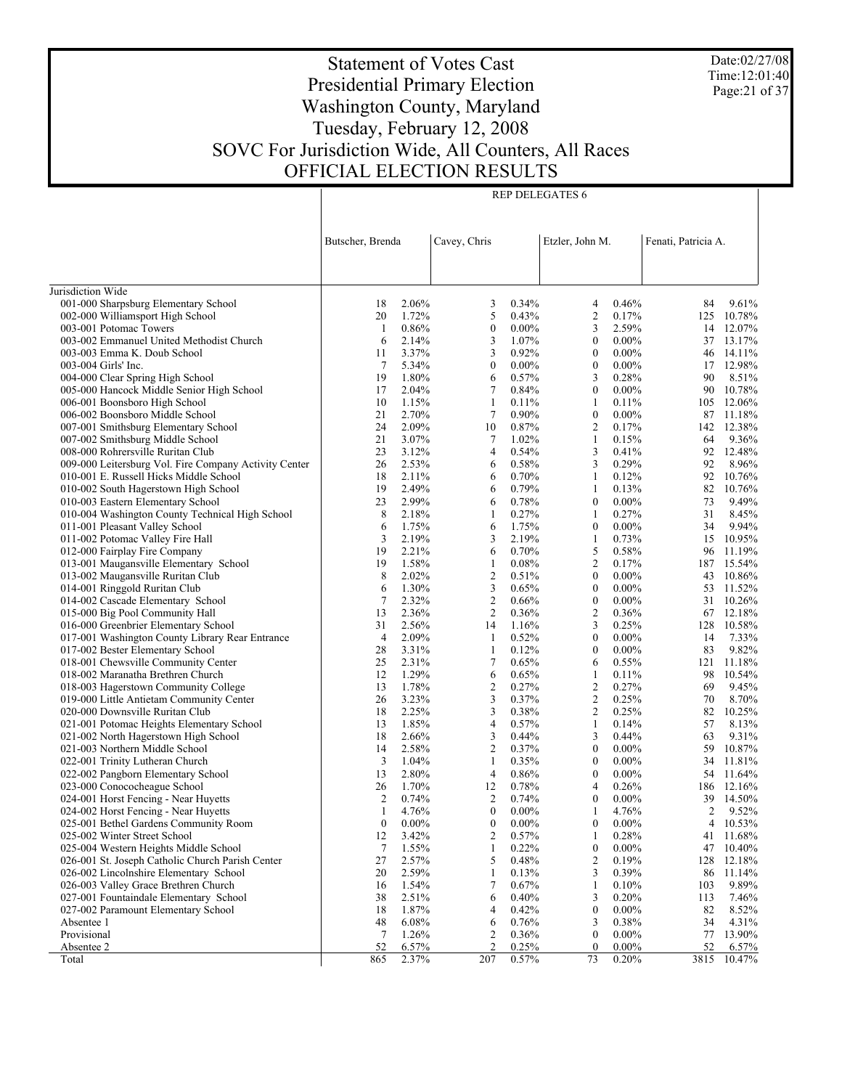Date:02/27/08 Time:12:01:40 Page:21 of 37

# Statement of Votes Cast Presidential Primary Election Washington County, Maryland Tuesday, February 12, 2008 SOVC For Jurisdiction Wide, All Counters, All Races OFFICIAL ELECTION RESULTS

|                                                                          | Butscher, Brenda |                | Cavey, Chris     |                | Etzler, John M.       |                      | Fenati, Patricia A. |                |
|--------------------------------------------------------------------------|------------------|----------------|------------------|----------------|-----------------------|----------------------|---------------------|----------------|
|                                                                          |                  |                |                  |                |                       |                      |                     |                |
|                                                                          |                  |                |                  |                |                       |                      |                     |                |
| Jurisdiction Wide                                                        |                  |                |                  |                |                       |                      |                     |                |
| 001-000 Sharpsburg Elementary School                                     | 18               | 2.06%          | 3                | 0.34%          | 4                     | 0.46%                | 84                  | 9.61%          |
| 002-000 Williamsport High School                                         | 20               | 1.72%          | 5                | 0.43%          | $\overline{c}$        | 0.17%                |                     | 125 10.78%     |
| 003-001 Potomac Towers                                                   | 1                | 0.86%          | $\boldsymbol{0}$ | $0.00\%$       | 3                     | 2.59%                |                     | 14 12.07%      |
| 003-002 Emmanuel United Methodist Church                                 | 6                | 2.14%          | 3                | 1.07%          | $\boldsymbol{0}$      | $0.00\%$             |                     | 37 13.17%      |
| 003-003 Emma K. Doub School                                              | 11               | 3.37%          | 3                | 0.92%          | $\boldsymbol{0}$      | $0.00\%$             |                     | 46 14.11%      |
| 003-004 Girls' Inc.                                                      | 7                | 5.34%          | $\boldsymbol{0}$ | $0.00\%$       | $\boldsymbol{0}$      | $0.00\%$             |                     | 17 12.98%      |
| 004-000 Clear Spring High School                                         | 19               | 1.80%          | 6                | 0.57%          | 3                     | 0.28%                | 90                  | 8.51%          |
| 005-000 Hancock Middle Senior High School                                | 17               | 2.04%          | 7                | 0.84%          | $\boldsymbol{0}$      | $0.00\%$             |                     | 90 10.78%      |
| 006-001 Boonsboro High School                                            | 10               | 1.15%          | 1                | 0.11%          | 1                     | 0.11%                |                     | 105 12.06%     |
| 006-002 Boonsboro Middle School                                          | 21               | 2.70%          | $\tau$           | 0.90%          | $\boldsymbol{0}$      | $0.00\%$             |                     | 87 11.18%      |
| 007-001 Smithsburg Elementary School                                     | 24               | 2.09%          | 10               | 0.87%          | 2                     | 0.17%                |                     | 142 12.38%     |
| 007-002 Smithsburg Middle School                                         | 21               | 3.07%          | 7                | 1.02%          | 1                     | 0.15%                | 64                  | 9.36%          |
| 008-000 Rohrersville Ruritan Club                                        | 23               | 3.12%          | 4                | 0.54%          | 3                     | 0.41%                |                     | 92 12.48%      |
| 009-000 Leitersburg Vol. Fire Company Activity Center                    | 26               | 2.53%          | 6                | 0.58%          | 3                     | 0.29%                | 92                  | 8.96%          |
| 010-001 E. Russell Hicks Middle School                                   | 18               | 2.11%          | 6                | 0.70%          | 1                     | 0.12%                |                     | 92 10.76%      |
| 010-002 South Hagerstown High School                                     | 19               | 2.49%          | 6                | 0.79%          | 1                     | 0.13%                |                     | 82 10.76%      |
| 010-003 Eastern Elementary School                                        | 23               | 2.99%          | 6                | 0.78%          | $\boldsymbol{0}$      | $0.00\%$             | 73                  | 9.49%          |
| 010-004 Washington County Technical High School                          | 8                | 2.18%          | 1                | 0.27%          | 1                     | 0.27%                | 31                  | 8.45%          |
| 011-001 Pleasant Valley School                                           | 6                | 1.75%          | 6                | 1.75%          | $\boldsymbol{0}$      | $0.00\%$             | 34                  | 9.94%          |
| 011-002 Potomac Valley Fire Hall                                         | 3                | 2.19%          | 3                | 2.19%          | 1                     | 0.73%                |                     | 15 10.95%      |
| 012-000 Fairplay Fire Company                                            | 19               | 2.21%          | 6                | 0.70%          | 5                     | 0.58%                |                     | 96 11.19%      |
| 013-001 Maugansville Elementary School                                   | 19               | 1.58%          | 1                | 0.08%          | $\mathfrak{2}$        | 0.17%                |                     | 187 15.54%     |
| 013-002 Maugansville Ruritan Club                                        | 8                | 2.02%          | $\overline{c}$   | 0.51%          | $\boldsymbol{0}$      | $0.00\%$             |                     | 43 10.86%      |
| 014-001 Ringgold Ruritan Club                                            | 6                | 1.30%          | 3                | 0.65%          | $\boldsymbol{0}$      | $0.00\%$             |                     | 53 11.52%      |
| 014-002 Cascade Elementary School                                        | $\tau$           | 2.32%          | $\overline{2}$   | 0.66%          | $\boldsymbol{0}$      | $0.00\%$             |                     | 31 10.26%      |
| 015-000 Big Pool Community Hall                                          | 13               | 2.36%          | $\overline{2}$   | 0.36%          | $\mathfrak{2}$        | 0.36%                |                     | 67 12.18%      |
| 016-000 Greenbrier Elementary School                                     | 31               | 2.56%          | 14               | 1.16%          | 3                     | 0.25%                |                     | 128 10.58%     |
| 017-001 Washington County Library Rear Entrance                          | 4                | 2.09%<br>3.31% | -1               | 0.52%          | $\boldsymbol{0}$      | $0.00\%$<br>$0.00\%$ | 14                  | 7.33%<br>9.82% |
| 017-002 Bester Elementary School                                         | 28<br>25         | 2.31%          | 1<br>7           | 0.12%<br>0.65% | $\boldsymbol{0}$<br>6 | 0.55%                | 83                  | 121 11.18%     |
| 018-001 Chewsville Community Center<br>018-002 Maranatha Brethren Church | 12               | 1.29%          | 6                | 0.65%          | $\mathbf{1}$          | 0.11%                | 98                  | 10.54%         |
| 018-003 Hagerstown Community College                                     | 13               | 1.78%          | $\overline{c}$   | 0.27%          | 2                     | 0.27%                | 69                  | 9.45%          |
| 019-000 Little Antietam Community Center                                 | 26               | 3.23%          | 3                | 0.37%          | $\overline{c}$        | 0.25%                | 70                  | 8.70%          |
| 020-000 Downsville Ruritan Club                                          | 18               | 2.25%          | 3                | 0.38%          | 2                     | 0.25%                | 82                  | 10.25%         |
| 021-001 Potomac Heights Elementary School                                | 13               | 1.85%          | 4                | 0.57%          | 1                     | 0.14%                | 57                  | 8.13%          |
| 021-002 North Hagerstown High School                                     | 18               | 2.66%          | 3                | 0.44%          | 3                     | 0.44%                | 63                  | 9.31%          |
| 021-003 Northern Middle School                                           | 14               | 2.58%          | $\overline{2}$   | 0.37%          | $\boldsymbol{0}$      | $0.00\%$             | 59                  | 10.87%         |
| 022-001 Trinity Lutheran Church                                          | 3                | 1.04%          | 1                | 0.35%          | $\boldsymbol{0}$      | $0.00\%$             |                     | 34 11.81%      |
| 022-002 Pangborn Elementary School                                       | 13               | 2.80%          | 4                | 0.86%          | $\boldsymbol{0}$      | $0.00\%$             |                     | 54 11.64%      |
| 023-000 Conococheague School                                             | 26               | 1.70%          | 12               | 0.78%          | 4                     | 0.26%                |                     | 186 12.16%     |
| 024-001 Horst Fencing - Near Huyetts                                     | $\overline{c}$   | 0.74%          | $\overline{c}$   | 0.74%          | $\boldsymbol{0}$      | $0.00\%$             |                     | 39 14.50%      |
| 024-002 Horst Fencing - Near Huyetts                                     | 1                | 4.76%          | $\mathbf{0}$     | $0.00\%$       | 1                     | 4.76%                | 2                   | 9.52%          |
| 025-001 Bethel Gardens Community Room                                    | $\boldsymbol{0}$ | $0.00\%$       | $\boldsymbol{0}$ | $0.00\%$       | $\boldsymbol{0}$      | $0.00\%$             | 4                   | 10.53%         |
| 025-002 Winter Street School                                             | 12               | 3.42%          | 2                | 0.57%          | 1                     | 0.28%                | 41                  | 11.68%         |
| 025-004 Western Heights Middle School                                    | $\tau$           | 1.55%          | 1                | 0.22%          | $\boldsymbol{0}$      | $0.00\%$             | 47                  | 10.40%         |
| 026-001 St. Joseph Catholic Church Parish Center                         | 27               | 2.57%          | 5                | 0.48%          | 2                     | 0.19%                | 128                 | 12.18%         |
| 026-002 Lincolnshire Elementary School                                   | 20               | 2.59%          | 1                | 0.13%          | 3                     | 0.39%                | 86                  | 11.14%         |
| 026-003 Valley Grace Brethren Church                                     | 16               | 1.54%          | 7                | 0.67%          | 1                     | 0.10%                | 103                 | 9.89%          |
| 027-001 Fountaindale Elementary School                                   | 38               | 2.51%          | 6                | 0.40%          | 3                     | 0.20%                | 113                 | 7.46%          |
| 027-002 Paramount Elementary School                                      | 18               | 1.87%          | 4                | 0.42%          | $\boldsymbol{0}$      | $0.00\%$             | 82                  | 8.52%          |
| Absentee 1                                                               | 48               | 6.08%          | 6                | 0.76%          | 3                     | 0.38%                | 34                  | 4.31%          |
| Provisional                                                              | 7                | 1.26%          | 2                | 0.36%          | $\boldsymbol{0}$      | $0.00\%$             | 77                  | 13.90%         |
| Absentee 2                                                               | 52               | 6.57%          | $\overline{2}$   | 0.25%          | $\boldsymbol{0}$      | $0.00\%$             | 52                  | 6.57%          |
| Total                                                                    | 865              | 2.37%          | 207              | 0.57%          | 73                    | 0.20%                | 3815                | 10.47%         |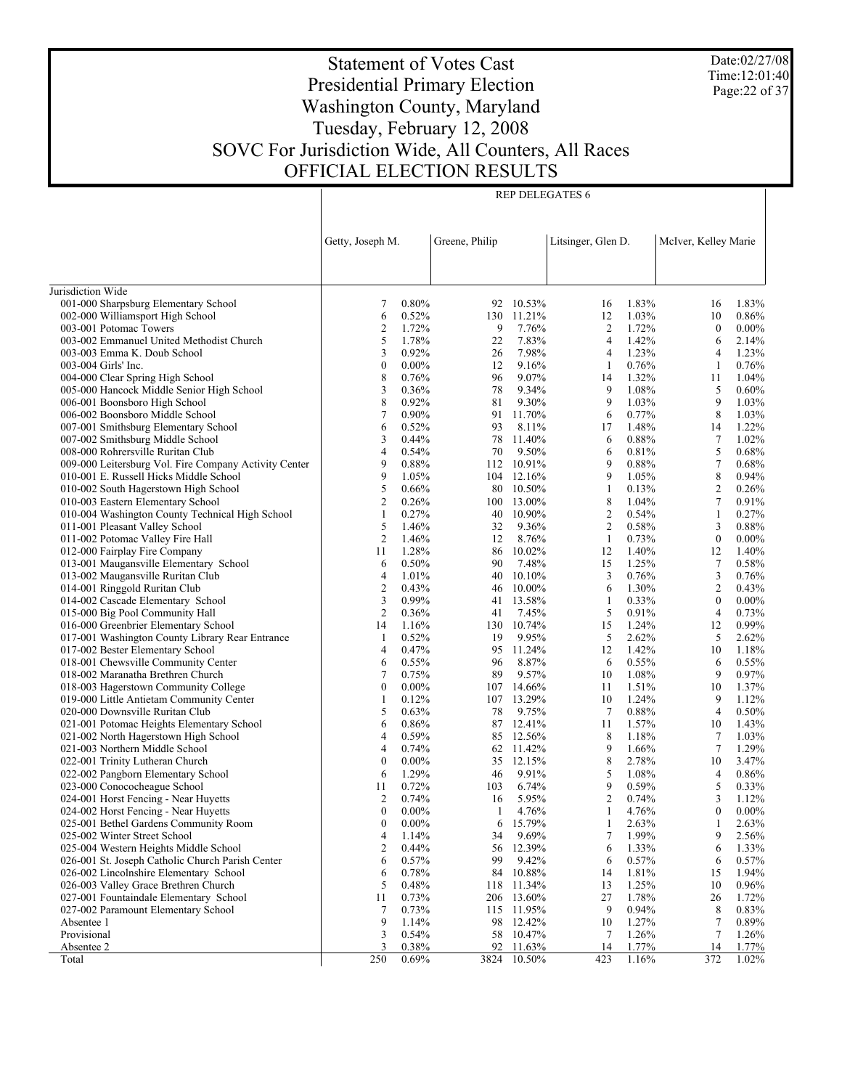Date:02/27/08 Time:12:01:40 Page:22 of 37

# Statement of Votes Cast Presidential Primary Election Washington County, Maryland Tuesday, February 12, 2008 SOVC For Jurisdiction Wide, All Counters, All Races OFFICIAL ELECTION RESULTS

Τ

|                                                                          | Getty, Joseph M. |                   | Greene, Philip |                     | Litsinger, Glen D. |                | McIver, Kelley Marie |                |
|--------------------------------------------------------------------------|------------------|-------------------|----------------|---------------------|--------------------|----------------|----------------------|----------------|
|                                                                          |                  |                   |                |                     |                    |                |                      |                |
|                                                                          |                  |                   |                |                     |                    |                |                      |                |
| Jurisdiction Wide                                                        |                  | 0.80%             |                |                     |                    | 1.83%          |                      | 1.83%          |
| 001-000 Sharpsburg Elementary School<br>002-000 Williamsport High School | 7<br>6           | 0.52%             | 130            | 92 10.53%<br>11.21% | 16<br>12           | 1.03%          | 16<br>10             | 0.86%          |
| 003-001 Potomac Towers                                                   | 2                | 1.72%             | 9              | 7.76%               | 2                  | 1.72%          | $\boldsymbol{0}$     | $0.00\%$       |
| 003-002 Emmanuel United Methodist Church                                 | 5                | 1.78%             | 22             | 7.83%               | 4                  | 1.42%          | 6                    | 2.14%          |
| 003-003 Emma K. Doub School                                              | 3                | 0.92%             | 26             | 7.98%               | 4                  | 1.23%          | 4                    | 1.23%          |
| 003-004 Girls' Inc.                                                      | $\boldsymbol{0}$ | $0.00\%$          | 12             | 9.16%               | 1                  | 0.76%          | 1                    | 0.76%          |
| 004-000 Clear Spring High School                                         | 8                | 0.76%             | 96             | 9.07%               | 14                 | 1.32%          | 11                   | 1.04%          |
| 005-000 Hancock Middle Senior High School                                | 3                | 0.36%             | 78             | 9.34%               | 9                  | 1.08%          | 5                    | 0.60%          |
| 006-001 Boonsboro High School                                            | 8                | 0.92%             | 81             | 9.30%               | 9                  | 1.03%          | 9                    | 1.03%          |
| 006-002 Boonsboro Middle School                                          | $\tau$           | $0.90\%$          | 91             | 11.70%              | 6                  | 0.77%          | 8                    | 1.03%          |
| 007-001 Smithsburg Elementary School                                     | 6                | 0.52%             | 93             | 8.11%               | 17                 | 1.48%          | 14                   | 1.22%          |
| 007-002 Smithsburg Middle School                                         | 3                | 0.44%             | 78             | 11.40%              | 6                  | 0.88%          | $\tau$               | 1.02%          |
| 008-000 Rohrersville Ruritan Club                                        | 4                | 0.54%             | 70             | 9.50%               | 6                  | 0.81%          | 5                    | 0.68%          |
| 009-000 Leitersburg Vol. Fire Company Activity Center                    | 9                | 0.88%             | 112            | 10.91%              | 9                  | 0.88%          | $\tau$               | 0.68%          |
| 010-001 E. Russell Hicks Middle School                                   | 9                | 1.05%             |                | 104 12.16%          | 9                  | 1.05%          | 8                    | 0.94%          |
| 010-002 South Hagerstown High School                                     | 5                | 0.66%             | 80             | 10.50%              | $\mathbf{1}$       | 0.13%          | $\overline{c}$       | 0.26%          |
| 010-003 Eastern Elementary School                                        | 2                | 0.26%             |                | 100 13.00%          | 8                  | 1.04%          | $\tau$               | 0.91%          |
| 010-004 Washington County Technical High School                          | 1                | 0.27%             | 40             | 10.90%              | $\mathbf{2}$       | 0.54%          | $\mathbf{1}$         | 0.27%          |
| 011-001 Pleasant Valley School                                           | 5                | 1.46%             | 32             | 9.36%               | $\overline{c}$     | 0.58%          | 3                    | 0.88%          |
| 011-002 Potomac Valley Fire Hall                                         | 2                | 1.46%             | 12             | 8.76%               | -1                 | 0.73%          | $\boldsymbol{0}$     | $0.00\%$       |
| 012-000 Fairplay Fire Company                                            | 11               | 1.28%             |                | 86 10.02%           | 12                 | 1.40%          | 12                   | 1.40%          |
| 013-001 Maugansville Elementary School                                   | 6                | 0.50%             | 90             | 7.48%               | 15                 | 1.25%          | 7                    | 0.58%          |
| 013-002 Maugansville Ruritan Club                                        | 4                | 1.01%             |                | 40 10.10%           | 3                  | 0.76%          | 3                    | 0.76%          |
| 014-001 Ringgold Ruritan Club                                            | 2                | 0.43%             | 46             | 10.00%              | 6                  | 1.30%          | $\overline{c}$       | 0.43%          |
| 014-002 Cascade Elementary School                                        | 3                | 0.99%             |                | 41 13.58%           | 1                  | 0.33%          | $\boldsymbol{0}$     | $0.00\%$       |
| 015-000 Big Pool Community Hall                                          | $\overline{c}$   | 0.36%             | 41             | 7.45%               | 5                  | 0.91%          | 4                    | 0.73%          |
| 016-000 Greenbrier Elementary School                                     | 14               | 1.16%             |                | 130 10.74%          | 15                 | 1.24%          | 12                   | 0.99%          |
| 017-001 Washington County Library Rear Entrance                          | 1                | 0.52%             | 19             | 9.95%               | 5                  | 2.62%          | 5                    | 2.62%          |
| 017-002 Bester Elementary School                                         | 4                | 0.47%             |                | 95 11.24%           | 12                 | 1.42%          | 10                   | 1.18%          |
| 018-001 Chewsville Community Center                                      | 6                | 0.55%             | 96             | 8.87%               | 6                  | 0.55%          | 6                    | 0.55%          |
| 018-002 Maranatha Brethren Church                                        | 7                | 0.75%             | 89             | 9.57%               | 10                 | 1.08%          | 9                    | 0.97%          |
| 018-003 Hagerstown Community College                                     | $\boldsymbol{0}$ | $0.00\%$          |                | 107 14.66%          | 11                 | 1.51%          | 10                   | 1.37%          |
| 019-000 Little Antietam Community Center                                 | 1                | 0.12%             |                | 107 13.29%          | 10                 | 1.24%          | 9                    | 1.12%          |
| 020-000 Downsville Ruritan Club                                          | 5                | 0.63%             | 78             | 9.75%               | $\overline{7}$     | 0.88%          | $\overline{4}$       | 0.50%          |
| 021-001 Potomac Heights Elementary School                                | 6                | 0.86%             |                | 87 12.41%           | 11                 | 1.57%          | 10                   | 1.43%          |
| 021-002 North Hagerstown High School                                     | 4                | 0.59%             |                | 85 12.56%           | 8                  | 1.18%          | 7                    | 1.03%          |
| 021-003 Northern Middle School                                           | 4                | 0.74%             |                | 62 11.42%           | 9                  | 1.66%          | 7                    | 1.29%          |
| 022-001 Trinity Lutheran Church                                          | $\boldsymbol{0}$ | $0.00\%$<br>1.29% |                | 35 12.15%<br>9.91%  | 8<br>5             | 2.78%<br>1.08% | 10                   | 3.47%          |
| 022-002 Pangborn Elementary School<br>023-000 Conococheague School       | 6<br>11          | 0.72%             | 46<br>103      | 6.74%               | 9                  | 0.59%          | 4<br>5               | 0.86%<br>0.33% |
| 024-001 Horst Fencing - Near Huyetts                                     | 2                | 0.74%             | 16             | 5.95%               | $\overline{c}$     | 0.74%          | 3                    | 1.12%          |
| 024-002 Horst Fencing - Near Huyetts                                     | $\boldsymbol{0}$ | $0.00\%$          | 1              | 4.76%               | 1                  | 4.76%          | $\boldsymbol{0}$     | $0.00\%$       |
|                                                                          | $\bf{0}$         |                   | 6              | 15.79%              | 1                  |                |                      |                |
| 025-001 Bethel Gardens Community Room<br>025-002 Winter Street School    | 4                | $0.00\%$<br>1.14% | 34             | 9.69%               | $\tau$             | 2.63%<br>1.99% | 1<br>9               | 2.63%<br>2.56% |
| 025-004 Western Heights Middle School                                    | 2                | $0.44\%$          | 56             | 12.39%              | 6                  | 1.33%          | 6                    | 1.33%          |
| 026-001 St. Joseph Catholic Church Parish Center                         | 6                | 0.57%             | 99             | 9.42%               | 6                  | 0.57%          | 6                    | 0.57%          |
| 026-002 Lincolnshire Elementary School                                   | 6                | 0.78%             |                | 84 10.88%           | 14                 | 1.81%          | 15                   | 1.94%          |
| 026-003 Valley Grace Brethren Church                                     | 5                | 0.48%             | 118            | 11.34%              | 13                 | 1.25%          | 10                   | 0.96%          |
| 027-001 Fountaindale Elementary School                                   | 11               | 0.73%             | 206            | 13.60%              | 27                 | 1.78%          | 26                   | 1.72%          |
| 027-002 Paramount Elementary School                                      | 7                | 0.73%             | 115            | 11.95%              | 9                  | 0.94%          | 8                    | 0.83%          |
| Absentee 1                                                               | 9                | 1.14%             | 98             | 12.42%              | 10                 | 1.27%          | 7                    | 0.89%          |
| Provisional                                                              | 3                | 0.54%             | 58             | 10.47%              | 7                  | 1.26%          | 7                    | 1.26%          |
| Absentee 2                                                               | 3                | 0.38%             | 92             | 11.63%              | 14                 | 1.77%          | 14                   | 1.77%          |
| Total                                                                    | 250              | $0.69\%$          |                | 3824 10.50%         | 423                | 1.16%          | 372                  | 1.02%          |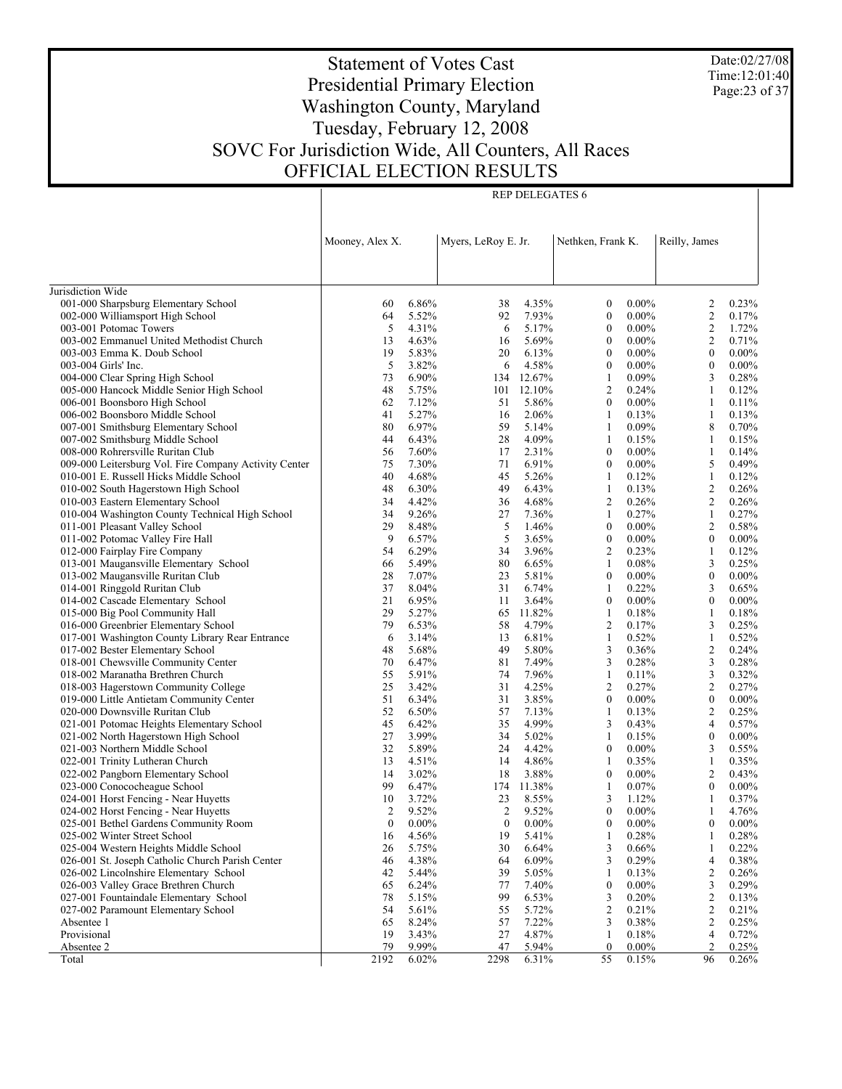Date:02/27/08 Time:12:01:40 Page:23 of 37

# Statement of Votes Cast Presidential Primary Election Washington County, Maryland Tuesday, February 12, 2008 SOVC For Jurisdiction Wide, All Counters, All Races OFFICIAL ELECTION RESULTS

|                                                                                | Mooney, Alex X. |                | Myers, LeRoy E. Jr. |                 | Nethken, Frank K.                |                      | Reilly, James                |                |
|--------------------------------------------------------------------------------|-----------------|----------------|---------------------|-----------------|----------------------------------|----------------------|------------------------------|----------------|
|                                                                                |                 |                |                     |                 |                                  |                      |                              |                |
|                                                                                |                 |                |                     |                 |                                  |                      |                              |                |
| Jurisdiction Wide                                                              |                 |                |                     |                 |                                  |                      |                              |                |
| 001-000 Sharpsburg Elementary School                                           | 60              | 6.86%          | 38                  | 4.35%           | $\boldsymbol{0}$                 | $0.00\%$             | 2                            | 0.23%          |
| 002-000 Williamsport High School                                               | 64              | 5.52%          | 92                  | 7.93%           | $\boldsymbol{0}$                 | $0.00\%$             | $\boldsymbol{2}$             | 0.17%          |
| 003-001 Potomac Towers<br>003-002 Emmanuel United Methodist Church             | 5               | 4.31%<br>4.63% | 6                   | 5.17%<br>5.69%  | $\boldsymbol{0}$<br>$\mathbf{0}$ | $0.00\%$<br>$0.00\%$ | $\sqrt{2}$<br>$\overline{2}$ | 1.72%<br>0.71% |
| 003-003 Emma K. Doub School                                                    | 13<br>19        | 5.83%          | 16<br>20            | 6.13%           | $\boldsymbol{0}$                 | $0.00\%$             | $\boldsymbol{0}$             | $0.00\%$       |
| 003-004 Girls' Inc.                                                            | 5               | 3.82%          | 6                   | 4.58%           | $\mathbf{0}$                     | $0.00\%$             | $\mathbf{0}$                 | $0.00\%$       |
| 004-000 Clear Spring High School                                               | 73              | 6.90%          |                     | 134 12.67%      | $\mathbf{1}$                     | 0.09%                | 3                            | 0.28%          |
| 005-000 Hancock Middle Senior High School                                      | 48              | 5.75%          |                     | 101 12.10%      | 2                                | 0.24%                | $\mathbf{1}$                 | 0.12%          |
| 006-001 Boonsboro High School                                                  | 62              | 7.12%          | 51                  | 5.86%           | $\boldsymbol{0}$                 | $0.00\%$             | $\mathbf{1}$                 | 0.11%          |
| 006-002 Boonsboro Middle School                                                | 41              | 5.27%          | 16                  | 2.06%           | 1                                | 0.13%                | $\mathbf{1}$                 | 0.13%          |
| 007-001 Smithsburg Elementary School                                           | 80              | 6.97%          | 59                  | 5.14%           | $\mathbf{1}$                     | 0.09%                | 8                            | 0.70%          |
| 007-002 Smithsburg Middle School                                               | 44              | 6.43%          | 28                  | 4.09%           | 1                                | 0.15%                | 1                            | 0.15%          |
| 008-000 Rohrersville Ruritan Club                                              | 56              | 7.60%          | 17                  | 2.31%           | $\boldsymbol{0}$                 | $0.00\%$             | $\mathbf{1}$                 | 0.14%          |
| 009-000 Leitersburg Vol. Fire Company Activity Center                          | 75              | 7.30%          | 71                  | 6.91%           | $\mathbf{0}$                     | $0.00\%$             | 5                            | 0.49%          |
| 010-001 E. Russell Hicks Middle School                                         | 40              | 4.68%          | 45                  | 5.26%           | 1                                | 0.12%                | $\mathbf{1}$                 | 0.12%          |
| 010-002 South Hagerstown High School                                           | 48              | 6.30%          | 49                  | 6.43%           | 1                                | 0.13%                | $\boldsymbol{2}$             | 0.26%          |
| 010-003 Eastern Elementary School                                              | 34              | 4.42%          | 36                  | 4.68%           | 2                                | 0.26%                | $\boldsymbol{2}$             | 0.26%          |
| 010-004 Washington County Technical High School                                | 34              | 9.26%          | 27                  | 7.36%           | 1                                | 0.27%                | $\mathbf{1}$                 | 0.27%          |
| 011-001 Pleasant Valley School                                                 | 29              | 8.48%          | 5                   | 1.46%           | $\boldsymbol{0}$                 | $0.00\%$             | $\sqrt{2}$                   | 0.58%          |
| 011-002 Potomac Valley Fire Hall                                               | 9               | 6.57%          | 5                   | 3.65%           | $\boldsymbol{0}$                 | $0.00\%$             | $\mathbf{0}$                 | $0.00\%$       |
| 012-000 Fairplay Fire Company                                                  | 54              | 6.29%          | 34                  | 3.96%           | 2                                | 0.23%                | $\mathbf{1}$                 | 0.12%          |
| 013-001 Maugansville Elementary School                                         | 66              | 5.49%          | 80                  | 6.65%           | 1                                | 0.08%                | 3                            | 0.25%          |
| 013-002 Maugansville Ruritan Club                                              | 28              | 7.07%          | 23                  | 5.81%           | $\boldsymbol{0}$                 | $0.00\%$             | $\boldsymbol{0}$             | $0.00\%$       |
| 014-001 Ringgold Ruritan Club                                                  | 37              | 8.04%          | 31                  | 6.74%           | 1                                | 0.22%                | 3                            | 0.65%          |
| 014-002 Cascade Elementary School                                              | 21<br>29        | 6.95%<br>5.27% | 11                  | 3.64%<br>11.82% | $\boldsymbol{0}$<br>$\mathbf{1}$ | $0.00\%$<br>0.18%    | $\boldsymbol{0}$<br>1        | $0.00\%$       |
| 015-000 Big Pool Community Hall<br>016-000 Greenbrier Elementary School        | 79              | 6.53%          | 65<br>58            | 4.79%           | 2                                | 0.17%                | 3                            | 0.18%<br>0.25% |
| 017-001 Washington County Library Rear Entrance                                | 6               | 3.14%          | 13                  | 6.81%           | $\mathbf{1}$                     | 0.52%                | $\mathbf{1}$                 | 0.52%          |
| 017-002 Bester Elementary School                                               | 48              | 5.68%          | 49                  | 5.80%           | 3                                | 0.36%                | $\boldsymbol{2}$             | 0.24%          |
| 018-001 Chewsville Community Center                                            | 70              | 6.47%          | 81                  | 7.49%           | 3                                | 0.28%                | 3                            | 0.28%          |
| 018-002 Maranatha Brethren Church                                              | 55              | 5.91%          | 74                  | 7.96%           | $\mathbf{1}$                     | 0.11%                | 3                            | 0.32%          |
| 018-003 Hagerstown Community College                                           | 25              | 3.42%          | 31                  | 4.25%           | 2                                | 0.27%                | $\boldsymbol{2}$             | 0.27%          |
| 019-000 Little Antietam Community Center                                       | 51              | 6.34%          | 31                  | 3.85%           | $\boldsymbol{0}$                 | $0.00\%$             | $\boldsymbol{0}$             | $0.00\%$       |
| 020-000 Downsville Ruritan Club                                                | 52              | 6.50%          | 57                  | 7.13%           | $\mathbf{1}$                     | 0.13%                | $\overline{2}$               | 0.25%          |
| 021-001 Potomac Heights Elementary School                                      | 45              | 6.42%          | 35                  | 4.99%           | 3                                | 0.43%                | $\overline{4}$               | 0.57%          |
| 021-002 North Hagerstown High School                                           | 27              | 3.99%          | 34                  | 5.02%           | 1                                | 0.15%                | $\mathbf{0}$                 | $0.00\%$       |
| 021-003 Northern Middle School                                                 | 32              | 5.89%          | 24                  | 4.42%           | $\boldsymbol{0}$                 | $0.00\%$             | 3                            | 0.55%          |
| 022-001 Trinity Lutheran Church                                                | 13              | 4.51%          | 14                  | 4.86%           | 1                                | 0.35%                | $\mathbf{1}$                 | 0.35%          |
| 022-002 Pangborn Elementary School                                             | 14              | 3.02%          | 18                  | 3.88%           | $\bf{0}$                         | $0.00\%$             | $\boldsymbol{2}$             | 0.43%          |
| 023-000 Conococheague School                                                   | 99              | 6.47%          |                     | 174 11.38%      | 1                                | 0.07%                | $\mathbf{0}$                 | $0.00\%$       |
| 024-001 Horst Fencing - Near Huyetts                                           | 10              | 3.72%          | 23                  | 8.55%           | 3                                | 1.12%                | $\mathbf{1}$                 | 0.37%          |
| 024-002 Horst Fencing - Near Huyetts                                           | $\overline{2}$  | 9.52%          | 2                   | 9.52%           | $\boldsymbol{0}$                 | $0.00\%$             | $\mathbf{1}$                 | 4.76%          |
| 025-001 Bethel Gardens Community Room                                          | $\mathbf{0}$    | $0.00\%$       | $\mathbf{0}$        | $0.00\%$        | $\overline{0}$                   | $0.00\%$             | $\overline{0}$               | $0.00\%$       |
| 025-002 Winter Street School                                                   | 16              | 4.56%          | 19                  | 5.41%           | 1                                | 0.28%                | 1                            | 0.28%          |
| 025-004 Western Heights Middle School                                          | 26              | 5.75%          | 30                  | 6.64%           | 3                                | 0.66%                | 1                            | 0.22%          |
| 026-001 St. Joseph Catholic Church Parish Center                               | 46              | 4.38%          | 64                  | 6.09%           | 3                                | 0.29%<br>0.13%       | 4                            | 0.38%<br>0.26% |
| 026-002 Lincolnshire Elementary School                                         | 42              | 5.44%          | 39                  | 5.05%           | 1<br>$\boldsymbol{0}$            | $0.00\%$             | 2                            |                |
| 026-003 Valley Grace Brethren Church<br>027-001 Fountaindale Elementary School | 65<br>78        | 6.24%<br>5.15% | 77<br>99            | 7.40%<br>6.53%  | 3                                | 0.20%                | 3<br>$\boldsymbol{2}$        | 0.29%<br>0.13% |
| 027-002 Paramount Elementary School                                            | 54              | 5.61%          | 55                  | 5.72%           | 2                                | 0.21%                | 2                            | 0.21%          |
| Absentee 1                                                                     | 65              | 8.24%          | 57                  | 7.22%           | 3                                | 0.38%                | $\boldsymbol{2}$             | 0.25%          |
| Provisional                                                                    | 19              | 3.43%          | 27                  | 4.87%           | 1                                | 0.18%                | 4                            | 0.72%          |
| Absentee 2                                                                     | 79              | 9.99%          | 47                  | 5.94%           | $\boldsymbol{0}$                 | $0.00\%$             | $\overline{2}$               | 0.25%          |
| Total                                                                          | 2192            | 6.02%          | 2298                | 6.31%           | 55                               | 0.15%                | 96                           | 0.26%          |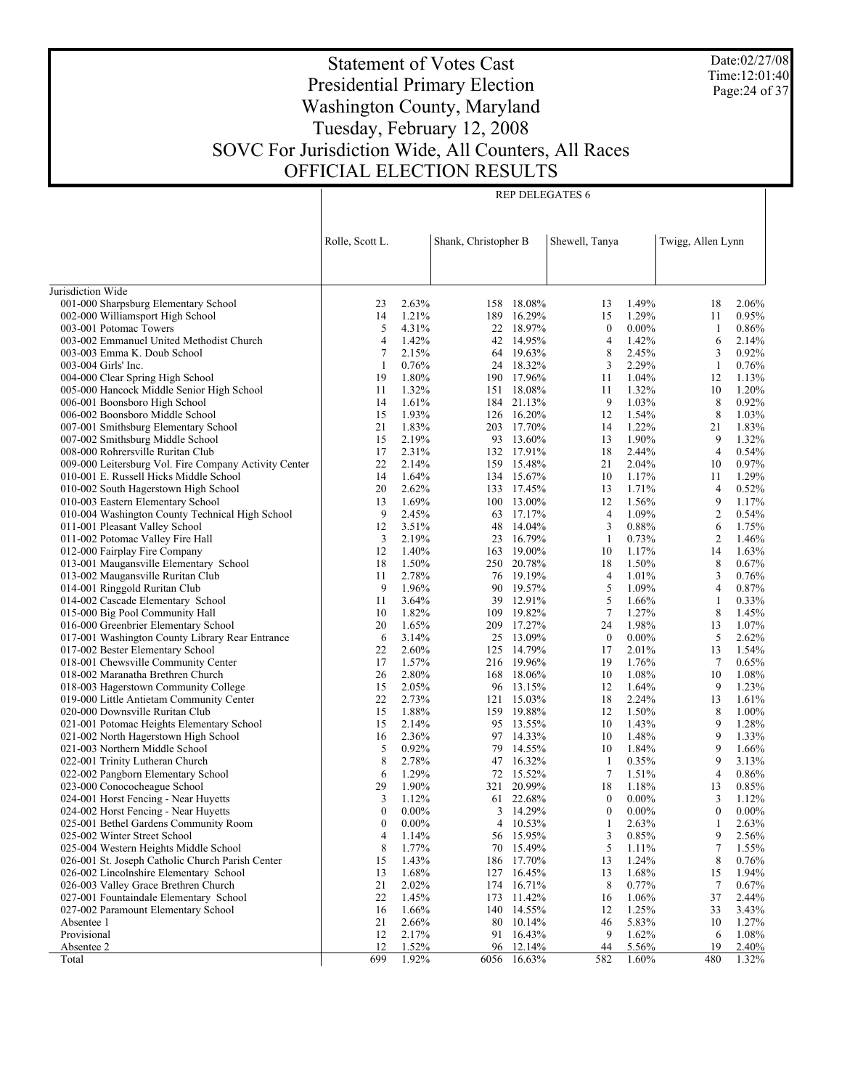Date:02/27/08 Time:12:01:40 Page:24 of 37

# Statement of Votes Cast Presidential Primary Election Washington County, Maryland Tuesday, February 12, 2008 SOVC For Jurisdiction Wide, All Counters, All Races OFFICIAL ELECTION RESULTS

Τ

|                                                                                            | Rolle, Scott L. |                | Shank, Christopher B |                        | Shewell, Tanya   |                | Twigg, Allen Lynn |                |
|--------------------------------------------------------------------------------------------|-----------------|----------------|----------------------|------------------------|------------------|----------------|-------------------|----------------|
|                                                                                            |                 |                |                      |                        |                  |                |                   |                |
|                                                                                            |                 |                |                      |                        |                  |                |                   |                |
| Jurisdiction Wide                                                                          |                 |                |                      |                        |                  |                |                   |                |
| 001-000 Sharpsburg Elementary School                                                       | 23              | 2.63%          |                      | 158 18.08%             | 13               | 1.49%          | 18                | 2.06%          |
| 002-000 Williamsport High School                                                           | 14              | 1.21%          | 189                  | 16.29%                 | 15               | 1.29%          | 11                | 0.95%          |
| 003-001 Potomac Towers                                                                     | 5               | 4.31%          |                      | 22 18.97%              | $\boldsymbol{0}$ | $0.00\%$       | -1                | 0.86%<br>2.14% |
| 003-002 Emmanuel United Methodist Church<br>003-003 Emma K. Doub School                    | 4<br>7          | 1.42%<br>2.15% |                      | 42 14.95%<br>64 19.63% | 4<br>8           | 1.42%<br>2.45% | 6                 | 0.92%          |
| 003-004 Girls' Inc.                                                                        | 1               | 0.76%          |                      | 24 18.32%              | 3                | 2.29%          | 3<br>-1           | 0.76%          |
| 004-000 Clear Spring High School                                                           | 19              | 1.80%          |                      | 190 17.96%             | 11               | 1.04%          | 12                | 1.13%          |
| 005-000 Hancock Middle Senior High School                                                  | 11              | 1.32%          |                      | 151 18.08%             | 11               | 1.32%          | 10                | 1.20%          |
| 006-001 Boonsboro High School                                                              | 14              | 1.61%          |                      | 184 21.13%             | 9                | 1.03%          | 8                 | 0.92%          |
| 006-002 Boonsboro Middle School                                                            | 15              | 1.93%          |                      | 126 16.20%             | 12               | 1.54%          | 8                 | 1.03%          |
| 007-001 Smithsburg Elementary School                                                       | 21              | 1.83%          |                      | 203 17.70%             | 14               | 1.22%          | 21                | 1.83%          |
| 007-002 Smithsburg Middle School                                                           | 15              | 2.19%          |                      | 93 13.60%              | 13               | 1.90%          | 9                 | 1.32%          |
| 008-000 Rohrersville Ruritan Club                                                          | 17              | 2.31%          |                      | 132 17.91%             | 18               | 2.44%          | $\overline{4}$    | 0.54%          |
| 009-000 Leitersburg Vol. Fire Company Activity Center                                      | 22              | 2.14%          |                      | 159 15.48%             | 21               | 2.04%          | 10                | 0.97%          |
| 010-001 E. Russell Hicks Middle School                                                     | 14              | 1.64%          |                      | 134 15.67%             | 10               | 1.17%          | 11                | 1.29%          |
| 010-002 South Hagerstown High School                                                       | 20              | 2.62%          |                      | 133 17.45%             | 13               | 1.71%          | 4                 | 0.52%          |
| 010-003 Eastern Elementary School                                                          | 13              | 1.69%          |                      | 100 13.00%             | 12               | 1.56%          | 9                 | 1.17%          |
| 010-004 Washington County Technical High School                                            | 9               | 2.45%          |                      | 63 17.17%              | 4                | 1.09%          | $\boldsymbol{2}$  | 0.54%          |
| 011-001 Pleasant Valley School                                                             | 12              | 3.51%          |                      | 48 14.04%              | 3                | 0.88%          | 6                 | 1.75%          |
| 011-002 Potomac Valley Fire Hall                                                           | 3               | 2.19%          |                      | 23 16.79%              | 1                | 0.73%          | $\overline{2}$    | 1.46%          |
| 012-000 Fairplay Fire Company                                                              | 12              | 1.40%          |                      | 163 19.00%             | 10               | 1.17%          | 14                | 1.63%          |
| 013-001 Maugansville Elementary School                                                     | 18              | 1.50%          |                      | 250 20.78%             | 18               | 1.50%          | 8                 | 0.67%          |
| 013-002 Maugansville Ruritan Club                                                          | 11              | 2.78%          |                      | 76 19.19%              | 4                | 1.01%          | 3                 | 0.76%          |
| 014-001 Ringgold Ruritan Club                                                              | 9               | 1.96%          |                      | 90 19.57%              | 5                | 1.09%          | 4                 | 0.87%          |
| 014-002 Cascade Elementary School                                                          | 11              | 3.64%          |                      | 39 12.91%              | 5                | 1.66%          | 1                 | 0.33%          |
| 015-000 Big Pool Community Hall                                                            | 10              | 1.82%          | 109                  | 19.82%                 | $\tau$           | 1.27%          | 8                 | 1.45%          |
| 016-000 Greenbrier Elementary School                                                       | 20              | 1.65%          |                      | 209 17.27%             | 24               | 1.98%          | 13                | 1.07%          |
| 017-001 Washington County Library Rear Entrance                                            | 6               | 3.14%          |                      | 25 13.09%              | $\mathbf{0}$     | $0.00\%$       | 5                 | 2.62%          |
| 017-002 Bester Elementary School                                                           | 22              | 2.60%          |                      | 125 14.79%             | 17               | 2.01%          | 13                | 1.54%          |
| 018-001 Chewsville Community Center                                                        | 17              | 1.57%          |                      | 216 19.96%             | 19               | 1.76%          | $\overline{7}$    | 0.65%          |
| 018-002 Maranatha Brethren Church                                                          | 26              | 2.80%          |                      | 168 18.06%             | 10               | 1.08%          | 10                | 1.08%          |
| 018-003 Hagerstown Community College                                                       | 15              | 2.05%          |                      | 96 13.15%              | 12               | 1.64%          | 9                 | 1.23%          |
| 019-000 Little Antietam Community Center                                                   | 22              | 2.73%          |                      | 121 15.03%             | 18               | 2.24%          | 13                | 1.61%          |
| 020-000 Downsville Ruritan Club                                                            | 15              | 1.88%          | 159                  | 19.88%                 | 12               | 1.50%          | 8                 | 1.00%          |
| 021-001 Potomac Heights Elementary School                                                  | 15              | 2.14%          |                      | 95 13.55%              | 10               | 1.43%          | 9                 | 1.28%          |
| 021-002 North Hagerstown High School                                                       | 16              | 2.36%          |                      | 97 14.33%              | 10               | 1.48%          | 9                 | 1.33%          |
| 021-003 Northern Middle School                                                             | 5               | 0.92%          |                      | 79 14.55%              | 10               | 1.84%          | 9                 | 1.66%          |
| 022-001 Trinity Lutheran Church                                                            | 8               | 2.78%          |                      | 47 16.32%              | 1                | 0.35%          | 9                 | 3.13%          |
| 022-002 Pangborn Elementary School                                                         | 6               | 1.29%          |                      | 72 15.52%              | 7                | 1.51%          | 4                 | 0.86%          |
| 023-000 Conococheague School                                                               | 29              | 1.90%          | 321                  | 20.99%                 | 18               | 1.18%          | 13                | 0.85%          |
| 024-001 Horst Fencing - Near Huyetts                                                       | 3               | 1.12%          |                      | 61 22.68%              | $\boldsymbol{0}$ | $0.00\%$       | 3                 | 1.12%          |
| 024-002 Horst Fencing - Near Huyetts                                                       | 0               | $0.00\%$       |                      | 3 14.29%               | $\boldsymbol{0}$ | $0.00\%$       | $\boldsymbol{0}$  | $0.00\%$       |
| 025-001 Bethel Gardens Community Room                                                      | $\bf{0}$        | $0.00\%$       | 4                    | 10.53%                 | 1                | 2.63%          | 1                 | 2.63%          |
| 025-002 Winter Street School                                                               | 4               | 1.14%          |                      | 56 15.95%              | 3                | 0.85%          | 9                 | 2.56%          |
| 025-004 Western Heights Middle School                                                      | 8               | 1.77%          |                      | 70 15.49%              | 5                | 1.11%          | 7                 | 1.55%<br>0.76% |
| 026-001 St. Joseph Catholic Church Parish Center<br>026-002 Lincolnshire Elementary School | 15              | 1.43%          | 186                  | 17.70%                 | 13               | 1.24%          | 8                 |                |
|                                                                                            | 13<br>21        | 1.68%          |                      | 127 16.45%             | 13<br>8          | 1.68%          | 15                | 1.94%<br>0.67% |
| 026-003 Valley Grace Brethren Church<br>027-001 Fountaindale Elementary School             | 22              | 2.02%<br>1.45% | 174<br>173           | 16.71%<br>11.42%       |                  | 0.77%<br>1.06% | 7<br>37           | 2.44%          |
| 027-002 Paramount Elementary School                                                        | 16              | 1.66%          | 140                  | 14.55%                 | 16<br>12         | 1.25%          | 33                | 3.43%          |
| Absentee 1                                                                                 | 21              | 2.66%          |                      | 80 10.14%              | 46               | 5.83%          | 10                | 1.27%          |
| Provisional                                                                                | 12              | 2.17%          |                      | 91 16.43%              | 9                | 1.62%          | 6                 | 1.08%          |
| Absentee 2                                                                                 | 12              | 1.52%          | 96                   | 12.14%                 | 44               | 5.56%          | 19                | 2.40%          |
| Total                                                                                      | 699             | 1.92%          |                      | 6056 16.63%            | 582              | 1.60%          | 480               | $1.32\%$       |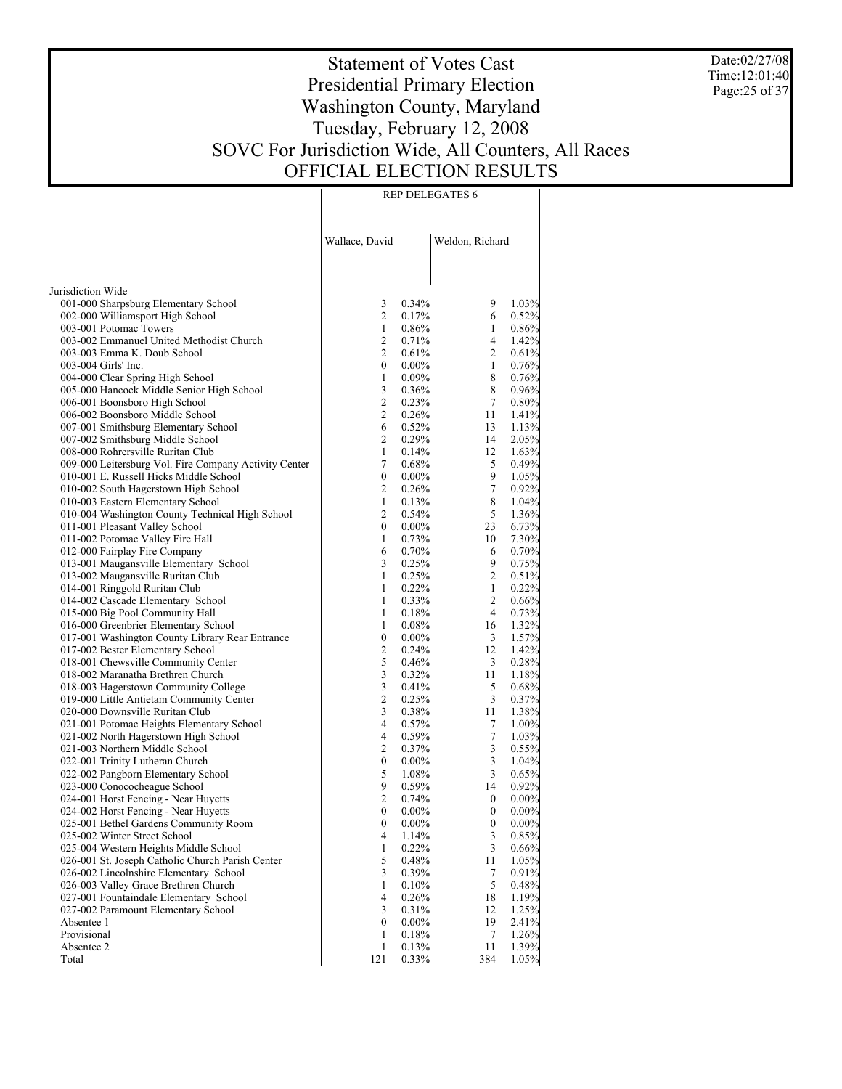Date:02/27/08 Time:12:01:40 Page:25 of 37

# Statement of Votes Cast Presidential Primary Election Washington County, Maryland Tuesday, February 12, 2008 SOVC For Jurisdiction Wide, All Counters, All Races OFFICIAL ELECTION RESULTS

|                                                                          | Wallace, David                     |                | Weldon, Richard  |                |
|--------------------------------------------------------------------------|------------------------------------|----------------|------------------|----------------|
| Jurisdiction Wide                                                        |                                    |                |                  |                |
| 001-000 Sharpsburg Elementary School                                     | 3                                  | 0.34%          | 9                | 1.03%          |
| 002-000 Williamsport High School                                         | 2                                  | 0.17%          | 6                | 0.52%          |
| 003-001 Potomac Towers                                                   | $\mathbf{1}$                       | 0.86%          | 1                | 0.86%          |
| 003-002 Emmanuel United Methodist Church                                 | 2                                  | 0.71%          | 4                | 1.42%          |
| 003-003 Emma K. Doub School                                              | $\overline{c}$                     | 0.61%          | $\overline{2}$   | 0.61%          |
| 003-004 Girls' Inc.                                                      | $\mathbf{0}$                       | $0.00\%$       | 1                | 0.76%          |
| 004-000 Clear Spring High School                                         | $\mathbf{1}$                       | 0.09%          | 8                | 0.76%          |
| 005-000 Hancock Middle Senior High School                                | 3                                  | 0.36%          | 8                | 0.96%          |
| 006-001 Boonsboro High School                                            | $\overline{c}$                     | 0.23%          | 7                | 0.80%          |
| 006-002 Boonsboro Middle School                                          | $\overline{c}$                     | 0.26%          | 11               | 1.41%          |
| 007-001 Smithsburg Elementary School                                     | 6                                  | 0.52%          | 13               | 1.13%          |
| 007-002 Smithsburg Middle School                                         | 2                                  | 0.29%          | 14               | 2.05%          |
| 008-000 Rohrersville Ruritan Club                                        | $\mathbf{1}$                       | 0.14%          | 12               | 1.63%          |
| 009-000 Leitersburg Vol. Fire Company Activity Center                    | 7                                  | 0.68%          | 5                | 0.49%          |
| 010-001 E. Russell Hicks Middle School                                   | $\overline{0}$                     | $0.00\%$       | 9                | 1.05%          |
| 010-002 South Hagerstown High School                                     | 2                                  | 0.26%          | $\tau$           | 0.92%          |
| 010-003 Eastern Elementary School                                        | $\mathbf{1}$                       | 0.13%          | 8                | 1.04%          |
| 010-004 Washington County Technical High School                          | $\overline{c}$                     | 0.54%          | 5                | 1.36%          |
| 011-001 Pleasant Valley School                                           | $\overline{0}$                     | $0.00\%$       | 23               | 6.73%          |
| 011-002 Potomac Valley Fire Hall                                         | $\mathbf{1}$                       | 0.73%          | 10               | 7.30%          |
| 012-000 Fairplay Fire Company                                            | 6                                  | 0.70%          | 6                | 0.70%          |
| 013-001 Maugansville Elementary School                                   | 3                                  | 0.25%          | 9                | 0.75%          |
| 013-002 Maugansville Ruritan Club                                        | $\mathbf{1}$                       | 0.25%          | $\overline{2}$   | 0.51%          |
| 014-001 Ringgold Ruritan Club                                            | $\mathbf{1}$                       | 0.22%          | $\mathbf{1}$     | 0.22%          |
| 014-002 Cascade Elementary School                                        | $\mathbf{1}$                       | 0.33%          | 2                | 0.66%          |
| 015-000 Big Pool Community Hall                                          | $\mathbf{1}$                       | 0.18%          | $\overline{4}$   | 0.73%          |
| 016-000 Greenbrier Elementary School                                     | $\mathbf{1}$                       | 0.08%          | 16               | 1.32%          |
| 017-001 Washington County Library Rear Entrance                          | $\boldsymbol{0}$<br>$\overline{c}$ | $0.00\%$       | 3                | 1.57%          |
| 017-002 Bester Elementary School                                         | 5                                  | 0.24%<br>0.46% | 12               | 1.42%<br>0.28% |
| 018-001 Chewsville Community Center<br>018-002 Maranatha Brethren Church | $\overline{\mathbf{3}}$            | 0.32%          | 3<br>11          | 1.18%          |
| 018-003 Hagerstown Community College                                     | 3                                  | 0.41%          | 5                | 0.68%          |
| 019-000 Little Antietam Community Center                                 | $\overline{c}$                     | 0.25%          | 3                | 0.37%          |
| 020-000 Downsville Ruritan Club                                          | 3                                  | 0.38%          | 11               | 1.38%          |
| 021-001 Potomac Heights Elementary School                                | 4                                  | 0.57%          | 7                | 1.00%          |
| 021-002 North Hagerstown High School                                     | 4                                  | 0.59%          | $\boldsymbol{7}$ | 1.03%          |
| 021-003 Northern Middle School                                           | $\overline{c}$                     | 0.37%          | 3                | 0.55%          |
| 022-001 Trinity Lutheran Church                                          | $\boldsymbol{0}$                   | $0.00\%$       | 3                | 1.04%          |
| 022-002 Pangborn Elementary School                                       | 5                                  | 1.08%          | 3                | 0.65%          |
| 023-000 Conococheague School                                             | 9                                  | 0.59%          | 14               | 0.92%          |
| 024-001 Horst Fencing - Near Huyetts                                     | $\overline{c}$                     | 0.74%          | $\boldsymbol{0}$ | 0.00%          |
| 024-002 Horst Fencing - Near Huyetts                                     | $\mathbf{0}$                       | $0.00\%$       | $\mathbf{0}$     | 0.00%          |
| 025-001 Bethel Gardens Community Room                                    | 0                                  | $0.00\%$       | $\boldsymbol{0}$ | 0.00%          |
| 025-002 Winter Street School                                             | 4                                  | 1.14%          | 3                | 0.85%          |
| 025-004 Western Heights Middle School                                    | 1                                  | 0.22%          | 3                | 0.66%          |
| 026-001 St. Joseph Catholic Church Parish Center                         | 5                                  | 0.48%          | 11               | 1.05%          |
| 026-002 Lincolnshire Elementary School                                   | 3                                  | 0.39%          | $\tau$           | 0.91%          |
| 026-003 Valley Grace Brethren Church                                     | 1                                  | 0.10%          | 5                | 0.48%          |
| 027-001 Fountaindale Elementary School                                   | 4                                  | 0.26%          | 18               | 1.19%          |
| 027-002 Paramount Elementary School                                      | 3                                  | 0.31%          | 12               | 1.25%          |
| Absentee 1                                                               | $\boldsymbol{0}$                   | $0.00\%$       | 19               | 2.41%          |
| Provisional                                                              | 1                                  | 0.18%          | 7                | 1.26%          |
| Absentee 2                                                               | 1                                  | 0.13%          | 11               | 1.39%          |
| Total                                                                    | 121                                | 0.33%          | 384              | 1.05%          |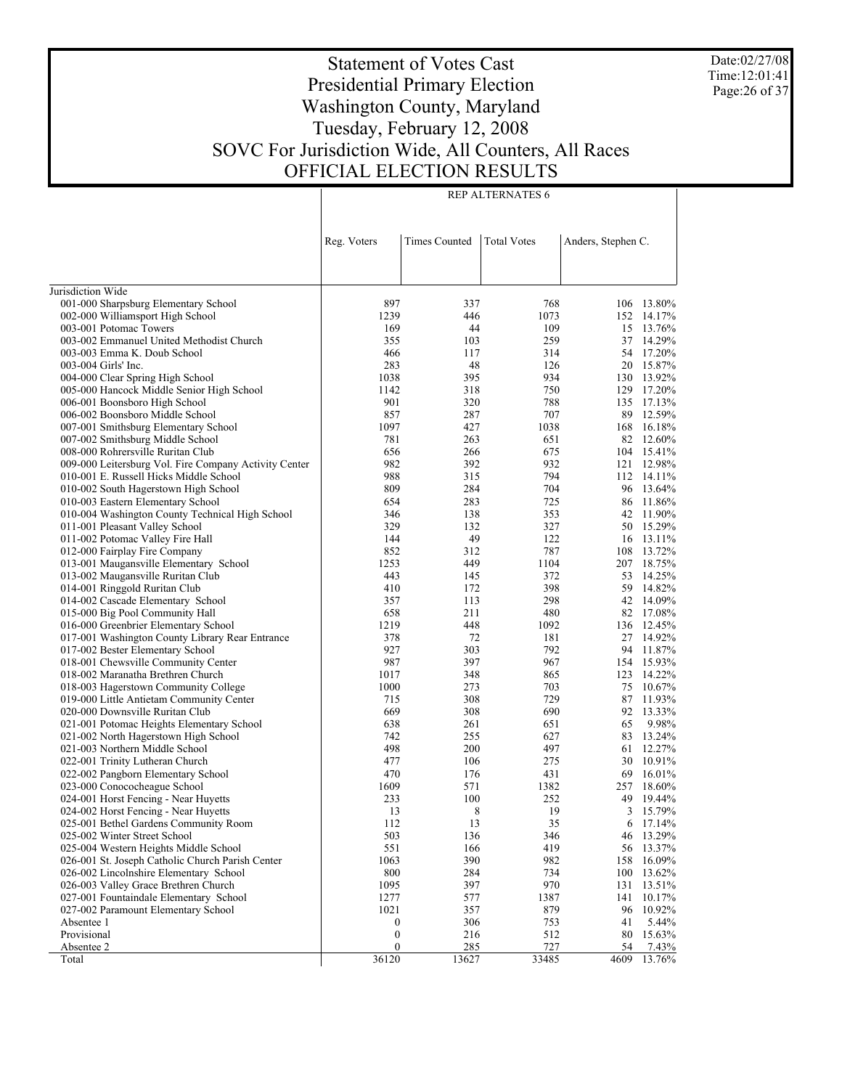Date:02/27/08 Time:12:01:41 Page:26 of 37

# Statement of Votes Cast Presidential Primary Election Washington County, Maryland Tuesday, February 12, 2008 SOVC For Jurisdiction Wide, All Counters, All Races OFFICIAL ELECTION RESULTS

|                                                       | Reg. Voters      | Times Counted | <b>Total Votes</b> | Anders, Stephen C. |                  |
|-------------------------------------------------------|------------------|---------------|--------------------|--------------------|------------------|
|                                                       |                  |               |                    |                    |                  |
|                                                       |                  |               |                    |                    |                  |
| Jurisdiction Wide                                     |                  |               |                    |                    |                  |
| 001-000 Sharpsburg Elementary School                  | 897              | 337           | 768                |                    | 106 13.80%       |
| 002-000 Williamsport High School                      | 1239             | 446           | 1073               |                    | 152 14.17%       |
| 003-001 Potomac Towers                                | 169              | 44            | 109                |                    | 15 13.76%        |
| 003-002 Emmanuel United Methodist Church              | 355              | 103           | 259                | 37                 | 14.29%           |
| 003-003 Emma K. Doub School                           | 466              | 117           | 314                | 54                 | 17.20%           |
| 003-004 Girls' Inc.                                   | 283              | 48            | 126                | 20                 | 15.87%           |
| 004-000 Clear Spring High School                      | 1038             | 395           | 934                |                    | 130 13.92%       |
| 005-000 Hancock Middle Senior High School             | 1142             | 318           | 750                | 129                | 17.20%           |
| 006-001 Boonsboro High School                         | 901              | 320           | 788                | 135                | 17.13%           |
| 006-002 Boonsboro Middle School                       | 857              | 287           | 707                | 89                 | 12.59%           |
| 007-001 Smithsburg Elementary School                  | 1097             | 427           | 1038               | 168                | 16.18%           |
| 007-002 Smithsburg Middle School                      | 781              | 263           | 651                |                    | 82 12.60%        |
| 008-000 Rohrersville Ruritan Club                     | 656              | 266           | 675                | 104                | 15.41%           |
| 009-000 Leitersburg Vol. Fire Company Activity Center | 982              | 392           | 932                | 121                | 12.98%           |
| 010-001 E. Russell Hicks Middle School                | 988              | 315           | 794                |                    | 112 14.11%       |
| 010-002 South Hagerstown High School                  | 809              | 284           | 704                | 96                 | 13.64%           |
| 010-003 Eastern Elementary School                     | 654              | 283           | 725                | 86                 | 11.86%           |
| 010-004 Washington County Technical High School       | 346              | 138           | 353                | 42                 | 11.90%           |
| 011-001 Pleasant Valley School                        | 329              | 132           | 327                |                    | 50 15.29%        |
| 011-002 Potomac Valley Fire Hall                      | 144              | 49            | 122                |                    | 16 13.11%        |
| 012-000 Fairplay Fire Company                         | 852              | 312           | 787                | 108                | 13.72%           |
| 013-001 Maugansville Elementary School                | 1253             | 449           | 1104               | 207                | 18.75%           |
| 013-002 Maugansville Ruritan Club                     | 443              | 145           | 372                | 53                 | 14.25%           |
| 014-001 Ringgold Ruritan Club                         | 410              | 172           | 398                | 59                 | 14.82%           |
| 014-002 Cascade Elementary School                     | 357              | 113           | 298                | 42                 | 14.09%           |
| 015-000 Big Pool Community Hall                       | 658              | 211           | 480                |                    | 82 17.08%        |
| 016-000 Greenbrier Elementary School                  | 1219             | 448           | 1092               |                    | 136 12.45%       |
| 017-001 Washington County Library Rear Entrance       | 378              | 72            | 181                | 27                 | 14.92%           |
| 017-002 Bester Elementary School                      | 927              | 303           | 792                | 94                 | 11.87%           |
| 018-001 Chewsville Community Center                   | 987              | 397           | 967                |                    | 154 15.93%       |
| 018-002 Maranatha Brethren Church                     | 1017             | 348           | 865                | 123                | 14.22%           |
| 018-003 Hagerstown Community College                  | 1000             | 273           | 703                | 75                 | 10.67%           |
| 019-000 Little Antietam Community Center              | 715              | 308           | 729                | 87                 | 11.93%           |
| 020-000 Downsville Ruritan Club                       | 669              | 308           | 690                | 92                 | 13.33%           |
| 021-001 Potomac Heights Elementary School             | 638              | 261           | 651                | 65                 | 9.98%            |
| 021-002 North Hagerstown High School                  | 742              | 255           | 627                | 83                 | 13.24%           |
| 021-003 Northern Middle School                        | 498              | 200           | 497                | 61                 | 12.27%           |
| 022-001 Trinity Lutheran Church                       | 477              | 106           | 275                | 30                 | 10.91%           |
| 022-002 Pangborn Elementary School                    | 470              | 176           | 431                | 69                 | 16.01%           |
| 023-000 Conococheague School                          | 1609             | 571           | 1382               | 257                | 18.60%           |
| 024-001 Horst Fencing - Near Huyetts                  | 233              | 100           | 252                | 49                 | 19.44%           |
| 024-002 Horst Fencing - Near Huyetts                  | 13               | 8             | 19                 | 3                  | 15.79%           |
| 025-001 Bethel Gardens Community Room                 | 112              | 13            | 35                 |                    | $6\quad 17.14\%$ |
| 025-002 Winter Street School                          | 503              | 136           | 346                | 46                 | 13.29%           |
| 025-004 Western Heights Middle School                 | 551              | 166           | 419                | 56                 | 13.37%           |
| 026-001 St. Joseph Catholic Church Parish Center      | 1063             | 390           | 982                | 158                | 16.09%           |
| 026-002 Lincolnshire Elementary School                | 800              | 284           | 734                | 100                | 13.62%           |
| 026-003 Valley Grace Brethren Church                  | 1095             | 397           | 970                | 131                | 13.51%           |
| 027-001 Fountaindale Elementary School                | 1277             | 577           | 1387               | 141                | 10.17%           |
| 027-002 Paramount Elementary School                   | 1021             | 357           | 879                | 96                 | 10.92%           |
| Absentee 1                                            | 0                | 306           | 753                | 41                 | 5.44%            |
| Provisional                                           | $\boldsymbol{0}$ | 216           | 512                | 80                 | 15.63%           |
| Absentee 2                                            | $\boldsymbol{0}$ | 285           | 727                | 54                 | 7.43%            |
| Total                                                 | 36120            | 13627         | 33485              | 4609               | 13.76%           |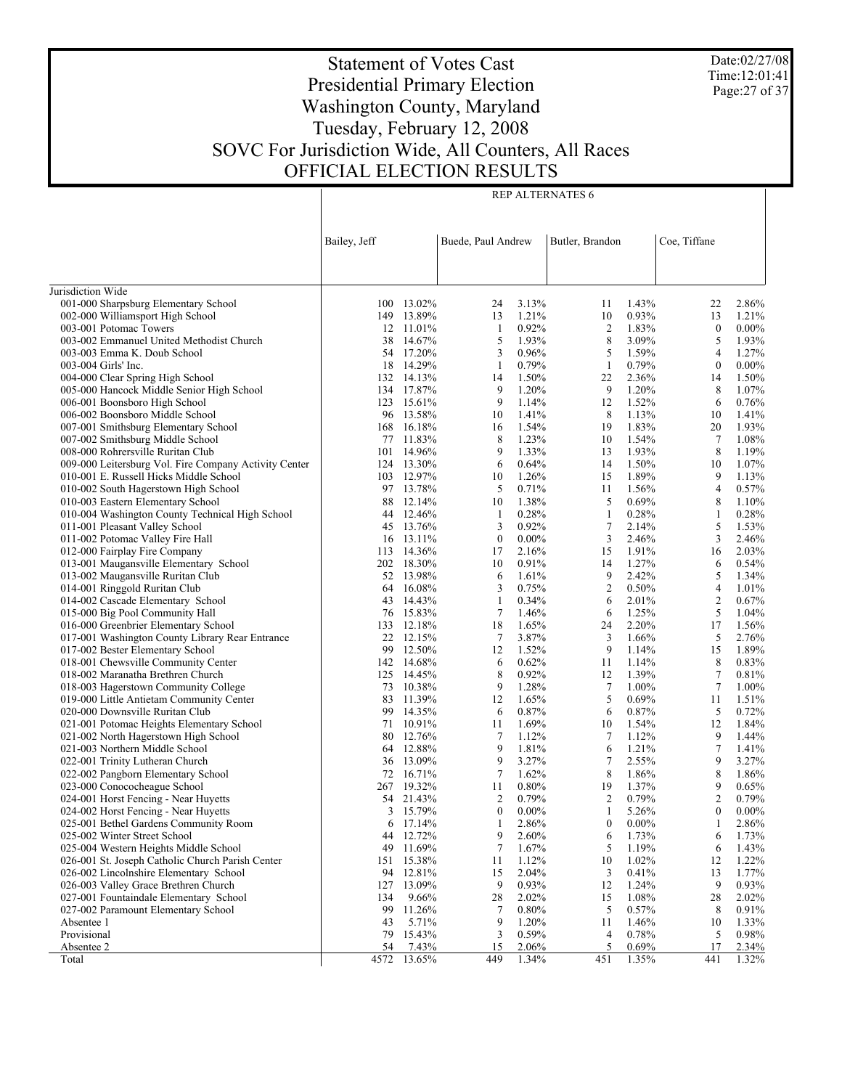Date:02/27/08 Time:12:01:41 Page:27 of 37

# Statement of Votes Cast Presidential Primary Election Washington County, Maryland Tuesday, February 12, 2008 SOVC For Jurisdiction Wide, All Counters, All Races OFFICIAL ELECTION RESULTS

|                                                                         |              |                         |                    |                | <b>REP ALTERNATES 6</b> |                |                  |                |
|-------------------------------------------------------------------------|--------------|-------------------------|--------------------|----------------|-------------------------|----------------|------------------|----------------|
|                                                                         |              |                         |                    |                |                         |                |                  |                |
|                                                                         |              |                         |                    |                |                         |                |                  |                |
|                                                                         | Bailey, Jeff |                         | Buede, Paul Andrew |                | Butler, Brandon         |                | Coe, Tiffane     |                |
|                                                                         |              |                         |                    |                |                         |                |                  |                |
|                                                                         |              |                         |                    |                |                         |                |                  |                |
| Jurisdiction Wide                                                       |              |                         |                    |                |                         |                |                  |                |
| 001-000 Sharpsburg Elementary School                                    |              | 100 13.02%              | 24                 | 3.13%          | 11                      | 1.43%          | 22               | 2.86%          |
| 002-000 Williamsport High School                                        | 149          | 13.89%                  | 13                 | 1.21%          | 10                      | 0.93%          | 13               | 1.21%          |
| 003-001 Potomac Towers                                                  |              | 12 11.01%               | 1                  | 0.92%          | $\overline{2}$          | 1.83%          | $\bf{0}$         | $0.00\%$       |
| 003-002 Emmanuel United Methodist Church                                |              | 38 14.67%               | 5                  | 1.93%          | 8                       | 3.09%          | 5                | 1.93%          |
| 003-003 Emma K. Doub School                                             |              | 54 17.20%               | 3                  | 0.96%          | 5                       | 1.59%          | 4                | 1.27%          |
| 003-004 Girls' Inc.                                                     |              | 18 14.29%               | 1                  | 0.79%          | $\mathbf{1}$            | 0.79%          | $\boldsymbol{0}$ | $0.00\%$       |
| 004-000 Clear Spring High School                                        |              | 132 14.13%              | 14                 | 1.50%          | 22                      | 2.36%          | 14               | 1.50%          |
| 005-000 Hancock Middle Senior High School                               |              | 134 17.87%              | 9                  | 1.20%          | 9                       | 1.20%          | 8                | 1.07%          |
| 006-001 Boonsboro High School                                           |              | 123 15.61%<br>96 13.58% | 9<br>10            | 1.14%<br>1.41% | 12<br>8                 | 1.52%<br>1.13% | 6<br>10          | 0.76%<br>1.41% |
| 006-002 Boonsboro Middle School<br>007-001 Smithsburg Elementary School |              | 168 16.18%              | 16                 | 1.54%          | 19                      | 1.83%          | 20               | 1.93%          |
| 007-002 Smithsburg Middle School                                        |              | 77 11.83%               | 8                  | 1.23%          | 10                      | 1.54%          | $\tau$           | 1.08%          |
| 008-000 Rohrersville Ruritan Club                                       |              | 101 14.96%              | 9                  | 1.33%          | 13                      | 1.93%          | 8                | 1.19%          |
| 009-000 Leitersburg Vol. Fire Company Activity Center                   |              | 124 13.30%              | 6                  | 0.64%          | 14                      | 1.50%          | 10               | 1.07%          |
| 010-001 E. Russell Hicks Middle School                                  |              | 103 12.97%              | 10                 | 1.26%          | 15                      | 1.89%          | 9                | 1.13%          |
| 010-002 South Hagerstown High School                                    |              | 97 13.78%               | 5                  | 0.71%          | 11                      | 1.56%          | 4                | 0.57%          |
| 010-003 Eastern Elementary School                                       |              | 88 12.14%               | 10                 | 1.38%          | 5                       | 0.69%          | 8                | 1.10%          |
| 010-004 Washington County Technical High School                         | 44           | 12.46%                  | $\mathbf{1}$       | 0.28%          | $\mathbf{1}$            | 0.28%          | $\mathbf{1}$     | 0.28%          |
| 011-001 Pleasant Valley School                                          |              | 45 13.76%               | 3                  | 0.92%          | 7                       | 2.14%          | 5                | 1.53%          |
| 011-002 Potomac Valley Fire Hall                                        |              | 16 13.11%               | $\boldsymbol{0}$   | $0.00\%$       | 3                       | 2.46%          | 3                | 2.46%          |
| 012-000 Fairplay Fire Company                                           |              | 113 14.36%              | 17                 | 2.16%          | 15                      | 1.91%          | 16               | 2.03%          |
| 013-001 Maugansville Elementary School                                  |              | 202 18.30%              | 10                 | 0.91%          | 14                      | 1.27%          | 6                | 0.54%          |
| 013-002 Maugansville Ruritan Club                                       |              | 52 13.98%<br>64 16.08%  | 6                  | 1.61%<br>0.75% | 9<br>$\mathfrak{2}$     | 2.42%<br>0.50% | 5<br>4           | 1.34%<br>1.01% |
| 014-001 Ringgold Ruritan Club<br>014-002 Cascade Elementary School      |              | 43 14.43%               | 3<br>1             | 0.34%          | 6                       | 2.01%          | $\overline{c}$   | 0.67%          |
| 015-000 Big Pool Community Hall                                         |              | 76 15.83%               | $\tau$             | 1.46%          | 6                       | 1.25%          | 5                | 1.04%          |
| 016-000 Greenbrier Elementary School                                    |              | 133 12.18%              | 18                 | 1.65%          | 24                      | 2.20%          | 17               | 1.56%          |
| 017-001 Washington County Library Rear Entrance                         | 22           | 12.15%                  | $\tau$             | 3.87%          | 3                       | 1.66%          | 5                | 2.76%          |
| 017-002 Bester Elementary School                                        | 99           | 12.50%                  | 12                 | 1.52%          | 9                       | 1.14%          | 15               | 1.89%          |
| 018-001 Chewsville Community Center                                     |              | 142 14.68%              | 6                  | 0.62%          | 11                      | 1.14%          | 8                | 0.83%          |
| 018-002 Maranatha Brethren Church                                       |              | 125 14.45%              | 8                  | 0.92%          | 12                      | 1.39%          | 7                | 0.81%          |
| 018-003 Hagerstown Community College                                    |              | 73 10.38%               | 9                  | 1.28%          | $\tau$                  | 1.00%          | $\tau$           | 1.00%          |
| 019-000 Little Antietam Community Center                                |              | 83 11.39%               | 12                 | 1.65%          | 5                       | 0.69%          | 11               | 1.51%          |
| 020-000 Downsville Ruritan Club                                         | 99           | 14.35%                  | 6                  | 0.87%          | 6                       | 0.87%          | 5                | 0.72%          |
| 021-001 Potomac Heights Elementary School                               |              | 71 10.91%               | 11                 | 1.69%          | 10                      | 1.54%          | 12               | 1.84%          |
| 021-002 North Hagerstown High School<br>021-003 Northern Middle School  | 80           | 12.76%<br>64 12.88%     | 7                  | 1.12%<br>1.81% | 7<br>6                  | 1.12%<br>1.21% | 9                | 1.44%          |
| 022-001 Trinity Lutheran Church                                         | 36           | 13.09%                  | 9<br>9             | 3.27%          | 7                       | 2.55%          | 7<br>9           | 1.41%<br>3.27% |
| 022-002 Pangborn Elementary School                                      |              | 72 16.71%               | 7                  | 1.62%          | 8                       | 1.86%          | 8                | 1.86%          |
| 023-000 Conococheague School                                            |              | 267 19.32%              | 11                 | 0.80%          | 19                      | 1.37%          | 9                | 0.65%          |
| 024-001 Horst Fencing - Near Huyetts                                    |              | 54 21.43%               | 2                  | 0.79%          | 2                       | 0.79%          | $\overline{c}$   | 0.79%          |
| 024-002 Horst Fencing - Near Huyetts                                    | 3            | 15.79%                  | $\boldsymbol{0}$   | $0.00\%$       | 1                       | 5.26%          | $\boldsymbol{0}$ | $0.00\%$       |
| 025-001 Bethel Gardens Community Room                                   | 6            | 17.14%                  | 1                  | 2.86%          | $\boldsymbol{0}$        | $0.00\%$       | 1                | 2.86%          |
| 025-002 Winter Street School                                            | 44           | 12.72%                  | 9                  | 2.60%          | 6                       | 1.73%          | 6                | 1.73%          |
| 025-004 Western Heights Middle School                                   | 49           | 11.69%                  | 7                  | 1.67%          | 5                       | 1.19%          | 6                | 1.43%          |
| 026-001 St. Joseph Catholic Church Parish Center                        |              | 151 15.38%              | 11                 | 1.12%          | 10                      | 1.02%          | 12               | 1.22%          |
| 026-002 Lincolnshire Elementary School                                  |              | 94 12.81%               | 15                 | 2.04%          | 3                       | 0.41%          | 13               | 1.77%          |
| 026-003 Valley Grace Brethren Church                                    | 127          | 13.09%                  | 9                  | 0.93%          | 12                      | 1.24%          | 9                | 0.93%          |
| 027-001 Fountaindale Elementary School                                  | 134          | 9.66%                   | 28                 | 2.02%          | 15                      | 1.08%          | 28               | 2.02%          |
| 027-002 Paramount Elementary School                                     | 99           | 11.26%                  | 7                  | 0.80%          | 5                       | 0.57%          | 8                | 0.91%          |
| Absentee 1<br>Provisional                                               | 43<br>79     | 5.71%<br>15.43%         | 9<br>3             | 1.20%<br>0.59% | 11<br>4                 | 1.46%<br>0.78% | 10<br>5          | 1.33%<br>0.98% |
| Absentee 2                                                              | 54           | 7.43%                   | 15                 | 2.06%          | 5                       | 0.69%          | 17               | 2.34%          |
| Total                                                                   | 4572         | 13.65%                  | 449                | 1.34%          | 451                     | 1.35%          | 441              | 1.32%          |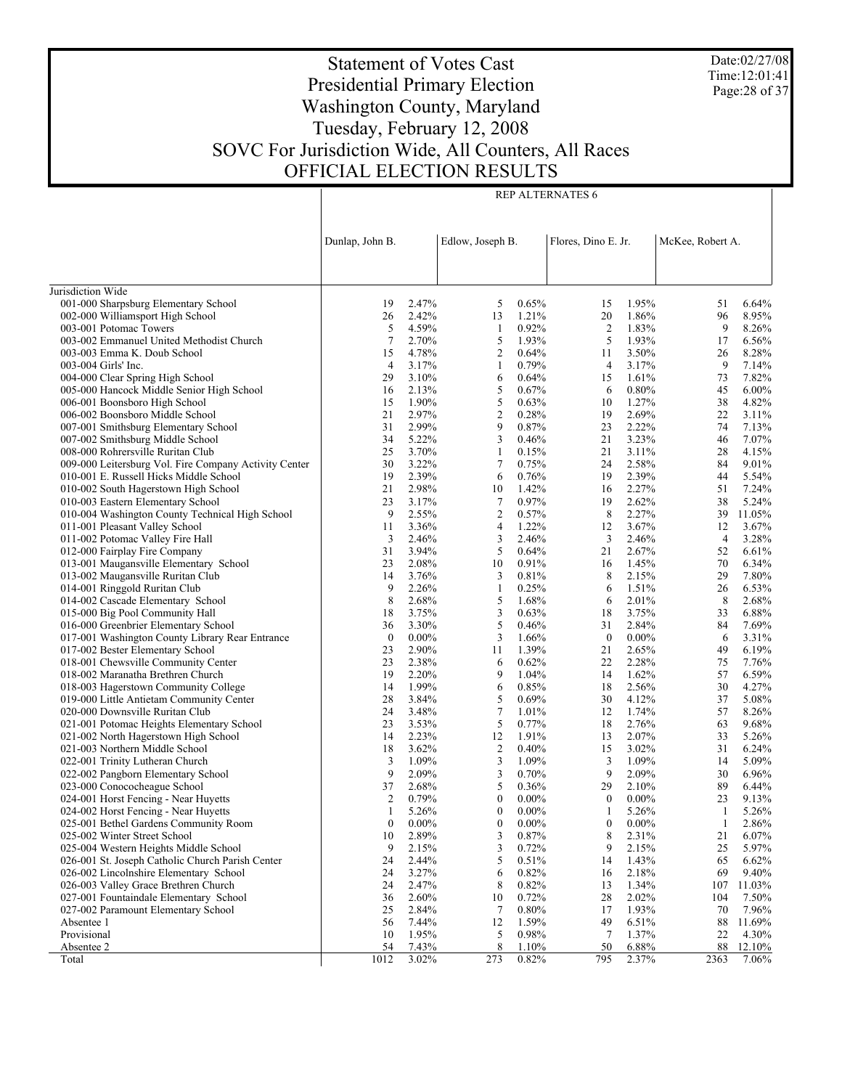Date:02/27/08 Time:12:01:41 Page:28 of 37

# Statement of Votes Cast Presidential Primary Election Washington County, Maryland Tuesday, February 12, 2008 SOVC For Jurisdiction Wide, All Counters, All Races OFFICIAL ELECTION RESULTS

|                                                                         | Dunlap, John B.  |                | Edlow, Joseph B.    |                 | Flores, Dino E. Jr. |                | McKee, Robert A. |                |  |
|-------------------------------------------------------------------------|------------------|----------------|---------------------|-----------------|---------------------|----------------|------------------|----------------|--|
|                                                                         |                  |                |                     |                 |                     |                |                  |                |  |
| Jurisdiction Wide                                                       |                  |                |                     |                 |                     |                |                  |                |  |
| 001-000 Sharpsburg Elementary School                                    | 19               | 2.47%          | 5                   | 0.65%           | 15                  | 1.95%          | 51               | 6.64%          |  |
| 002-000 Williamsport High School                                        | 26               | 2.42%          | 13                  | 1.21%           | 20                  | 1.86%          | 96               | 8.95%          |  |
| 003-001 Potomac Towers                                                  | 5                | 4.59%          | -1                  | 0.92%           | $\overline{c}$      | 1.83%          | 9                | 8.26%          |  |
| 003-002 Emmanuel United Methodist Church                                | $\tau$           | 2.70%          | 5                   | 1.93%           | 5                   | 1.93%          | 17               | 6.56%          |  |
| 003-003 Emma K. Doub School                                             | 15               | 4.78%          | $\overline{c}$      | 0.64%           | 11                  | 3.50%          | 26               | 8.28%          |  |
| 003-004 Girls' Inc.                                                     | $\overline{4}$   | 3.17%          | $\mathbf{1}$        | 0.79%           | 4                   | 3.17%          | 9                | 7.14%          |  |
| 004-000 Clear Spring High School                                        | 29               | 3.10%          | 6                   | 0.64%           | 15                  | 1.61%          | 73               | 7.82%          |  |
| 005-000 Hancock Middle Senior High School                               | 16               | 2.13%          | 5                   | 0.67%           | 6                   | 0.80%          | 45               | $6.00\%$       |  |
| 006-001 Boonsboro High School                                           | 15<br>21         | 1.90%<br>2.97% | 5                   | 0.63%<br>0.28%  | 10                  | 1.27%<br>2.69% | 38               | 4.82%          |  |
| 006-002 Boonsboro Middle School<br>007-001 Smithsburg Elementary School | 31               | 2.99%          | $\overline{c}$<br>9 | 0.87%           | 19<br>23            | 2.22%          | 22<br>74         | 3.11%<br>7.13% |  |
| 007-002 Smithsburg Middle School                                        | 34               | 5.22%          | 3                   | 0.46%           | 21                  | 3.23%          | 46               | 7.07%          |  |
| 008-000 Rohrersville Ruritan Club                                       | 25               | 3.70%          | 1                   | 0.15%           | 21                  | 3.11%          | 28               | 4.15%          |  |
| 009-000 Leitersburg Vol. Fire Company Activity Center                   | 30               | 3.22%          | $\tau$              | 0.75%           | 24                  | 2.58%          | 84               | 9.01%          |  |
| 010-001 E. Russell Hicks Middle School                                  | 19               | 2.39%          | 6                   | 0.76%           | 19                  | 2.39%          | 44               | 5.54%          |  |
| 010-002 South Hagerstown High School                                    | 21               | 2.98%          | 10                  | 1.42%           | 16                  | 2.27%          | 51               | 7.24%          |  |
| 010-003 Eastern Elementary School                                       | 23               | 3.17%          | 7                   | 0.97%           | 19                  | 2.62%          | 38               | 5.24%          |  |
| 010-004 Washington County Technical High School                         | 9                | 2.55%          | 2                   | 0.57%           | 8                   | 2.27%          | 39               | 11.05%         |  |
| 011-001 Pleasant Valley School                                          | 11               | 3.36%          | 4                   | 1.22%           | 12                  | 3.67%          | 12               | 3.67%          |  |
| 011-002 Potomac Valley Fire Hall                                        | 3                | 2.46%          | 3                   | 2.46%           | 3                   | 2.46%          | $\overline{4}$   | 3.28%          |  |
| 012-000 Fairplay Fire Company                                           | 31               | 3.94%          | 5                   | 0.64%           | 21                  | 2.67%          | 52               | 6.61%          |  |
| 013-001 Maugansville Elementary School                                  | 23               | 2.08%          | 10                  | 0.91%           | 16                  | 1.45%          | 70               | 6.34%          |  |
| 013-002 Maugansville Ruritan Club                                       | 14               | 3.76%          | 3                   | 0.81%           | 8                   | 2.15%          | 29               | 7.80%          |  |
| 014-001 Ringgold Ruritan Club                                           | 9                | 2.26%          | 1                   | 0.25%           | 6                   | 1.51%          | 26               | 6.53%          |  |
| 014-002 Cascade Elementary School                                       | 8                | 2.68%          | 5                   | 1.68%           | 6                   | 2.01%          | 8                | 2.68%          |  |
| 015-000 Big Pool Community Hall                                         | 18               | 3.75%          | 3                   | 0.63%           | 18                  | 3.75%          | 33               | 6.88%          |  |
| 016-000 Greenbrier Elementary School                                    | 36               | 3.30%          | 5                   | 0.46%           | 31                  | 2.84%          | 84               | 7.69%          |  |
| 017-001 Washington County Library Rear Entrance                         | $\boldsymbol{0}$ | $0.00\%$       | 3                   | 1.66%           | $\boldsymbol{0}$    | $0.00\%$       | 6                | 3.31%          |  |
| 017-002 Bester Elementary School                                        | 23               | 2.90%          | 11                  | 1.39%           | 21                  | 2.65%          | 49               | 6.19%          |  |
| 018-001 Chewsville Community Center                                     | 23               | 2.38%          | 6                   | 0.62%           | 22                  | 2.28%          | 75               | 7.76%          |  |
| 018-002 Maranatha Brethren Church                                       | 19               | 2.20%          | 9                   | 1.04%           | 14                  | 1.62%          | 57               | 6.59%          |  |
| 018-003 Hagerstown Community College                                    | 14               | 1.99%          | 6                   | 0.85%           | 18                  | 2.56%          | 30               | 4.27%          |  |
| 019-000 Little Antietam Community Center                                | 28               | 3.84%          | 5                   | 0.69%           | 30                  | 4.12%          | 37               | 5.08%          |  |
| 020-000 Downsville Ruritan Club                                         | 24               | 3.48%          | $\tau$              | 1.01%           | 12                  | 1.74%          | 57               | 8.26%          |  |
| 021-001 Potomac Heights Elementary School                               | 23               | 3.53%          | 5                   | 0.77%           | 18                  | 2.76%          | 63               | 9.68%          |  |
| 021-002 North Hagerstown High School                                    | 14<br>18         | 2.23%<br>3.62% | 12<br>2             | 1.91%<br>0.40%  | 13<br>15            | 2.07%<br>3.02% | 33<br>31         | 5.26%<br>6.24% |  |
| 021-003 Northern Middle School<br>022-001 Trinity Lutheran Church       | 3                | 1.09%          | 3                   | 1.09%           | 3                   | 1.09%          | 14               | 5.09%          |  |
| 022-002 Pangborn Elementary School                                      | 9                | 2.09%          | 3                   | 0.70%           | 9                   | 2.09%          | 30               | 6.96%          |  |
| 023-000 Conococheague School                                            | 37               | 2.68%          | 5                   | 0.36%           | 29                  | 2.10%          | 89               | 6.44%          |  |
| 024-001 Horst Fencing - Near Huyetts                                    | 2                | 0.79%          | $\boldsymbol{0}$    | $0.00\%$        | $\boldsymbol{0}$    | $0.00\%$       | 23               | 9.13%          |  |
| 024-002 Horst Fencing - Near Huyetts                                    | 1                | 5.26%          | $\boldsymbol{0}$    | $0.00\%$        | -1                  | 5.26%          | -1               | 5.26%          |  |
| 025-001 Bethel Gardens Community Room                                   | $\overline{0}$   | $0.00\%$       |                     | $0\quad 0.00\%$ | $\mathbf{0}$        | $0.00\%$       | $\mathbf{1}$     | 2.86%          |  |
| 025-002 Winter Street School                                            | 10               | 2.89%          | 3                   | 0.87%           | 8                   | 2.31%          | 21               | 6.07%          |  |
| 025-004 Western Heights Middle School                                   | 9                | 2.15%          | 3                   | 0.72%           | 9                   | 2.15%          | 25               | 5.97%          |  |
| 026-001 St. Joseph Catholic Church Parish Center                        | 24               | 2.44%          | 5                   | 0.51%           | 14                  | 1.43%          | 65               | 6.62%          |  |
| 026-002 Lincolnshire Elementary School                                  | 24               | 3.27%          | 6                   | 0.82%           | 16                  | 2.18%          | 69               | 9.40%          |  |
| 026-003 Valley Grace Brethren Church                                    | 24               | 2.47%          | 8                   | 0.82%           | 13                  | 1.34%          | 107              | 11.03%         |  |
| 027-001 Fountaindale Elementary School                                  | 36               | 2.60%          | 10                  | 0.72%           | 28                  | 2.02%          | 104              | 7.50%          |  |
| 027-002 Paramount Elementary School                                     | 25               | 2.84%          | 7                   | 0.80%           | 17                  | 1.93%          | 70               | 7.96%          |  |
| Absentee 1                                                              | 56               | 7.44%          | 12                  | 1.59%           | 49                  | 6.51%          | 88               | 11.69%         |  |
| Provisional                                                             | 10               | 1.95%          | 5                   | 0.98%           | 7                   | 1.37%          | 22               | 4.30%          |  |
| Absentee 2                                                              | 54               | 7.43%          | 8                   | 1.10%           | 50                  | 6.88%          | 88               | 12.10%         |  |
| Total                                                                   | 1012             | 3.02%          | 273                 | 0.82%           | 795                 | 2.37%          | 2363             | 7.06%          |  |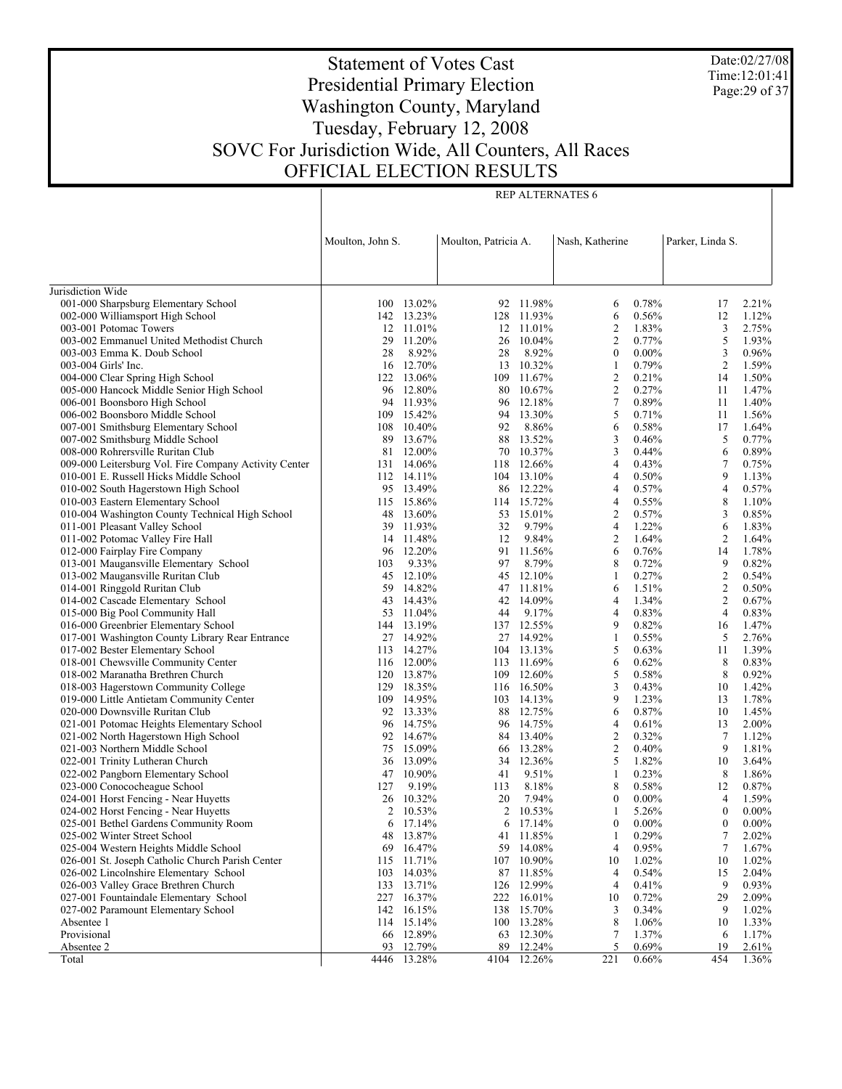Date:02/27/08 Time:12:01:41 Page:29 of 37

# Statement of Votes Cast Presidential Primary Election Washington County, Maryland Tuesday, February 12, 2008 SOVC For Jurisdiction Wide, All Counters, All Races OFFICIAL ELECTION RESULTS

|                                                                                | Moulton, John S. |                      | Moulton, Patricia A. |                          | Nash, Katherine     |                   | Parker, Linda S.    |                |
|--------------------------------------------------------------------------------|------------------|----------------------|----------------------|--------------------------|---------------------|-------------------|---------------------|----------------|
|                                                                                |                  |                      |                      |                          |                     |                   |                     |                |
|                                                                                |                  |                      |                      |                          |                     |                   |                     |                |
| Jurisdiction Wide                                                              |                  |                      |                      |                          |                     |                   |                     |                |
| 001-000 Sharpsburg Elementary School                                           |                  | 100 13.02%           |                      | 92 11.98%                | 6                   | 0.78%             | 17                  | 2.21%          |
| 002-000 Williamsport High School                                               |                  | 142 13.23%           |                      | 128 11.93%               | 6                   | 0.56%             | 12                  | 1.12%          |
| 003-001 Potomac Towers                                                         |                  | 12 11.01%            |                      | 12 11.01%                | $\overline{2}$      | 1.83%             | 3                   | 2.75%          |
| 003-002 Emmanuel United Methodist Church                                       | 29               | 11.20%               |                      | 26 10.04%                | $\overline{2}$      | 0.77%             | 5                   | 1.93%          |
| 003-003 Emma K. Doub School                                                    | 28               | 8.92%<br>12.70%      | 28                   | 8.92%<br>13 10.32%       | $\mathbf{0}$        | $0.00\%$<br>0.79% | 3<br>$\overline{c}$ | 0.96%<br>1.59% |
| 003-004 Girls' Inc.<br>004-000 Clear Spring High School                        | 16               | 122 13.06%           |                      | 109 11.67%               | 1<br>$\overline{2}$ | 0.21%             | 14                  | 1.50%          |
| 005-000 Hancock Middle Senior High School                                      |                  | 96 12.80%            |                      | 80 10.67%                | $\overline{2}$      | 0.27%             | 11                  | 1.47%          |
| 006-001 Boonsboro High School                                                  |                  | 94 11.93%            |                      | 96 12.18%                | $\tau$              | 0.89%             | 11                  | 1.40%          |
| 006-002 Boonsboro Middle School                                                | 109              | 15.42%               |                      | 94 13.30%                | 5                   | 0.71%             | 11                  | 1.56%          |
| 007-001 Smithsburg Elementary School                                           | 108              | 10.40%               | 92                   | 8.86%                    | 6                   | 0.58%             | 17                  | 1.64%          |
| 007-002 Smithsburg Middle School                                               | 89               | 13.67%               |                      | 88 13.52%                | 3                   | 0.46%             | 5                   | 0.77%          |
| 008-000 Rohrersville Ruritan Club                                              | 81               | 12.00%               |                      | 70 10.37%                | 3                   | 0.44%             | 6                   | 0.89%          |
| 009-000 Leitersburg Vol. Fire Company Activity Center                          | 131              | 14.06%               |                      | 118 12.66%               | $\overline{4}$      | 0.43%             | $\tau$              | 0.75%          |
| 010-001 E. Russell Hicks Middle School                                         |                  | 112 14.11%           |                      | 104 13.10%               | $\overline{4}$      | 0.50%             | 9                   | 1.13%          |
| 010-002 South Hagerstown High School                                           |                  | 95 13.49%            |                      | 86 12.22%                | $\overline{4}$      | 0.57%             | $\overline{4}$      | 0.57%          |
| 010-003 Eastern Elementary School                                              |                  | 115 15.86%           |                      | 114 15.72%               | $\overline{4}$      | 0.55%             | 8                   | 1.10%          |
| 010-004 Washington County Technical High School                                | 48               | 13.60%               |                      | 53 15.01%                | $\overline{2}$      | 0.57%             | 3                   | 0.85%          |
| 011-001 Pleasant Valley School                                                 | 39               | 11.93%               | 32                   | 9.79%                    | $\overline{4}$      | 1.22%             | 6                   | 1.83%          |
| 011-002 Potomac Valley Fire Hall                                               |                  | 14 11.48%            | 12                   | 9.84%                    | $\overline{2}$      | 1.64%             | 2                   | 1.64%          |
| 012-000 Fairplay Fire Company                                                  | 96               | 12.20%               |                      | 91 11.56%                | 6                   | 0.76%             | 14                  | 1.78%          |
| 013-001 Maugansville Elementary School                                         | 103              | 9.33%                | 97                   | 8.79%                    | 8                   | 0.72%             | 9                   | 0.82%          |
| 013-002 Maugansville Ruritan Club                                              | 45               | 12.10%               |                      | 45 12.10%                | 1                   | 0.27%             | $\mathfrak{2}$      | 0.54%          |
| 014-001 Ringgold Ruritan Club                                                  | 59               | 14.82%               |                      | 47 11.81%                | 6                   | 1.51%             | $\overline{c}$      | 0.50%          |
| 014-002 Cascade Elementary School                                              | 43               | 14.43%               |                      | 42 14.09%                | $\overline{4}$      | 1.34%             | $\overline{c}$      | 0.67%          |
| 015-000 Big Pool Community Hall                                                | 53               | 11.04%               | 44                   | 9.17%                    | $\overline{4}$      | 0.83%             | $\overline{4}$      | 0.83%          |
| 016-000 Greenbrier Elementary School                                           |                  | 144 13.19%           |                      | 137 12.55%               | 9                   | 0.82%             | 16                  | 1.47%          |
| 017-001 Washington County Library Rear Entrance                                |                  | 27 14.92%            |                      | 27 14.92%                | 1                   | $0.55\%$          | 5                   | 2.76%          |
| 017-002 Bester Elementary School                                               |                  | 113 14.27%           |                      | 104 13.13%               | 5                   | 0.63%             | 11                  | 1.39%          |
| 018-001 Chewsville Community Center                                            |                  | 116 12.00%           |                      | 113 11.69%               | 6                   | 0.62%             | 8                   | 0.83%          |
| 018-002 Maranatha Brethren Church                                              |                  | 120 13.87%           |                      | 109 12.60%               | 5                   | 0.58%             | 8                   | 0.92%          |
| 018-003 Hagerstown Community College                                           |                  | 129 18.35%           |                      | 116 16.50%               | 3                   | 0.43%             | 10                  | 1.42%          |
| 019-000 Little Antietam Community Center                                       |                  | 109 14.95%           |                      | 103 14.13%               | 9                   | 1.23%             | 13                  | 1.78%          |
| 020-000 Downsville Ruritan Club                                                |                  | 92 13.33%            |                      | 88 12.75%                | 6                   | 0.87%             | 10                  | 1.45%          |
| 021-001 Potomac Heights Elementary School                                      | 96               | 14.75%               |                      | 96 14.75%                | $\overline{4}$      | 0.61%             | 13                  | 2.00%          |
| 021-002 North Hagerstown High School                                           |                  | 92 14.67%            |                      | 84 13.40%                | $\overline{c}$      | 0.32%             | 7                   | 1.12%          |
| 021-003 Northern Middle School                                                 | 75               | 15.09%               |                      | 66 13.28%                | $\mathfrak{2}$      | 0.40%             | 9                   | 1.81%          |
| 022-001 Trinity Lutheran Church                                                | 36               | 13.09%               |                      | 34 12.36%                | 5                   | 1.82%             | 10                  | 3.64%          |
| 022-002 Pangborn Elementary School                                             | 47               | 10.90%               | 41                   | 9.51%                    | -1                  | 0.23%             | 8                   | 1.86%          |
| 023-000 Conococheague School                                                   | 127              | 9.19%                | 113                  | 8.18%                    | 8                   | 0.58%             | 12                  | 0.87%          |
| 024-001 Horst Fencing - Near Huyetts                                           | 26               | 10.32%               | 20                   | 7.94%                    | $\mathbf{0}$        | $0.00\%$          | $\overline{4}$      | 1.59%          |
| 024-002 Horst Fencing - Near Huyetts                                           |                  | 2 10.53%             |                      | 2 10.53%                 | 1                   | 5.26%             | $\mathbf{0}$        | $0.00\%$       |
| 025-001 Bethel Gardens Community Room                                          | 6                | 17.14%               |                      | $6\quad 17.14\%$         | $\boldsymbol{0}$    | $0.00\%$          | $\boldsymbol{0}$    | $0.00\%$       |
| 025-002 Winter Street School                                                   | 48               | 13.87%               |                      | 41 11.85%                | 1                   | 0.29%             | 7                   | 2.02%          |
| 025-004 Western Heights Middle School                                          | 69               | 16.47%               | 59                   | 14.08%                   | 4                   | 0.95%             | 7                   | 1.67%          |
| 026-001 St. Joseph Catholic Church Parish Center                               | 115              | 11.71%               |                      | 107 10.90%               | 10                  | 1.02%             | 10                  | 1.02%          |
| 026-002 Lincolnshire Elementary School                                         | 103              | 14.03%               |                      | 87 11.85%                | 4<br>$\overline{4}$ | 0.54%             | 15<br>9             | 2.04%          |
| 026-003 Valley Grace Brethren Church<br>027-001 Fountaindale Elementary School | 227              | 133 13.71%<br>16.37% |                      | 126 12.99%<br>222 16.01% | 10                  | 0.41%<br>0.72%    | 29                  | 0.93%<br>2.09% |
| 027-002 Paramount Elementary School                                            |                  | 142 16.15%           | 138                  | 15.70%                   | 3                   | 0.34%             | 9                   | 1.02%          |
| Absentee 1                                                                     |                  | 114 15.14%           |                      | 100 13.28%               | 8                   | 1.06%             | 10                  | 1.33%          |
| Provisional                                                                    | 66               | 12.89%               | 63                   | 12.30%                   | 7                   | 1.37%             | 6                   | 1.17%          |
| Absentee 2                                                                     | 93               | 12.79%               | 89                   | 12.24%                   | 5                   | 0.69%             | 19                  | 2.61%          |
| Total                                                                          | 4446             | 13.28%               |                      | 4104 12.26%              | 221                 | 0.66%             | 454                 | 1.36%          |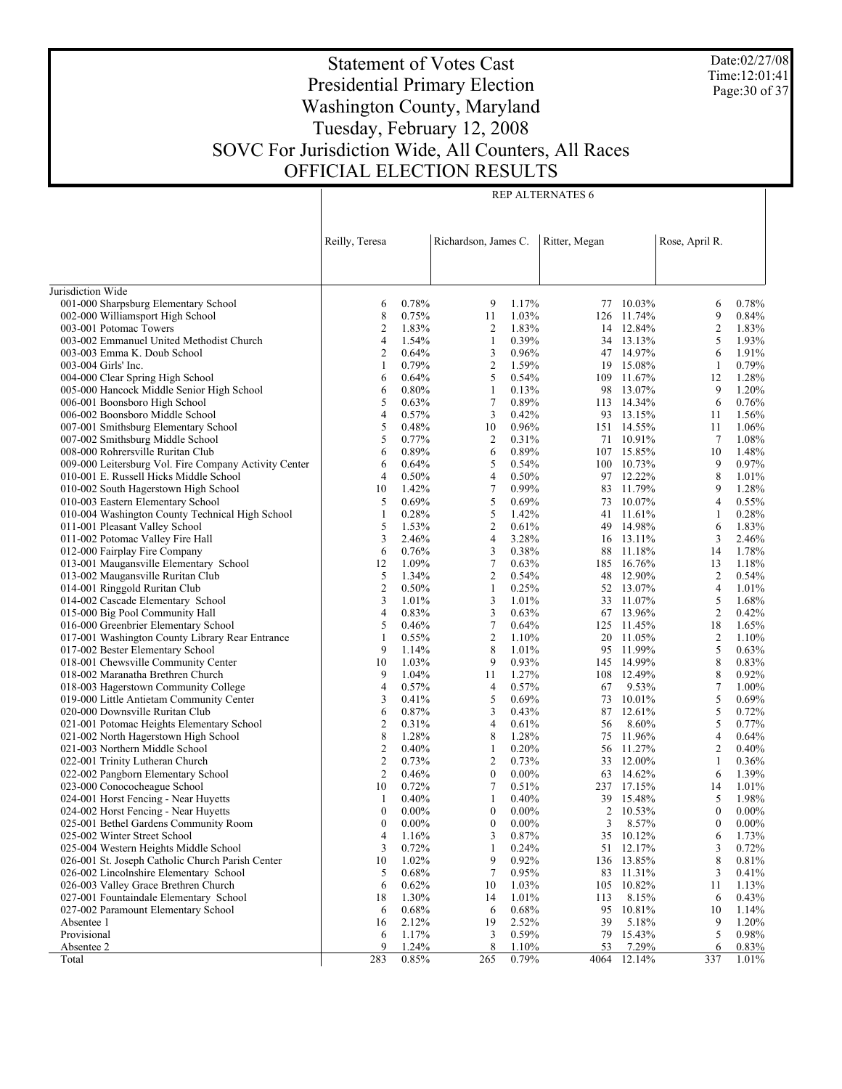Date:02/27/08 Time:12:01:41 Page:30 of 37

# Statement of Votes Cast Presidential Primary Election Washington County, Maryland Tuesday, February 12, 2008 SOVC For Jurisdiction Wide, All Counters, All Races OFFICIAL ELECTION RESULTS

Τ

| Reilly, Teresa<br>Richardson, James C.<br>Ritter, Megan<br>Rose, April R.<br>Jurisdiction Wide<br>001-000 Sharpsburg Elementary School<br>0.78%<br>1.17%<br>9<br>77 10.03%<br>0.78%<br>6<br>6<br>8<br>9<br>002-000 Williamsport High School<br>0.75%<br>11<br>1.03%<br>126<br>11.74%<br>$\overline{2}$<br>003-001 Potomac Towers<br>2<br>1.83%<br>2<br>1.83%<br>14 12.84%<br>5<br>1.54%<br>0.39%<br>003-002 Emmanuel United Methodist Church<br>4<br>1<br>34 13.13%<br>0.64%<br>47 14.97%<br>6<br>003-003 Emma K. Doub School<br>2<br>3<br>0.96%<br>$\mathfrak{2}$<br>0.79%<br>1.59%<br>003-004 Girls' Inc.<br>1<br>19<br>15.08%<br>1<br>5<br>004-000 Clear Spring High School<br>6<br>0.64%<br>0.54%<br>109 11.67%<br>12<br>0.80%<br>9<br>005-000 Hancock Middle Senior High School<br>6<br>1<br>0.13%<br>98<br>13.07%<br>6<br>5<br>0.63%<br>7<br>0.89%<br>006-001 Boonsboro High School<br>113 14.34%<br>3<br>0.42%<br>006-002 Boonsboro Middle School<br>4<br>0.57%<br>93 13.15%<br>11<br>5<br>0.48%<br>0.96%<br>007-001 Smithsburg Elementary School<br>10<br>151 14.55%<br>11<br>5<br>2<br>0.31%<br>7<br>1.08%<br>007-002 Smithsburg Middle School<br>0.77%<br>71 10.91%<br>6<br>0.89%<br>0.89%<br>1.48%<br>008-000 Rohrersville Ruritan Club<br>6<br>107 15.85%<br>10<br>5<br>0.64%<br>9<br>0.97%<br>009-000 Leitersburg Vol. Fire Company Activity Center<br>6<br>0.54%<br>100 10.73%<br>8<br>0.50%<br>4<br>0.50%<br>010-001 E. Russell Hicks Middle School<br>$\overline{4}$<br>97 12.22%<br>1.01%<br>$\tau$<br>1.42%<br>0.99%<br>83 11.79%<br>9<br>1.28%<br>010-002 South Hagerstown High School<br>10<br>5<br>$\overline{4}$<br>5<br>0.69%<br>0.69%<br>73 10.07%<br>0.55%<br>010-003 Eastern Elementary School<br>5<br>0.28%<br>$\mathbf{1}$<br>010-004 Washington County Technical High School<br>1<br>1.42%<br>41 11.61%<br>0.28%<br>5<br>$\mathfrak{2}$<br>1.53%<br>49 14.98%<br>6<br>1.83%<br>011-001 Pleasant Valley School<br>0.61%<br>3<br>2.46%<br>4<br>3.28%<br>3<br>011-002 Potomac Valley Fire Hall<br>16 13.11%<br>2.46%<br>0.76%<br>3<br>0.38%<br>11.18%<br>1.78%<br>012-000 Fairplay Fire Company<br>6<br>88<br>14<br>$\tau$<br>1.09%<br>013-001 Maugansville Elementary School<br>12<br>0.63%<br>185<br>16.76%<br>13<br>1.18%<br>5<br>1.34%<br>2<br>48 12.90%<br>$\overline{c}$<br>013-002 Maugansville Ruritan Club<br>0.54%<br>0.54%<br>2<br>0.50%<br>$\overline{4}$<br>014-001 Ringgold Ruritan Club<br>1<br>0.25%<br>52 13.07%<br>1.01%<br>5<br>3<br>1.01%<br>33 11.07%<br>1.68%<br>014-002 Cascade Elementary School<br>3<br>1.01%<br>$\overline{2}$<br>3<br>015-000 Big Pool Community Hall<br>4<br>0.83%<br>0.63%<br>67 13.96%<br>0.42%<br>5<br>$\tau$<br>016-000 Greenbrier Elementary School<br>0.46%<br>0.64%<br>125 11.45%<br>18<br>1.65%<br>2<br>$\overline{c}$<br>017-001 Washington County Library Rear Entrance<br>1<br>0.55%<br>1.10%<br>20 11.05%<br>1.10%<br>8<br>5<br>9<br>95 11.99%<br>017-002 Bester Elementary School<br>1.14%<br>1.01%<br>0.63%<br>9<br>8<br>1.03%<br>145 14.99%<br>018-001 Chewsville Community Center<br>10<br>0.93%<br>0.83%<br>8<br>9<br>1.04%<br>1.27%<br>018-002 Maranatha Brethren Church<br>108 12.49%<br>0.92%<br>11<br>$\tau$<br>0.57%<br>0.57%<br>9.53%<br>018-003 Hagerstown Community College<br>4<br>4<br>67<br>5<br>5<br>0.41%<br>0.69%<br>019-000 Little Antietam Community Center<br>3<br>73<br>10.01%<br>5<br>3<br>020-000 Downsville Ruritan Club<br>6<br>0.87%<br>0.43%<br>87 12.61%<br>5<br>0.31%<br>4<br>021-001 Potomac Heights Elementary School<br>2<br>0.61%<br>56<br>8.60%<br>8<br>1.28%<br>8<br>$\overline{4}$<br>021-002 North Hagerstown High School<br>1.28%<br>75<br>11.96%<br>$\overline{2}$<br>2<br>0.40%<br>0.20%<br>021-003 Northern Middle School<br>1<br>56 11.27%<br>$\overline{c}$<br>2<br>$\mathbf{1}$<br>022-001 Trinity Lutheran Church<br>0.73%<br>0.73%<br>33<br>12.00%<br>2<br>$\mathbf{0}$<br>022-002 Pangborn Elementary School<br>0.46%<br>$0.00\%$<br>63 14.62%<br>6<br>$\tau$<br>023-000 Conococheague School<br>10<br>0.72%<br>0.51%<br>237 17.15%<br>14<br>5<br>024-001 Horst Fencing - Near Huyetts<br>0.40%<br>1<br>0.40%<br>39<br>15.48%<br>1<br>024-002 Horst Fencing - Near Huyetts<br>$\boldsymbol{0}$<br>$0.00\%$<br>$\mathbf{0}$<br>$0.00\%$<br>2<br>10.53%<br>$\mathbf{0}$<br>025-001 Bethel Gardens Community Room<br>$\boldsymbol{0}$<br>$0.00\%$<br>0<br>$0.00\%$<br>3<br>8.57%<br>$\boldsymbol{0}$<br>3<br>35<br>025-002 Winter Street School<br>4<br>1.16%<br>0.87%<br>10.12%<br>6<br>025-004 Western Heights Middle School<br>3<br>0.72%<br>0.24%<br>51<br>12.17%<br>3<br>1<br>9<br>8<br>026-001 St. Joseph Catholic Church Parish Center<br>10<br>1.02%<br>0.92%<br>136 13.85%<br>$\tau$<br>026-002 Lincolnshire Elementary School<br>5<br>0.68%<br>0.95%<br>83<br>11.31%<br>3<br>026-003 Valley Grace Brethren Church<br>6<br>0.62%<br>10<br>1.03%<br>105<br>10.82%<br>11<br>027-001 Fountaindale Elementary School<br>18<br>1.30%<br>1.01%<br>8.15%<br>14<br>113<br>6<br>027-002 Paramount Elementary School<br>0.68%<br>0.68%<br>95<br>10.81%<br>6<br>6<br>10<br>Absentee 1<br>2.12%<br>19<br>2.52%<br>39<br>5.18%<br>9<br>16<br>Provisional<br>5<br>1.17%<br>3<br>0.59%<br>79<br>15.43%<br>0.98%<br>6<br>8<br>Absentee 2<br>9<br>1.24%<br>1.10%<br>53<br>7.29%<br>0.83%<br>6<br>12.14%<br>0.85% |       |     |     |       |      |     |          |
|------------------------------------------------------------------------------------------------------------------------------------------------------------------------------------------------------------------------------------------------------------------------------------------------------------------------------------------------------------------------------------------------------------------------------------------------------------------------------------------------------------------------------------------------------------------------------------------------------------------------------------------------------------------------------------------------------------------------------------------------------------------------------------------------------------------------------------------------------------------------------------------------------------------------------------------------------------------------------------------------------------------------------------------------------------------------------------------------------------------------------------------------------------------------------------------------------------------------------------------------------------------------------------------------------------------------------------------------------------------------------------------------------------------------------------------------------------------------------------------------------------------------------------------------------------------------------------------------------------------------------------------------------------------------------------------------------------------------------------------------------------------------------------------------------------------------------------------------------------------------------------------------------------------------------------------------------------------------------------------------------------------------------------------------------------------------------------------------------------------------------------------------------------------------------------------------------------------------------------------------------------------------------------------------------------------------------------------------------------------------------------------------------------------------------------------------------------------------------------------------------------------------------------------------------------------------------------------------------------------------------------------------------------------------------------------------------------------------------------------------------------------------------------------------------------------------------------------------------------------------------------------------------------------------------------------------------------------------------------------------------------------------------------------------------------------------------------------------------------------------------------------------------------------------------------------------------------------------------------------------------------------------------------------------------------------------------------------------------------------------------------------------------------------------------------------------------------------------------------------------------------------------------------------------------------------------------------------------------------------------------------------------------------------------------------------------------------------------------------------------------------------------------------------------------------------------------------------------------------------------------------------------------------------------------------------------------------------------------------------------------------------------------------------------------------------------------------------------------------------------------------------------------------------------------------------------------------------------------------------------------------------------------------------------------------------------------------------------------------------------------------------------------------------------------------------------------------------------------------------------------------------------------------------------------------------------------------------------------------------------------------------------------------------------------------------------------------------------------------------------------------------------------------------------------------------------------------------------------------------------------------------------------------------------------------------------------------------------------------------------------------------------------------------------------------------------------------------------------------------------------------------------------------------------------------------------------------------------------------------------------------------------------------------------------------------------------------------|-------|-----|-----|-------|------|-----|----------|
|                                                                                                                                                                                                                                                                                                                                                                                                                                                                                                                                                                                                                                                                                                                                                                                                                                                                                                                                                                                                                                                                                                                                                                                                                                                                                                                                                                                                                                                                                                                                                                                                                                                                                                                                                                                                                                                                                                                                                                                                                                                                                                                                                                                                                                                                                                                                                                                                                                                                                                                                                                                                                                                                                                                                                                                                                                                                                                                                                                                                                                                                                                                                                                                                                                                                                                                                                                                                                                                                                                                                                                                                                                                                                                                                                                                                                                                                                                                                                                                                                                                                                                                                                                                                                                                                                                                                                                                                                                                                                                                                                                                                                                                                                                                                                                                                                                                                                                                                                                                                                                                                                                                                                                                                                                                                                                                                          |       |     |     |       |      |     |          |
|                                                                                                                                                                                                                                                                                                                                                                                                                                                                                                                                                                                                                                                                                                                                                                                                                                                                                                                                                                                                                                                                                                                                                                                                                                                                                                                                                                                                                                                                                                                                                                                                                                                                                                                                                                                                                                                                                                                                                                                                                                                                                                                                                                                                                                                                                                                                                                                                                                                                                                                                                                                                                                                                                                                                                                                                                                                                                                                                                                                                                                                                                                                                                                                                                                                                                                                                                                                                                                                                                                                                                                                                                                                                                                                                                                                                                                                                                                                                                                                                                                                                                                                                                                                                                                                                                                                                                                                                                                                                                                                                                                                                                                                                                                                                                                                                                                                                                                                                                                                                                                                                                                                                                                                                                                                                                                                                          |       |     |     |       |      |     |          |
|                                                                                                                                                                                                                                                                                                                                                                                                                                                                                                                                                                                                                                                                                                                                                                                                                                                                                                                                                                                                                                                                                                                                                                                                                                                                                                                                                                                                                                                                                                                                                                                                                                                                                                                                                                                                                                                                                                                                                                                                                                                                                                                                                                                                                                                                                                                                                                                                                                                                                                                                                                                                                                                                                                                                                                                                                                                                                                                                                                                                                                                                                                                                                                                                                                                                                                                                                                                                                                                                                                                                                                                                                                                                                                                                                                                                                                                                                                                                                                                                                                                                                                                                                                                                                                                                                                                                                                                                                                                                                                                                                                                                                                                                                                                                                                                                                                                                                                                                                                                                                                                                                                                                                                                                                                                                                                                                          |       |     |     |       |      |     |          |
|                                                                                                                                                                                                                                                                                                                                                                                                                                                                                                                                                                                                                                                                                                                                                                                                                                                                                                                                                                                                                                                                                                                                                                                                                                                                                                                                                                                                                                                                                                                                                                                                                                                                                                                                                                                                                                                                                                                                                                                                                                                                                                                                                                                                                                                                                                                                                                                                                                                                                                                                                                                                                                                                                                                                                                                                                                                                                                                                                                                                                                                                                                                                                                                                                                                                                                                                                                                                                                                                                                                                                                                                                                                                                                                                                                                                                                                                                                                                                                                                                                                                                                                                                                                                                                                                                                                                                                                                                                                                                                                                                                                                                                                                                                                                                                                                                                                                                                                                                                                                                                                                                                                                                                                                                                                                                                                                          |       |     |     |       |      |     |          |
|                                                                                                                                                                                                                                                                                                                                                                                                                                                                                                                                                                                                                                                                                                                                                                                                                                                                                                                                                                                                                                                                                                                                                                                                                                                                                                                                                                                                                                                                                                                                                                                                                                                                                                                                                                                                                                                                                                                                                                                                                                                                                                                                                                                                                                                                                                                                                                                                                                                                                                                                                                                                                                                                                                                                                                                                                                                                                                                                                                                                                                                                                                                                                                                                                                                                                                                                                                                                                                                                                                                                                                                                                                                                                                                                                                                                                                                                                                                                                                                                                                                                                                                                                                                                                                                                                                                                                                                                                                                                                                                                                                                                                                                                                                                                                                                                                                                                                                                                                                                                                                                                                                                                                                                                                                                                                                                                          |       |     |     |       |      |     |          |
|                                                                                                                                                                                                                                                                                                                                                                                                                                                                                                                                                                                                                                                                                                                                                                                                                                                                                                                                                                                                                                                                                                                                                                                                                                                                                                                                                                                                                                                                                                                                                                                                                                                                                                                                                                                                                                                                                                                                                                                                                                                                                                                                                                                                                                                                                                                                                                                                                                                                                                                                                                                                                                                                                                                                                                                                                                                                                                                                                                                                                                                                                                                                                                                                                                                                                                                                                                                                                                                                                                                                                                                                                                                                                                                                                                                                                                                                                                                                                                                                                                                                                                                                                                                                                                                                                                                                                                                                                                                                                                                                                                                                                                                                                                                                                                                                                                                                                                                                                                                                                                                                                                                                                                                                                                                                                                                                          |       |     |     |       |      |     | 0.84%    |
|                                                                                                                                                                                                                                                                                                                                                                                                                                                                                                                                                                                                                                                                                                                                                                                                                                                                                                                                                                                                                                                                                                                                                                                                                                                                                                                                                                                                                                                                                                                                                                                                                                                                                                                                                                                                                                                                                                                                                                                                                                                                                                                                                                                                                                                                                                                                                                                                                                                                                                                                                                                                                                                                                                                                                                                                                                                                                                                                                                                                                                                                                                                                                                                                                                                                                                                                                                                                                                                                                                                                                                                                                                                                                                                                                                                                                                                                                                                                                                                                                                                                                                                                                                                                                                                                                                                                                                                                                                                                                                                                                                                                                                                                                                                                                                                                                                                                                                                                                                                                                                                                                                                                                                                                                                                                                                                                          |       |     |     |       |      |     | 1.83%    |
|                                                                                                                                                                                                                                                                                                                                                                                                                                                                                                                                                                                                                                                                                                                                                                                                                                                                                                                                                                                                                                                                                                                                                                                                                                                                                                                                                                                                                                                                                                                                                                                                                                                                                                                                                                                                                                                                                                                                                                                                                                                                                                                                                                                                                                                                                                                                                                                                                                                                                                                                                                                                                                                                                                                                                                                                                                                                                                                                                                                                                                                                                                                                                                                                                                                                                                                                                                                                                                                                                                                                                                                                                                                                                                                                                                                                                                                                                                                                                                                                                                                                                                                                                                                                                                                                                                                                                                                                                                                                                                                                                                                                                                                                                                                                                                                                                                                                                                                                                                                                                                                                                                                                                                                                                                                                                                                                          |       |     |     |       |      |     | 1.93%    |
|                                                                                                                                                                                                                                                                                                                                                                                                                                                                                                                                                                                                                                                                                                                                                                                                                                                                                                                                                                                                                                                                                                                                                                                                                                                                                                                                                                                                                                                                                                                                                                                                                                                                                                                                                                                                                                                                                                                                                                                                                                                                                                                                                                                                                                                                                                                                                                                                                                                                                                                                                                                                                                                                                                                                                                                                                                                                                                                                                                                                                                                                                                                                                                                                                                                                                                                                                                                                                                                                                                                                                                                                                                                                                                                                                                                                                                                                                                                                                                                                                                                                                                                                                                                                                                                                                                                                                                                                                                                                                                                                                                                                                                                                                                                                                                                                                                                                                                                                                                                                                                                                                                                                                                                                                                                                                                                                          |       |     |     |       |      |     | 1.91%    |
|                                                                                                                                                                                                                                                                                                                                                                                                                                                                                                                                                                                                                                                                                                                                                                                                                                                                                                                                                                                                                                                                                                                                                                                                                                                                                                                                                                                                                                                                                                                                                                                                                                                                                                                                                                                                                                                                                                                                                                                                                                                                                                                                                                                                                                                                                                                                                                                                                                                                                                                                                                                                                                                                                                                                                                                                                                                                                                                                                                                                                                                                                                                                                                                                                                                                                                                                                                                                                                                                                                                                                                                                                                                                                                                                                                                                                                                                                                                                                                                                                                                                                                                                                                                                                                                                                                                                                                                                                                                                                                                                                                                                                                                                                                                                                                                                                                                                                                                                                                                                                                                                                                                                                                                                                                                                                                                                          |       |     |     |       |      |     | 0.79%    |
|                                                                                                                                                                                                                                                                                                                                                                                                                                                                                                                                                                                                                                                                                                                                                                                                                                                                                                                                                                                                                                                                                                                                                                                                                                                                                                                                                                                                                                                                                                                                                                                                                                                                                                                                                                                                                                                                                                                                                                                                                                                                                                                                                                                                                                                                                                                                                                                                                                                                                                                                                                                                                                                                                                                                                                                                                                                                                                                                                                                                                                                                                                                                                                                                                                                                                                                                                                                                                                                                                                                                                                                                                                                                                                                                                                                                                                                                                                                                                                                                                                                                                                                                                                                                                                                                                                                                                                                                                                                                                                                                                                                                                                                                                                                                                                                                                                                                                                                                                                                                                                                                                                                                                                                                                                                                                                                                          |       |     |     |       |      |     | 1.28%    |
|                                                                                                                                                                                                                                                                                                                                                                                                                                                                                                                                                                                                                                                                                                                                                                                                                                                                                                                                                                                                                                                                                                                                                                                                                                                                                                                                                                                                                                                                                                                                                                                                                                                                                                                                                                                                                                                                                                                                                                                                                                                                                                                                                                                                                                                                                                                                                                                                                                                                                                                                                                                                                                                                                                                                                                                                                                                                                                                                                                                                                                                                                                                                                                                                                                                                                                                                                                                                                                                                                                                                                                                                                                                                                                                                                                                                                                                                                                                                                                                                                                                                                                                                                                                                                                                                                                                                                                                                                                                                                                                                                                                                                                                                                                                                                                                                                                                                                                                                                                                                                                                                                                                                                                                                                                                                                                                                          |       |     |     |       |      |     | 1.20%    |
|                                                                                                                                                                                                                                                                                                                                                                                                                                                                                                                                                                                                                                                                                                                                                                                                                                                                                                                                                                                                                                                                                                                                                                                                                                                                                                                                                                                                                                                                                                                                                                                                                                                                                                                                                                                                                                                                                                                                                                                                                                                                                                                                                                                                                                                                                                                                                                                                                                                                                                                                                                                                                                                                                                                                                                                                                                                                                                                                                                                                                                                                                                                                                                                                                                                                                                                                                                                                                                                                                                                                                                                                                                                                                                                                                                                                                                                                                                                                                                                                                                                                                                                                                                                                                                                                                                                                                                                                                                                                                                                                                                                                                                                                                                                                                                                                                                                                                                                                                                                                                                                                                                                                                                                                                                                                                                                                          |       |     |     |       |      |     | 0.76%    |
|                                                                                                                                                                                                                                                                                                                                                                                                                                                                                                                                                                                                                                                                                                                                                                                                                                                                                                                                                                                                                                                                                                                                                                                                                                                                                                                                                                                                                                                                                                                                                                                                                                                                                                                                                                                                                                                                                                                                                                                                                                                                                                                                                                                                                                                                                                                                                                                                                                                                                                                                                                                                                                                                                                                                                                                                                                                                                                                                                                                                                                                                                                                                                                                                                                                                                                                                                                                                                                                                                                                                                                                                                                                                                                                                                                                                                                                                                                                                                                                                                                                                                                                                                                                                                                                                                                                                                                                                                                                                                                                                                                                                                                                                                                                                                                                                                                                                                                                                                                                                                                                                                                                                                                                                                                                                                                                                          |       |     |     |       |      |     | 1.56%    |
|                                                                                                                                                                                                                                                                                                                                                                                                                                                                                                                                                                                                                                                                                                                                                                                                                                                                                                                                                                                                                                                                                                                                                                                                                                                                                                                                                                                                                                                                                                                                                                                                                                                                                                                                                                                                                                                                                                                                                                                                                                                                                                                                                                                                                                                                                                                                                                                                                                                                                                                                                                                                                                                                                                                                                                                                                                                                                                                                                                                                                                                                                                                                                                                                                                                                                                                                                                                                                                                                                                                                                                                                                                                                                                                                                                                                                                                                                                                                                                                                                                                                                                                                                                                                                                                                                                                                                                                                                                                                                                                                                                                                                                                                                                                                                                                                                                                                                                                                                                                                                                                                                                                                                                                                                                                                                                                                          |       |     |     |       |      |     | 1.06%    |
|                                                                                                                                                                                                                                                                                                                                                                                                                                                                                                                                                                                                                                                                                                                                                                                                                                                                                                                                                                                                                                                                                                                                                                                                                                                                                                                                                                                                                                                                                                                                                                                                                                                                                                                                                                                                                                                                                                                                                                                                                                                                                                                                                                                                                                                                                                                                                                                                                                                                                                                                                                                                                                                                                                                                                                                                                                                                                                                                                                                                                                                                                                                                                                                                                                                                                                                                                                                                                                                                                                                                                                                                                                                                                                                                                                                                                                                                                                                                                                                                                                                                                                                                                                                                                                                                                                                                                                                                                                                                                                                                                                                                                                                                                                                                                                                                                                                                                                                                                                                                                                                                                                                                                                                                                                                                                                                                          |       |     |     |       |      |     |          |
|                                                                                                                                                                                                                                                                                                                                                                                                                                                                                                                                                                                                                                                                                                                                                                                                                                                                                                                                                                                                                                                                                                                                                                                                                                                                                                                                                                                                                                                                                                                                                                                                                                                                                                                                                                                                                                                                                                                                                                                                                                                                                                                                                                                                                                                                                                                                                                                                                                                                                                                                                                                                                                                                                                                                                                                                                                                                                                                                                                                                                                                                                                                                                                                                                                                                                                                                                                                                                                                                                                                                                                                                                                                                                                                                                                                                                                                                                                                                                                                                                                                                                                                                                                                                                                                                                                                                                                                                                                                                                                                                                                                                                                                                                                                                                                                                                                                                                                                                                                                                                                                                                                                                                                                                                                                                                                                                          |       |     |     |       |      |     |          |
|                                                                                                                                                                                                                                                                                                                                                                                                                                                                                                                                                                                                                                                                                                                                                                                                                                                                                                                                                                                                                                                                                                                                                                                                                                                                                                                                                                                                                                                                                                                                                                                                                                                                                                                                                                                                                                                                                                                                                                                                                                                                                                                                                                                                                                                                                                                                                                                                                                                                                                                                                                                                                                                                                                                                                                                                                                                                                                                                                                                                                                                                                                                                                                                                                                                                                                                                                                                                                                                                                                                                                                                                                                                                                                                                                                                                                                                                                                                                                                                                                                                                                                                                                                                                                                                                                                                                                                                                                                                                                                                                                                                                                                                                                                                                                                                                                                                                                                                                                                                                                                                                                                                                                                                                                                                                                                                                          |       |     |     |       |      |     |          |
|                                                                                                                                                                                                                                                                                                                                                                                                                                                                                                                                                                                                                                                                                                                                                                                                                                                                                                                                                                                                                                                                                                                                                                                                                                                                                                                                                                                                                                                                                                                                                                                                                                                                                                                                                                                                                                                                                                                                                                                                                                                                                                                                                                                                                                                                                                                                                                                                                                                                                                                                                                                                                                                                                                                                                                                                                                                                                                                                                                                                                                                                                                                                                                                                                                                                                                                                                                                                                                                                                                                                                                                                                                                                                                                                                                                                                                                                                                                                                                                                                                                                                                                                                                                                                                                                                                                                                                                                                                                                                                                                                                                                                                                                                                                                                                                                                                                                                                                                                                                                                                                                                                                                                                                                                                                                                                                                          |       |     |     |       |      |     |          |
|                                                                                                                                                                                                                                                                                                                                                                                                                                                                                                                                                                                                                                                                                                                                                                                                                                                                                                                                                                                                                                                                                                                                                                                                                                                                                                                                                                                                                                                                                                                                                                                                                                                                                                                                                                                                                                                                                                                                                                                                                                                                                                                                                                                                                                                                                                                                                                                                                                                                                                                                                                                                                                                                                                                                                                                                                                                                                                                                                                                                                                                                                                                                                                                                                                                                                                                                                                                                                                                                                                                                                                                                                                                                                                                                                                                                                                                                                                                                                                                                                                                                                                                                                                                                                                                                                                                                                                                                                                                                                                                                                                                                                                                                                                                                                                                                                                                                                                                                                                                                                                                                                                                                                                                                                                                                                                                                          |       |     |     |       |      |     |          |
|                                                                                                                                                                                                                                                                                                                                                                                                                                                                                                                                                                                                                                                                                                                                                                                                                                                                                                                                                                                                                                                                                                                                                                                                                                                                                                                                                                                                                                                                                                                                                                                                                                                                                                                                                                                                                                                                                                                                                                                                                                                                                                                                                                                                                                                                                                                                                                                                                                                                                                                                                                                                                                                                                                                                                                                                                                                                                                                                                                                                                                                                                                                                                                                                                                                                                                                                                                                                                                                                                                                                                                                                                                                                                                                                                                                                                                                                                                                                                                                                                                                                                                                                                                                                                                                                                                                                                                                                                                                                                                                                                                                                                                                                                                                                                                                                                                                                                                                                                                                                                                                                                                                                                                                                                                                                                                                                          |       |     |     |       |      |     |          |
|                                                                                                                                                                                                                                                                                                                                                                                                                                                                                                                                                                                                                                                                                                                                                                                                                                                                                                                                                                                                                                                                                                                                                                                                                                                                                                                                                                                                                                                                                                                                                                                                                                                                                                                                                                                                                                                                                                                                                                                                                                                                                                                                                                                                                                                                                                                                                                                                                                                                                                                                                                                                                                                                                                                                                                                                                                                                                                                                                                                                                                                                                                                                                                                                                                                                                                                                                                                                                                                                                                                                                                                                                                                                                                                                                                                                                                                                                                                                                                                                                                                                                                                                                                                                                                                                                                                                                                                                                                                                                                                                                                                                                                                                                                                                                                                                                                                                                                                                                                                                                                                                                                                                                                                                                                                                                                                                          |       |     |     |       |      |     |          |
|                                                                                                                                                                                                                                                                                                                                                                                                                                                                                                                                                                                                                                                                                                                                                                                                                                                                                                                                                                                                                                                                                                                                                                                                                                                                                                                                                                                                                                                                                                                                                                                                                                                                                                                                                                                                                                                                                                                                                                                                                                                                                                                                                                                                                                                                                                                                                                                                                                                                                                                                                                                                                                                                                                                                                                                                                                                                                                                                                                                                                                                                                                                                                                                                                                                                                                                                                                                                                                                                                                                                                                                                                                                                                                                                                                                                                                                                                                                                                                                                                                                                                                                                                                                                                                                                                                                                                                                                                                                                                                                                                                                                                                                                                                                                                                                                                                                                                                                                                                                                                                                                                                                                                                                                                                                                                                                                          |       |     |     |       |      |     |          |
|                                                                                                                                                                                                                                                                                                                                                                                                                                                                                                                                                                                                                                                                                                                                                                                                                                                                                                                                                                                                                                                                                                                                                                                                                                                                                                                                                                                                                                                                                                                                                                                                                                                                                                                                                                                                                                                                                                                                                                                                                                                                                                                                                                                                                                                                                                                                                                                                                                                                                                                                                                                                                                                                                                                                                                                                                                                                                                                                                                                                                                                                                                                                                                                                                                                                                                                                                                                                                                                                                                                                                                                                                                                                                                                                                                                                                                                                                                                                                                                                                                                                                                                                                                                                                                                                                                                                                                                                                                                                                                                                                                                                                                                                                                                                                                                                                                                                                                                                                                                                                                                                                                                                                                                                                                                                                                                                          |       |     |     |       |      |     |          |
|                                                                                                                                                                                                                                                                                                                                                                                                                                                                                                                                                                                                                                                                                                                                                                                                                                                                                                                                                                                                                                                                                                                                                                                                                                                                                                                                                                                                                                                                                                                                                                                                                                                                                                                                                                                                                                                                                                                                                                                                                                                                                                                                                                                                                                                                                                                                                                                                                                                                                                                                                                                                                                                                                                                                                                                                                                                                                                                                                                                                                                                                                                                                                                                                                                                                                                                                                                                                                                                                                                                                                                                                                                                                                                                                                                                                                                                                                                                                                                                                                                                                                                                                                                                                                                                                                                                                                                                                                                                                                                                                                                                                                                                                                                                                                                                                                                                                                                                                                                                                                                                                                                                                                                                                                                                                                                                                          |       |     |     |       |      |     |          |
|                                                                                                                                                                                                                                                                                                                                                                                                                                                                                                                                                                                                                                                                                                                                                                                                                                                                                                                                                                                                                                                                                                                                                                                                                                                                                                                                                                                                                                                                                                                                                                                                                                                                                                                                                                                                                                                                                                                                                                                                                                                                                                                                                                                                                                                                                                                                                                                                                                                                                                                                                                                                                                                                                                                                                                                                                                                                                                                                                                                                                                                                                                                                                                                                                                                                                                                                                                                                                                                                                                                                                                                                                                                                                                                                                                                                                                                                                                                                                                                                                                                                                                                                                                                                                                                                                                                                                                                                                                                                                                                                                                                                                                                                                                                                                                                                                                                                                                                                                                                                                                                                                                                                                                                                                                                                                                                                          |       |     |     |       |      |     |          |
|                                                                                                                                                                                                                                                                                                                                                                                                                                                                                                                                                                                                                                                                                                                                                                                                                                                                                                                                                                                                                                                                                                                                                                                                                                                                                                                                                                                                                                                                                                                                                                                                                                                                                                                                                                                                                                                                                                                                                                                                                                                                                                                                                                                                                                                                                                                                                                                                                                                                                                                                                                                                                                                                                                                                                                                                                                                                                                                                                                                                                                                                                                                                                                                                                                                                                                                                                                                                                                                                                                                                                                                                                                                                                                                                                                                                                                                                                                                                                                                                                                                                                                                                                                                                                                                                                                                                                                                                                                                                                                                                                                                                                                                                                                                                                                                                                                                                                                                                                                                                                                                                                                                                                                                                                                                                                                                                          |       |     |     |       |      |     |          |
|                                                                                                                                                                                                                                                                                                                                                                                                                                                                                                                                                                                                                                                                                                                                                                                                                                                                                                                                                                                                                                                                                                                                                                                                                                                                                                                                                                                                                                                                                                                                                                                                                                                                                                                                                                                                                                                                                                                                                                                                                                                                                                                                                                                                                                                                                                                                                                                                                                                                                                                                                                                                                                                                                                                                                                                                                                                                                                                                                                                                                                                                                                                                                                                                                                                                                                                                                                                                                                                                                                                                                                                                                                                                                                                                                                                                                                                                                                                                                                                                                                                                                                                                                                                                                                                                                                                                                                                                                                                                                                                                                                                                                                                                                                                                                                                                                                                                                                                                                                                                                                                                                                                                                                                                                                                                                                                                          |       |     |     |       |      |     |          |
|                                                                                                                                                                                                                                                                                                                                                                                                                                                                                                                                                                                                                                                                                                                                                                                                                                                                                                                                                                                                                                                                                                                                                                                                                                                                                                                                                                                                                                                                                                                                                                                                                                                                                                                                                                                                                                                                                                                                                                                                                                                                                                                                                                                                                                                                                                                                                                                                                                                                                                                                                                                                                                                                                                                                                                                                                                                                                                                                                                                                                                                                                                                                                                                                                                                                                                                                                                                                                                                                                                                                                                                                                                                                                                                                                                                                                                                                                                                                                                                                                                                                                                                                                                                                                                                                                                                                                                                                                                                                                                                                                                                                                                                                                                                                                                                                                                                                                                                                                                                                                                                                                                                                                                                                                                                                                                                                          |       |     |     |       |      |     |          |
|                                                                                                                                                                                                                                                                                                                                                                                                                                                                                                                                                                                                                                                                                                                                                                                                                                                                                                                                                                                                                                                                                                                                                                                                                                                                                                                                                                                                                                                                                                                                                                                                                                                                                                                                                                                                                                                                                                                                                                                                                                                                                                                                                                                                                                                                                                                                                                                                                                                                                                                                                                                                                                                                                                                                                                                                                                                                                                                                                                                                                                                                                                                                                                                                                                                                                                                                                                                                                                                                                                                                                                                                                                                                                                                                                                                                                                                                                                                                                                                                                                                                                                                                                                                                                                                                                                                                                                                                                                                                                                                                                                                                                                                                                                                                                                                                                                                                                                                                                                                                                                                                                                                                                                                                                                                                                                                                          |       |     |     |       |      |     |          |
|                                                                                                                                                                                                                                                                                                                                                                                                                                                                                                                                                                                                                                                                                                                                                                                                                                                                                                                                                                                                                                                                                                                                                                                                                                                                                                                                                                                                                                                                                                                                                                                                                                                                                                                                                                                                                                                                                                                                                                                                                                                                                                                                                                                                                                                                                                                                                                                                                                                                                                                                                                                                                                                                                                                                                                                                                                                                                                                                                                                                                                                                                                                                                                                                                                                                                                                                                                                                                                                                                                                                                                                                                                                                                                                                                                                                                                                                                                                                                                                                                                                                                                                                                                                                                                                                                                                                                                                                                                                                                                                                                                                                                                                                                                                                                                                                                                                                                                                                                                                                                                                                                                                                                                                                                                                                                                                                          |       |     |     |       |      |     |          |
|                                                                                                                                                                                                                                                                                                                                                                                                                                                                                                                                                                                                                                                                                                                                                                                                                                                                                                                                                                                                                                                                                                                                                                                                                                                                                                                                                                                                                                                                                                                                                                                                                                                                                                                                                                                                                                                                                                                                                                                                                                                                                                                                                                                                                                                                                                                                                                                                                                                                                                                                                                                                                                                                                                                                                                                                                                                                                                                                                                                                                                                                                                                                                                                                                                                                                                                                                                                                                                                                                                                                                                                                                                                                                                                                                                                                                                                                                                                                                                                                                                                                                                                                                                                                                                                                                                                                                                                                                                                                                                                                                                                                                                                                                                                                                                                                                                                                                                                                                                                                                                                                                                                                                                                                                                                                                                                                          |       |     |     |       |      |     |          |
|                                                                                                                                                                                                                                                                                                                                                                                                                                                                                                                                                                                                                                                                                                                                                                                                                                                                                                                                                                                                                                                                                                                                                                                                                                                                                                                                                                                                                                                                                                                                                                                                                                                                                                                                                                                                                                                                                                                                                                                                                                                                                                                                                                                                                                                                                                                                                                                                                                                                                                                                                                                                                                                                                                                                                                                                                                                                                                                                                                                                                                                                                                                                                                                                                                                                                                                                                                                                                                                                                                                                                                                                                                                                                                                                                                                                                                                                                                                                                                                                                                                                                                                                                                                                                                                                                                                                                                                                                                                                                                                                                                                                                                                                                                                                                                                                                                                                                                                                                                                                                                                                                                                                                                                                                                                                                                                                          |       |     |     |       |      |     |          |
|                                                                                                                                                                                                                                                                                                                                                                                                                                                                                                                                                                                                                                                                                                                                                                                                                                                                                                                                                                                                                                                                                                                                                                                                                                                                                                                                                                                                                                                                                                                                                                                                                                                                                                                                                                                                                                                                                                                                                                                                                                                                                                                                                                                                                                                                                                                                                                                                                                                                                                                                                                                                                                                                                                                                                                                                                                                                                                                                                                                                                                                                                                                                                                                                                                                                                                                                                                                                                                                                                                                                                                                                                                                                                                                                                                                                                                                                                                                                                                                                                                                                                                                                                                                                                                                                                                                                                                                                                                                                                                                                                                                                                                                                                                                                                                                                                                                                                                                                                                                                                                                                                                                                                                                                                                                                                                                                          |       |     |     |       |      |     |          |
|                                                                                                                                                                                                                                                                                                                                                                                                                                                                                                                                                                                                                                                                                                                                                                                                                                                                                                                                                                                                                                                                                                                                                                                                                                                                                                                                                                                                                                                                                                                                                                                                                                                                                                                                                                                                                                                                                                                                                                                                                                                                                                                                                                                                                                                                                                                                                                                                                                                                                                                                                                                                                                                                                                                                                                                                                                                                                                                                                                                                                                                                                                                                                                                                                                                                                                                                                                                                                                                                                                                                                                                                                                                                                                                                                                                                                                                                                                                                                                                                                                                                                                                                                                                                                                                                                                                                                                                                                                                                                                                                                                                                                                                                                                                                                                                                                                                                                                                                                                                                                                                                                                                                                                                                                                                                                                                                          |       |     |     |       |      |     | 1.00%    |
|                                                                                                                                                                                                                                                                                                                                                                                                                                                                                                                                                                                                                                                                                                                                                                                                                                                                                                                                                                                                                                                                                                                                                                                                                                                                                                                                                                                                                                                                                                                                                                                                                                                                                                                                                                                                                                                                                                                                                                                                                                                                                                                                                                                                                                                                                                                                                                                                                                                                                                                                                                                                                                                                                                                                                                                                                                                                                                                                                                                                                                                                                                                                                                                                                                                                                                                                                                                                                                                                                                                                                                                                                                                                                                                                                                                                                                                                                                                                                                                                                                                                                                                                                                                                                                                                                                                                                                                                                                                                                                                                                                                                                                                                                                                                                                                                                                                                                                                                                                                                                                                                                                                                                                                                                                                                                                                                          |       |     |     |       |      |     | 0.69%    |
|                                                                                                                                                                                                                                                                                                                                                                                                                                                                                                                                                                                                                                                                                                                                                                                                                                                                                                                                                                                                                                                                                                                                                                                                                                                                                                                                                                                                                                                                                                                                                                                                                                                                                                                                                                                                                                                                                                                                                                                                                                                                                                                                                                                                                                                                                                                                                                                                                                                                                                                                                                                                                                                                                                                                                                                                                                                                                                                                                                                                                                                                                                                                                                                                                                                                                                                                                                                                                                                                                                                                                                                                                                                                                                                                                                                                                                                                                                                                                                                                                                                                                                                                                                                                                                                                                                                                                                                                                                                                                                                                                                                                                                                                                                                                                                                                                                                                                                                                                                                                                                                                                                                                                                                                                                                                                                                                          |       |     |     |       |      |     | 0.72%    |
|                                                                                                                                                                                                                                                                                                                                                                                                                                                                                                                                                                                                                                                                                                                                                                                                                                                                                                                                                                                                                                                                                                                                                                                                                                                                                                                                                                                                                                                                                                                                                                                                                                                                                                                                                                                                                                                                                                                                                                                                                                                                                                                                                                                                                                                                                                                                                                                                                                                                                                                                                                                                                                                                                                                                                                                                                                                                                                                                                                                                                                                                                                                                                                                                                                                                                                                                                                                                                                                                                                                                                                                                                                                                                                                                                                                                                                                                                                                                                                                                                                                                                                                                                                                                                                                                                                                                                                                                                                                                                                                                                                                                                                                                                                                                                                                                                                                                                                                                                                                                                                                                                                                                                                                                                                                                                                                                          |       |     |     |       |      |     | $0.77\%$ |
|                                                                                                                                                                                                                                                                                                                                                                                                                                                                                                                                                                                                                                                                                                                                                                                                                                                                                                                                                                                                                                                                                                                                                                                                                                                                                                                                                                                                                                                                                                                                                                                                                                                                                                                                                                                                                                                                                                                                                                                                                                                                                                                                                                                                                                                                                                                                                                                                                                                                                                                                                                                                                                                                                                                                                                                                                                                                                                                                                                                                                                                                                                                                                                                                                                                                                                                                                                                                                                                                                                                                                                                                                                                                                                                                                                                                                                                                                                                                                                                                                                                                                                                                                                                                                                                                                                                                                                                                                                                                                                                                                                                                                                                                                                                                                                                                                                                                                                                                                                                                                                                                                                                                                                                                                                                                                                                                          |       |     |     |       |      |     | 0.64%    |
|                                                                                                                                                                                                                                                                                                                                                                                                                                                                                                                                                                                                                                                                                                                                                                                                                                                                                                                                                                                                                                                                                                                                                                                                                                                                                                                                                                                                                                                                                                                                                                                                                                                                                                                                                                                                                                                                                                                                                                                                                                                                                                                                                                                                                                                                                                                                                                                                                                                                                                                                                                                                                                                                                                                                                                                                                                                                                                                                                                                                                                                                                                                                                                                                                                                                                                                                                                                                                                                                                                                                                                                                                                                                                                                                                                                                                                                                                                                                                                                                                                                                                                                                                                                                                                                                                                                                                                                                                                                                                                                                                                                                                                                                                                                                                                                                                                                                                                                                                                                                                                                                                                                                                                                                                                                                                                                                          |       |     |     |       |      |     | 0.40%    |
|                                                                                                                                                                                                                                                                                                                                                                                                                                                                                                                                                                                                                                                                                                                                                                                                                                                                                                                                                                                                                                                                                                                                                                                                                                                                                                                                                                                                                                                                                                                                                                                                                                                                                                                                                                                                                                                                                                                                                                                                                                                                                                                                                                                                                                                                                                                                                                                                                                                                                                                                                                                                                                                                                                                                                                                                                                                                                                                                                                                                                                                                                                                                                                                                                                                                                                                                                                                                                                                                                                                                                                                                                                                                                                                                                                                                                                                                                                                                                                                                                                                                                                                                                                                                                                                                                                                                                                                                                                                                                                                                                                                                                                                                                                                                                                                                                                                                                                                                                                                                                                                                                                                                                                                                                                                                                                                                          |       |     |     |       |      |     | 0.36%    |
|                                                                                                                                                                                                                                                                                                                                                                                                                                                                                                                                                                                                                                                                                                                                                                                                                                                                                                                                                                                                                                                                                                                                                                                                                                                                                                                                                                                                                                                                                                                                                                                                                                                                                                                                                                                                                                                                                                                                                                                                                                                                                                                                                                                                                                                                                                                                                                                                                                                                                                                                                                                                                                                                                                                                                                                                                                                                                                                                                                                                                                                                                                                                                                                                                                                                                                                                                                                                                                                                                                                                                                                                                                                                                                                                                                                                                                                                                                                                                                                                                                                                                                                                                                                                                                                                                                                                                                                                                                                                                                                                                                                                                                                                                                                                                                                                                                                                                                                                                                                                                                                                                                                                                                                                                                                                                                                                          |       |     |     |       |      |     | 1.39%    |
|                                                                                                                                                                                                                                                                                                                                                                                                                                                                                                                                                                                                                                                                                                                                                                                                                                                                                                                                                                                                                                                                                                                                                                                                                                                                                                                                                                                                                                                                                                                                                                                                                                                                                                                                                                                                                                                                                                                                                                                                                                                                                                                                                                                                                                                                                                                                                                                                                                                                                                                                                                                                                                                                                                                                                                                                                                                                                                                                                                                                                                                                                                                                                                                                                                                                                                                                                                                                                                                                                                                                                                                                                                                                                                                                                                                                                                                                                                                                                                                                                                                                                                                                                                                                                                                                                                                                                                                                                                                                                                                                                                                                                                                                                                                                                                                                                                                                                                                                                                                                                                                                                                                                                                                                                                                                                                                                          |       |     |     |       |      |     | 1.01%    |
|                                                                                                                                                                                                                                                                                                                                                                                                                                                                                                                                                                                                                                                                                                                                                                                                                                                                                                                                                                                                                                                                                                                                                                                                                                                                                                                                                                                                                                                                                                                                                                                                                                                                                                                                                                                                                                                                                                                                                                                                                                                                                                                                                                                                                                                                                                                                                                                                                                                                                                                                                                                                                                                                                                                                                                                                                                                                                                                                                                                                                                                                                                                                                                                                                                                                                                                                                                                                                                                                                                                                                                                                                                                                                                                                                                                                                                                                                                                                                                                                                                                                                                                                                                                                                                                                                                                                                                                                                                                                                                                                                                                                                                                                                                                                                                                                                                                                                                                                                                                                                                                                                                                                                                                                                                                                                                                                          |       |     |     |       |      |     | 1.98%    |
|                                                                                                                                                                                                                                                                                                                                                                                                                                                                                                                                                                                                                                                                                                                                                                                                                                                                                                                                                                                                                                                                                                                                                                                                                                                                                                                                                                                                                                                                                                                                                                                                                                                                                                                                                                                                                                                                                                                                                                                                                                                                                                                                                                                                                                                                                                                                                                                                                                                                                                                                                                                                                                                                                                                                                                                                                                                                                                                                                                                                                                                                                                                                                                                                                                                                                                                                                                                                                                                                                                                                                                                                                                                                                                                                                                                                                                                                                                                                                                                                                                                                                                                                                                                                                                                                                                                                                                                                                                                                                                                                                                                                                                                                                                                                                                                                                                                                                                                                                                                                                                                                                                                                                                                                                                                                                                                                          |       |     |     |       |      |     | $0.00\%$ |
|                                                                                                                                                                                                                                                                                                                                                                                                                                                                                                                                                                                                                                                                                                                                                                                                                                                                                                                                                                                                                                                                                                                                                                                                                                                                                                                                                                                                                                                                                                                                                                                                                                                                                                                                                                                                                                                                                                                                                                                                                                                                                                                                                                                                                                                                                                                                                                                                                                                                                                                                                                                                                                                                                                                                                                                                                                                                                                                                                                                                                                                                                                                                                                                                                                                                                                                                                                                                                                                                                                                                                                                                                                                                                                                                                                                                                                                                                                                                                                                                                                                                                                                                                                                                                                                                                                                                                                                                                                                                                                                                                                                                                                                                                                                                                                                                                                                                                                                                                                                                                                                                                                                                                                                                                                                                                                                                          |       |     |     |       |      |     | $0.00\%$ |
|                                                                                                                                                                                                                                                                                                                                                                                                                                                                                                                                                                                                                                                                                                                                                                                                                                                                                                                                                                                                                                                                                                                                                                                                                                                                                                                                                                                                                                                                                                                                                                                                                                                                                                                                                                                                                                                                                                                                                                                                                                                                                                                                                                                                                                                                                                                                                                                                                                                                                                                                                                                                                                                                                                                                                                                                                                                                                                                                                                                                                                                                                                                                                                                                                                                                                                                                                                                                                                                                                                                                                                                                                                                                                                                                                                                                                                                                                                                                                                                                                                                                                                                                                                                                                                                                                                                                                                                                                                                                                                                                                                                                                                                                                                                                                                                                                                                                                                                                                                                                                                                                                                                                                                                                                                                                                                                                          |       |     |     |       |      |     | 1.73%    |
|                                                                                                                                                                                                                                                                                                                                                                                                                                                                                                                                                                                                                                                                                                                                                                                                                                                                                                                                                                                                                                                                                                                                                                                                                                                                                                                                                                                                                                                                                                                                                                                                                                                                                                                                                                                                                                                                                                                                                                                                                                                                                                                                                                                                                                                                                                                                                                                                                                                                                                                                                                                                                                                                                                                                                                                                                                                                                                                                                                                                                                                                                                                                                                                                                                                                                                                                                                                                                                                                                                                                                                                                                                                                                                                                                                                                                                                                                                                                                                                                                                                                                                                                                                                                                                                                                                                                                                                                                                                                                                                                                                                                                                                                                                                                                                                                                                                                                                                                                                                                                                                                                                                                                                                                                                                                                                                                          |       |     |     |       |      |     | 0.72%    |
|                                                                                                                                                                                                                                                                                                                                                                                                                                                                                                                                                                                                                                                                                                                                                                                                                                                                                                                                                                                                                                                                                                                                                                                                                                                                                                                                                                                                                                                                                                                                                                                                                                                                                                                                                                                                                                                                                                                                                                                                                                                                                                                                                                                                                                                                                                                                                                                                                                                                                                                                                                                                                                                                                                                                                                                                                                                                                                                                                                                                                                                                                                                                                                                                                                                                                                                                                                                                                                                                                                                                                                                                                                                                                                                                                                                                                                                                                                                                                                                                                                                                                                                                                                                                                                                                                                                                                                                                                                                                                                                                                                                                                                                                                                                                                                                                                                                                                                                                                                                                                                                                                                                                                                                                                                                                                                                                          |       |     |     |       |      |     | 0.81%    |
|                                                                                                                                                                                                                                                                                                                                                                                                                                                                                                                                                                                                                                                                                                                                                                                                                                                                                                                                                                                                                                                                                                                                                                                                                                                                                                                                                                                                                                                                                                                                                                                                                                                                                                                                                                                                                                                                                                                                                                                                                                                                                                                                                                                                                                                                                                                                                                                                                                                                                                                                                                                                                                                                                                                                                                                                                                                                                                                                                                                                                                                                                                                                                                                                                                                                                                                                                                                                                                                                                                                                                                                                                                                                                                                                                                                                                                                                                                                                                                                                                                                                                                                                                                                                                                                                                                                                                                                                                                                                                                                                                                                                                                                                                                                                                                                                                                                                                                                                                                                                                                                                                                                                                                                                                                                                                                                                          |       |     |     |       |      |     | 0.41%    |
|                                                                                                                                                                                                                                                                                                                                                                                                                                                                                                                                                                                                                                                                                                                                                                                                                                                                                                                                                                                                                                                                                                                                                                                                                                                                                                                                                                                                                                                                                                                                                                                                                                                                                                                                                                                                                                                                                                                                                                                                                                                                                                                                                                                                                                                                                                                                                                                                                                                                                                                                                                                                                                                                                                                                                                                                                                                                                                                                                                                                                                                                                                                                                                                                                                                                                                                                                                                                                                                                                                                                                                                                                                                                                                                                                                                                                                                                                                                                                                                                                                                                                                                                                                                                                                                                                                                                                                                                                                                                                                                                                                                                                                                                                                                                                                                                                                                                                                                                                                                                                                                                                                                                                                                                                                                                                                                                          |       |     |     |       |      |     | 1.13%    |
|                                                                                                                                                                                                                                                                                                                                                                                                                                                                                                                                                                                                                                                                                                                                                                                                                                                                                                                                                                                                                                                                                                                                                                                                                                                                                                                                                                                                                                                                                                                                                                                                                                                                                                                                                                                                                                                                                                                                                                                                                                                                                                                                                                                                                                                                                                                                                                                                                                                                                                                                                                                                                                                                                                                                                                                                                                                                                                                                                                                                                                                                                                                                                                                                                                                                                                                                                                                                                                                                                                                                                                                                                                                                                                                                                                                                                                                                                                                                                                                                                                                                                                                                                                                                                                                                                                                                                                                                                                                                                                                                                                                                                                                                                                                                                                                                                                                                                                                                                                                                                                                                                                                                                                                                                                                                                                                                          |       |     |     |       |      |     | 0.43%    |
|                                                                                                                                                                                                                                                                                                                                                                                                                                                                                                                                                                                                                                                                                                                                                                                                                                                                                                                                                                                                                                                                                                                                                                                                                                                                                                                                                                                                                                                                                                                                                                                                                                                                                                                                                                                                                                                                                                                                                                                                                                                                                                                                                                                                                                                                                                                                                                                                                                                                                                                                                                                                                                                                                                                                                                                                                                                                                                                                                                                                                                                                                                                                                                                                                                                                                                                                                                                                                                                                                                                                                                                                                                                                                                                                                                                                                                                                                                                                                                                                                                                                                                                                                                                                                                                                                                                                                                                                                                                                                                                                                                                                                                                                                                                                                                                                                                                                                                                                                                                                                                                                                                                                                                                                                                                                                                                                          |       |     |     |       |      |     | 1.14%    |
|                                                                                                                                                                                                                                                                                                                                                                                                                                                                                                                                                                                                                                                                                                                                                                                                                                                                                                                                                                                                                                                                                                                                                                                                                                                                                                                                                                                                                                                                                                                                                                                                                                                                                                                                                                                                                                                                                                                                                                                                                                                                                                                                                                                                                                                                                                                                                                                                                                                                                                                                                                                                                                                                                                                                                                                                                                                                                                                                                                                                                                                                                                                                                                                                                                                                                                                                                                                                                                                                                                                                                                                                                                                                                                                                                                                                                                                                                                                                                                                                                                                                                                                                                                                                                                                                                                                                                                                                                                                                                                                                                                                                                                                                                                                                                                                                                                                                                                                                                                                                                                                                                                                                                                                                                                                                                                                                          |       |     |     |       |      |     | 1.20%    |
|                                                                                                                                                                                                                                                                                                                                                                                                                                                                                                                                                                                                                                                                                                                                                                                                                                                                                                                                                                                                                                                                                                                                                                                                                                                                                                                                                                                                                                                                                                                                                                                                                                                                                                                                                                                                                                                                                                                                                                                                                                                                                                                                                                                                                                                                                                                                                                                                                                                                                                                                                                                                                                                                                                                                                                                                                                                                                                                                                                                                                                                                                                                                                                                                                                                                                                                                                                                                                                                                                                                                                                                                                                                                                                                                                                                                                                                                                                                                                                                                                                                                                                                                                                                                                                                                                                                                                                                                                                                                                                                                                                                                                                                                                                                                                                                                                                                                                                                                                                                                                                                                                                                                                                                                                                                                                                                                          |       |     |     |       |      |     |          |
|                                                                                                                                                                                                                                                                                                                                                                                                                                                                                                                                                                                                                                                                                                                                                                                                                                                                                                                                                                                                                                                                                                                                                                                                                                                                                                                                                                                                                                                                                                                                                                                                                                                                                                                                                                                                                                                                                                                                                                                                                                                                                                                                                                                                                                                                                                                                                                                                                                                                                                                                                                                                                                                                                                                                                                                                                                                                                                                                                                                                                                                                                                                                                                                                                                                                                                                                                                                                                                                                                                                                                                                                                                                                                                                                                                                                                                                                                                                                                                                                                                                                                                                                                                                                                                                                                                                                                                                                                                                                                                                                                                                                                                                                                                                                                                                                                                                                                                                                                                                                                                                                                                                                                                                                                                                                                                                                          | Total | 283 | 265 | 0.79% | 4064 | 337 | 1.01%    |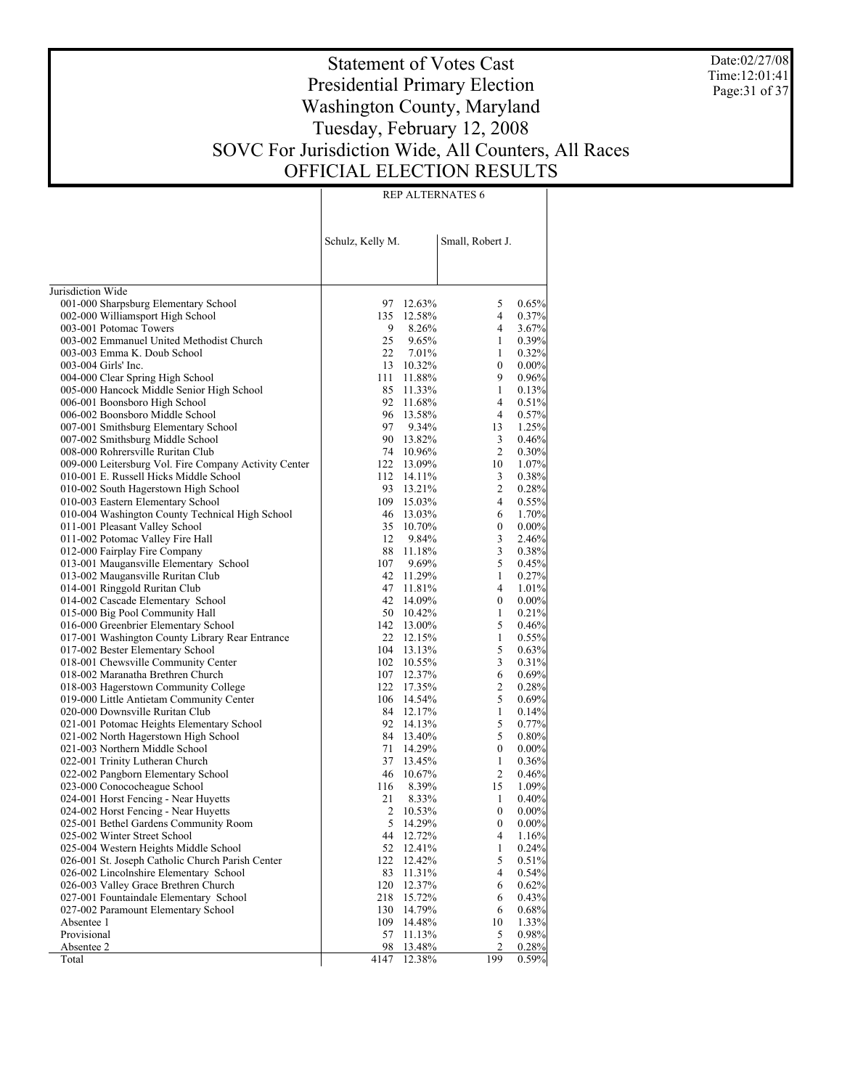Date:02/27/08 Time:12:01:41 Page:31 of 37

# Statement of Votes Cast Presidential Primary Election Washington County, Maryland Tuesday, February 12, 2008 SOVC For Jurisdiction Wide, All Counters, All Races OFFICIAL ELECTION RESULTS

|                                                                                   | Schulz, Kelly M.       |           | Small, Robert J. |                |
|-----------------------------------------------------------------------------------|------------------------|-----------|------------------|----------------|
| Jurisdiction Wide                                                                 |                        |           |                  |                |
| 001-000 Sharpsburg Elementary School                                              | 97 12.63%              |           | 5                | 0.65%          |
| 002-000 Williamsport High School                                                  | 135 12.58%             |           | $\overline{4}$   | 0.37%          |
| 003-001 Potomac Towers                                                            | 9                      | 8.26%     | 4                | 3.67%          |
| 003-002 Emmanuel United Methodist Church                                          | 25                     | 9.65%     | 1                | 0.39%          |
| 003-003 Emma K. Doub School                                                       | 22 7.01%               |           | 1                | 0.32%          |
| 003-004 Girls' Inc.                                                               |                        | 13 10.32% | 0                | 0.00%          |
| 004-000 Clear Spring High School                                                  | 111 11.88%             |           | 9                | 0.96%          |
| 005-000 Hancock Middle Senior High School                                         |                        | 85 11.33% | 1                | 0.13%          |
| 006-001 Boonsboro High School                                                     | 92 11.68%              |           | 4                | 0.51%          |
| 006-002 Boonsboro Middle School                                                   |                        | 96 13.58% | 4                | 0.57%          |
| 007-001 Smithsburg Elementary School                                              | 97 9.34%               |           | 13               | 1.25%          |
| 007-002 Smithsburg Middle School                                                  |                        | 90 13.82% | 3                | 0.46%          |
| 008-000 Rohrersville Ruritan Club                                                 |                        | 74 10.96% | 2                | $0.30\%$       |
| 009-000 Leitersburg Vol. Fire Company Activity Center                             | 122 13.09%             |           | 10               | 1.07%          |
| 010-001 E. Russell Hicks Middle School                                            | 112 14.11%             |           | 3                | 0.38%          |
| 010-002 South Hagerstown High School                                              |                        | 93 13.21% | 2                | 0.28%          |
| 010-003 Eastern Elementary School                                                 | 109 15.03%             |           | $\overline{4}$   | 0.55%          |
| 010-004 Washington County Technical High School<br>011-001 Pleasant Valley School |                        | 46 13.03% | 6                | 1.70%          |
|                                                                                   | 35 10.70%<br>12        |           | 0                | $0.00\%$       |
| 011-002 Potomac Valley Fire Hall<br>012-000 Fairplay Fire Company                 | 88 11.18%              | 9.84%     | 3<br>3           | 2.46%<br>0.38% |
| 013-001 Maugansville Elementary School                                            |                        |           | 5                | 0.45%          |
| 013-002 Maugansville Ruritan Club                                                 | 107 9.69%<br>42 11.29% |           | 1                |                |
| 014-001 Ringgold Ruritan Club                                                     | 47 11.81%              |           | 4                | 0.27%<br>1.01% |
| 014-002 Cascade Elementary School                                                 | 42 14.09%              |           | $\mathbf{0}$     | $0.00\%$       |
| 015-000 Big Pool Community Hall                                                   |                        | 50 10.42% | 1                | 0.21%          |
| 016-000 Greenbrier Elementary School                                              | 142 13.00%             |           | 5                | 0.46%          |
| 017-001 Washington County Library Rear Entrance                                   |                        | 22 12.15% | 1                | 0.55%          |
| 017-002 Bester Elementary School                                                  | 104 13.13%             |           | 5                | 0.63%          |
| 018-001 Chewsville Community Center                                               | 102 10.55%             |           | 3                | 0.31%          |
| 018-002 Maranatha Brethren Church                                                 | 107 12.37%             |           | 6                | 0.69%          |
| 018-003 Hagerstown Community College                                              | 122 17.35%             |           | 2                | 0.28%          |
| 019-000 Little Antietam Community Center                                          | 106 14.54%             |           | 5                | 0.69%          |
| 020-000 Downsville Ruritan Club                                                   |                        | 84 12.17% | 1                | 0.14%          |
| 021-001 Potomac Heights Elementary School                                         | 92 14.13%              |           | 5                | 0.77%          |
| 021-002 North Hagerstown High School                                              |                        | 84 13.40% | 5                | $0.80\%$       |
| 021-003 Northern Middle School                                                    | 71 14.29%              |           | $\mathbf{0}$     | 0.00%          |
| 022-001 Trinity Lutheran Church                                                   |                        | 37 13.45% | 1                | 0.36%          |
| 022-002 Pangborn Elementary School                                                | 46 10.67%              |           | $\overline{c}$   | 0.46%          |
| 023-000 Conococheague School                                                      | 116                    | 8.39%     | 15               | 1.09%          |
| 024-001 Horst Fencing - Near Huyetts                                              | 21                     | 8.33%     | 1                | 0.40%          |
| 024-002 Horst Fencing - Near Huyetts                                              | 2                      | 10.53%    | $\boldsymbol{0}$ | $0.00\%$       |
| 025-001 Bethel Gardens Community Room                                             | 5                      | 14.29%    | $\theta$         | $0.00\%$       |
| 025-002 Winter Street School                                                      | 44                     | 12.72%    | 4                | 1.16%          |
| 025-004 Western Heights Middle School                                             | 52                     | 12.41%    | $\mathbf{1}$     | 0.24%          |
| 026-001 St. Joseph Catholic Church Parish Center                                  | 122                    | 12.42%    | 5                | 0.51%          |
| 026-002 Lincolnshire Elementary School                                            | 83                     | 11.31%    | 4                | 0.54%          |
| 026-003 Valley Grace Brethren Church                                              | 120                    | 12.37%    | 6                | 0.62%          |
| 027-001 Fountaindale Elementary School                                            | 218                    | 15.72%    | 6                | 0.43%          |
| 027-002 Paramount Elementary School                                               | 130                    | 14.79%    | 6                | 0.68%          |
| Absentee 1                                                                        | 109                    | 14.48%    | 10               | 1.33%          |
| Provisional                                                                       | 57                     | 11.13%    | 5                | 0.98%          |
| Absentee 2                                                                        | 98                     | 13.48%    | 2                | 0.28%          |
| Total                                                                             | 4147                   | 12.38%    | 199              | 0.59%          |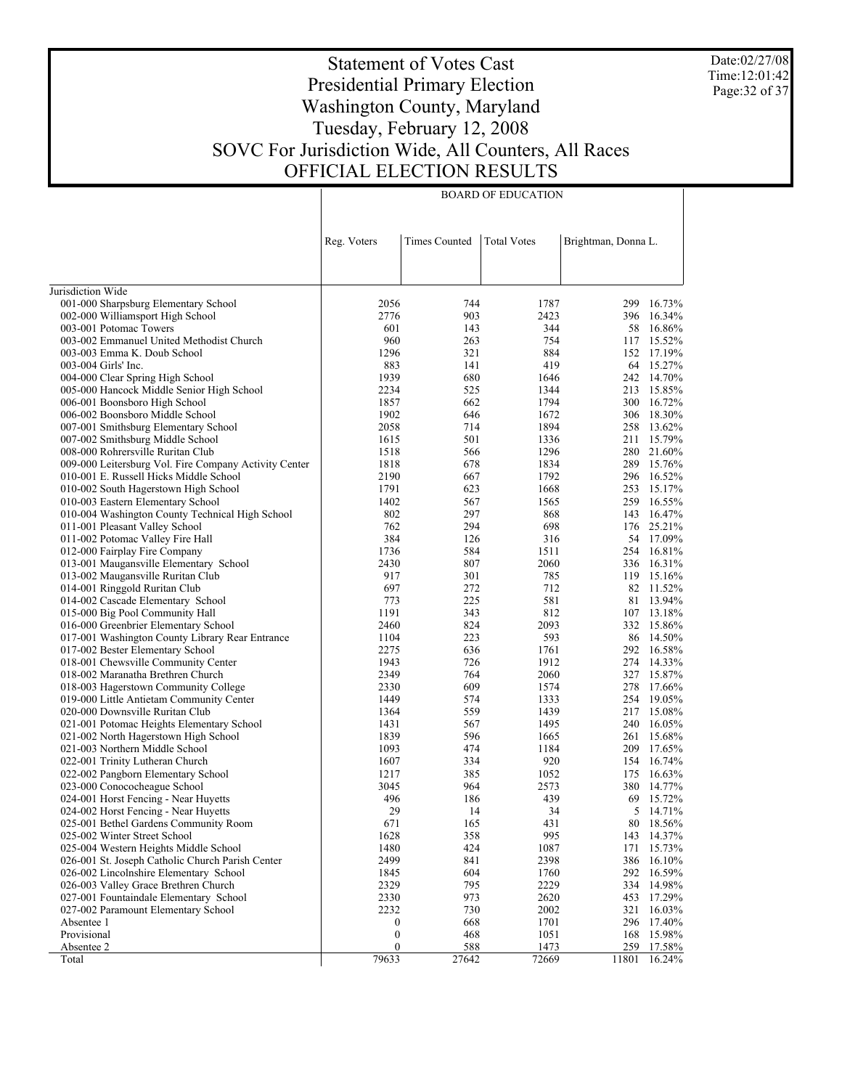Date:02/27/08 Time:12:01:42 Page:32 of 37

# Statement of Votes Cast Presidential Primary Election Washington County, Maryland Tuesday, February 12, 2008 SOVC For Jurisdiction Wide, All Counters, All Races OFFICIAL ELECTION RESULTS

BOARD OF EDUCATION

|                                                                      | Reg. Voters      | <b>Times Counted</b> | <b>Total Votes</b> | Brightman, Donna L. |                         |
|----------------------------------------------------------------------|------------------|----------------------|--------------------|---------------------|-------------------------|
|                                                                      |                  |                      |                    |                     |                         |
| Jurisdiction Wide                                                    |                  |                      |                    |                     |                         |
| 001-000 Sharpsburg Elementary School                                 | 2056             | 744                  | 1787               | 299                 | 16.73%                  |
| 002-000 Williamsport High School                                     | 2776             | 903                  | 2423               | 396                 | 16.34%                  |
| 003-001 Potomac Towers                                               | 601              | 143                  | 344                |                     | 58 16.86%               |
| 003-002 Emmanuel United Methodist Church                             | 960              | 263                  | 754                |                     | 117 15.52%              |
| 003-003 Emma K. Doub School                                          | 1296             | 321                  | 884                |                     | 152 17.19%              |
| 003-004 Girls' Inc.                                                  | 883              | 141                  | 419                |                     | 64 15.27%               |
| 004-000 Clear Spring High School                                     | 1939             | 680                  | 1646               |                     | 242 14.70%              |
| 005-000 Hancock Middle Senior High School                            | 2234             | 525                  | 1344               | 213                 | 15.85%                  |
| 006-001 Boonsboro High School                                        | 1857             | 662                  | 1794               |                     | 300 16.72%              |
| 006-002 Boonsboro Middle School                                      | 1902             | 646                  | 1672               |                     | 306 18.30%              |
| 007-001 Smithsburg Elementary School                                 | 2058             | 714                  | 1894               |                     | 258 13.62%              |
| 007-002 Smithsburg Middle School                                     | 1615             | 501                  | 1336               | 211                 | 15.79%                  |
| 008-000 Rohrersville Ruritan Club                                    | 1518             | 566                  | 1296               |                     | 280 21.60%              |
| 009-000 Leitersburg Vol. Fire Company Activity Center                | 1818             | 678                  | 1834               | 289                 | 15.76%                  |
| 010-001 E. Russell Hicks Middle School                               | 2190             | 667                  | 1792               |                     | 296 16.52%              |
| 010-002 South Hagerstown High School                                 | 1791             | 623                  | 1668               | 253                 | 15.17%                  |
| 010-003 Eastern Elementary School                                    | 1402             | 567                  | 1565               |                     | 259 16.55%              |
| 010-004 Washington County Technical High School                      | 802              | 297                  | 868                | 143                 | 16.47%                  |
| 011-001 Pleasant Valley School                                       | 762              | 294                  | 698                |                     | 176 25.21%              |
| 011-002 Potomac Valley Fire Hall                                     | 384              | 126                  | 316                |                     | 54 17.09%<br>254 16.81% |
| 012-000 Fairplay Fire Company                                        | 1736             | 584                  | 1511               |                     | 336 16.31%              |
| 013-001 Maugansville Elementary School                               | 2430<br>917      | 807                  | 2060               |                     |                         |
| 013-002 Maugansville Ruritan Club                                    | 697              | 301<br>272           | 785<br>712         |                     | 119 15.16%<br>82 11.52% |
| 014-001 Ringgold Ruritan Club                                        | 773              | 225                  | 581                |                     | 81 13.94%               |
| 014-002 Cascade Elementary School<br>015-000 Big Pool Community Hall | 1191             | 343                  | 812                |                     | 107 13.18%              |
| 016-000 Greenbrier Elementary School                                 | 2460             | 824                  | 2093               |                     | 332 15.86%              |
| 017-001 Washington County Library Rear Entrance                      | 1104             | 223                  | 593                |                     | 86 14.50%               |
| 017-002 Bester Elementary School                                     | 2275             | 636                  | 1761               |                     | 292 16.58%              |
| 018-001 Chewsville Community Center                                  | 1943             | 726                  | 1912               |                     | 274 14.33%              |
| 018-002 Maranatha Brethren Church                                    | 2349             | 764                  | 2060               |                     | 327 15.87%              |
| 018-003 Hagerstown Community College                                 | 2330             | 609                  | 1574               | 278                 | 17.66%                  |
| 019-000 Little Antietam Community Center                             | 1449             | 574                  | 1333               |                     | 254 19.05%              |
| 020-000 Downsville Ruritan Club                                      | 1364             | 559                  | 1439               |                     | 217 15.08%              |
| 021-001 Potomac Heights Elementary School                            | 1431             | 567                  | 1495               |                     | 240 16.05%              |
| 021-002 North Hagerstown High School                                 | 1839             | 596                  | 1665               |                     | 261 15.68%              |
| 021-003 Northern Middle School                                       | 1093             | 474                  | 1184               |                     | 209 17.65%              |
| 022-001 Trinity Lutheran Church                                      | 1607             | 334                  | 920                |                     | 154 16.74%              |
| 022-002 Pangborn Elementary School                                   | 1217             | 385                  | 1052               | 175                 | 16.63%                  |
| 023-000 Conococheague School                                         | 3045             | 964                  | 2573               | 380                 | 14.77%                  |
| 024-001 Horst Fencing - Near Huyetts                                 | 496              | 186                  | 439                |                     | 69 15.72%               |
| 024-002 Horst Fencing - Near Huyetts                                 | 29               | 14                   | 34                 | 5                   | 14.71%                  |
| 025-001 Bethel Gardens Community Room                                | 671              | 165                  | 431                |                     | 80 18.56%               |
| 025-002 Winter Street School                                         | 1628             | 358                  | 995                |                     | 143 14.37%              |
| 025-004 Western Heights Middle School                                | 1480             | 424                  | 1087               | 171                 | 15.73%                  |
| 026-001 St. Joseph Catholic Church Parish Center                     | 2499             | 841                  | 2398               | 386                 | 16.10%                  |
| 026-002 Lincolnshire Elementary School                               | 1845             | 604                  | 1760               | 292                 | 16.59%                  |
| 026-003 Valley Grace Brethren Church                                 | 2329             | 795                  | 2229               | 334                 | 14.98%                  |
| 027-001 Fountaindale Elementary School                               | 2330             | 973                  | 2620               |                     | 453 17.29%              |
| 027-002 Paramount Elementary School                                  | 2232             | 730                  | 2002               | 321                 | 16.03%                  |
| Absentee 1                                                           | 0                | 668                  | 1701               |                     | 296 17.40%              |
| Provisional                                                          | $\boldsymbol{0}$ | 468                  | 1051               | 168                 | 15.98%                  |
| Absentee 2                                                           | $\boldsymbol{0}$ | 588                  | 1473               | 259                 | 17.58%                  |
| Total                                                                | 79633            | 27642                | 72669              | 11801               | 16.24%                  |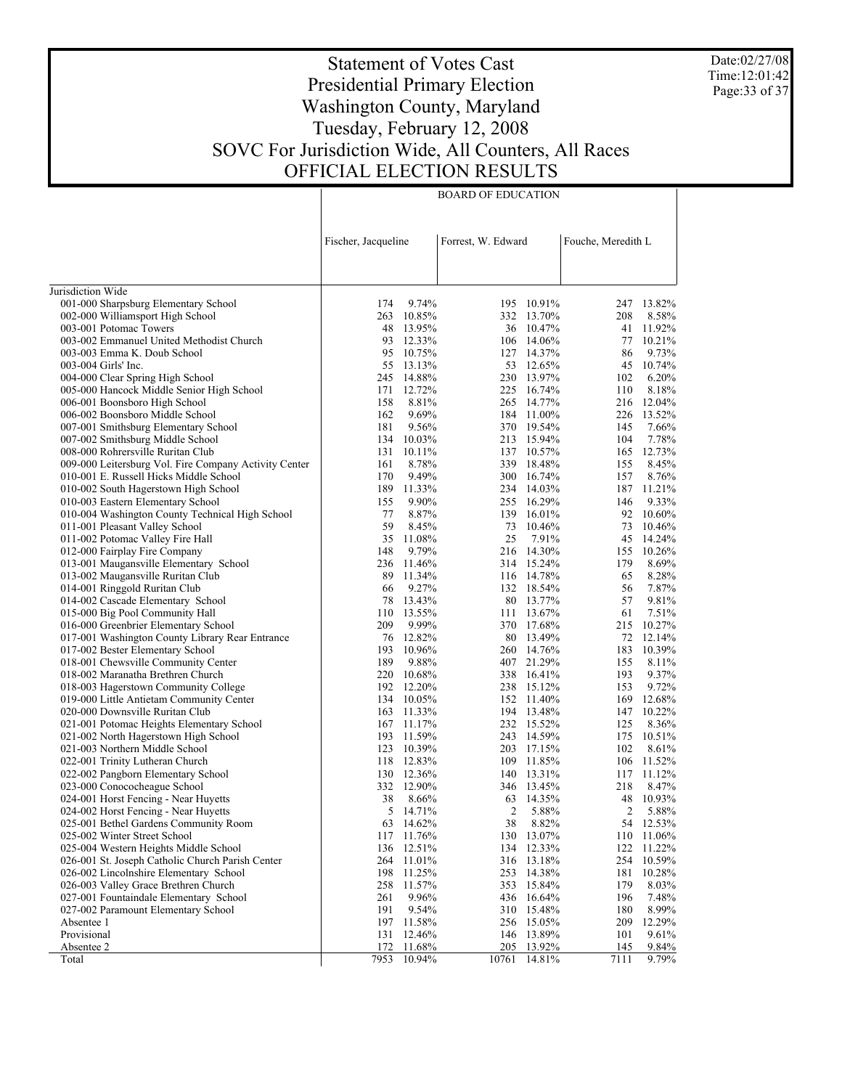Date:02/27/08 Time:12:01:42 Page:33 of 37

# Statement of Votes Cast Presidential Primary Election Washington County, Maryland Tuesday, February 12, 2008 SOVC For Jurisdiction Wide, All Counters, All Races OFFICIAL ELECTION RESULTS

BOARD OF EDUCATION

|                                                                    | Fischer, Jacqueline |                 | Forrest, W. Edward |                          | Fouche, Meredith L |                  |
|--------------------------------------------------------------------|---------------------|-----------------|--------------------|--------------------------|--------------------|------------------|
|                                                                    |                     |                 |                    |                          |                    |                  |
| Jurisdiction Wide                                                  |                     |                 |                    |                          |                    |                  |
| 001-000 Sharpsburg Elementary School                               | 174                 | 9.74%           |                    | 195 10.91%               |                    | 247 13.82%       |
| 002-000 Williamsport High School                                   | 263                 | 10.85%          |                    | 332 13.70%               | 208                | 8.58%            |
| 003-001 Potomac Towers                                             | 48                  | 13.95%          |                    | 36 10.47%                | 41                 | 11.92%           |
| 003-002 Emmanuel United Methodist Church                           | 93                  | 12.33%          |                    | 106 14.06%               | 77                 | 10.21%           |
| 003-003 Emma K. Doub School                                        | 95                  | 10.75%          |                    | 127 14.37%               | 86                 | 9.73%            |
| 003-004 Girls' Inc.                                                |                     | 55 13.13%       |                    | 53 12.65%                | 45                 | 10.74%           |
| 004-000 Clear Spring High School                                   | 245                 | 14.88%          |                    | 230 13.97%               | 102                | 6.20%            |
| 005-000 Hancock Middle Senior High School                          | 171                 | 12.72%          |                    | 225 16.74%               | 110                | 8.18%            |
| 006-001 Boonsboro High School                                      | 158                 | 8.81%           |                    | 265 14.77%               | 216                | 12.04%           |
| 006-002 Boonsboro Middle School                                    | 162                 | 9.69%           |                    | 184 11.00%               | 226                | 13.52%           |
| 007-001 Smithsburg Elementary School                               | 181                 | 9.56%           |                    | 370 19.54%               | 145                | 7.66%            |
| 007-002 Smithsburg Middle School                                   | 134                 | 10.03%          |                    | 213 15.94%               | 104                | 7.78%            |
| 008-000 Rohrersville Ruritan Club                                  | 131                 | 10.11%          |                    | 137 10.57%               | 165                | 12.73%           |
| 009-000 Leitersburg Vol. Fire Company Activity Center              | 161                 | 8.78%           | 339                | 18.48%                   | 155                | 8.45%            |
| 010-001 E. Russell Hicks Middle School                             | 170                 | 9.49%           |                    | 300 16.74%               | 157                | 8.76%            |
| 010-002 South Hagerstown High School                               | 189                 | 11.33%          |                    | 234 14.03%               | 187                | 11.21%           |
| 010-003 Eastern Elementary School                                  | 155                 | 9.90%           |                    | 255 16.29%               | 146                | 9.33%            |
| 010-004 Washington County Technical High School                    | 77                  | 8.87%           | 139                | 16.01%                   | 92                 | 10.60%           |
| 011-001 Pleasant Valley School                                     | 59<br>35            | 8.45%           | 73                 | 10.46%                   | 73                 | 10.46%           |
| 011-002 Potomac Valley Fire Hall                                   |                     | 11.08%          | 25                 | 7.91%                    | 45                 | 14.24%<br>10.26% |
| 012-000 Fairplay Fire Company                                      | 148<br>236          | 9.79%<br>11.46% |                    | 216 14.30%<br>314 15.24% | 155<br>179         | 8.69%            |
| 013-001 Maugansville Elementary School                             | 89                  | 11.34%          |                    | 116 14.78%               | 65                 | 8.28%            |
| 013-002 Maugansville Ruritan Club                                  | 66                  | 9.27%           |                    |                          | 56                 | 7.87%            |
| 014-001 Ringgold Ruritan Club<br>014-002 Cascade Elementary School | 78                  | 13.43%          |                    | 132 18.54%<br>80 13.77%  | 57                 | 9.81%            |
| 015-000 Big Pool Community Hall                                    | 110                 | 13.55%          |                    | 111 13.67%               | 61                 | 7.51%            |
| 016-000 Greenbrier Elementary School                               | 209                 | 9.99%           |                    | 370 17.68%               |                    | 215 10.27%       |
| 017-001 Washington County Library Rear Entrance                    | 76                  | 12.82%          |                    | 80 13.49%                |                    | 72 12.14%        |
| 017-002 Bester Elementary School                                   | 193                 | 10.96%          |                    | 260 14.76%               | 183                | 10.39%           |
| 018-001 Chewsville Community Center                                | 189                 | 9.88%           |                    | 407 21.29%               | 155                | 8.11%            |
| 018-002 Maranatha Brethren Church                                  | 220                 | 10.68%          |                    | 338 16.41%               | 193                | 9.37%            |
| 018-003 Hagerstown Community College                               | 192                 | 12.20%          |                    | 238 15.12%               | 153                | 9.72%            |
| 019-000 Little Antietam Community Center                           |                     | 134 10.05%      |                    | 152 11.40%               | 169                | 12.68%           |
| 020-000 Downsville Ruritan Club                                    |                     | 163 11.33%      |                    | 194 13.48%               | 147                | 10.22%           |
| 021-001 Potomac Heights Elementary School                          |                     | 167 11.17%      |                    | 232 15.52%               | 125                | 8.36%            |
| 021-002 North Hagerstown High School                               |                     | 193 11.59%      |                    | 243 14.59%               | 175                | 10.51%           |
| 021-003 Northern Middle School                                     |                     | 123 10.39%      |                    | 203 17.15%               | 102                | 8.61%            |
| 022-001 Trinity Lutheran Church                                    |                     | 118 12.83%      |                    | 109 11.85%               | 106                | 11.52%           |
| 022-002 Pangborn Elementary School                                 |                     | 130 12.36%      |                    | 140 13.31%               |                    | 117 11.12%       |
| 023-000 Conococheague School                                       |                     | 332 12.90%      |                    | 346 13.45%               | 218                | 8.47%            |
| 024-001 Horst Fencing - Near Huyetts                               | 38                  | 8.66%           |                    | 63 14.35%                | 48                 | 10.93%           |
| 024-002 Horst Fencing - Near Huyetts                               | 5                   | 14.71%          | $\overline{c}$     | 5.88%                    | 2                  | 5.88%            |
| 025-001 Bethel Gardens Community Room                              |                     | 63 14.62%       | 38                 | 8.82%                    |                    | 54 12.53%        |
| 025-002 Winter Street School                                       |                     | 117 11.76%      |                    | 130 13.07%               |                    | 110 11.06%       |
| 025-004 Western Heights Middle School                              | 136                 | 12.51%          |                    | 134 12.33%               | 122                | 11.22%           |
| 026-001 St. Joseph Catholic Church Parish Center                   | 264                 | 11.01%          | 316                | 13.18%                   | 254                | 10.59%           |
| 026-002 Lincolnshire Elementary School                             | 198                 | 11.25%          | 253                | 14.38%                   | 181                | 10.28%           |
| 026-003 Valley Grace Brethren Church                               | 258                 | 11.57%          | 353                | 15.84%                   | 179                | 8.03%            |
| 027-001 Fountaindale Elementary School                             | 261                 | 9.96%           |                    | 436 16.64%               | 196                | 7.48%            |
| 027-002 Paramount Elementary School                                | 191                 | 9.54%           | 310                | 15.48%                   | 180                | 8.99%            |
| Absentee 1                                                         |                     | 197 11.58%      |                    | 256 15.05%               | 209                | 12.29%           |
| Provisional                                                        | 131                 | 12.46%          | 146                | 13.89%                   | 101                | 9.61%            |
| Absentee 2                                                         | 172                 | 11.68%          | 205                | 13.92%                   | 145                | 9.84%            |
| Total                                                              | 7953                | 10.94%          | 10761              | 14.81%                   | 7111               | 9.79%            |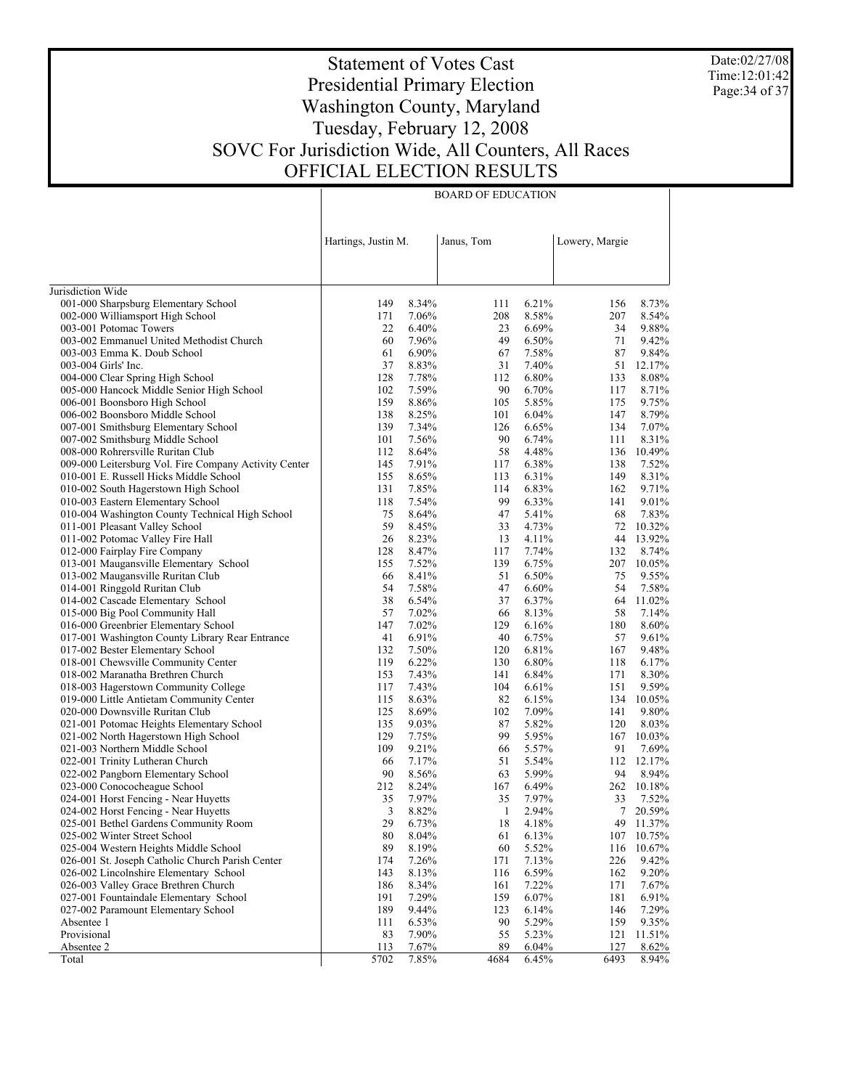Date:02/27/08 Time:12:01:42 Page:34 of 37

## Statement of Votes Cast Presidential Primary Election Washington County, Maryland Tuesday, February 12, 2008 SOVC For Jurisdiction Wide, All Counters, All Races OFFICIAL ELECTION RESULTS

|                                                                                | Hartings, Justin M. |                | Janus, Tom |                | Lowery, Margie |                 |
|--------------------------------------------------------------------------------|---------------------|----------------|------------|----------------|----------------|-----------------|
| Jurisdiction Wide                                                              |                     |                |            |                |                |                 |
| 001-000 Sharpsburg Elementary School                                           | 149                 | 8.34%          | 111        | 6.21%          | 156            | 8.73%           |
| 002-000 Williamsport High School                                               | 171                 | 7.06%          | 208        | 8.58%          | 207            | 8.54%           |
| 003-001 Potomac Towers                                                         | 22                  | 6.40%          | 23         | 6.69%          | 34             | 9.88%           |
| 003-002 Emmanuel United Methodist Church                                       | 60                  | 7.96%          | 49         | 6.50%          | 71             | 9.42%           |
| 003-003 Emma K. Doub School                                                    | 61                  | 6.90%          | 67         | 7.58%          | 87             | 9.84%           |
| 003-004 Girls' Inc.                                                            | 37                  | 8.83%          | 31         | 7.40%          | 51             | 12.17%          |
| 004-000 Clear Spring High School                                               | 128                 | 7.78%          | 112        | 6.80%          | 133            | 8.08%           |
| 005-000 Hancock Middle Senior High School                                      | 102                 | 7.59%          | 90         | 6.70%          | 117            | 8.71%           |
| 006-001 Boonsboro High School                                                  | 159                 | 8.86%          | 105        | 5.85%          | 175            | 9.75%           |
| 006-002 Boonsboro Middle School                                                | 138                 | 8.25%          | 101        | 6.04%          | 147            | 8.79%           |
| 007-001 Smithsburg Elementary School                                           | 139                 | 7.34%          | 126        | 6.65%          | 134            | 7.07%           |
| 007-002 Smithsburg Middle School                                               | 101                 | 7.56%          | 90         | 6.74%          | 111            | 8.31%           |
| 008-000 Rohrersville Ruritan Club                                              | 112                 | 8.64%          | 58         | 4.48%          | 136            | 10.49%          |
| 009-000 Leitersburg Vol. Fire Company Activity Center                          | 145                 | 7.91%          | 117        | 6.38%          | 138            | 7.52%           |
| 010-001 E. Russell Hicks Middle School                                         | 155                 | 8.65%          | 113        | 6.31%          | 149            | 8.31%           |
| 010-002 South Hagerstown High School                                           | 131                 | 7.85%          | 114        | 6.83%          | 162            | 9.71%           |
| 010-003 Eastern Elementary School                                              | 118                 | 7.54%          | 99         | 6.33%          | 141            | 9.01%           |
| 010-004 Washington County Technical High School                                | 75                  | 8.64%          | 47         | 5.41%          | 68             | 7.83%           |
| 011-001 Pleasant Valley School                                                 | 59                  | 8.45%          | 33         | 4.73%          | 72             | 10.32%          |
| 011-002 Potomac Valley Fire Hall                                               | 26                  | 8.23%          | 13         | 4.11%          | 44             | 13.92%          |
| 012-000 Fairplay Fire Company                                                  | 128                 | 8.47%          | 117        | 7.74%          | 132            | 8.74%           |
| 013-001 Maugansville Elementary School                                         | 155                 | 7.52%          | 139        | 6.75%          | 207            | 10.05%          |
| 013-002 Maugansville Ruritan Club                                              | 66                  | 8.41%          | 51         | 6.50%          | 75             | 9.55%           |
| 014-001 Ringgold Ruritan Club                                                  | 54                  | 7.58%          | 47         | 6.60%          | 54             | 7.58%           |
| 014-002 Cascade Elementary School                                              | 38                  | 6.54%          | 37         | 6.37%          | 64             | 11.02%          |
| 015-000 Big Pool Community Hall                                                | 57                  | 7.02%          | 66         | 8.13%          | 58             | 7.14%           |
| 016-000 Greenbrier Elementary School                                           | 147                 | 7.02%          | 129        | 6.16%          | 180            | 8.60%           |
| 017-001 Washington County Library Rear Entrance                                | 41                  | 6.91%          | 40         | 6.75%          | 57             | 9.61%           |
| 017-002 Bester Elementary School                                               | 132                 | 7.50%          | 120        | 6.81%          | 167            | 9.48%           |
| 018-001 Chewsville Community Center                                            | 119                 | 6.22%          | 130        | 6.80%          | 118            | 6.17%           |
| 018-002 Maranatha Brethren Church                                              | 153                 | 7.43%          | 141        | 6.84%          | 171            | 8.30%           |
| 018-003 Hagerstown Community College                                           | 117                 | 7.43%          | 104        | 6.61%          | 151            | 9.59%           |
| 019-000 Little Antietam Community Center                                       | 115                 | 8.63%          | 82         | 6.15%          | 134            | 10.05%          |
| 020-000 Downsville Ruritan Club                                                | 125                 | 8.69%          | 102        | 7.09%          | 141            | 9.80%           |
| 021-001 Potomac Heights Elementary School                                      | 135                 | 9.03%          | 87         | 5.82%          | 120            | 8.03%           |
| 021-002 North Hagerstown High School                                           | 129                 | 7.75%          | 99         | 5.95%          | 167            | 10.03%          |
| 021-003 Northern Middle School                                                 | 109                 | 9.21%          | 66         | 5.57%          | 91             | 7.69%           |
| 022-001 Trinity Lutheran Church                                                | 66                  | 7.17%          | 51         | 5.54%          | 112            | 12.17%          |
| 022-002 Pangborn Elementary School                                             | 90                  | 8.56%          | 63         | 5.99%          | 94             | 8.94%           |
| 023-000 Conococheague School                                                   | 212                 | 8.24%          | 167        | 6.49%          | 262            | 10.18%          |
| 024-001 Horst Fencing - Near Huyetts                                           | 35                  | 7.97%          | 35         | 7.97%          | 33             | 7.52%           |
| 024-002 Horst Fencing - Near Huyetts                                           | 3                   | 8.82%          | 1          | 2.94%          | $\tau$         | 20.59%          |
| 025-001 Bethel Gardens Community Room                                          | 29                  | 6.73%          | 18         | 4.18%          | 49             | 11.37%          |
| 025-002 Winter Street School                                                   | 80                  | 8.04%          | 61         | 6.13%          | 107            | 10.75%          |
| 025-004 Western Heights Middle School                                          | 89<br>174           | 8.19%          | 60<br>171  | 5.52%<br>7.13% | 116<br>226     | 10.67%          |
| 026-001 St. Joseph Catholic Church Parish Center                               | 143                 | 7.26%          |            |                | 162            | 9.42%           |
| 026-002 Lincolnshire Elementary School<br>026-003 Valley Grace Brethren Church | 186                 | 8.13%          | 116        | 6.59%<br>7.22% |                | 9.20%<br>7.67%  |
| 027-001 Fountaindale Elementary School                                         | 191                 | 8.34%<br>7.29% | 161<br>159 |                | 171<br>181     |                 |
|                                                                                | 189                 |                |            | 6.07%          |                | 6.91%<br>7.29%  |
| 027-002 Paramount Elementary School<br>Absentee 1                              |                     | 9.44%          | 123<br>90  | 6.14%          | 146<br>159     |                 |
| Provisional                                                                    | 111<br>83           | 6.53%<br>7.90% | 55         | 5.29%<br>5.23% | 121            | 9.35%<br>11.51% |
| Absentee 2                                                                     | 113                 | 7.67%          | 89         | 6.04%          | 127            | 8.62%           |
| Total                                                                          | 5702                | 7.85%          | 4684       | 6.45%          | 6493           | 8.94%           |
|                                                                                |                     |                |            |                |                |                 |

BOARD OF EDUCATION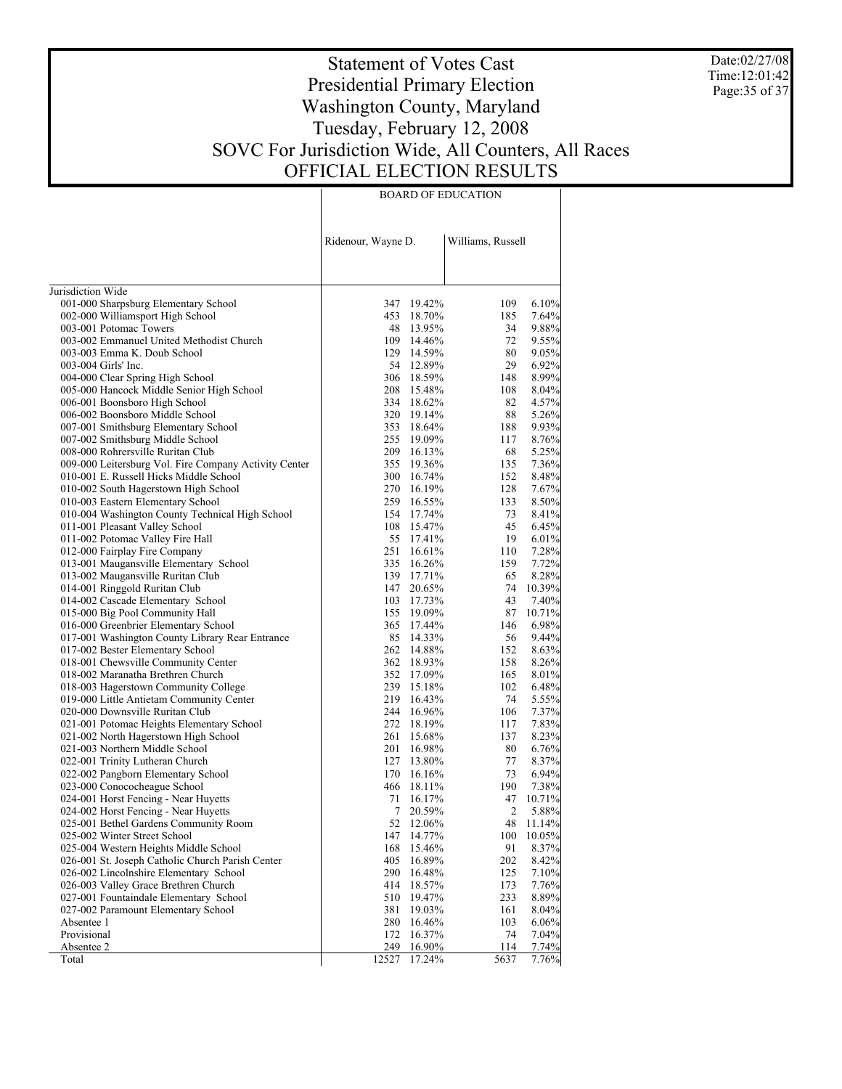Date:02/27/08 Time:12:01:42 Page:35 of 37

# Statement of Votes Cast Presidential Primary Election Washington County, Maryland Tuesday, February 12, 2008 SOVC For Jurisdiction Wide, All Counters, All Races OFFICIAL ELECTION RESULTS

| FICIAL ELECTION RESULT    |
|---------------------------|
| <b>BOARD OF EDUCATION</b> |

|                                                                                     | Ridenour, Wayne D. |                          | Williams, Russell |                 |
|-------------------------------------------------------------------------------------|--------------------|--------------------------|-------------------|-----------------|
| Jurisdiction Wide                                                                   |                    |                          |                   |                 |
| 001-000 Sharpsburg Elementary School                                                |                    | 347 19.42%               | 109               | 6.10%           |
| 002-000 Williamsport High School                                                    |                    | 453 18.70%               | 185               | 7.64%           |
| 003-001 Potomac Towers                                                              |                    | 48 13.95%                | 34                | 9.88%           |
| 003-002 Emmanuel United Methodist Church                                            |                    | 109 14.46%               | 72                | 9.55%           |
| 003-003 Emma K. Doub School                                                         |                    | 129 14.59%               | 80                | 9.05%           |
| 003-004 Girls' Inc.                                                                 |                    | 54 12.89%                | 29                | 6.92%           |
| 004-000 Clear Spring High School                                                    |                    | 306 18.59%               | 148               | 8.99%           |
| 005-000 Hancock Middle Senior High School                                           |                    | 208 15.48%               | 108               | 8.04%           |
| 006-001 Boonsboro High School                                                       |                    | 334 18.62%               | 82                | 4.57%           |
| 006-002 Boonsboro Middle School                                                     |                    | 320 19.14%               | 88                | 5.26%           |
| 007-001 Smithsburg Elementary School                                                |                    | 353 18.64%               | 188               | 9.93%           |
| 007-002 Smithsburg Middle School                                                    |                    | 255 19.09%               | 117               | 8.76%           |
| 008-000 Rohrersville Ruritan Club                                                   |                    | 209 16.13%               | 68                | 5.25%           |
| 009-000 Leitersburg Vol. Fire Company Activity Center                               |                    | 355 19.36%               | 135               | 7.36%           |
| 010-001 E. Russell Hicks Middle School                                              |                    | 300 16.74%               | 152               | 8.48%           |
| 010-002 South Hagerstown High School                                                |                    | 270 16.19%               | 128               | 7.67%           |
| 010-003 Eastern Elementary School                                                   |                    | 259 16.55%               | 133               | 8.50%           |
| 010-004 Washington County Technical High School                                     |                    | 154 17.74%               | 73                | 8.41%           |
| 011-001 Pleasant Valley School                                                      |                    | 108 15.47%               | 45                | 6.45%           |
| 011-002 Potomac Valley Fire Hall                                                    |                    | 55 17.41%                | 19                | 6.01%           |
| 012-000 Fairplay Fire Company                                                       |                    | 251 16.61%               | 110               | 7.28%           |
| 013-001 Maugansville Elementary School                                              |                    | 335 16.26%               | 159               | 7.72%           |
| 013-002 Maugansville Ruritan Club                                                   |                    | 139 17.71%               | 65                | 8.28%           |
| 014-001 Ringgold Ruritan Club                                                       |                    | 147 20.65%               | 74                | 10.39%          |
| 014-002 Cascade Elementary School                                                   |                    | 103 17.73%               | 43                | 7.40%<br>10.71% |
| 015-000 Big Pool Community Hall                                                     |                    | 155 19.09%<br>365 17.44% | 87<br>146         | 6.98%           |
| 016-000 Greenbrier Elementary School                                                |                    | 85 14.33%                | 56                | 9.44%           |
| 017-001 Washington County Library Rear Entrance<br>017-002 Bester Elementary School |                    | 262 14.88%               | 152               | 8.63%           |
| 018-001 Chewsville Community Center                                                 |                    | 362 18.93%               | 158               | 8.26%           |
| 018-002 Maranatha Brethren Church                                                   |                    | 352 17.09%               | 165               | 8.01%           |
| 018-003 Hagerstown Community College                                                |                    | 239 15.18%               | 102               | 6.48%           |
| 019-000 Little Antietam Community Center                                            |                    | 219 16.43%               | 74                | 5.55%           |
| 020-000 Downsville Ruritan Club                                                     |                    | 244 16.96%               | 106               | 7.37%           |
| 021-001 Potomac Heights Elementary School                                           |                    | 272 18.19%               | 117               | 7.83%           |
| 021-002 North Hagerstown High School                                                |                    | 261 15.68%               | 137               | 8.23%           |
| 021-003 Northern Middle School                                                      | 201                | 16.98%                   | 80                | 6.76%           |
| 022-001 Trinity Lutheran Church                                                     |                    | 127 13.80%               | 77                | 8.37%           |
| 022-002 Pangborn Elementary School                                                  |                    | 170 16.16%               | 73                | 6.94%           |
| 023-000 Conococheague School                                                        |                    | 466 18.11%               | 190               | 7.38%           |
| 024-001 Horst Fencing - Near Huyetts                                                | 71                 | 16.17%                   | 47                | 10.71%          |
| 024-002 Horst Fencing - Near Huyetts                                                | $\tau$             | 20.59%                   | $\overline{2}$    | 5.88%           |
| 025-001 Bethel Gardens Community Room                                               | 52                 | 12.06%                   | 48                | 11.14%          |
| 025-002 Winter Street School                                                        | 147                | 14.77%                   | 100               | 10.05%          |
| 025-004 Western Heights Middle School                                               | 168                | 15.46%                   | 91                | 8.37%           |
| 026-001 St. Joseph Catholic Church Parish Center                                    | 405                | 16.89%                   | 202               | 8.42%           |
| 026-002 Lincolnshire Elementary School                                              | 290                | 16.48%                   | 125               | 7.10%           |
| 026-003 Valley Grace Brethren Church                                                | 414                | 18.57%                   | 173               | 7.76%           |
| 027-001 Fountaindale Elementary School                                              | 510                | 19.47%                   | 233               | 8.89%           |
| 027-002 Paramount Elementary School                                                 | 381                | 19.03%                   | 161               | 8.04%           |
| Absentee 1                                                                          | 280                | 16.46%                   | 103               | 6.06%           |
| Provisional                                                                         | 172                | 16.37%                   | 74                | 7.04%           |
| Absentee 2                                                                          | 249                | 16.90%                   | 114               | 7.74%           |
| Total                                                                               | 12527              | $17.24\%$                | 5637              | 7.76%           |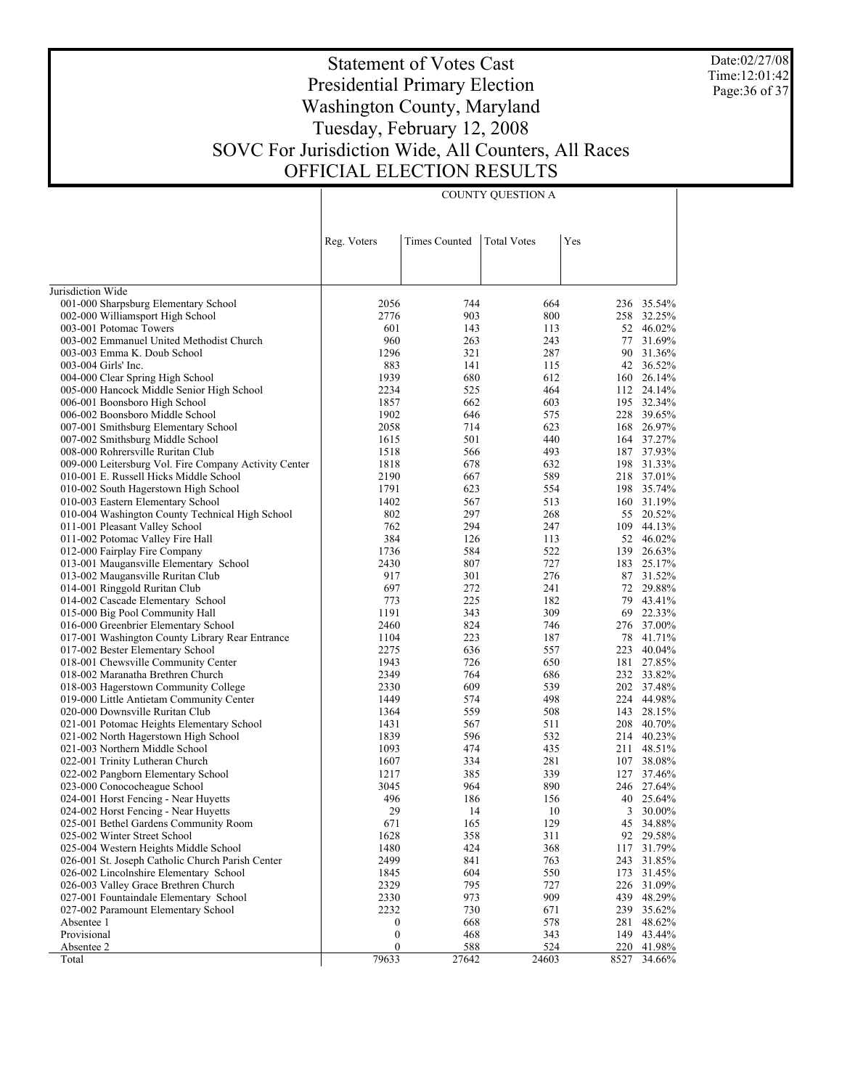Date:02/27/08 Time:12:01:42 Page:36 of 37

 $\overline{1}$ 

# Statement of Votes Cast Presidential Primary Election Washington County, Maryland Tuesday, February 12, 2008 SOVC For Jurisdiction Wide, All Counters, All Races OFFICIAL ELECTION RESULTS

COUNTY QUESTION A

|                                                                                     | Reg. Voters      | <b>Times Counted</b> | <b>Total Votes</b> | Yes       |                  |
|-------------------------------------------------------------------------------------|------------------|----------------------|--------------------|-----------|------------------|
|                                                                                     |                  |                      |                    |           |                  |
| Jurisdiction Wide                                                                   |                  |                      |                    |           |                  |
| 001-000 Sharpsburg Elementary School                                                | 2056             | 744                  | 664                |           | 236 35.54%       |
| 002-000 Williamsport High School                                                    | 2776             | 903                  | 800                |           | 258 32.25%       |
| 003-001 Potomac Towers                                                              | 601              | 143                  | 113                |           | 52 46.02%        |
| 003-002 Emmanuel United Methodist Church                                            | 960              | 263                  | 243                |           | 77 31.69%        |
| 003-003 Emma K. Doub School                                                         | 1296             | 321                  | 287                | 90        | 31.36%           |
| 003-004 Girls' Inc.                                                                 | 883              | 141                  | 115                |           | 42 36.52%        |
| 004-000 Clear Spring High School                                                    | 1939             | 680                  | 612                | 160       | 26.14%           |
| 005-000 Hancock Middle Senior High School                                           | 2234             | 525                  | 464                |           | 112 24.14%       |
| 006-001 Boonsboro High School                                                       | 1857             | 662                  | 603                |           | 195 32.34%       |
| 006-002 Boonsboro Middle School                                                     | 1902             | 646                  | 575                |           | 228 39.65%       |
| 007-001 Smithsburg Elementary School                                                | 2058             | 714                  | 623                |           | 168 26.97%       |
| 007-002 Smithsburg Middle School                                                    | 1615             | 501                  | 440                |           | 164 37.27%       |
| 008-000 Rohrersville Ruritan Club                                                   | 1518             | 566                  | 493                |           | 187 37.93%       |
| 009-000 Leitersburg Vol. Fire Company Activity Center                               | 1818             | 678                  | 632                |           | 198 31.33%       |
| 010-001 E. Russell Hicks Middle School                                              | 2190             | 667                  | 589                |           | 218 37.01%       |
| 010-002 South Hagerstown High School                                                | 1791             | 623                  | 554                |           | 198 35.74%       |
| 010-003 Eastern Elementary School                                                   | 1402             | 567                  | 513                |           | 160 31.19%       |
| 010-004 Washington County Technical High School                                     | 802              | 297                  | 268                |           | 55 20.52%        |
| 011-001 Pleasant Valley School                                                      | 762              | 294                  | 247                | 109       | 44.13%           |
| 011-002 Potomac Valley Fire Hall                                                    | 384              | 126                  | 113                |           | 52 46.02%        |
| 012-000 Fairplay Fire Company                                                       | 1736             | 584                  | 522                | 139       | 26.63%           |
| 013-001 Maugansville Elementary School                                              | 2430             | 807                  | 727                |           | 183 25.17%       |
| 013-002 Maugansville Ruritan Club                                                   | 917              | 301                  | 276                | 87        | 31.52%           |
| 014-001 Ringgold Ruritan Club                                                       | 697              | 272                  | 241                |           | 72 29.88%        |
| 014-002 Cascade Elementary School                                                   | 773              | 225                  | 182                | 79        | 43.41%           |
| 015-000 Big Pool Community Hall                                                     | 1191             | 343                  | 309                | 69        | 22.33%<br>37.00% |
| 016-000 Greenbrier Elementary School                                                | 2460<br>1104     | 824<br>223           | 746<br>187         | 276<br>78 | 41.71%           |
| 017-001 Washington County Library Rear Entrance<br>017-002 Bester Elementary School | 2275             | 636                  | 557                | 223       | 40.04%           |
| 018-001 Chewsville Community Center                                                 | 1943             | 726                  | 650                |           | 181 27.85%       |
| 018-002 Maranatha Brethren Church                                                   | 2349             | 764                  | 686                |           | 232 33.82%       |
| 018-003 Hagerstown Community College                                                | 2330             | 609                  | 539                |           | 202 37.48%       |
| 019-000 Little Antietam Community Center                                            | 1449             | 574                  | 498                |           | 224 44.98%       |
| 020-000 Downsville Ruritan Club                                                     | 1364             | 559                  | 508                | 143       | 28.15%           |
| 021-001 Potomac Heights Elementary School                                           | 1431             | 567                  | 511                |           | 208 40.70%       |
| 021-002 North Hagerstown High School                                                | 1839             | 596                  | 532                |           | 214 40.23%       |
| 021-003 Northern Middle School                                                      | 1093             | 474                  | 435                | 211       | 48.51%           |
| 022-001 Trinity Lutheran Church                                                     | 1607             | 334                  | 281                |           | 107 38.08%       |
| 022-002 Pangborn Elementary School                                                  | 1217             | 385                  | 339                |           | 127 37.46%       |
| 023-000 Conococheague School                                                        | 3045             | 964                  | 890                |           | 246 27.64%       |
| 024-001 Horst Fencing - Near Huyetts                                                | 496              | 186                  | 156                |           | 40 25.64%        |
| 024-002 Horst Fencing - Near Huyetts                                                | 29               | 14                   | 10                 |           | 3 30.00%         |
| 025-001 Bethel Gardens Community Room                                               | 671              | 165                  | 129                |           | 45 34.88%        |
| 025-002 Winter Street School                                                        | 1628             | 358                  | 311                |           | 92 29.58%        |
| 025-004 Western Heights Middle School                                               | 1480             | 424                  | 368                | 117       | 31.79%           |
| 026-001 St. Joseph Catholic Church Parish Center                                    | 2499             | 841                  | 763                | 243       | 31.85%           |
| 026-002 Lincolnshire Elementary School                                              | 1845             | 604                  | 550                | 173       | 31.45%           |
| 026-003 Valley Grace Brethren Church                                                | 2329             | 795                  | 727                | 226       | 31.09%           |
| 027-001 Fountaindale Elementary School                                              | 2330             | 973                  | 909                | 439       | 48.29%           |
| 027-002 Paramount Elementary School                                                 | 2232             | 730                  | 671                |           | 239 35.62%       |
| Absentee 1                                                                          | 0                | 668                  | 578                | 281       | 48.62%           |
| Provisional                                                                         | $\boldsymbol{0}$ | 468                  | 343                | 149       | 43.44%           |
| Absentee 2                                                                          | $\boldsymbol{0}$ | 588                  | 524                | 220       | 41.98%           |
| Total                                                                               | 79633            | 27642                | 24603              | 8527      | 34.66%           |